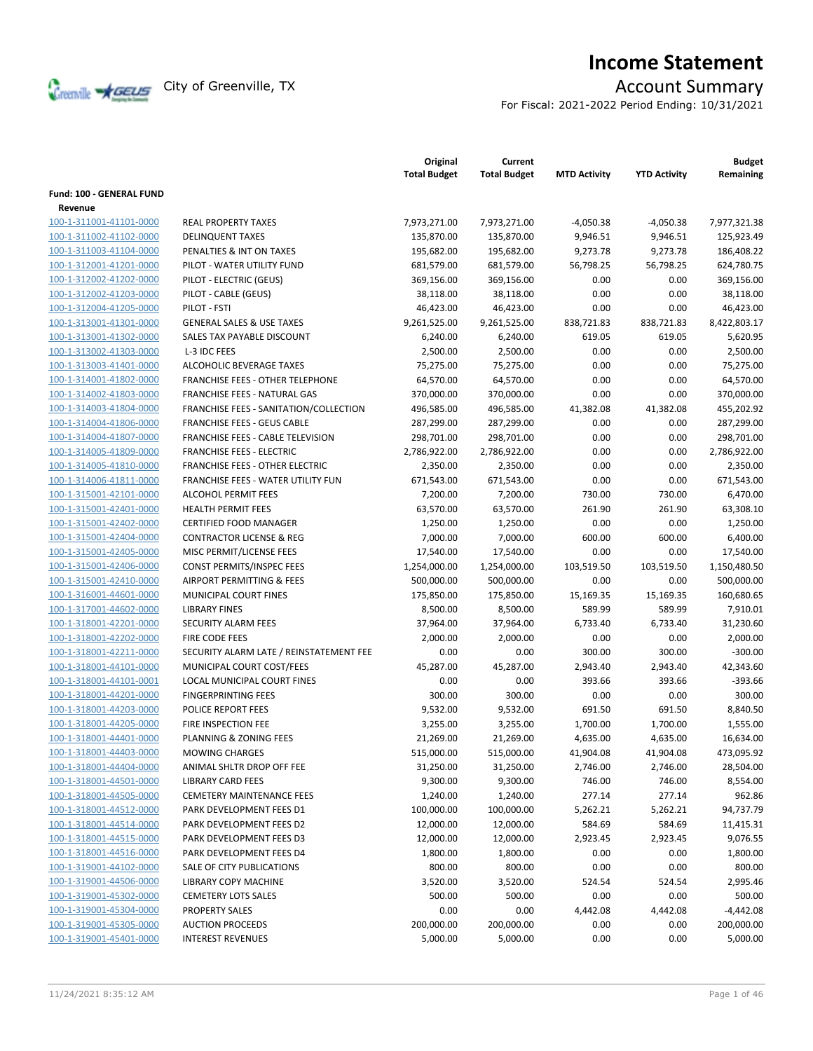

# **Income Statement**

For Fiscal: 2021-2022 Period Ending: 10/31/2021

|                                 |                                         | Original<br><b>Total Budget</b> | Current<br><b>Total Budget</b> | <b>MTD Activity</b> | <b>YTD Activity</b> | <b>Budget</b><br>Remaining |
|---------------------------------|-----------------------------------------|---------------------------------|--------------------------------|---------------------|---------------------|----------------------------|
| <b>Fund: 100 - GENERAL FUND</b> |                                         |                                 |                                |                     |                     |                            |
| Revenue                         |                                         |                                 |                                |                     |                     |                            |
| 100-1-311001-41101-0000         | <b>REAL PROPERTY TAXES</b>              | 7,973,271.00                    | 7,973,271.00                   | $-4,050.38$         | $-4,050.38$         | 7,977,321.38               |
| 100-1-311002-41102-0000         | <b>DELINQUENT TAXES</b>                 | 135,870.00                      | 135,870.00                     | 9,946.51            | 9,946.51            | 125,923.49                 |
| 100-1-311003-41104-0000         | PENALTIES & INT ON TAXES                | 195,682.00                      | 195,682.00                     | 9,273.78            | 9,273.78            | 186,408.22                 |
| 100-1-312001-41201-0000         | PILOT - WATER UTILITY FUND              | 681,579.00                      | 681,579.00                     | 56,798.25           | 56,798.25           | 624,780.75                 |
| 100-1-312002-41202-0000         | PILOT - ELECTRIC (GEUS)                 | 369,156.00                      | 369,156.00                     | 0.00                | 0.00                | 369,156.00                 |
| 100-1-312002-41203-0000         | PILOT - CABLE (GEUS)                    | 38,118.00                       | 38,118.00                      | 0.00                | 0.00                | 38,118.00                  |
| 100-1-312004-41205-0000         | PILOT - FSTI                            | 46,423.00                       | 46,423.00                      | 0.00                | 0.00                | 46,423.00                  |
| 100-1-313001-41301-0000         | <b>GENERAL SALES &amp; USE TAXES</b>    | 9,261,525.00                    | 9,261,525.00                   | 838,721.83          | 838,721.83          | 8,422,803.17               |
| 100-1-313001-41302-0000         | SALES TAX PAYABLE DISCOUNT              | 6,240.00                        | 6,240.00                       | 619.05              | 619.05              | 5,620.95                   |
| 100-1-313002-41303-0000         | L-3 IDC FEES                            | 2,500.00                        | 2,500.00                       | 0.00                | 0.00                | 2,500.00                   |
| 100-1-313003-41401-0000         | ALCOHOLIC BEVERAGE TAXES                | 75,275.00                       | 75,275.00                      | 0.00                | 0.00                | 75,275.00                  |
| 100-1-314001-41802-0000         | FRANCHISE FEES - OTHER TELEPHONE        | 64,570.00                       | 64,570.00                      | 0.00                | 0.00                | 64,570.00                  |
| 100-1-314002-41803-0000         | FRANCHISE FEES - NATURAL GAS            | 370,000.00                      | 370,000.00                     | 0.00                | 0.00                | 370,000.00                 |
| 100-1-314003-41804-0000         | FRANCHISE FEES - SANITATION/COLLECTION  | 496,585.00                      | 496,585.00                     | 41,382.08           | 41,382.08           | 455,202.92                 |
| 100-1-314004-41806-0000         | <b>FRANCHISE FEES - GEUS CABLE</b>      | 287,299.00                      | 287,299.00                     | 0.00                | 0.00                | 287,299.00                 |
| 100-1-314004-41807-0000         | FRANCHISE FEES - CABLE TELEVISION       | 298,701.00                      | 298,701.00                     | 0.00                | 0.00                | 298,701.00                 |
| 100-1-314005-41809-0000         | <b>FRANCHISE FEES - ELECTRIC</b>        | 2,786,922.00                    | 2,786,922.00                   | 0.00                | 0.00                | 2,786,922.00               |
| 100-1-314005-41810-0000         | <b>FRANCHISE FEES - OTHER ELECTRIC</b>  | 2,350.00                        | 2,350.00                       | 0.00                | 0.00                | 2,350.00                   |
| 100-1-314006-41811-0000         | FRANCHISE FEES - WATER UTILITY FUN      | 671,543.00                      | 671,543.00                     | 0.00                | 0.00                | 671,543.00                 |
| 100-1-315001-42101-0000         | <b>ALCOHOL PERMIT FEES</b>              | 7,200.00                        | 7,200.00                       | 730.00              | 730.00              | 6,470.00                   |
| 100-1-315001-42401-0000         | <b>HEALTH PERMIT FEES</b>               | 63,570.00                       | 63,570.00                      | 261.90              | 261.90              | 63,308.10                  |
| 100-1-315001-42402-0000         | <b>CERTIFIED FOOD MANAGER</b>           | 1,250.00                        | 1,250.00                       | 0.00                | 0.00                | 1,250.00                   |
| 100-1-315001-42404-0000         | <b>CONTRACTOR LICENSE &amp; REG</b>     | 7,000.00                        | 7,000.00                       | 600.00              | 600.00              | 6,400.00                   |
| 100-1-315001-42405-0000         | MISC PERMIT/LICENSE FEES                | 17,540.00                       | 17,540.00                      | 0.00                | 0.00                | 17,540.00                  |
| 100-1-315001-42406-0000         | CONST PERMITS/INSPEC FEES               | 1,254,000.00                    | 1,254,000.00                   | 103,519.50          | 103,519.50          | 1,150,480.50               |
| 100-1-315001-42410-0000         | AIRPORT PERMITTING & FEES               | 500,000.00                      | 500,000.00                     | 0.00                | 0.00                | 500,000.00                 |
| 100-1-316001-44601-0000         | MUNICIPAL COURT FINES                   | 175,850.00                      | 175,850.00                     | 15,169.35           | 15,169.35           | 160,680.65                 |
| 100-1-317001-44602-0000         | <b>LIBRARY FINES</b>                    | 8,500.00                        | 8,500.00                       | 589.99              | 589.99              | 7,910.01                   |
| 100-1-318001-42201-0000         | <b>SECURITY ALARM FEES</b>              | 37,964.00                       | 37,964.00                      | 6,733.40            | 6,733.40            | 31,230.60                  |
| 100-1-318001-42202-0000         | <b>FIRE CODE FEES</b>                   | 2,000.00                        | 2,000.00                       | 0.00                | 0.00                | 2,000.00                   |
| 100-1-318001-42211-0000         | SECURITY ALARM LATE / REINSTATEMENT FEE | 0.00                            | 0.00                           | 300.00              | 300.00              | $-300.00$                  |
| 100-1-318001-44101-0000         | MUNICIPAL COURT COST/FEES               | 45,287.00                       | 45,287.00                      | 2,943.40            | 2,943.40            | 42,343.60                  |
| 100-1-318001-44101-0001         | LOCAL MUNICIPAL COURT FINES             | 0.00                            | 0.00                           | 393.66              | 393.66              | $-393.66$                  |
| 100-1-318001-44201-0000         | <b>FINGERPRINTING FEES</b>              | 300.00                          | 300.00                         | 0.00                | 0.00                | 300.00                     |
| 100-1-318001-44203-0000         | POLICE REPORT FEES                      | 9,532.00                        | 9,532.00                       | 691.50              | 691.50              | 8,840.50                   |
| 100-1-318001-44205-0000         | FIRE INSPECTION FEE                     | 3,255.00                        | 3,255.00                       | 1,700.00            | 1,700.00            | 1,555.00                   |
| 100-1-318001-44401-0000         | <b>PLANNING &amp; ZONING FEES</b>       | 21,269.00                       | 21,269.00                      | 4,635.00            | 4,635.00            | 16,634.00                  |
| 100-1-318001-44403-0000         | <b>MOWING CHARGES</b>                   | 515,000.00                      | 515,000.00                     | 41,904.08           | 41,904.08           | 473,095.92                 |
| 100-1-318001-44404-0000         | ANIMAL SHLTR DROP OFF FEE               | 31,250.00                       | 31,250.00                      | 2,746.00            | 2,746.00            | 28,504.00                  |
| 100-1-318001-44501-0000         | <b>LIBRARY CARD FEES</b>                | 9,300.00                        | 9,300.00                       | 746.00              | 746.00              | 8,554.00                   |
| 100-1-318001-44505-0000         | <b>CEMETERY MAINTENANCE FEES</b>        | 1,240.00                        | 1,240.00                       | 277.14              | 277.14              | 962.86                     |
| 100-1-318001-44512-0000         | PARK DEVELOPMENT FEES D1                | 100,000.00                      | 100,000.00                     | 5,262.21            | 5,262.21            | 94,737.79                  |
| 100-1-318001-44514-0000         | PARK DEVELOPMENT FEES D2                | 12,000.00                       | 12,000.00                      | 584.69              | 584.69              | 11,415.31                  |
| 100-1-318001-44515-0000         | PARK DEVELOPMENT FEES D3                | 12,000.00                       | 12,000.00                      | 2,923.45            | 2,923.45            | 9,076.55                   |
| 100-1-318001-44516-0000         | PARK DEVELOPMENT FEES D4                | 1,800.00                        | 1,800.00                       | 0.00                | 0.00                | 1,800.00                   |
| 100-1-319001-44102-0000         | SALE OF CITY PUBLICATIONS               | 800.00                          | 800.00                         | 0.00                | 0.00                | 800.00                     |
| 100-1-319001-44506-0000         | <b>LIBRARY COPY MACHINE</b>             | 3,520.00                        | 3,520.00                       | 524.54              | 524.54              | 2,995.46                   |
| 100-1-319001-45302-0000         | <b>CEMETERY LOTS SALES</b>              | 500.00                          | 500.00                         | 0.00                | 0.00                | 500.00                     |
| 100-1-319001-45304-0000         | <b>PROPERTY SALES</b>                   | 0.00                            | 0.00                           | 4,442.08            | 4,442.08            | $-4,442.08$                |
| 100-1-319001-45305-0000         | <b>AUCTION PROCEEDS</b>                 | 200,000.00                      | 200,000.00                     | 0.00                | 0.00                | 200,000.00                 |
| 100-1-319001-45401-0000         | <b>INTEREST REVENUES</b>                | 5,000.00                        | 5,000.00                       | 0.00                | 0.00                | 5,000.00                   |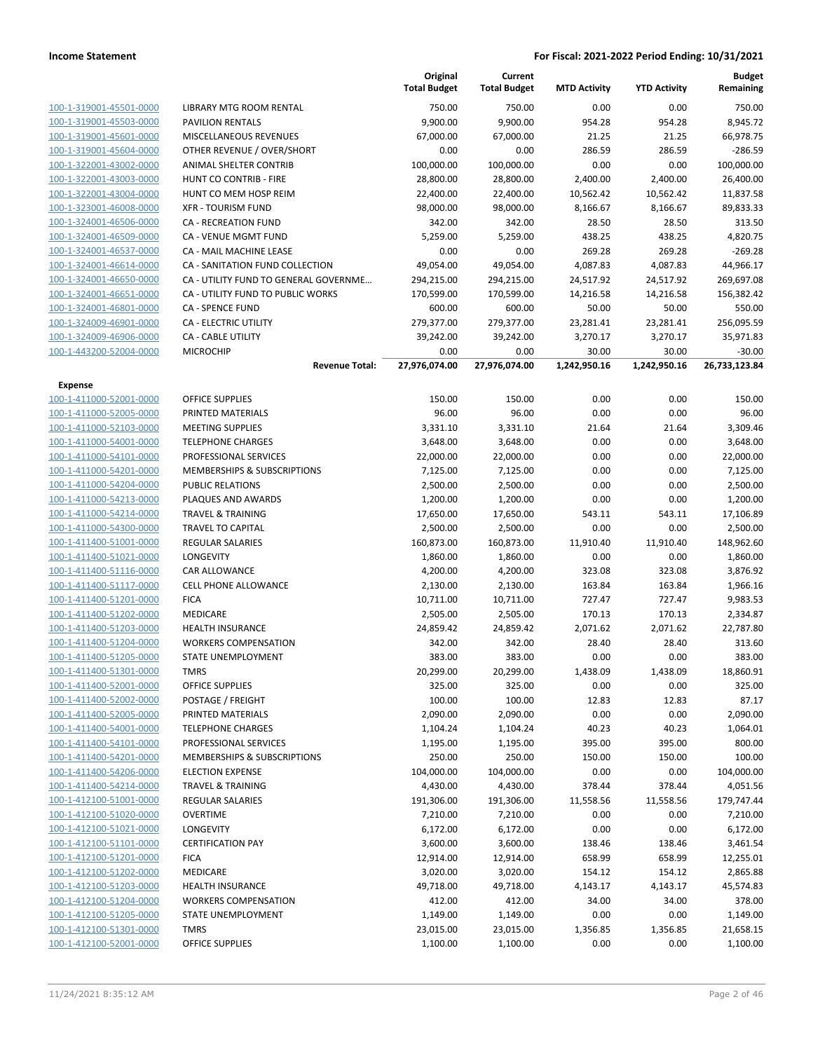|                                                    |                                                         | Original<br><b>Total Budget</b> | Current<br><b>Total Budget</b> | <b>MTD Activity</b> | <b>YTD Activity</b> | <b>Budget</b><br>Remaining |
|----------------------------------------------------|---------------------------------------------------------|---------------------------------|--------------------------------|---------------------|---------------------|----------------------------|
| 100-1-319001-45501-0000                            | <b>LIBRARY MTG ROOM RENTAL</b>                          | 750.00                          | 750.00                         | 0.00                | 0.00                | 750.00                     |
| 100-1-319001-45503-0000                            | <b>PAVILION RENTALS</b>                                 | 9,900.00                        | 9,900.00                       | 954.28              | 954.28              | 8,945.72                   |
| 100-1-319001-45601-0000                            | MISCELLANEOUS REVENUES                                  | 67,000.00                       | 67,000.00                      | 21.25               | 21.25               | 66,978.75                  |
| 100-1-319001-45604-0000                            | OTHER REVENUE / OVER/SHORT                              | 0.00                            | 0.00                           | 286.59              | 286.59              | $-286.59$                  |
| 100-1-322001-43002-0000                            | ANIMAL SHELTER CONTRIB                                  | 100,000.00                      | 100,000.00                     | 0.00                | 0.00                | 100,000.00                 |
| 100-1-322001-43003-0000                            | HUNT CO CONTRIB - FIRE                                  | 28,800.00                       | 28,800.00                      | 2,400.00            | 2,400.00            | 26,400.00                  |
| 100-1-322001-43004-0000                            | HUNT CO MEM HOSP REIM                                   | 22,400.00                       | 22,400.00                      | 10,562.42           | 10,562.42           | 11,837.58                  |
| 100-1-323001-46008-0000                            | <b>XFR - TOURISM FUND</b>                               | 98,000.00                       | 98,000.00                      | 8,166.67            | 8,166.67            | 89,833.33                  |
| 100-1-324001-46506-0000                            | CA - RECREATION FUND                                    | 342.00                          | 342.00                         | 28.50               | 28.50               | 313.50                     |
| 100-1-324001-46509-0000                            | <b>CA - VENUE MGMT FUND</b>                             | 5,259.00                        | 5,259.00                       | 438.25              | 438.25              | 4,820.75                   |
| 100-1-324001-46537-0000                            | CA - MAIL MACHINE LEASE                                 | 0.00                            | 0.00                           | 269.28              | 269.28              | $-269.28$                  |
| 100-1-324001-46614-0000                            | CA - SANITATION FUND COLLECTION                         | 49,054.00                       | 49,054.00                      | 4,087.83            | 4,087.83            | 44,966.17                  |
| 100-1-324001-46650-0000                            | CA - UTILITY FUND TO GENERAL GOVERNME                   | 294,215.00                      | 294,215.00                     | 24,517.92           | 24,517.92           | 269,697.08                 |
| 100-1-324001-46651-0000                            | CA - UTILITY FUND TO PUBLIC WORKS                       | 170,599.00                      | 170,599.00                     | 14,216.58           | 14,216.58           | 156,382.42                 |
| 100-1-324001-46801-0000                            | <b>CA - SPENCE FUND</b>                                 | 600.00                          | 600.00                         | 50.00               | 50.00               | 550.00                     |
| 100-1-324009-46901-0000                            | CA - ELECTRIC UTILITY                                   | 279,377.00                      | 279,377.00                     | 23,281.41           | 23,281.41           | 256,095.59                 |
| 100-1-324009-46906-0000                            | <b>CA - CABLE UTILITY</b>                               | 39,242.00                       | 39,242.00                      | 3,270.17            | 3,270.17            | 35,971.83                  |
| 100-1-443200-52004-0000                            | <b>MICROCHIP</b>                                        | 0.00                            | 0.00                           | 30.00               | 30.00               | $-30.00$                   |
|                                                    | <b>Revenue Total:</b>                                   | 27,976,074.00                   | 27,976,074.00                  | 1,242,950.16        | 1,242,950.16        | 26,733,123.84              |
| Expense                                            |                                                         |                                 |                                |                     |                     |                            |
| 100-1-411000-52001-0000                            | <b>OFFICE SUPPLIES</b>                                  | 150.00                          | 150.00                         | 0.00                | 0.00                | 150.00                     |
| 100-1-411000-52005-0000                            | PRINTED MATERIALS                                       | 96.00                           | 96.00                          | 0.00                | 0.00                | 96.00                      |
| 100-1-411000-52103-0000                            | <b>MEETING SUPPLIES</b>                                 | 3,331.10                        | 3,331.10                       | 21.64               | 21.64               | 3,309.46                   |
| 100-1-411000-54001-0000<br>100-1-411000-54101-0000 | <b>TELEPHONE CHARGES</b>                                | 3,648.00                        | 3,648.00                       | 0.00                | 0.00                | 3,648.00                   |
| 100-1-411000-54201-0000                            | PROFESSIONAL SERVICES<br>MEMBERSHIPS & SUBSCRIPTIONS    | 22,000.00<br>7,125.00           | 22,000.00<br>7,125.00          | 0.00<br>0.00        | 0.00<br>0.00        | 22,000.00<br>7,125.00      |
| 100-1-411000-54204-0000                            | <b>PUBLIC RELATIONS</b>                                 | 2,500.00                        | 2,500.00                       | 0.00                | 0.00                | 2,500.00                   |
| 100-1-411000-54213-0000                            | PLAQUES AND AWARDS                                      | 1,200.00                        | 1,200.00                       | 0.00                | 0.00                | 1,200.00                   |
| 100-1-411000-54214-0000                            | <b>TRAVEL &amp; TRAINING</b>                            | 17,650.00                       | 17,650.00                      | 543.11              | 543.11              | 17,106.89                  |
| 100-1-411000-54300-0000                            | <b>TRAVEL TO CAPITAL</b>                                | 2,500.00                        | 2,500.00                       | 0.00                | 0.00                | 2,500.00                   |
| 100-1-411400-51001-0000                            | <b>REGULAR SALARIES</b>                                 | 160,873.00                      | 160,873.00                     | 11,910.40           | 11,910.40           | 148,962.60                 |
| 100-1-411400-51021-0000                            | LONGEVITY                                               | 1,860.00                        | 1,860.00                       | 0.00                | 0.00                | 1,860.00                   |
| 100-1-411400-51116-0000                            | CAR ALLOWANCE                                           | 4,200.00                        | 4,200.00                       | 323.08              | 323.08              | 3,876.92                   |
| 100-1-411400-51117-0000                            | <b>CELL PHONE ALLOWANCE</b>                             | 2,130.00                        | 2,130.00                       | 163.84              | 163.84              | 1,966.16                   |
| 100-1-411400-51201-0000                            | <b>FICA</b>                                             | 10,711.00                       | 10,711.00                      | 727.47              | 727.47              | 9,983.53                   |
| 100-1-411400-51202-0000                            | MEDICARE                                                | 2,505.00                        | 2,505.00                       | 170.13              | 170.13              | 2,334.87                   |
| 100-1-411400-51203-0000                            | <b>HEALTH INSURANCE</b>                                 | 24,859.42                       | 24,859.42                      | 2,071.62            | 2,071.62            | 22,787.80                  |
| 100-1-411400-51204-0000                            | <b>WORKERS COMPENSATION</b>                             | 342.00                          | 342.00                         | 28.40               | 28.40               | 313.60                     |
| 100-1-411400-51205-0000                            | STATE UNEMPLOYMENT                                      | 383.00                          | 383.00                         | 0.00                | 0.00                | 383.00                     |
| 100-1-411400-51301-0000                            | TMRS                                                    | 20,299.00                       | 20,299.00                      | 1,438.09            | 1,438.09            | 18,860.91                  |
| 100-1-411400-52001-0000                            | <b>OFFICE SUPPLIES</b>                                  | 325.00                          | 325.00                         | 0.00                | 0.00                | 325.00                     |
| 100-1-411400-52002-0000                            | POSTAGE / FREIGHT                                       | 100.00                          | 100.00                         | 12.83               | 12.83               | 87.17                      |
| 100-1-411400-52005-0000                            | PRINTED MATERIALS                                       | 2,090.00                        | 2,090.00                       | 0.00                | 0.00                | 2,090.00                   |
| 100-1-411400-54001-0000                            | <b>TELEPHONE CHARGES</b>                                | 1,104.24                        | 1,104.24                       | 40.23               | 40.23               | 1,064.01                   |
| 100-1-411400-54101-0000                            | PROFESSIONAL SERVICES                                   | 1,195.00                        | 1,195.00                       | 395.00              | 395.00              | 800.00                     |
| 100-1-411400-54201-0000<br>100-1-411400-54206-0000 | MEMBERSHIPS & SUBSCRIPTIONS                             | 250.00                          | 250.00                         | 150.00              | 150.00              | 100.00                     |
| 100-1-411400-54214-0000                            | <b>ELECTION EXPENSE</b><br><b>TRAVEL &amp; TRAINING</b> | 104,000.00<br>4,430.00          | 104,000.00<br>4,430.00         | 0.00<br>378.44      | 0.00<br>378.44      | 104,000.00<br>4,051.56     |
| 100-1-412100-51001-0000                            | <b>REGULAR SALARIES</b>                                 | 191,306.00                      | 191,306.00                     | 11,558.56           | 11,558.56           | 179,747.44                 |
| 100-1-412100-51020-0000                            | <b>OVERTIME</b>                                         | 7,210.00                        | 7,210.00                       | 0.00                | 0.00                | 7,210.00                   |
| 100-1-412100-51021-0000                            | LONGEVITY                                               | 6,172.00                        | 6,172.00                       | 0.00                | 0.00                | 6,172.00                   |
| 100-1-412100-51101-0000                            | <b>CERTIFICATION PAY</b>                                | 3,600.00                        | 3,600.00                       | 138.46              | 138.46              | 3,461.54                   |
| 100-1-412100-51201-0000                            | <b>FICA</b>                                             | 12,914.00                       | 12,914.00                      | 658.99              | 658.99              | 12,255.01                  |
| 100-1-412100-51202-0000                            | MEDICARE                                                | 3,020.00                        | 3,020.00                       | 154.12              | 154.12              | 2,865.88                   |
| 100-1-412100-51203-0000                            | <b>HEALTH INSURANCE</b>                                 | 49,718.00                       | 49,718.00                      | 4,143.17            | 4,143.17            | 45,574.83                  |
| 100-1-412100-51204-0000                            | <b>WORKERS COMPENSATION</b>                             | 412.00                          | 412.00                         | 34.00               | 34.00               | 378.00                     |
| 100-1-412100-51205-0000                            | STATE UNEMPLOYMENT                                      | 1,149.00                        | 1,149.00                       | 0.00                | 0.00                | 1,149.00                   |
| 100-1-412100-51301-0000                            | <b>TMRS</b>                                             | 23,015.00                       | 23,015.00                      | 1,356.85            | 1,356.85            | 21,658.15                  |
| 100-1-412100-52001-0000                            | OFFICE SUPPLIES                                         | 1,100.00                        | 1,100.00                       | 0.00                | 0.00                | 1,100.00                   |
|                                                    |                                                         |                                 |                                |                     |                     |                            |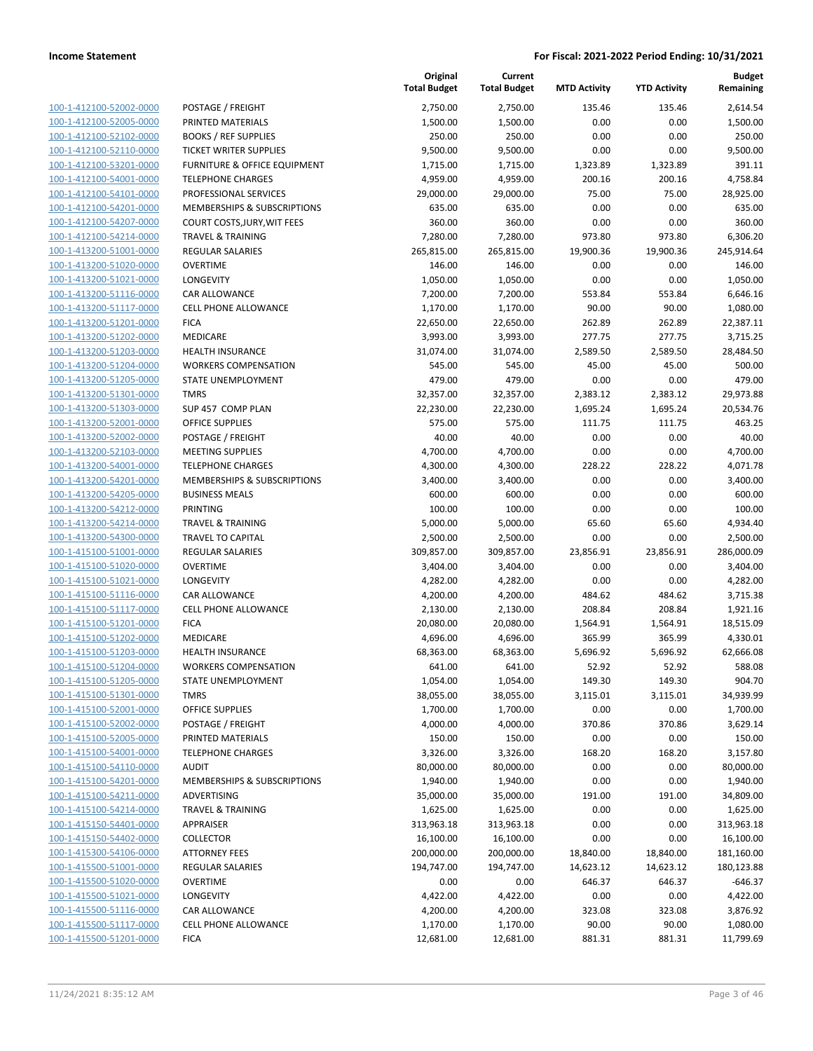|                                                    |                                                        | Original<br><b>Total Budget</b> | Current<br><b>Total Budget</b> | <b>MTD Activity</b> | <b>YTD Activity</b> | <b>Budget</b><br>Remaining |
|----------------------------------------------------|--------------------------------------------------------|---------------------------------|--------------------------------|---------------------|---------------------|----------------------------|
| 100-1-412100-52002-0000                            | POSTAGE / FREIGHT                                      | 2,750.00                        | 2,750.00                       | 135.46              | 135.46              | 2,614.54                   |
| 100-1-412100-52005-0000                            | PRINTED MATERIALS                                      | 1,500.00                        | 1,500.00                       | 0.00                | 0.00                | 1,500.00                   |
| 100-1-412100-52102-0000                            | <b>BOOKS / REF SUPPLIES</b>                            | 250.00                          | 250.00                         | 0.00                | 0.00                | 250.00                     |
| 100-1-412100-52110-0000                            | <b>TICKET WRITER SUPPLIES</b>                          | 9,500.00                        | 9,500.00                       | 0.00                | 0.00                | 9,500.00                   |
| 100-1-412100-53201-0000                            | <b>FURNITURE &amp; OFFICE EQUIPMENT</b>                | 1,715.00                        | 1,715.00                       | 1,323.89            | 1,323.89            | 391.11                     |
| 100-1-412100-54001-0000                            | <b>TELEPHONE CHARGES</b>                               | 4,959.00                        | 4,959.00                       | 200.16              | 200.16              | 4,758.84                   |
| 100-1-412100-54101-0000                            | PROFESSIONAL SERVICES                                  | 29,000.00                       | 29,000.00                      | 75.00               | 75.00               | 28,925.00                  |
| 100-1-412100-54201-0000                            | MEMBERSHIPS & SUBSCRIPTIONS                            | 635.00                          | 635.00                         | 0.00                | 0.00                | 635.00                     |
| 100-1-412100-54207-0000                            | <b>COURT COSTS, JURY, WIT FEES</b>                     | 360.00                          | 360.00                         | 0.00                | 0.00                | 360.00                     |
| 100-1-412100-54214-0000                            | <b>TRAVEL &amp; TRAINING</b>                           | 7,280.00                        | 7,280.00                       | 973.80              | 973.80              | 6,306.20                   |
| 100-1-413200-51001-0000                            | REGULAR SALARIES                                       | 265,815.00                      | 265,815.00                     | 19,900.36           | 19,900.36           | 245,914.64                 |
| 100-1-413200-51020-0000                            | <b>OVERTIME</b>                                        | 146.00                          | 146.00                         | 0.00                | 0.00                | 146.00                     |
| 100-1-413200-51021-0000                            | LONGEVITY                                              | 1,050.00                        | 1,050.00                       | 0.00                | 0.00                | 1,050.00                   |
| 100-1-413200-51116-0000                            | CAR ALLOWANCE                                          | 7,200.00                        | 7,200.00                       | 553.84              | 553.84              | 6,646.16                   |
| 100-1-413200-51117-0000                            | CELL PHONE ALLOWANCE                                   | 1,170.00                        | 1,170.00                       | 90.00               | 90.00               | 1,080.00                   |
| 100-1-413200-51201-0000                            | <b>FICA</b>                                            | 22,650.00                       | 22,650.00                      | 262.89              | 262.89              | 22,387.11                  |
| 100-1-413200-51202-0000                            | <b>MEDICARE</b>                                        | 3,993.00                        | 3,993.00                       | 277.75              | 277.75              | 3,715.25                   |
| 100-1-413200-51203-0000                            | <b>HEALTH INSURANCE</b>                                | 31,074.00                       | 31,074.00                      | 2,589.50            | 2,589.50            | 28,484.50                  |
| 100-1-413200-51204-0000                            | <b>WORKERS COMPENSATION</b>                            | 545.00                          | 545.00                         | 45.00               | 45.00               | 500.00                     |
| 100-1-413200-51205-0000                            | STATE UNEMPLOYMENT                                     | 479.00                          | 479.00                         | 0.00                | 0.00                | 479.00                     |
| 100-1-413200-51301-0000                            | <b>TMRS</b>                                            | 32,357.00                       | 32,357.00                      | 2,383.12            | 2,383.12            | 29,973.88                  |
| 100-1-413200-51303-0000                            | SUP 457 COMP PLAN                                      | 22,230.00                       | 22,230.00                      | 1,695.24            | 1,695.24            | 20,534.76                  |
| 100-1-413200-52001-0000                            | <b>OFFICE SUPPLIES</b>                                 | 575.00                          | 575.00                         | 111.75              | 111.75              | 463.25                     |
| 100-1-413200-52002-0000                            | POSTAGE / FREIGHT                                      | 40.00                           | 40.00                          | 0.00                | 0.00                | 40.00                      |
| 100-1-413200-52103-0000                            | <b>MEETING SUPPLIES</b>                                | 4,700.00                        | 4,700.00                       | 0.00                | 0.00                | 4,700.00                   |
| 100-1-413200-54001-0000                            | <b>TELEPHONE CHARGES</b>                               | 4,300.00                        | 4,300.00                       | 228.22              | 228.22              | 4,071.78                   |
| 100-1-413200-54201-0000                            | MEMBERSHIPS & SUBSCRIPTIONS                            | 3,400.00                        | 3,400.00                       | 0.00                | 0.00                | 3,400.00                   |
| 100-1-413200-54205-0000                            | <b>BUSINESS MEALS</b>                                  | 600.00                          | 600.00                         | 0.00                | 0.00                | 600.00                     |
| 100-1-413200-54212-0000                            | <b>PRINTING</b>                                        | 100.00                          | 100.00                         | 0.00                | 0.00                | 100.00                     |
| 100-1-413200-54214-0000                            | <b>TRAVEL &amp; TRAINING</b>                           | 5,000.00                        | 5,000.00                       | 65.60               | 65.60               | 4,934.40                   |
| 100-1-413200-54300-0000                            | <b>TRAVEL TO CAPITAL</b>                               | 2,500.00                        | 2,500.00                       | 0.00                | 0.00                | 2,500.00                   |
| 100-1-415100-51001-0000                            | <b>REGULAR SALARIES</b>                                | 309,857.00                      | 309,857.00                     | 23,856.91           | 23,856.91           | 286,000.09                 |
| 100-1-415100-51020-0000                            | <b>OVERTIME</b>                                        | 3,404.00                        | 3,404.00                       | 0.00                | 0.00                | 3,404.00                   |
| 100-1-415100-51021-0000                            | LONGEVITY                                              | 4,282.00                        | 4,282.00                       | 0.00                | 0.00                | 4,282.00                   |
| 100-1-415100-51116-0000                            | CAR ALLOWANCE                                          | 4,200.00                        | 4,200.00                       | 484.62              | 484.62              | 3,715.38                   |
| 100-1-415100-51117-0000                            | <b>CELL PHONE ALLOWANCE</b>                            | 2,130.00                        | 2,130.00                       | 208.84              | 208.84              | 1,921.16                   |
| 100-1-415100-51201-0000                            | <b>FICA</b>                                            | 20,080.00                       | 20,080.00                      | 1,564.91            | 1,564.91            | 18,515.09                  |
| 100-1-415100-51202-0000<br>100-1-415100-51203-0000 | MEDICARE                                               | 4,696.00                        | 4,696.00                       | 365.99              | 365.99              | 4,330.01                   |
| 100-1-415100-51204-0000                            | <b>HEALTH INSURANCE</b><br><b>WORKERS COMPENSATION</b> | 68,363.00<br>641.00             | 68,363.00<br>641.00            | 5,696.92<br>52.92   | 5,696.92<br>52.92   | 62,666.08<br>588.08        |
| 100-1-415100-51205-0000                            | <b>STATE UNEMPLOYMENT</b>                              | 1,054.00                        | 1,054.00                       | 149.30              | 149.30              | 904.70                     |
| 100-1-415100-51301-0000                            | <b>TMRS</b>                                            | 38,055.00                       | 38,055.00                      | 3,115.01            | 3,115.01            | 34,939.99                  |
| 100-1-415100-52001-0000                            | <b>OFFICE SUPPLIES</b>                                 | 1,700.00                        | 1,700.00                       | 0.00                | 0.00                | 1,700.00                   |
| 100-1-415100-52002-0000                            | POSTAGE / FREIGHT                                      | 4,000.00                        | 4,000.00                       | 370.86              | 370.86              | 3,629.14                   |
| 100-1-415100-52005-0000                            | PRINTED MATERIALS                                      | 150.00                          | 150.00                         | 0.00                | 0.00                | 150.00                     |
| 100-1-415100-54001-0000                            | <b>TELEPHONE CHARGES</b>                               | 3,326.00                        | 3,326.00                       | 168.20              | 168.20              | 3,157.80                   |
| 100-1-415100-54110-0000                            | <b>AUDIT</b>                                           | 80,000.00                       | 80,000.00                      | 0.00                | 0.00                | 80,000.00                  |
| 100-1-415100-54201-0000                            | MEMBERSHIPS & SUBSCRIPTIONS                            | 1,940.00                        | 1,940.00                       | 0.00                | 0.00                | 1,940.00                   |
| 100-1-415100-54211-0000                            | ADVERTISING                                            | 35,000.00                       | 35,000.00                      | 191.00              | 191.00              | 34,809.00                  |
| 100-1-415100-54214-0000                            | <b>TRAVEL &amp; TRAINING</b>                           | 1,625.00                        | 1,625.00                       | 0.00                | 0.00                | 1,625.00                   |
| 100-1-415150-54401-0000                            | APPRAISER                                              | 313,963.18                      | 313,963.18                     | 0.00                | 0.00                | 313,963.18                 |
| 100-1-415150-54402-0000                            | <b>COLLECTOR</b>                                       | 16,100.00                       | 16,100.00                      | 0.00                | 0.00                | 16,100.00                  |
| 100-1-415300-54106-0000                            | <b>ATTORNEY FEES</b>                                   | 200,000.00                      | 200,000.00                     | 18,840.00           | 18,840.00           | 181,160.00                 |
| 100-1-415500-51001-0000                            | <b>REGULAR SALARIES</b>                                | 194,747.00                      | 194,747.00                     | 14,623.12           | 14,623.12           | 180,123.88                 |
| 100-1-415500-51020-0000                            | <b>OVERTIME</b>                                        | 0.00                            | 0.00                           | 646.37              | 646.37              | $-646.37$                  |
| 100-1-415500-51021-0000                            | <b>LONGEVITY</b>                                       | 4,422.00                        | 4,422.00                       | 0.00                | 0.00                | 4,422.00                   |
| 100-1-415500-51116-0000                            | CAR ALLOWANCE                                          | 4,200.00                        | 4,200.00                       | 323.08              | 323.08              | 3,876.92                   |
| 100-1-415500-51117-0000                            | <b>CELL PHONE ALLOWANCE</b>                            | 1,170.00                        | 1,170.00                       | 90.00               | 90.00               | 1,080.00                   |
| 100-1-415500-51201-0000                            | <b>FICA</b>                                            | 12,681.00                       | 12,681.00                      | 881.31              | 881.31              | 11,799.69                  |
|                                                    |                                                        |                                 |                                |                     |                     |                            |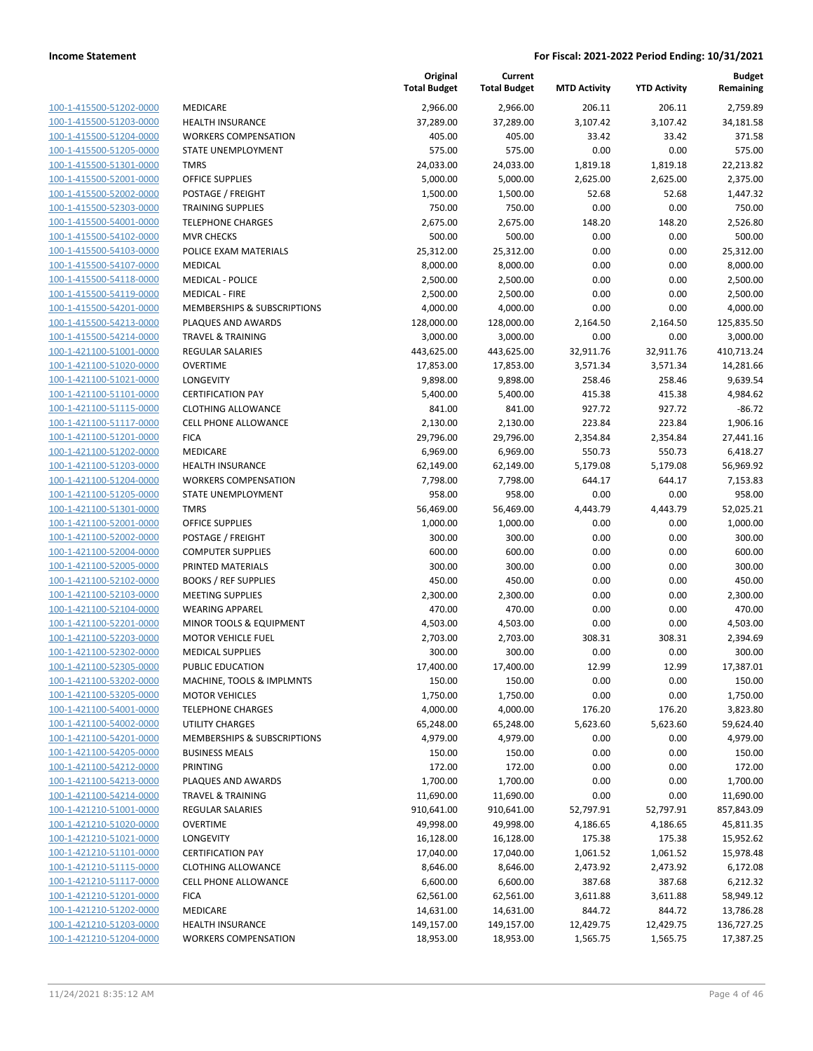| 100-1-415500-51202-0000        |
|--------------------------------|
| 100-1-415500-51203-0000        |
| 100-1-415500-51204-0000        |
| <u>100-1-415500-51205-0000</u> |
| 100-1-415500-51301-0000        |
| 100-1-415500-52001-0000        |
| 100-1-415500-52002-0000        |
|                                |
| 100-1-415500-52303-0000        |
| <u>100-1-415500-54001-0000</u> |
| 100-1-415500-54102-0000        |
| 100-1-415500-54103-0000        |
| 100-1-415500-54107-0000        |
| 100-1-415500-54118-0000        |
| <u>100-1-415500-54119-0000</u> |
| 100-1-415500-54201-0000        |
| 100-1-415500-54213-0000        |
| 100-1-415500-54214-0000        |
|                                |
| <u>100-1-421100-51001-0000</u> |
| <u>100-1-421100-51020-0000</u> |
| 100-1-421100-51021-0000        |
| 100-1-421100-51101-0000        |
| 100-1-421100-51115-0000        |
| 100-1-421100-51117-0000        |
| <u>100-1-421100-51201-0000</u> |
| 100-1-421100-51202-0000        |
| 100-1-421100-51203-0000        |
| 100-1-421100-51204-0000        |
| 100-1-421100-51205-0000        |
| <u>100-1-421100-51301-0000</u> |
|                                |
| 100-1-421100-52001-0000        |
| 100-1-421100-52002-0000        |
| 100-1-421100-52004-0000        |
| 100-1-421100-52005-0000        |
| <u>100-1-421100-52102-0000</u> |
| 100-1-421100-52103-0000        |
| 100-1-421100-52104-0000        |
| 100-1-421100-52201-0000        |
| 100-1-421100-52203-0000        |
| <u>100-1-421100-52302-0000</u> |
| 100-1-421100-52305-0000        |
| 100-1-421100-53202-0000        |
| <u>100-1-421100-53205-0000</u> |
|                                |
| 100-1-421100-54001-0000        |
| <u>100-1-421100-54002-0000</u> |
| <u>100-1-421100-54201-0000</u> |
| 100-1-421100-54205-0000        |
| 100-1-421100-54212-0000        |
| 100-1-421100-54213-0000        |
| <u>100-1-421100-54214-0000</u> |
| <u>100-1-421210-51001-0000</u> |
| 100-1-421210-51020-0000        |
| 100-1-421210-51021-0000        |
| 100-1-421210-51101-0000        |
|                                |
| <u>100-1-421210-51115-0000</u> |
| <u>100-1-421210-51117-0000</u> |
| <u>100-1-421210-51201-0000</u> |
| 100-1-421210-51202-0000        |
| <u>100-1-421210-51203-0000</u> |
| <u>100-1-421210-51204-0000</u> |
|                                |

|                                                    |                                     | Original<br><b>Total Budget</b> | Current<br><b>Total Budget</b> | <b>MTD Activity</b> | <b>YTD Activity</b> | <b>Budget</b><br>Remaining |
|----------------------------------------------------|-------------------------------------|---------------------------------|--------------------------------|---------------------|---------------------|----------------------------|
| 100-1-415500-51202-0000                            | MEDICARE                            | 2,966.00                        | 2,966.00                       | 206.11              | 206.11              | 2,759.89                   |
| 100-1-415500-51203-0000                            | <b>HEALTH INSURANCE</b>             | 37,289.00                       | 37,289.00                      | 3,107.42            | 3,107.42            | 34,181.58                  |
| 100-1-415500-51204-0000                            | <b>WORKERS COMPENSATION</b>         | 405.00                          | 405.00                         | 33.42               | 33.42               | 371.58                     |
| 100-1-415500-51205-0000                            | STATE UNEMPLOYMENT                  | 575.00                          | 575.00                         | 0.00                | 0.00                | 575.00                     |
| 100-1-415500-51301-0000                            | <b>TMRS</b>                         | 24,033.00                       | 24,033.00                      | 1,819.18            | 1,819.18            | 22,213.82                  |
| 100-1-415500-52001-0000                            | OFFICE SUPPLIES                     | 5,000.00                        | 5,000.00                       | 2,625.00            | 2,625.00            | 2,375.00                   |
| 100-1-415500-52002-0000                            | POSTAGE / FREIGHT                   | 1,500.00                        | 1,500.00                       | 52.68               | 52.68               | 1,447.32                   |
| 100-1-415500-52303-0000                            | <b>TRAINING SUPPLIES</b>            | 750.00                          | 750.00                         | 0.00                | 0.00                | 750.00                     |
| 100-1-415500-54001-0000                            | <b>TELEPHONE CHARGES</b>            | 2,675.00                        | 2,675.00                       | 148.20              | 148.20              | 2,526.80                   |
| 100-1-415500-54102-0000                            | <b>MVR CHECKS</b>                   | 500.00                          | 500.00                         | 0.00                | 0.00                | 500.00                     |
| 100-1-415500-54103-0000                            | POLICE EXAM MATERIALS               | 25,312.00                       | 25,312.00                      | 0.00                | 0.00                | 25,312.00                  |
| 100-1-415500-54107-0000                            | <b>MEDICAL</b>                      | 8,000.00                        | 8,000.00                       | 0.00                | 0.00                | 8,000.00                   |
| 100-1-415500-54118-0000                            | <b>MEDICAL - POLICE</b>             | 2,500.00                        | 2,500.00                       | 0.00                | 0.00                | 2,500.00                   |
| 100-1-415500-54119-0000                            | <b>MEDICAL - FIRE</b>               | 2,500.00                        | 2,500.00                       | 0.00                | 0.00                | 2,500.00                   |
| 100-1-415500-54201-0000                            | MEMBERSHIPS & SUBSCRIPTIONS         | 4,000.00                        | 4,000.00                       | 0.00                | 0.00                | 4,000.00                   |
| 100-1-415500-54213-0000                            | PLAQUES AND AWARDS                  | 128,000.00                      | 128,000.00                     | 2,164.50            | 2,164.50            | 125,835.50                 |
| 100-1-415500-54214-0000                            | <b>TRAVEL &amp; TRAINING</b>        | 3,000.00                        | 3,000.00                       | 0.00                | 0.00                | 3,000.00                   |
| 100-1-421100-51001-0000                            | <b>REGULAR SALARIES</b>             | 443,625.00                      | 443,625.00                     | 32,911.76           | 32,911.76           | 410,713.24                 |
| 100-1-421100-51020-0000                            | <b>OVERTIME</b>                     | 17,853.00                       | 17,853.00                      | 3,571.34            | 3,571.34            | 14,281.66                  |
| 100-1-421100-51021-0000                            | LONGEVITY                           | 9,898.00                        | 9,898.00                       | 258.46              | 258.46              | 9,639.54                   |
| 100-1-421100-51101-0000                            | <b>CERTIFICATION PAY</b>            | 5,400.00                        | 5,400.00                       | 415.38              | 415.38              | 4,984.62                   |
| 100-1-421100-51115-0000                            | <b>CLOTHING ALLOWANCE</b>           | 841.00                          | 841.00                         | 927.72              | 927.72              | $-86.72$                   |
| 100-1-421100-51117-0000                            | <b>CELL PHONE ALLOWANCE</b>         | 2,130.00                        | 2,130.00                       | 223.84              | 223.84              | 1,906.16                   |
| 100-1-421100-51201-0000                            | <b>FICA</b>                         | 29,796.00                       | 29,796.00                      | 2,354.84            | 2,354.84            | 27,441.16                  |
| 100-1-421100-51202-0000                            | MEDICARE<br><b>HEALTH INSURANCE</b> | 6,969.00                        | 6,969.00                       | 550.73              | 550.73              | 6,418.27                   |
| 100-1-421100-51203-0000<br>100-1-421100-51204-0000 | <b>WORKERS COMPENSATION</b>         | 62,149.00<br>7,798.00           | 62,149.00<br>7,798.00          | 5,179.08<br>644.17  | 5,179.08<br>644.17  | 56,969.92<br>7,153.83      |
| 100-1-421100-51205-0000                            | STATE UNEMPLOYMENT                  | 958.00                          | 958.00                         | 0.00                | 0.00                | 958.00                     |
| 100-1-421100-51301-0000                            | <b>TMRS</b>                         | 56,469.00                       | 56,469.00                      | 4,443.79            | 4,443.79            | 52,025.21                  |
| 100-1-421100-52001-0000                            | <b>OFFICE SUPPLIES</b>              | 1,000.00                        | 1,000.00                       | 0.00                | 0.00                | 1,000.00                   |
| 100-1-421100-52002-0000                            | POSTAGE / FREIGHT                   | 300.00                          | 300.00                         | 0.00                | 0.00                | 300.00                     |
| 100-1-421100-52004-0000                            | <b>COMPUTER SUPPLIES</b>            | 600.00                          | 600.00                         | 0.00                | 0.00                | 600.00                     |
| 100-1-421100-52005-0000                            | PRINTED MATERIALS                   | 300.00                          | 300.00                         | 0.00                | 0.00                | 300.00                     |
| 100-1-421100-52102-0000                            | <b>BOOKS / REF SUPPLIES</b>         | 450.00                          | 450.00                         | 0.00                | 0.00                | 450.00                     |
| 100-1-421100-52103-0000                            | <b>MEETING SUPPLIES</b>             | 2,300.00                        | 2,300.00                       | 0.00                | 0.00                | 2,300.00                   |
| 100-1-421100-52104-0000                            | <b>WEARING APPAREL</b>              | 470.00                          | 470.00                         | 0.00                | 0.00                | 470.00                     |
| 100-1-421100-52201-0000                            | MINOR TOOLS & EQUIPMENT             | 4,503.00                        | 4,503.00                       | 0.00                | 0.00                | 4,503.00                   |
| 100-1-421100-52203-0000                            | <b>MOTOR VEHICLE FUEL</b>           | 2,703.00                        | 2,703.00                       | 308.31              | 308.31              | 2,394.69                   |
| 100-1-421100-52302-0000                            | <b>MEDICAL SUPPLIES</b>             | 300.00                          | 300.00                         | 0.00                | 0.00                | 300.00                     |
| 100-1-421100-52305-0000                            | PUBLIC EDUCATION                    | 17,400.00                       | 17,400.00                      | 12.99               | 12.99               | 17,387.01                  |
| 100-1-421100-53202-0000                            | MACHINE, TOOLS & IMPLMNTS           | 150.00                          | 150.00                         | 0.00                | 0.00                | 150.00                     |
| 100-1-421100-53205-0000                            | <b>MOTOR VEHICLES</b>               | 1,750.00                        | 1,750.00                       | 0.00                | 0.00                | 1,750.00                   |
| 100-1-421100-54001-0000                            | <b>TELEPHONE CHARGES</b>            | 4,000.00                        | 4,000.00                       | 176.20              | 176.20              | 3,823.80                   |
| 100-1-421100-54002-0000                            | UTILITY CHARGES                     | 65,248.00                       | 65,248.00                      | 5,623.60            | 5,623.60            | 59,624.40                  |
| 100-1-421100-54201-0000                            | MEMBERSHIPS & SUBSCRIPTIONS         | 4,979.00                        | 4,979.00                       | 0.00                | 0.00                | 4,979.00                   |
| 100-1-421100-54205-0000                            | <b>BUSINESS MEALS</b>               | 150.00                          | 150.00                         | 0.00                | 0.00                | 150.00                     |
| 100-1-421100-54212-0000                            | PRINTING                            | 172.00                          | 172.00                         | 0.00                | 0.00                | 172.00                     |
| 100-1-421100-54213-0000                            | PLAQUES AND AWARDS                  | 1,700.00                        | 1,700.00                       | 0.00                | 0.00                | 1,700.00                   |
| 100-1-421100-54214-0000                            | <b>TRAVEL &amp; TRAINING</b>        | 11,690.00                       | 11,690.00                      | 0.00                | 0.00                | 11,690.00                  |
| 100-1-421210-51001-0000                            | REGULAR SALARIES                    | 910,641.00                      | 910,641.00                     | 52,797.91           | 52,797.91           | 857,843.09                 |
| 100-1-421210-51020-0000                            | <b>OVERTIME</b>                     | 49,998.00                       | 49,998.00                      | 4,186.65            | 4,186.65            | 45,811.35                  |
| 100-1-421210-51021-0000                            | LONGEVITY                           | 16,128.00                       | 16,128.00                      | 175.38              | 175.38              | 15,952.62                  |
| 100-1-421210-51101-0000                            | <b>CERTIFICATION PAY</b>            | 17,040.00                       | 17,040.00                      | 1,061.52            | 1,061.52            | 15,978.48                  |
| 100-1-421210-51115-0000                            | <b>CLOTHING ALLOWANCE</b>           | 8,646.00                        | 8,646.00                       | 2,473.92            | 2,473.92            | 6,172.08                   |
| 100-1-421210-51117-0000                            | CELL PHONE ALLOWANCE                | 6,600.00                        | 6,600.00                       | 387.68              | 387.68              | 6,212.32                   |
| 100-1-421210-51201-0000                            | <b>FICA</b>                         | 62,561.00                       | 62,561.00                      | 3,611.88            | 3,611.88            | 58,949.12                  |
| 100-1-421210-51202-0000                            | MEDICARE                            | 14,631.00                       | 14,631.00                      | 844.72              | 844.72              | 13,786.28                  |
| 100-1-421210-51203-0000                            | <b>HEALTH INSURANCE</b>             | 149,157.00                      | 149,157.00                     | 12,429.75           | 12,429.75           | 136,727.25                 |
| 100-1-421210-51204-0000                            | <b>WORKERS COMPENSATION</b>         | 18,953.00                       | 18,953.00                      | 1,565.75            | 1,565.75            | 17,387.25                  |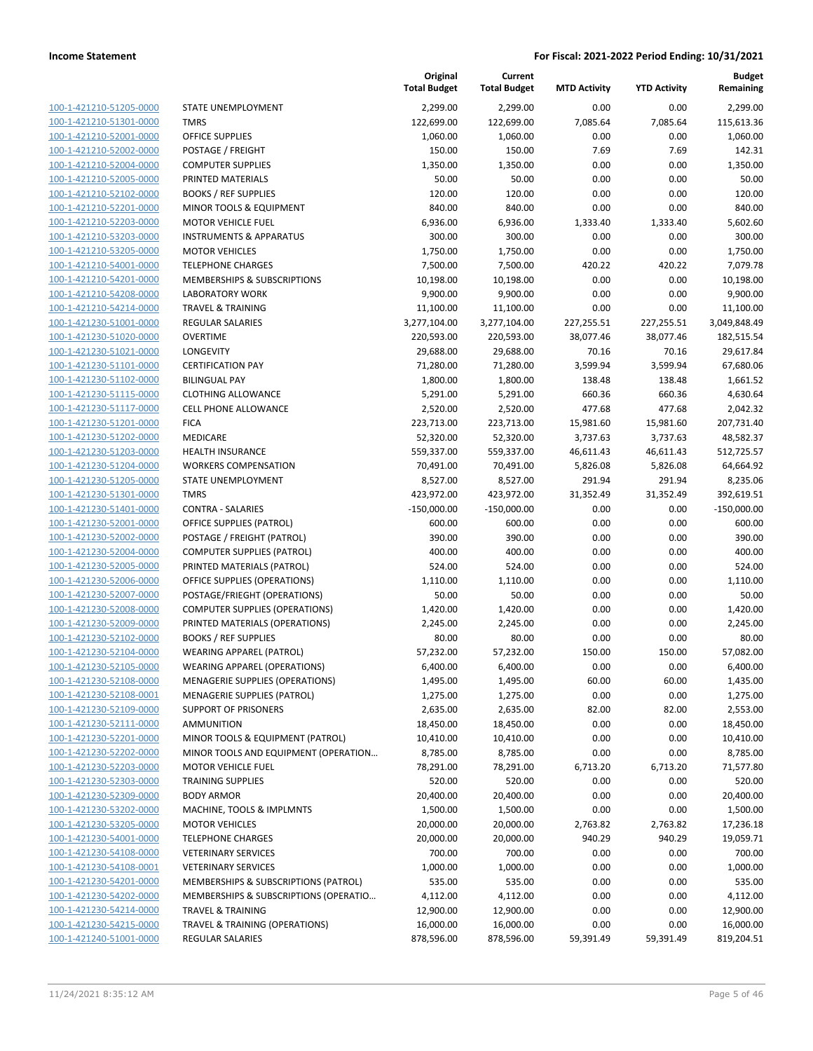100-1-421210-51205-0000 100-1-421210-51301-0000 100-1-421210-52001-0000 100-1-421210-52002-0000 100-1-421210-52004-0000 100-1-421210-52005-0000 100-1-421210-52102-0000 100-1-421210-52201-0000 100-1-421210-52203-0000 100-1-421210-53203-0000 100-1-421210-53205-0000 100-1-421210-54001-0000 100-1-421210-54201-0000 100-1-421210-54208-0000 100-1-421210-54214-0000 100-1-421230-51001-0000 100-1-421230-51020-0000 100-1-421230-51021-0000 100-1-421230-51101-0000 100-1-421230-51102-0000 100-1-421230-51115-0000 100-1-421230-51117-0000 100-1-421230-51201-0000 100-1-421230-51202-0000 100-1-421230-51203-0000 100-1-421230-51204-0000 100-1-421230-51205-0000 100-1-421230-51301-0000 100-1-421230-51401-0000 100-1-421230-52001-0000 100-1-421230-52002-0000 100-1-421230-52004-0000 100-1-421230-52005-0000 100-1-421230-52006-0000 100-1-421230-52007-0000 100-1-421230-52008-0000 100-1-421230-52009-0000 100-1-421230-52102-0000 BOOKS / REF SUPPLIES 80.00 80.00 0.00 0.00 80.00 100-1-421230-52104-0000 100-1-421230-52105-0000 100-1-421230-52108-0000 100-1-421230-52108-0001 100-1-421230-52109-0000 100-1-421230-52111-0000 100-1-421230-52201-0000 100-1-421230-52202-0000 100-1-421230-52203-0000 100-1-421230-52303-0000 TRAINING SUPPLIES 520.00 520.00 0.00 0.00 520.00 100-1-421230-52309-0000 100-1-421230-53202-0000 100-1-421230-53205-0000 100-1-421230-54001-0000 100-1-421230-54108-0000 100-1-421230-54108-0001 100-1-421230-54201-0000 100-1-421230-54202-0000 100-1-421230-54214-0000 100-1-421230-54215-0000 100-1-421240-51001-0000

|                                       | Original<br><b>Total Budget</b> | Current<br><b>Total Budget</b> | <b>MTD Activity</b> | <b>YTD Activity</b> | <b>Budget</b><br>Remaining |
|---------------------------------------|---------------------------------|--------------------------------|---------------------|---------------------|----------------------------|
| STATE UNEMPLOYMENT                    | 2,299.00                        | 2,299.00                       | 0.00                | 0.00                | 2,299.00                   |
| <b>TMRS</b>                           | 122,699.00                      | 122,699.00                     | 7,085.64            | 7,085.64            | 115,613.36                 |
| OFFICE SUPPLIES                       | 1,060.00                        | 1,060.00                       | 0.00                | 0.00                | 1,060.00                   |
| POSTAGE / FREIGHT                     | 150.00                          | 150.00                         | 7.69                | 7.69                | 142.31                     |
| <b>COMPUTER SUPPLIES</b>              | 1,350.00                        | 1,350.00                       | 0.00                | 0.00                | 1,350.00                   |
| PRINTED MATERIALS                     | 50.00                           | 50.00                          | 0.00                | 0.00                | 50.00                      |
| <b>BOOKS / REF SUPPLIES</b>           | 120.00                          | 120.00                         | 0.00                | 0.00                | 120.00                     |
| MINOR TOOLS & EQUIPMENT               | 840.00                          | 840.00                         | 0.00                | 0.00                | 840.00                     |
| <b>MOTOR VEHICLE FUEL</b>             | 6,936.00                        | 6,936.00                       | 1,333.40            | 1,333.40            | 5,602.60                   |
| <b>INSTRUMENTS &amp; APPARATUS</b>    | 300.00                          | 300.00                         | 0.00                | 0.00                | 300.00                     |
| <b>MOTOR VEHICLES</b>                 | 1,750.00                        | 1,750.00                       | 0.00                | 0.00                | 1,750.00                   |
| <b>TELEPHONE CHARGES</b>              | 7,500.00                        | 7,500.00                       | 420.22              | 420.22              | 7,079.78                   |
| MEMBERSHIPS & SUBSCRIPTIONS           | 10,198.00                       | 10,198.00                      | 0.00                | 0.00                | 10,198.00                  |
| <b>LABORATORY WORK</b>                | 9,900.00                        | 9,900.00                       | 0.00                | 0.00                | 9,900.00                   |
| <b>TRAVEL &amp; TRAINING</b>          | 11,100.00                       | 11,100.00                      | 0.00                | 0.00                | 11,100.00                  |
| <b>REGULAR SALARIES</b>               | 3,277,104.00                    | 3,277,104.00                   | 227,255.51          | 227,255.51          | 3,049,848.49               |
| <b>OVERTIME</b>                       | 220,593.00                      | 220,593.00                     | 38,077.46           | 38,077.46           | 182,515.54                 |
| LONGEVITY                             | 29,688.00                       | 29,688.00                      | 70.16               | 70.16               | 29,617.84                  |
| <b>CERTIFICATION PAY</b>              | 71,280.00                       | 71,280.00                      | 3,599.94            | 3,599.94            | 67,680.06                  |
| <b>BILINGUAL PAY</b>                  | 1,800.00                        | 1,800.00                       | 138.48              | 138.48              | 1,661.52                   |
| <b>CLOTHING ALLOWANCE</b>             | 5,291.00                        | 5,291.00                       | 660.36              | 660.36              | 4,630.64                   |
| CELL PHONE ALLOWANCE                  | 2,520.00                        | 2,520.00                       | 477.68              | 477.68              | 2,042.32                   |
| <b>FICA</b>                           | 223,713.00                      | 223,713.00                     | 15,981.60           | 15,981.60           | 207,731.40                 |
| MEDICARE                              | 52,320.00                       | 52,320.00                      | 3,737.63            | 3,737.63            | 48,582.37                  |
| <b>HEALTH INSURANCE</b>               | 559,337.00                      | 559,337.00                     | 46,611.43           | 46,611.43           | 512,725.57                 |
| <b>WORKERS COMPENSATION</b>           | 70,491.00                       | 70,491.00                      | 5,826.08            | 5,826.08            | 64,664.92                  |
| STATE UNEMPLOYMENT                    | 8,527.00                        | 8,527.00                       | 291.94              | 291.94              | 8,235.06                   |
| <b>TMRS</b>                           | 423,972.00                      | 423,972.00                     | 31,352.49           | 31,352.49           | 392,619.51                 |
| <b>CONTRA - SALARIES</b>              | $-150,000.00$                   | $-150,000.00$                  | 0.00                | 0.00                | $-150,000.00$              |
| OFFICE SUPPLIES (PATROL)              | 600.00                          | 600.00                         | 0.00                | 0.00                | 600.00                     |
| POSTAGE / FREIGHT (PATROL)            | 390.00                          | 390.00                         | 0.00                | 0.00                | 390.00                     |
| <b>COMPUTER SUPPLIES (PATROL)</b>     | 400.00                          | 400.00                         | 0.00                | 0.00                | 400.00                     |
| PRINTED MATERIALS (PATROL)            | 524.00                          | 524.00                         | 0.00                | 0.00                | 524.00                     |
| OFFICE SUPPLIES (OPERATIONS)          | 1,110.00                        | 1,110.00                       | 0.00                | 0.00                | 1,110.00                   |
| POSTAGE/FRIEGHT (OPERATIONS)          | 50.00                           | 50.00                          | 0.00                | 0.00                | 50.00                      |
| <b>COMPUTER SUPPLIES (OPERATIONS)</b> | 1,420.00                        | 1,420.00                       | 0.00                | 0.00                | 1,420.00                   |
| PRINTED MATERIALS (OPERATIONS)        | 2,245.00                        | 2,245.00                       | 0.00                | 0.00                | 2,245.00                   |
| <b>BOOKS / REF SUPPLIES</b>           | 80.00                           | 80.00                          | 0.00                | 0.00                | 80.00                      |
| <b>WEARING APPAREL (PATROL)</b>       | 57,232.00                       | 57,232.00                      | 150.00              | 150.00              | 57,082.00                  |
| <b>WEARING APPAREL (OPERATIONS)</b>   | 6,400.00                        | 6,400.00                       | 0.00                | 0.00                | 6,400.00                   |
| MENAGERIE SUPPLIES (OPERATIONS)       | 1,495.00                        | 1,495.00                       | 60.00               | 60.00               | 1,435.00                   |
| MENAGERIE SUPPLIES (PATROL)           | 1,275.00                        | 1,275.00                       | 0.00                | 0.00                | 1,275.00                   |
| <b>SUPPORT OF PRISONERS</b>           | 2,635.00                        | 2,635.00                       | 82.00               | 82.00               | 2,553.00                   |
| <b>AMMUNITION</b>                     | 18,450.00                       | 18,450.00                      | 0.00                | 0.00                | 18,450.00                  |
| MINOR TOOLS & EQUIPMENT (PATROL)      | 10,410.00                       | 10,410.00                      | 0.00                | 0.00                | 10,410.00                  |
| MINOR TOOLS AND EQUIPMENT (OPERATION  | 8,785.00                        | 8,785.00                       | 0.00                | 0.00                | 8,785.00                   |
| <b>MOTOR VEHICLE FUEL</b>             | 78,291.00                       | 78,291.00                      | 6,713.20            | 6,713.20            | 71,577.80                  |
| <b>TRAINING SUPPLIES</b>              | 520.00                          | 520.00                         | 0.00                | 0.00                | 520.00                     |
| <b>BODY ARMOR</b>                     | 20,400.00                       | 20,400.00                      | 0.00                | 0.00                | 20,400.00                  |
| MACHINE, TOOLS & IMPLMNTS             | 1,500.00                        | 1,500.00                       | 0.00                | 0.00                | 1,500.00                   |
| <b>MOTOR VEHICLES</b>                 | 20,000.00                       | 20,000.00                      | 2,763.82            | 2,763.82            | 17,236.18                  |
| <b>TELEPHONE CHARGES</b>              | 20,000.00                       | 20,000.00                      | 940.29              | 940.29              | 19,059.71                  |
| <b>VETERINARY SERVICES</b>            | 700.00                          | 700.00                         | 0.00                | 0.00                | 700.00                     |
| <b>VETERINARY SERVICES</b>            | 1,000.00                        | 1,000.00                       | 0.00                | 0.00                | 1,000.00                   |
| MEMBERSHIPS & SUBSCRIPTIONS (PATROL)  | 535.00                          | 535.00                         | 0.00                | 0.00                | 535.00                     |
| MEMBERSHIPS & SUBSCRIPTIONS (OPERATIO | 4,112.00                        | 4,112.00                       | 0.00                | 0.00                | 4,112.00                   |
| <b>TRAVEL &amp; TRAINING</b>          | 12,900.00                       | 12,900.00                      | 0.00                | 0.00                | 12,900.00                  |
| TRAVEL & TRAINING (OPERATIONS)        | 16,000.00                       | 16,000.00                      | 0.00                | 0.00                | 16,000.00                  |
| <b>REGULAR SALARIES</b>               | 878,596.00                      | 878,596.00                     | 59,391.49           | 59,391.49           | 819,204.51                 |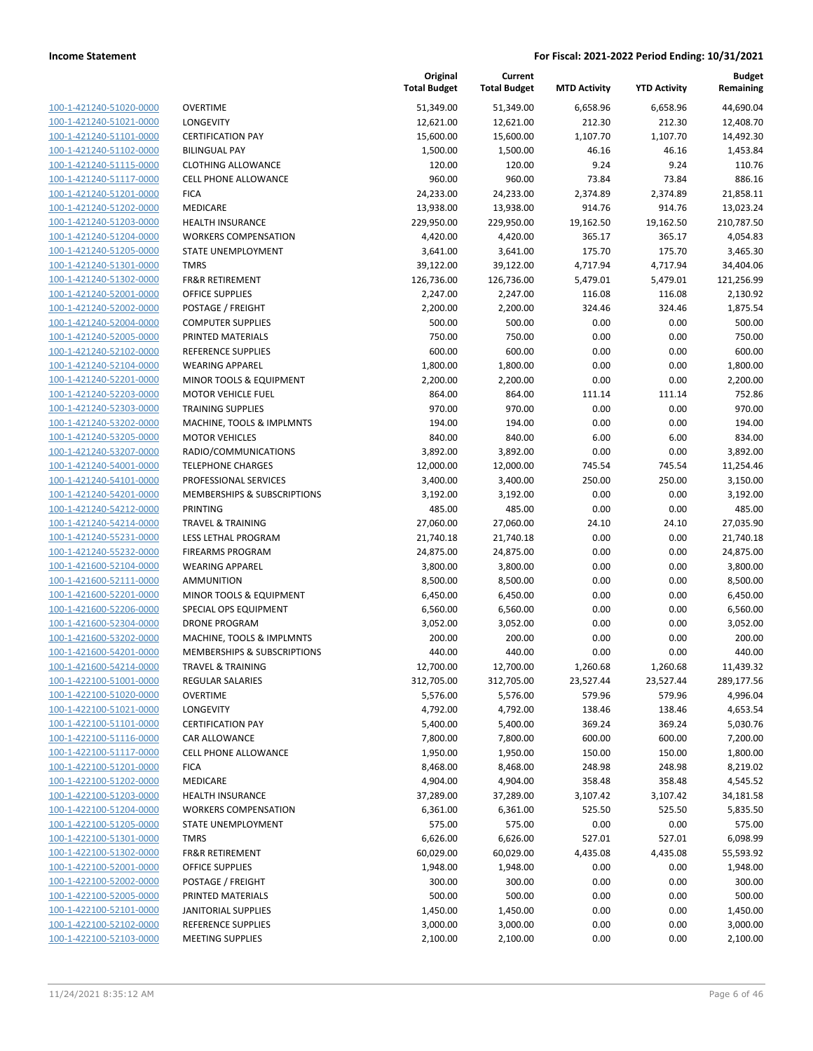| 100-1-421240-51020-0000        |
|--------------------------------|
| 100-1-421240-51021-0000        |
| 100-1-421240-51101-0000        |
| 100-1-421240-51102-0000        |
| <u>100-1-421240-51115-0000</u> |
| 100-1-421240-51117-0000        |
| 100-1-421240-51201-0000        |
| 100-1-421240-51202-0000        |
| 100-1-421240-51203-0000        |
| <u>100-1-421240-51204-0000</u> |
| 100-1-421240-51205-0000        |
| 100-1-421240-51301-0000        |
| 100-1-421240-51302-0000        |
| 100-1-421240-52001-0000        |
| <u>100-1-421240-52002-0000</u> |
| 100-1-421240-52004-0000        |
| 100-1-421240-52005-0000        |
| 100-1-421240-52102-0000        |
|                                |
| 100-1-421240-52104-0000        |
| <u>100-1-421240-52201-0000</u> |
| 100-1-421240-52203-0000        |
| 100-1-421240-52303-0000        |
| 100-1-421240-53202-0000        |
| 100-1-421240-53205-0000        |
| <u>100-1-421240-53207-0000</u> |
| 100-1-421240-54001-0000        |
| 100-1-421240-54101-0000        |
| 100-1-421240-54201-0000        |
| 100-1-421240-54212-0000        |
| <u>100-1-421240-54214-0000</u> |
| 100-1-421240-55231-0000        |
| 100-1-421240-55232-0000        |
| 100-1-421600-52104-0000        |
| 100-1-421600-52111-0000        |
| 100-1-421600-52201-0000        |
| 100-1-421600-52206-0000        |
| 100-1-421600-52304-0000        |
| 100-1-421600-53202-0000        |
| 100-1-421600-54201-0000        |
|                                |
| 100-1-421600-54214-0000        |
| 100-1-422100-51001-0000        |
| <u>100-1-422100-51020-0000</u> |
| 100-1-422100-51021-0000        |
| <u>100-1-422100-51101-0000</u> |
| <u>100-1-422100-51116-0000</u> |
| 100-1-422100-51117-0000        |
| <u>100-1-422100-51201-0000</u> |
| 100-1-422100-51202-0000        |
| <u>100-1-422100-51203-0000</u> |
| <u>100-1-422100-51204-0000</u> |
| 100-1-422100-51205-0000        |
| 100-1-422100-51301-0000        |
| 100-1-422100-51302-0000        |
| <u>100-1-422100-52001-0000</u> |
| <u>100-1-422100-52002-0000</u> |
| <u>100-1-422100-52005-0000</u> |
| <u>100-1-422100-52101-0000</u> |
| 100-1-422100-52102-0000        |
| 100-1-422100-52103-0000        |
|                                |

|                         |                              | Original<br><b>Total Budget</b> | Current<br><b>Total Budget</b> | <b>MTD Activity</b> | <b>YTD Activity</b> | <b>Budget</b><br>Remaining |
|-------------------------|------------------------------|---------------------------------|--------------------------------|---------------------|---------------------|----------------------------|
| 100-1-421240-51020-0000 | <b>OVERTIME</b>              | 51,349.00                       | 51,349.00                      | 6,658.96            | 6,658.96            | 44,690.04                  |
| 100-1-421240-51021-0000 | LONGEVITY                    | 12,621.00                       | 12,621.00                      | 212.30              | 212.30              | 12,408.70                  |
| 100-1-421240-51101-0000 | <b>CERTIFICATION PAY</b>     | 15,600.00                       | 15,600.00                      | 1,107.70            | 1,107.70            | 14,492.30                  |
| 100-1-421240-51102-0000 | <b>BILINGUAL PAY</b>         | 1,500.00                        | 1,500.00                       | 46.16               | 46.16               | 1,453.84                   |
| 100-1-421240-51115-0000 | <b>CLOTHING ALLOWANCE</b>    | 120.00                          | 120.00                         | 9.24                | 9.24                | 110.76                     |
| 100-1-421240-51117-0000 | <b>CELL PHONE ALLOWANCE</b>  | 960.00                          | 960.00                         | 73.84               | 73.84               | 886.16                     |
| 100-1-421240-51201-0000 | <b>FICA</b>                  | 24,233.00                       | 24,233.00                      | 2,374.89            | 2,374.89            | 21,858.11                  |
| 100-1-421240-51202-0000 | MEDICARE                     | 13,938.00                       | 13,938.00                      | 914.76              | 914.76              | 13,023.24                  |
| 100-1-421240-51203-0000 | <b>HEALTH INSURANCE</b>      | 229,950.00                      | 229,950.00                     | 19,162.50           | 19,162.50           | 210,787.50                 |
| 100-1-421240-51204-0000 | <b>WORKERS COMPENSATION</b>  | 4,420.00                        | 4,420.00                       | 365.17              | 365.17              | 4,054.83                   |
| 100-1-421240-51205-0000 | STATE UNEMPLOYMENT           | 3,641.00                        | 3,641.00                       | 175.70              | 175.70              | 3,465.30                   |
| 100-1-421240-51301-0000 | <b>TMRS</b>                  | 39,122.00                       | 39,122.00                      | 4,717.94            | 4,717.94            | 34,404.06                  |
| 100-1-421240-51302-0000 | <b>FR&amp;R RETIREMENT</b>   | 126,736.00                      | 126,736.00                     | 5,479.01            | 5,479.01            | 121,256.99                 |
| 100-1-421240-52001-0000 | <b>OFFICE SUPPLIES</b>       | 2,247.00                        | 2,247.00                       | 116.08              | 116.08              | 2,130.92                   |
| 100-1-421240-52002-0000 | POSTAGE / FREIGHT            | 2,200.00                        | 2,200.00                       | 324.46              | 324.46              | 1,875.54                   |
| 100-1-421240-52004-0000 | <b>COMPUTER SUPPLIES</b>     | 500.00                          | 500.00                         | 0.00                | 0.00                | 500.00                     |
| 100-1-421240-52005-0000 | PRINTED MATERIALS            | 750.00                          | 750.00                         | 0.00                | 0.00                | 750.00                     |
| 100-1-421240-52102-0000 | <b>REFERENCE SUPPLIES</b>    | 600.00                          | 600.00                         | 0.00                | 0.00                | 600.00                     |
| 100-1-421240-52104-0000 | <b>WEARING APPAREL</b>       | 1,800.00                        | 1,800.00                       | 0.00                | 0.00                | 1,800.00                   |
| 100-1-421240-52201-0000 | MINOR TOOLS & EQUIPMENT      | 2,200.00                        | 2,200.00                       | 0.00                | 0.00                | 2,200.00                   |
| 100-1-421240-52203-0000 | <b>MOTOR VEHICLE FUEL</b>    | 864.00                          | 864.00                         | 111.14              | 111.14              | 752.86                     |
| 100-1-421240-52303-0000 | <b>TRAINING SUPPLIES</b>     | 970.00                          | 970.00                         | 0.00                | 0.00                | 970.00                     |
| 100-1-421240-53202-0000 | MACHINE, TOOLS & IMPLMNTS    | 194.00                          | 194.00                         | 0.00                | 0.00                | 194.00                     |
| 100-1-421240-53205-0000 | <b>MOTOR VEHICLES</b>        | 840.00                          | 840.00                         | 6.00                | 6.00                | 834.00                     |
| 100-1-421240-53207-0000 | RADIO/COMMUNICATIONS         | 3,892.00                        | 3,892.00                       | 0.00                | 0.00                | 3,892.00                   |
| 100-1-421240-54001-0000 | <b>TELEPHONE CHARGES</b>     | 12,000.00                       | 12,000.00                      | 745.54              | 745.54              | 11,254.46                  |
| 100-1-421240-54101-0000 | PROFESSIONAL SERVICES        | 3,400.00                        | 3,400.00                       | 250.00              | 250.00              | 3,150.00                   |
| 100-1-421240-54201-0000 | MEMBERSHIPS & SUBSCRIPTIONS  | 3,192.00                        | 3,192.00                       | 0.00                | 0.00                | 3,192.00                   |
| 100-1-421240-54212-0000 | PRINTING                     | 485.00                          | 485.00                         | 0.00                | 0.00                | 485.00                     |
| 100-1-421240-54214-0000 | <b>TRAVEL &amp; TRAINING</b> | 27,060.00                       | 27,060.00                      | 24.10               | 24.10               | 27,035.90                  |
| 100-1-421240-55231-0000 | LESS LETHAL PROGRAM          | 21,740.18                       | 21,740.18                      | 0.00                | 0.00                | 21,740.18                  |
| 100-1-421240-55232-0000 | <b>FIREARMS PROGRAM</b>      | 24,875.00                       | 24,875.00                      | 0.00                | 0.00                | 24,875.00                  |
| 100-1-421600-52104-0000 | <b>WEARING APPAREL</b>       | 3,800.00                        | 3,800.00                       | 0.00                | 0.00                | 3,800.00                   |
| 100-1-421600-52111-0000 | AMMUNITION                   | 8,500.00                        | 8,500.00                       | 0.00                | 0.00                | 8,500.00                   |
| 100-1-421600-52201-0000 | MINOR TOOLS & EQUIPMENT      | 6,450.00                        | 6,450.00                       | 0.00                | 0.00                | 6,450.00                   |
| 100-1-421600-52206-0000 | SPECIAL OPS EQUIPMENT        | 6,560.00                        | 6,560.00                       | 0.00                | 0.00                | 6,560.00                   |
| 100-1-421600-52304-0000 | <b>DRONE PROGRAM</b>         | 3,052.00                        | 3,052.00                       | 0.00                | 0.00                | 3,052.00                   |
| 100-1-421600-53202-0000 | MACHINE, TOOLS & IMPLMNTS    | 200.00                          | 200.00                         | 0.00                | 0.00                | 200.00                     |
| 100-1-421600-54201-0000 | MEMBERSHIPS & SUBSCRIPTIONS  | 440.00                          | 440.00                         | 0.00                | 0.00                | 440.00                     |
| 100-1-421600-54214-0000 | <b>TRAVEL &amp; TRAINING</b> | 12,700.00                       | 12,700.00                      | 1,260.68            | 1,260.68            | 11,439.32                  |
| 100-1-422100-51001-0000 | <b>REGULAR SALARIES</b>      | 312,705.00                      | 312,705.00                     | 23,527.44           | 23,527.44           | 289,177.56                 |
| 100-1-422100-51020-0000 | <b>OVERTIME</b>              | 5,576.00                        | 5,576.00                       | 579.96              | 579.96              | 4,996.04                   |
| 100-1-422100-51021-0000 | LONGEVITY                    | 4,792.00                        | 4,792.00                       | 138.46              | 138.46              | 4,653.54                   |
| 100-1-422100-51101-0000 | <b>CERTIFICATION PAY</b>     | 5,400.00                        | 5,400.00                       | 369.24              | 369.24              | 5,030.76                   |
| 100-1-422100-51116-0000 | CAR ALLOWANCE                | 7,800.00                        | 7,800.00                       | 600.00              | 600.00              | 7,200.00                   |
| 100-1-422100-51117-0000 | CELL PHONE ALLOWANCE         | 1,950.00                        | 1,950.00                       | 150.00              | 150.00              | 1,800.00                   |
| 100-1-422100-51201-0000 | <b>FICA</b>                  | 8,468.00                        | 8,468.00                       | 248.98              | 248.98              | 8,219.02                   |
| 100-1-422100-51202-0000 | MEDICARE                     | 4,904.00                        | 4,904.00                       | 358.48              | 358.48              | 4,545.52                   |
| 100-1-422100-51203-0000 | HEALTH INSURANCE             | 37,289.00                       | 37,289.00                      | 3,107.42            | 3,107.42            | 34,181.58                  |
| 100-1-422100-51204-0000 | <b>WORKERS COMPENSATION</b>  | 6,361.00                        | 6,361.00                       | 525.50              | 525.50              | 5,835.50                   |
| 100-1-422100-51205-0000 | STATE UNEMPLOYMENT           | 575.00                          | 575.00                         | 0.00                | 0.00                | 575.00                     |
| 100-1-422100-51301-0000 | <b>TMRS</b>                  | 6,626.00                        | 6,626.00                       | 527.01              | 527.01              | 6,098.99                   |
| 100-1-422100-51302-0000 | FR&R RETIREMENT              | 60,029.00                       | 60,029.00                      | 4,435.08            | 4,435.08            | 55,593.92                  |
| 100-1-422100-52001-0000 | OFFICE SUPPLIES              | 1,948.00                        | 1,948.00                       | 0.00                | 0.00                | 1,948.00                   |
| 100-1-422100-52002-0000 | POSTAGE / FREIGHT            | 300.00                          | 300.00                         | 0.00                | 0.00                | 300.00                     |
| 100-1-422100-52005-0000 | PRINTED MATERIALS            | 500.00                          | 500.00                         | 0.00                | 0.00                | 500.00                     |
| 100-1-422100-52101-0000 | <b>JANITORIAL SUPPLIES</b>   | 1,450.00                        | 1,450.00                       | 0.00                | 0.00                | 1,450.00                   |
| 100-1-422100-52102-0000 | <b>REFERENCE SUPPLIES</b>    | 3,000.00                        | 3,000.00                       | 0.00                | 0.00                | 3,000.00                   |
| 100-1-422100-52103-0000 | <b>MEETING SUPPLIES</b>      | 2,100.00                        | 2,100.00                       | 0.00                | 0.00                | 2,100.00                   |
|                         |                              |                                 |                                |                     |                     |                            |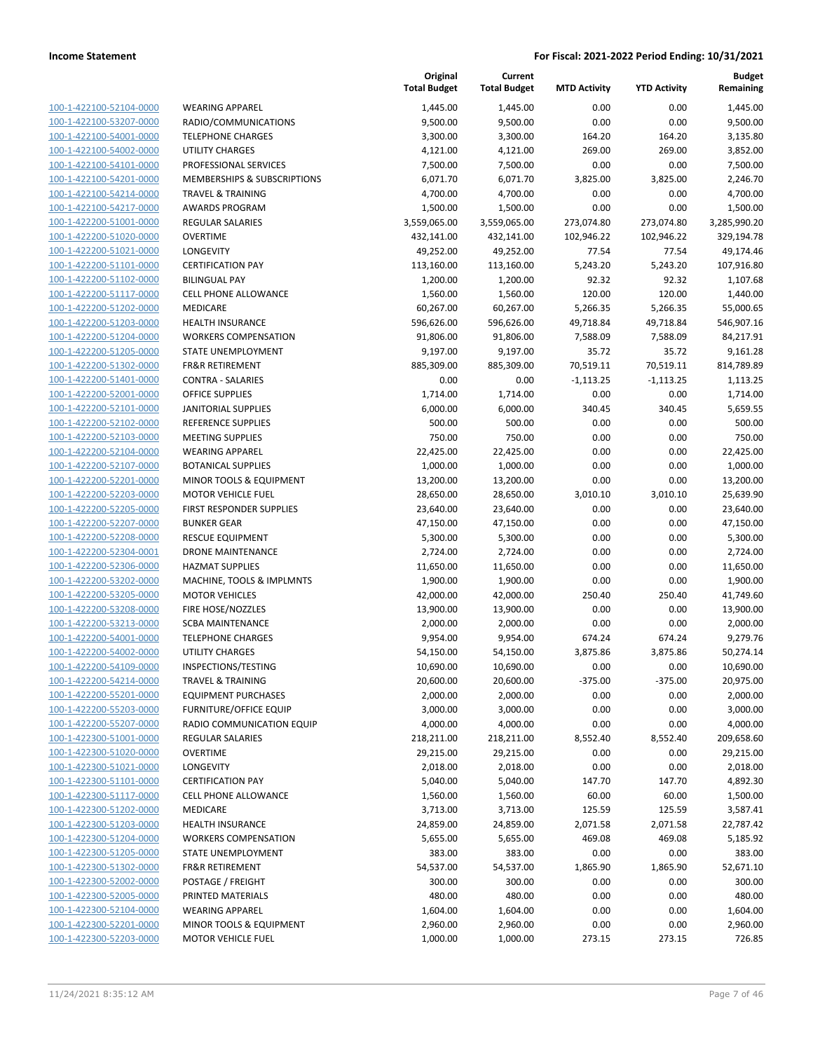| 100-1-422100-52104-0000        | WEA              |
|--------------------------------|------------------|
| 100-1-422100-53207-0000        | <b>RADI</b>      |
| 100-1-422100-54001-0000        | TELEI            |
| 100-1-422100-54002-0000        | UTILI            |
|                                |                  |
| 100-1-422100-54101-0000        | <b>PROF</b>      |
| 100-1-422100-54201-0000        | <b>MEN</b>       |
| 100-1-422100-54214-0000        | <b>TRAV</b>      |
| 100-1-422100-54217-0000        | <b>AWA</b>       |
| 100-1-422200-51001-0000        | REGL             |
| 100-1-422200-51020-0000        | <b>OVEF</b>      |
| 100-1-422200-51021-0000        | <b>LONO</b>      |
| 100-1-422200-51101-0000        | <b>CERT</b>      |
| 100-1-422200-51102-0000        | <b>BILIN</b>     |
| 100-1-422200-51117-0000        | <b>CELL</b>      |
| 100-1-422200-51202-0000        | MED              |
|                                |                  |
| 100-1-422200-51203-0000        | HEAL             |
| 100-1-422200-51204-0000        | <b>WOR</b>       |
| 100-1-422200-51205-0000        | <b>STAT</b>      |
| 100-1-422200-51302-0000        | FR&F             |
| 100-1-422200-51401-0000        | CON <sup>-</sup> |
| 100-1-422200-52001-0000        | OFFI             |
| 100-1-422200-52101-0000        | <b>JANI</b>      |
| 100-1-422200-52102-0000        | <b>REFE</b>      |
| 100-1-422200-52103-0000        | MEE <sup>-</sup> |
| 100-1-422200-52104-0000        | <b>WEA</b>       |
| 100-1-422200-52107-0000        | BOT/             |
| 100-1-422200-52201-0000        | <b>MINO</b>      |
| 100-1-422200-52203-0000        | MOT              |
|                                |                  |
| 100-1-422200-52205-0000        | <b>FIRST</b>     |
| 100-1-422200-52207-0000        | <b>BUNI</b>      |
| 100-1-422200-52208-0000        | <b>RESC</b>      |
| 100-1-422200-52304-0001        | <b>DROI</b>      |
| 100-1-422200-52306-0000        | <b>HAZN</b>      |
| 100-1-422200-53202-0000        | MAC              |
| 100-1-422200-53205-0000        | MOT              |
| 100-1-422200-53208-0000        | FIRE             |
| 100-1-422200-53213-0000        | <b>SCBA</b>      |
| 100-1-422200-54001-0000        | <b>TELEI</b>     |
| 100-1-422200-54002-0000        | UTILI            |
| 100-1-422200-54109-0000        | <b>INSPI</b>     |
| 100-1-422200-54214-0000        | <b>TRAV</b>      |
| 100-1-422200-55201-0000        | EQUI             |
| 100-1-422200-55203-0000        | <b>FURN</b>      |
|                                | RADI             |
| 100-1-422200-55207-0000        |                  |
| 100-1-422300-51001-0000        | REGL             |
| 100-1-422300-51020-0000        | <b>OVEF</b>      |
| 100-1-422300-51021-0000        | <b>LON</b>       |
| 100-1-422300-51101-0000        | CERT             |
| 100-1-422300-51117-0000        | <b>CELL</b>      |
| <u>100-1-422300-51202-0000</u> | MED              |
| 100-1-422300-51203-0000        | HEAL             |
| 100-1-422300-51204-0000        | WOR              |
| 100-1-422300-51205-0000        | <b>STAT</b>      |
| 100-1-422300-51302-0000        | FR&F             |
| <u>100-1-422300-52002-0000</u> | POST             |
| <u>100-1-422300-52005-0000</u> | <b>PRIN</b>      |
| 100-1-422300-52104-0000        | WEA              |
| 100-1-422300-52201-0000        | MIN(             |
|                                |                  |
| 100-1-422300-52203-0000        | мот              |

|                                        | <b>Total Budget</b>   |
|----------------------------------------|-----------------------|
| VEARING APPAREL                        | 1,445.00              |
| ADIO/COMMUNICATIONS                    | 9,500.00              |
| <b>ELEPHONE CHARGES</b>                | 3,300.00              |
| <b>TILITY CHARGES</b>                  | 4,121.00              |
| ROFESSIONAL SERVICES                   | 7,500.00              |
| <b>IEMBERSHIPS &amp; SUBSCRIPTIONS</b> | 6,071.70              |
| RAVEL & TRAINING                       | 4,700.00              |
| <b>WARDS PROGRAM</b>                   | 1,500.00              |
| <b>EGULAR SALARIES</b>                 | 3,559,065.00          |
| <b>VERTIME</b>                         | 432,141.00            |
| ONGEVITY                               | 49,252.00             |
| <b>ERTIFICATION PAY</b>                | 113,160.00            |
| <b>ILINGUAL PAY</b>                    | 1,200.00              |
| ELL PHONE ALLOWANCE                    | 1,560.00              |
| <b>IEDICARE</b>                        | 60,267.00             |
| <b>EALTH INSURANCE</b>                 | 596,626.00            |
| <b>VORKERS COMPENSATION</b>            | 91,806.00             |
| TATE UNEMPLOYMENT                      | 9,197.00              |
| R&R RETIREMENT                         | 885,309.00            |
| ONTRA - SALARIES                       | 0.00                  |
| <b>FFICE SUPPLIES</b>                  | 1,714.00              |
| <b>ANITORIAL SUPPLIES</b>              | 6,000.00              |
| EFERENCE SUPPLIES                      | 500.00                |
| <b>IEETING SUPPLIES</b>                | 750.00                |
| <b>VEARING APPAREL</b>                 | 22,425.00             |
| OTANICAL SUPPLIES                      | 1,000.00              |
| <b>IINOR TOOLS &amp; EQUIPMENT</b>     | 13,200.00             |
| 1OTOR VEHICLE FUEL                     | 28,650.00             |
| IRST RESPONDER SUPPLIES<br>UNKER GEAR  | 23,640.00             |
| <b>ESCUE EQUIPMENT</b>                 | 47,150.00<br>5,300.00 |
| RONE MAINTENANCE                       | 2,724.00              |
| <b>AZMAT SUPPLIES</b>                  | 11,650.00             |
| 1ACHINE, TOOLS & IMPLMNTS              | 1,900.00              |
| <b>1OTOR VEHICLES</b>                  | 42,000.00             |
| IRE HOSE/NOZZLES                       | 13,900.00             |
| <b>CBA MAINTENANCE</b>                 | 2,000.00              |
| <b>ELEPHONE CHARGES</b>                | 9,954.00              |
| <b>TILITY CHARGES</b>                  | 54,150.00             |
| <b>NSPECTIONS/TESTING</b>              | 10,690.00             |
| RAVEL & TRAINING                       | 20,600.00             |
| QUIPMENT PURCHASES                     | 2,000.00              |
| URNITURE/OFFICE EQUIP                  | 3,000.00              |
| ADIO COMMUNICATION EQUIP               | 4,000.00              |
| <b>EGULAR SALARIES</b>                 | 218,211.00            |
| <b>VERTIME</b>                         | 29,215.00             |
| ONGEVITY                               | 2,018.00              |
| <b>ERTIFICATION PAY</b>                | 5,040.00              |
| <b>ELL PHONE ALLOWANCE</b>             | 1,560.00              |
| <b>IEDICARE</b>                        | 3,713.00              |
| <b>EALTH INSURANCE</b>                 | 24,859.00             |
| <b>VORKERS COMPENSATION</b>            | 5,655.00              |
| TATE UNEMPLOYMENT                      | 383.00                |
| R&R RETIREMENT                         | 54,537.00             |
| OSTAGE / FREIGHT                       | 300.00                |
| RINTED MATERIALS                       | 480.00                |
| <b>VEARING APPAREL</b>                 | 1,604.00              |
| 1INOR TOOLS & EQUIPMENT                | 2,960.00              |
| 1OTOR VEHICLE FUEL                     | 1,000.00              |

|                                                    |                                                | Original              | Current                |                     |                     | <b>Budget</b>          |
|----------------------------------------------------|------------------------------------------------|-----------------------|------------------------|---------------------|---------------------|------------------------|
|                                                    |                                                | <b>Total Budget</b>   | <b>Total Budget</b>    | <b>MTD Activity</b> | <b>YTD Activity</b> | Remaining              |
| 100-1-422100-52104-0000                            | <b>WEARING APPAREL</b>                         | 1,445.00              | 1,445.00               | 0.00                | 0.00                | 1,445.00               |
| 100-1-422100-53207-0000                            | RADIO/COMMUNICATIONS                           | 9,500.00              | 9,500.00               | 0.00                | 0.00                | 9,500.00               |
| 100-1-422100-54001-0000                            | <b>TELEPHONE CHARGES</b>                       | 3,300.00              | 3,300.00               | 164.20              | 164.20              | 3,135.80               |
| 100-1-422100-54002-0000                            | <b>UTILITY CHARGES</b>                         | 4,121.00              | 4,121.00               | 269.00              | 269.00              | 3,852.00               |
| 100-1-422100-54101-0000                            | PROFESSIONAL SERVICES                          | 7,500.00              | 7,500.00               | 0.00                | 0.00                | 7,500.00               |
| 100-1-422100-54201-0000                            | <b>MEMBERSHIPS &amp; SUBSCRIPTIONS</b>         | 6,071.70              | 6,071.70               | 3,825.00            | 3,825.00            | 2,246.70               |
| 100-1-422100-54214-0000                            | <b>TRAVEL &amp; TRAINING</b>                   | 4,700.00              | 4,700.00               | 0.00                | 0.00                | 4,700.00               |
| 100-1-422100-54217-0000                            | <b>AWARDS PROGRAM</b>                          | 1,500.00              | 1,500.00               | 0.00                | 0.00                | 1,500.00               |
| 100-1-422200-51001-0000                            | <b>REGULAR SALARIES</b>                        | 3,559,065.00          | 3,559,065.00           | 273,074.80          | 273,074.80          | 3,285,990.20           |
| 100-1-422200-51020-0000                            | OVERTIME                                       | 432,141.00            | 432,141.00             | 102,946.22          | 102,946.22          | 329,194.78             |
| 100-1-422200-51021-0000                            | <b>LONGEVITY</b>                               | 49,252.00             | 49,252.00              | 77.54               | 77.54               | 49,174.46              |
| 100-1-422200-51101-0000                            | <b>CERTIFICATION PAY</b>                       | 113,160.00            | 113,160.00             | 5,243.20            | 5,243.20            | 107,916.80             |
| 100-1-422200-51102-0000                            | <b>BILINGUAL PAY</b>                           | 1,200.00              | 1,200.00               | 92.32               | 92.32               | 1,107.68               |
| 100-1-422200-51117-0000                            | <b>CELL PHONE ALLOWANCE</b>                    | 1,560.00              | 1,560.00               | 120.00              | 120.00              | 1,440.00               |
| 100-1-422200-51202-0000                            | MEDICARE                                       | 60,267.00             | 60,267.00              | 5,266.35            | 5,266.35            | 55,000.65              |
| 100-1-422200-51203-0000                            | <b>HEALTH INSURANCE</b>                        | 596,626.00            | 596,626.00             | 49,718.84           | 49,718.84           | 546,907.16             |
| 100-1-422200-51204-0000                            | <b>WORKERS COMPENSATION</b>                    | 91,806.00             | 91,806.00              | 7,588.09            | 7,588.09            | 84,217.91              |
| 100-1-422200-51205-0000                            | <b>STATE UNEMPLOYMENT</b>                      | 9,197.00              | 9,197.00               | 35.72               | 35.72               | 9,161.28               |
| 100-1-422200-51302-0000                            | <b>FR&amp;R RETIREMENT</b>                     | 885,309.00            | 885,309.00             | 70,519.11           | 70,519.11           | 814,789.89             |
| 100-1-422200-51401-0000                            | <b>CONTRA - SALARIES</b>                       | 0.00                  | 0.00                   | $-1,113.25$         | $-1,113.25$         | 1,113.25               |
| 100-1-422200-52001-0000                            | OFFICE SUPPLIES                                | 1,714.00              | 1,714.00               | 0.00                | 0.00                | 1,714.00               |
| 100-1-422200-52101-0000                            | <b>JANITORIAL SUPPLIES</b>                     | 6,000.00              | 6,000.00               | 340.45              | 340.45              | 5,659.55               |
| 100-1-422200-52102-0000                            | REFERENCE SUPPLIES                             | 500.00                | 500.00                 | 0.00                | 0.00                | 500.00                 |
| 100-1-422200-52103-0000                            | <b>MEETING SUPPLIES</b>                        | 750.00                | 750.00                 | 0.00                | 0.00                | 750.00                 |
| 100-1-422200-52104-0000                            | <b>WEARING APPAREL</b>                         | 22,425.00             | 22,425.00              | 0.00                | 0.00                | 22,425.00              |
| 100-1-422200-52107-0000                            | <b>BOTANICAL SUPPLIES</b>                      | 1,000.00              | 1,000.00               | 0.00                | 0.00                | 1,000.00               |
| 100-1-422200-52201-0000                            | MINOR TOOLS & EQUIPMENT                        | 13,200.00             | 13,200.00              | 0.00                | 0.00                | 13,200.00              |
| 100-1-422200-52203-0000                            | <b>MOTOR VEHICLE FUEL</b>                      | 28,650.00             | 28,650.00              | 3,010.10            | 3,010.10            | 25,639.90              |
| 100-1-422200-52205-0000<br>100-1-422200-52207-0000 | FIRST RESPONDER SUPPLIES<br><b>BUNKER GEAR</b> | 23,640.00             | 23,640.00<br>47,150.00 | 0.00<br>0.00        | 0.00<br>0.00        | 23,640.00<br>47,150.00 |
| 100-1-422200-52208-0000                            | <b>RESCUE EQUIPMENT</b>                        | 47,150.00<br>5,300.00 | 5,300.00               | 0.00                | 0.00                | 5,300.00               |
| 100-1-422200-52304-0001                            | <b>DRONE MAINTENANCE</b>                       | 2,724.00              | 2,724.00               | 0.00                | 0.00                | 2,724.00               |
| 100-1-422200-52306-0000                            | <b>HAZMAT SUPPLIES</b>                         | 11,650.00             | 11,650.00              | 0.00                | 0.00                | 11,650.00              |
| 100-1-422200-53202-0000                            | MACHINE, TOOLS & IMPLMNTS                      | 1,900.00              | 1,900.00               | 0.00                | 0.00                | 1,900.00               |
| 100-1-422200-53205-0000                            | <b>MOTOR VEHICLES</b>                          | 42,000.00             | 42,000.00              | 250.40              | 250.40              | 41,749.60              |
| 100-1-422200-53208-0000                            | FIRE HOSE/NOZZLES                              | 13,900.00             | 13,900.00              | 0.00                | 0.00                | 13,900.00              |
| 100-1-422200-53213-0000                            | <b>SCBA MAINTENANCE</b>                        | 2,000.00              | 2,000.00               | 0.00                | 0.00                | 2,000.00               |
| 100-1-422200-54001-0000                            | <b>TELEPHONE CHARGES</b>                       | 9,954.00              | 9,954.00               | 674.24              | 674.24              | 9,279.76               |
| 100-1-422200-54002-0000                            | <b>UTILITY CHARGES</b>                         | 54,150.00             | 54,150.00              | 3,875.86            | 3,875.86            | 50,274.14              |
| 100-1-422200-54109-0000                            | INSPECTIONS/TESTING                            | 10,690.00             | 10,690.00              | 0.00                | 0.00                | 10,690.00              |
| 100-1-422200-54214-0000                            | TRAVEL & TRAINING                              | 20,600.00             | 20,600.00              | $-375.00$           | $-375.00$           | 20,975.00              |
| 100-1-422200-55201-0000                            | <b>EQUIPMENT PURCHASES</b>                     | 2,000.00              | 2,000.00               | 0.00                | 0.00                | 2,000.00               |
| 100-1-422200-55203-0000                            | <b>FURNITURE/OFFICE EQUIP</b>                  | 3,000.00              | 3,000.00               | 0.00                | 0.00                | 3,000.00               |
| 100-1-422200-55207-0000                            | RADIO COMMUNICATION EQUIP                      | 4,000.00              | 4,000.00               | 0.00                | 0.00                | 4,000.00               |
| 100-1-422300-51001-0000                            | <b>REGULAR SALARIES</b>                        | 218,211.00            | 218,211.00             | 8,552.40            | 8,552.40            | 209,658.60             |
| 100-1-422300-51020-0000                            | <b>OVERTIME</b>                                | 29,215.00             | 29,215.00              | 0.00                | 0.00                | 29,215.00              |
| 100-1-422300-51021-0000                            | LONGEVITY                                      | 2,018.00              | 2,018.00               | 0.00                | 0.00                | 2,018.00               |
| 100-1-422300-51101-0000                            | <b>CERTIFICATION PAY</b>                       | 5,040.00              | 5,040.00               | 147.70              | 147.70              | 4,892.30               |
| 100-1-422300-51117-0000                            | <b>CELL PHONE ALLOWANCE</b>                    | 1,560.00              | 1,560.00               | 60.00               | 60.00               | 1,500.00               |
| 100-1-422300-51202-0000                            | MEDICARE                                       | 3,713.00              | 3,713.00               | 125.59              | 125.59              | 3,587.41               |
| 100-1-422300-51203-0000                            | <b>HEALTH INSURANCE</b>                        | 24,859.00             | 24,859.00              | 2,071.58            | 2,071.58            | 22,787.42              |
| 100-1-422300-51204-0000                            | <b>WORKERS COMPENSATION</b>                    | 5,655.00              | 5,655.00               | 469.08              | 469.08              | 5,185.92               |
| 100-1-422300-51205-0000                            | <b>STATE UNEMPLOYMENT</b>                      | 383.00                | 383.00                 | 0.00                | 0.00                | 383.00                 |
| 100-1-422300-51302-0000                            | <b>FR&amp;R RETIREMENT</b>                     | 54,537.00             | 54,537.00              | 1,865.90            | 1,865.90            | 52,671.10              |
| 100-1-422300-52002-0000                            | POSTAGE / FREIGHT                              | 300.00                | 300.00                 | 0.00                | 0.00                | 300.00                 |
| 100-1-422300-52005-0000                            | PRINTED MATERIALS                              | 480.00                | 480.00                 | 0.00                | 0.00                | 480.00                 |
| 100-1-422300-52104-0000                            | <b>WEARING APPAREL</b>                         | 1,604.00              | 1,604.00               | 0.00                | 0.00                | 1,604.00               |
| 100-1-422300-52201-0000                            | <b>MINOR TOOLS &amp; EQUIPMENT</b>             | 2,960.00              | 2,960.00               | 0.00                | 0.00                | 2,960.00               |
| 100-1-422300-52203-0000                            | <b>MOTOR VEHICLE FUEL</b>                      | 1,000.00              | 1,000.00               | 273.15              | 273.15              | 726.85                 |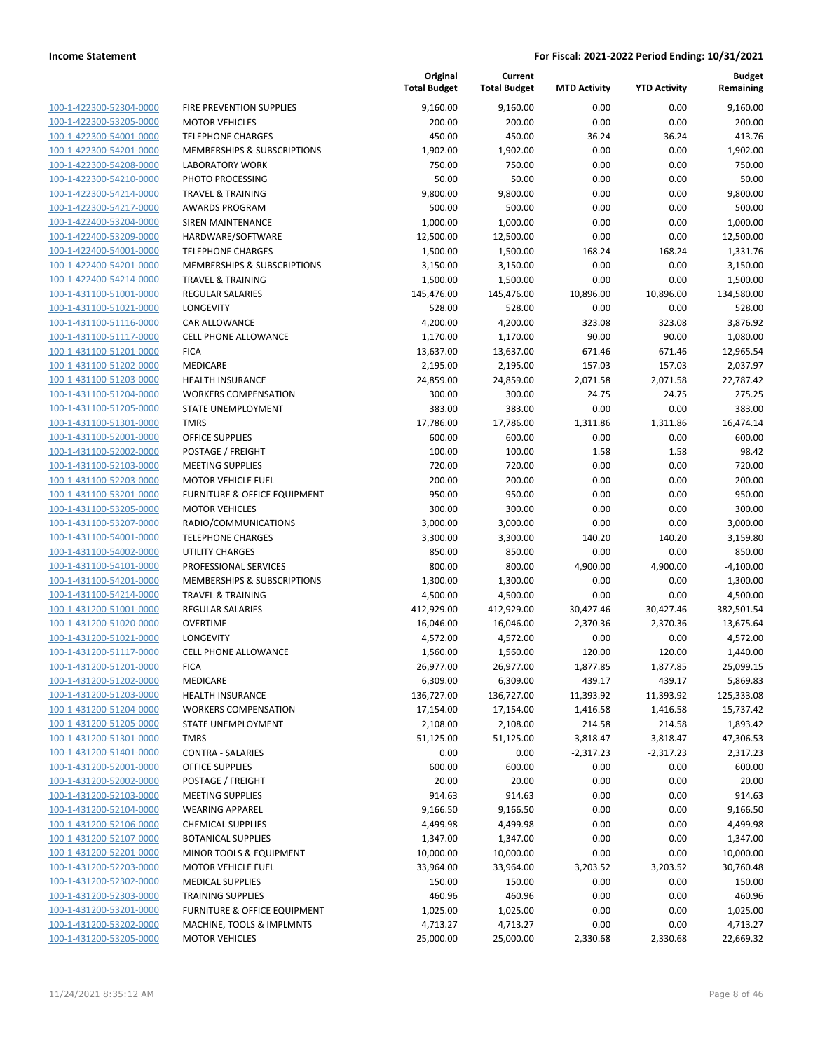| 100-1-422300-52304-0000        |
|--------------------------------|
| 100-1-422300-53205-0000        |
| 100-1-422300-54001-0000        |
| 100-1-422300-54201-0000        |
| 100-1-422300-54208-0000        |
| 100-1-422300-54210-0000        |
| 100-1-422300-54214-0000        |
| 100-1-422300-54217-0000        |
| 100-1-422400-53204-0000        |
| 100-1-422400-53209-0000        |
| 100-1-422400-54001-0000        |
| 100-1-422400-54201-0000        |
| 100-1-422400-54214-0000        |
| 100-1-431100-51001-0000        |
| 100-1-431100-51021-0000        |
| 100-1-431100-51116-0000        |
| 100-1-431100-51117-0000        |
| 100-1-431100-51201-0000        |
| 100-1-431100-51202-0000        |
| 100-1-431100-51203-0000        |
| 100-1-431100-51204-0000        |
| 100-1-431100-51205-0000        |
| 100-1-431100-51301-0000        |
| 100-1-431100-52001-0000        |
| 100-1-431100-52002-0000        |
| 100-1-431100-52103-0000        |
| 100-1-431100-52203-0000        |
| 100-1-431100-53201-0000        |
| 100-1-431100-53205-0000        |
| 100-1-431100-53207-0000        |
| 100-1-431100-54001-0000        |
| 100-1-431100-54002-0000        |
| 100-1-431100-54101-0000        |
| 100-1-431100-54201-0000        |
| 100-1-431100-54214-0000        |
| 100-1-431200-51001-0000        |
| 100-1-431200-51020-0000        |
| 100-1-431200-51021-0000        |
| 100-1-431200-51117-0000        |
| 100-1-431200-51201-0000        |
| 100-1-431200-51202-0000        |
| 100-1-431200-51203-0000        |
| <u>100-1-431200-51204-0000</u> |
| <u>100-1-431200-51205-0000</u> |
| 100-1-431200-51301-0000        |
| 100-1-431200-51401-0000        |
| 100-1-431200-52001-0000        |
| <u>100-1-431200-52002-0000</u> |
| 100-1-431200-52103-0000        |
| <u>100-1-431200-52104-0000</u> |
| <u>100-1-431200-52106-0000</u> |
| 100-1-431200-52107-0000        |
| <u>100-1-431200-52201-0000</u> |
| 100-1-431200-52203-0000        |
| <u>100-1-431200-52302-0000</u> |
| <u>100-1-431200-52303-0000</u> |
| 100-1-431200-53201-0000        |
| <u>100-1-431200-53202-0000</u> |
| <u>100-1-431200-53205-0000</u> |
|                                |

|                         |                              | Original<br><b>Total Budget</b> | Current<br><b>Total Budget</b> | <b>MTD Activity</b> | <b>YTD Activity</b> | <b>Budget</b><br>Remaining |
|-------------------------|------------------------------|---------------------------------|--------------------------------|---------------------|---------------------|----------------------------|
| 100-1-422300-52304-0000 | FIRE PREVENTION SUPPLIES     | 9,160.00                        | 9,160.00                       | 0.00                | 0.00                | 9,160.00                   |
| 100-1-422300-53205-0000 | <b>MOTOR VEHICLES</b>        | 200.00                          | 200.00                         | 0.00                | 0.00                | 200.00                     |
| 100-1-422300-54001-0000 | <b>TELEPHONE CHARGES</b>     | 450.00                          | 450.00                         | 36.24               | 36.24               | 413.76                     |
| 100-1-422300-54201-0000 | MEMBERSHIPS & SUBSCRIPTIONS  | 1,902.00                        | 1,902.00                       | 0.00                | 0.00                | 1,902.00                   |
| 100-1-422300-54208-0000 | <b>LABORATORY WORK</b>       | 750.00                          | 750.00                         | 0.00                | 0.00                | 750.00                     |
| 100-1-422300-54210-0000 | PHOTO PROCESSING             | 50.00                           | 50.00                          | 0.00                | 0.00                | 50.00                      |
| 100-1-422300-54214-0000 | <b>TRAVEL &amp; TRAINING</b> | 9,800.00                        | 9,800.00                       | 0.00                | 0.00                | 9,800.00                   |
| 100-1-422300-54217-0000 | <b>AWARDS PROGRAM</b>        | 500.00                          | 500.00                         | 0.00                | 0.00                | 500.00                     |
| 100-1-422400-53204-0000 | <b>SIREN MAINTENANCE</b>     | 1,000.00                        | 1,000.00                       | 0.00                | 0.00                | 1,000.00                   |
| 100-1-422400-53209-0000 | HARDWARE/SOFTWARE            | 12,500.00                       | 12,500.00                      | 0.00                | 0.00                | 12,500.00                  |
| 100-1-422400-54001-0000 | <b>TELEPHONE CHARGES</b>     | 1,500.00                        | 1,500.00                       | 168.24              | 168.24              | 1,331.76                   |
| 100-1-422400-54201-0000 | MEMBERSHIPS & SUBSCRIPTIONS  | 3,150.00                        | 3,150.00                       | 0.00                | 0.00                | 3,150.00                   |
| 100-1-422400-54214-0000 | <b>TRAVEL &amp; TRAINING</b> | 1,500.00                        | 1,500.00                       | 0.00                | 0.00                | 1,500.00                   |
| 100-1-431100-51001-0000 | REGULAR SALARIES             | 145,476.00                      | 145,476.00                     | 10,896.00           | 10,896.00           | 134,580.00                 |
| 100-1-431100-51021-0000 | LONGEVITY                    | 528.00                          | 528.00                         | 0.00                | 0.00                | 528.00                     |
| 100-1-431100-51116-0000 | CAR ALLOWANCE                | 4,200.00                        | 4,200.00                       | 323.08              | 323.08              | 3,876.92                   |
| 100-1-431100-51117-0000 | <b>CELL PHONE ALLOWANCE</b>  | 1,170.00                        | 1,170.00                       | 90.00               | 90.00               | 1,080.00                   |
| 100-1-431100-51201-0000 | <b>FICA</b>                  | 13,637.00                       | 13,637.00                      | 671.46              | 671.46              | 12,965.54                  |
| 100-1-431100-51202-0000 | MEDICARE                     | 2,195.00                        | 2,195.00                       | 157.03              | 157.03              | 2,037.97                   |
| 100-1-431100-51203-0000 | <b>HEALTH INSURANCE</b>      | 24,859.00                       | 24,859.00                      | 2,071.58            | 2,071.58            | 22,787.42                  |
| 100-1-431100-51204-0000 | <b>WORKERS COMPENSATION</b>  | 300.00                          | 300.00                         | 24.75               | 24.75               | 275.25                     |
| 100-1-431100-51205-0000 | STATE UNEMPLOYMENT           | 383.00                          | 383.00                         | 0.00                | 0.00                | 383.00                     |
| 100-1-431100-51301-0000 | <b>TMRS</b>                  | 17,786.00                       | 17,786.00                      | 1,311.86            | 1,311.86            | 16,474.14                  |
| 100-1-431100-52001-0000 | <b>OFFICE SUPPLIES</b>       | 600.00                          | 600.00                         | 0.00                | 0.00                | 600.00                     |
| 100-1-431100-52002-0000 | POSTAGE / FREIGHT            | 100.00                          | 100.00                         | 1.58                | 1.58                | 98.42                      |
| 100-1-431100-52103-0000 | <b>MEETING SUPPLIES</b>      | 720.00                          | 720.00                         | 0.00                | 0.00                | 720.00                     |
| 100-1-431100-52203-0000 | <b>MOTOR VEHICLE FUEL</b>    | 200.00                          | 200.00                         | 0.00                | 0.00                | 200.00                     |
| 100-1-431100-53201-0000 | FURNITURE & OFFICE EQUIPMENT | 950.00                          | 950.00                         | 0.00                | 0.00                | 950.00                     |
| 100-1-431100-53205-0000 | <b>MOTOR VEHICLES</b>        | 300.00                          | 300.00                         | 0.00                | 0.00                | 300.00                     |
| 100-1-431100-53207-0000 | RADIO/COMMUNICATIONS         | 3,000.00                        | 3,000.00                       | 0.00                | 0.00                | 3,000.00                   |
| 100-1-431100-54001-0000 | <b>TELEPHONE CHARGES</b>     | 3,300.00                        | 3,300.00                       | 140.20              | 140.20              | 3,159.80                   |
| 100-1-431100-54002-0000 | <b>UTILITY CHARGES</b>       | 850.00                          | 850.00                         | 0.00                | 0.00                | 850.00                     |
| 100-1-431100-54101-0000 | PROFESSIONAL SERVICES        | 800.00                          | 800.00                         | 4,900.00            | 4,900.00            | $-4,100.00$                |
| 100-1-431100-54201-0000 | MEMBERSHIPS & SUBSCRIPTIONS  | 1,300.00                        | 1,300.00                       | 0.00                | 0.00                | 1,300.00                   |
| 100-1-431100-54214-0000 | <b>TRAVEL &amp; TRAINING</b> | 4,500.00                        | 4,500.00                       | 0.00                | 0.00                | 4,500.00                   |
| 100-1-431200-51001-0000 | REGULAR SALARIES             | 412,929.00                      | 412,929.00                     | 30,427.46           | 30,427.46           | 382,501.54                 |
| 100-1-431200-51020-0000 | <b>OVERTIME</b>              | 16,046.00                       | 16,046.00                      | 2,370.36            | 2,370.36            | 13,675.64                  |
| 100-1-431200-51021-0000 | LONGEVITY                    | 4,572.00                        | 4,572.00                       | 0.00                | 0.00                | 4,572.00                   |
| 100-1-431200-51117-0000 | <b>CELL PHONE ALLOWANCE</b>  | 1,560.00                        | 1,560.00                       | 120.00              | 120.00              | 1,440.00                   |
| 100-1-431200-51201-0000 | <b>FICA</b>                  | 26,977.00                       | 26,977.00                      | 1,877.85            | 1,877.85            | 25,099.15                  |
| 100-1-431200-51202-0000 | MEDICARE                     | 6,309.00                        | 6,309.00                       | 439.17              | 439.17              | 5,869.83                   |
| 100-1-431200-51203-0000 | <b>HEALTH INSURANCE</b>      | 136,727.00                      | 136,727.00                     | 11,393.92           | 11,393.92           | 125,333.08                 |
| 100-1-431200-51204-0000 | <b>WORKERS COMPENSATION</b>  | 17,154.00                       | 17,154.00                      | 1,416.58            | 1,416.58            | 15,737.42                  |
| 100-1-431200-51205-0000 | STATE UNEMPLOYMENT           | 2,108.00                        | 2,108.00                       | 214.58              | 214.58              | 1,893.42                   |
| 100-1-431200-51301-0000 | <b>TMRS</b>                  | 51,125.00                       | 51,125.00                      | 3,818.47            | 3,818.47            | 47,306.53                  |
| 100-1-431200-51401-0000 | <b>CONTRA - SALARIES</b>     | 0.00                            | 0.00                           | $-2,317.23$         | $-2,317.23$         | 2,317.23                   |
| 100-1-431200-52001-0000 | OFFICE SUPPLIES              | 600.00                          | 600.00                         | 0.00                | 0.00                | 600.00                     |
| 100-1-431200-52002-0000 | POSTAGE / FREIGHT            | 20.00                           | 20.00                          | 0.00                | 0.00                | 20.00                      |
| 100-1-431200-52103-0000 | MEETING SUPPLIES             | 914.63                          | 914.63                         | 0.00                | 0.00                | 914.63                     |
| 100-1-431200-52104-0000 | <b>WEARING APPAREL</b>       | 9,166.50                        | 9,166.50                       | 0.00                | 0.00                | 9,166.50                   |
| 100-1-431200-52106-0000 | <b>CHEMICAL SUPPLIES</b>     | 4,499.98                        | 4,499.98                       | 0.00                | 0.00                | 4,499.98                   |
| 100-1-431200-52107-0000 | <b>BOTANICAL SUPPLIES</b>    | 1,347.00                        | 1,347.00                       | 0.00                | 0.00                | 1,347.00                   |
| 100-1-431200-52201-0000 | MINOR TOOLS & EQUIPMENT      | 10,000.00                       | 10,000.00                      | 0.00                | 0.00                | 10,000.00                  |
| 100-1-431200-52203-0000 | <b>MOTOR VEHICLE FUEL</b>    | 33,964.00                       | 33,964.00                      | 3,203.52            | 3,203.52            | 30,760.48                  |
| 100-1-431200-52302-0000 | <b>MEDICAL SUPPLIES</b>      | 150.00                          | 150.00                         | 0.00                | 0.00                | 150.00                     |
| 100-1-431200-52303-0000 | <b>TRAINING SUPPLIES</b>     | 460.96                          | 460.96                         | 0.00                | 0.00                | 460.96                     |
| 100-1-431200-53201-0000 | FURNITURE & OFFICE EQUIPMENT | 1,025.00                        | 1,025.00                       | 0.00                | 0.00                | 1,025.00                   |
| 100-1-431200-53202-0000 | MACHINE, TOOLS & IMPLMNTS    | 4,713.27                        | 4,713.27                       | 0.00                | 0.00                | 4,713.27                   |
| 100-1-431200-53205-0000 | <b>MOTOR VEHICLES</b>        | 25,000.00                       | 25,000.00                      | 2,330.68            | 2,330.68            | 22,669.32                  |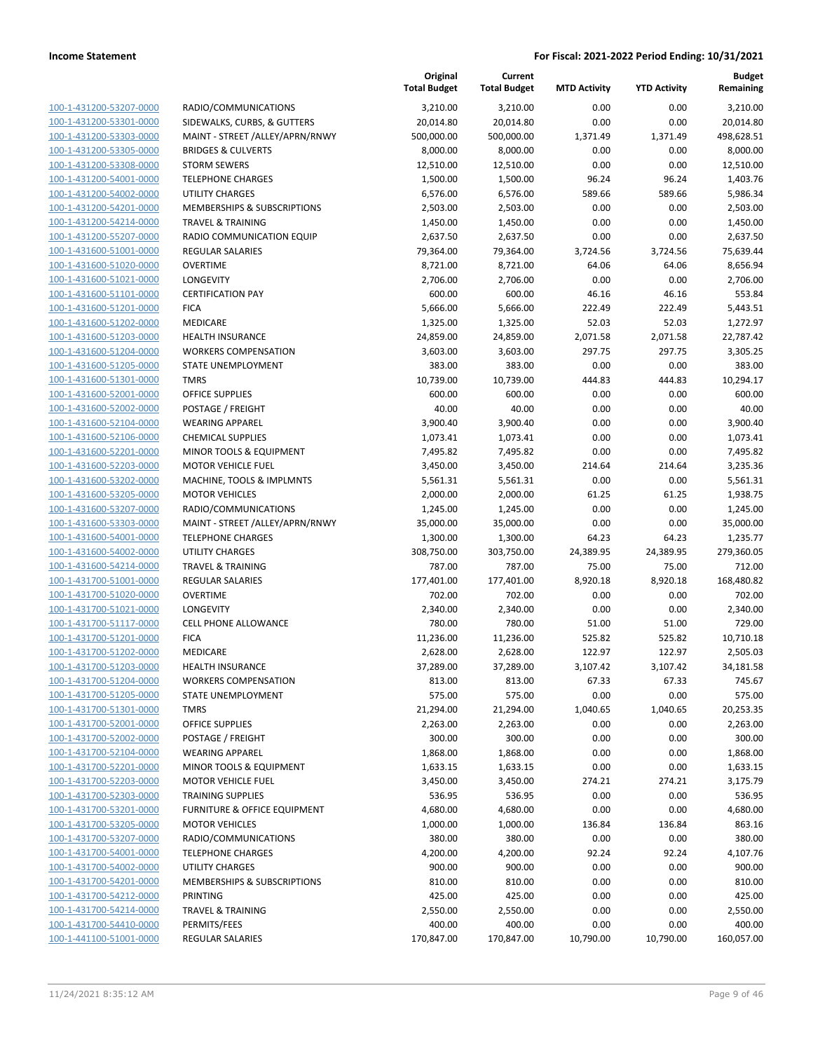|                                                    |                                                | Original<br><b>Total Budget</b> | Current<br><b>Total Budget</b> | <b>MTD Activity</b> | <b>YTD Activity</b> | <b>Budget</b><br>Remaining |
|----------------------------------------------------|------------------------------------------------|---------------------------------|--------------------------------|---------------------|---------------------|----------------------------|
| 100-1-431200-53207-0000                            | RADIO/COMMUNICATIONS                           | 3,210.00                        | 3,210.00                       | 0.00                | 0.00                | 3,210.00                   |
| 100-1-431200-53301-0000                            | SIDEWALKS, CURBS, & GUTTERS                    | 20,014.80                       | 20,014.80                      | 0.00                | 0.00                | 20,014.80                  |
| 100-1-431200-53303-0000                            | MAINT - STREET /ALLEY/APRN/RNWY                | 500,000.00                      | 500,000.00                     | 1,371.49            | 1,371.49            | 498,628.51                 |
| 100-1-431200-53305-0000                            | <b>BRIDGES &amp; CULVERTS</b>                  | 8,000.00                        | 8,000.00                       | 0.00                | 0.00                | 8,000.00                   |
| 100-1-431200-53308-0000                            | <b>STORM SEWERS</b>                            | 12,510.00                       | 12,510.00                      | 0.00                | 0.00                | 12,510.00                  |
| 100-1-431200-54001-0000                            | <b>TELEPHONE CHARGES</b>                       | 1,500.00                        | 1,500.00                       | 96.24               | 96.24               | 1,403.76                   |
| 100-1-431200-54002-0000                            | <b>UTILITY CHARGES</b>                         | 6,576.00                        | 6,576.00                       | 589.66              | 589.66              | 5,986.34                   |
| 100-1-431200-54201-0000                            | MEMBERSHIPS & SUBSCRIPTIONS                    | 2,503.00                        | 2,503.00                       | 0.00                | 0.00                | 2,503.00                   |
| 100-1-431200-54214-0000                            | <b>TRAVEL &amp; TRAINING</b>                   | 1,450.00                        | 1,450.00                       | 0.00                | 0.00                | 1,450.00                   |
| 100-1-431200-55207-0000                            | RADIO COMMUNICATION EQUIP                      | 2,637.50                        | 2,637.50                       | 0.00                | 0.00                | 2,637.50                   |
| 100-1-431600-51001-0000                            | REGULAR SALARIES                               | 79,364.00                       | 79,364.00                      | 3,724.56            | 3,724.56            | 75,639.44                  |
| 100-1-431600-51020-0000                            | <b>OVERTIME</b>                                | 8,721.00                        | 8,721.00                       | 64.06               | 64.06               | 8,656.94                   |
| 100-1-431600-51021-0000                            | LONGEVITY                                      | 2,706.00                        | 2,706.00                       | 0.00                | 0.00                | 2,706.00                   |
| 100-1-431600-51101-0000                            | <b>CERTIFICATION PAY</b>                       | 600.00                          | 600.00                         | 46.16               | 46.16               | 553.84                     |
| 100-1-431600-51201-0000                            | <b>FICA</b>                                    | 5,666.00                        | 5,666.00                       | 222.49              | 222.49              | 5,443.51                   |
| 100-1-431600-51202-0000                            | MEDICARE                                       | 1,325.00                        | 1,325.00                       | 52.03               | 52.03               | 1,272.97                   |
| 100-1-431600-51203-0000                            | <b>HEALTH INSURANCE</b>                        | 24,859.00                       | 24,859.00                      | 2,071.58            | 2,071.58            | 22,787.42                  |
| 100-1-431600-51204-0000                            | <b>WORKERS COMPENSATION</b>                    | 3,603.00                        | 3,603.00                       | 297.75              | 297.75              | 3,305.25                   |
| 100-1-431600-51205-0000                            | STATE UNEMPLOYMENT                             | 383.00                          | 383.00                         | 0.00                | 0.00                | 383.00                     |
| 100-1-431600-51301-0000                            | <b>TMRS</b>                                    | 10,739.00                       | 10,739.00                      | 444.83              | 444.83              | 10,294.17                  |
| 100-1-431600-52001-0000                            | <b>OFFICE SUPPLIES</b>                         | 600.00                          | 600.00                         | 0.00                | 0.00                | 600.00                     |
| 100-1-431600-52002-0000                            | POSTAGE / FREIGHT                              | 40.00                           | 40.00                          | 0.00                | 0.00                | 40.00                      |
| 100-1-431600-52104-0000                            | <b>WEARING APPAREL</b>                         | 3,900.40                        | 3,900.40                       | 0.00                | 0.00                | 3,900.40                   |
| 100-1-431600-52106-0000                            | <b>CHEMICAL SUPPLIES</b>                       | 1,073.41                        | 1,073.41                       | 0.00                | 0.00                | 1,073.41                   |
| 100-1-431600-52201-0000                            | MINOR TOOLS & EQUIPMENT                        | 7,495.82                        | 7,495.82                       | 0.00                | 0.00                | 7,495.82                   |
| 100-1-431600-52203-0000                            | <b>MOTOR VEHICLE FUEL</b>                      | 3,450.00                        | 3,450.00                       | 214.64              | 214.64              | 3,235.36                   |
| 100-1-431600-53202-0000                            | MACHINE, TOOLS & IMPLMNTS                      | 5,561.31                        | 5,561.31                       | 0.00                | 0.00                | 5,561.31                   |
| 100-1-431600-53205-0000                            | <b>MOTOR VEHICLES</b>                          | 2,000.00                        | 2,000.00                       | 61.25               | 61.25               | 1,938.75                   |
| 100-1-431600-53207-0000                            | RADIO/COMMUNICATIONS                           | 1,245.00                        | 1,245.00                       | 0.00                | 0.00                | 1,245.00                   |
| 100-1-431600-53303-0000                            | MAINT - STREET /ALLEY/APRN/RNWY                | 35,000.00                       | 35,000.00                      | 0.00                | 0.00                | 35,000.00                  |
| 100-1-431600-54001-0000                            | <b>TELEPHONE CHARGES</b>                       | 1,300.00                        | 1,300.00                       | 64.23               | 64.23               | 1,235.77                   |
| 100-1-431600-54002-0000                            | <b>UTILITY CHARGES</b>                         | 308,750.00                      | 303,750.00                     | 24,389.95           | 24,389.95           | 279,360.05                 |
| 100-1-431600-54214-0000                            | <b>TRAVEL &amp; TRAINING</b>                   | 787.00                          | 787.00                         | 75.00               | 75.00               | 712.00                     |
| 100-1-431700-51001-0000                            | REGULAR SALARIES                               | 177,401.00                      | 177,401.00                     | 8,920.18            | 8,920.18            | 168,480.82                 |
| 100-1-431700-51020-0000                            | <b>OVERTIME</b>                                | 702.00                          | 702.00                         | 0.00                | 0.00                | 702.00                     |
| 100-1-431700-51021-0000                            | LONGEVITY                                      | 2,340.00                        | 2,340.00                       | 0.00                | 0.00                | 2,340.00                   |
| 100-1-431700-51117-0000                            | <b>CELL PHONE ALLOWANCE</b>                    | 780.00                          | 780.00                         | 51.00               | 51.00               | 729.00                     |
| 100-1-431700-51201-0000                            | <b>FICA</b>                                    | 11,236.00                       | 11,236.00                      | 525.82              | 525.82              | 10,710.18                  |
| 100-1-431700-51202-0000                            | MEDICARE                                       | 2,628.00                        | 2,628.00                       | 122.97              | 122.97              | 2,505.03                   |
| 100-1-431700-51203-0000                            | <b>HEALTH INSURANCE</b>                        | 37,289.00                       | 37,289.00                      | 3,107.42            | 3,107.42            | 34,181.58                  |
| 100-1-431700-51204-0000                            | <b>WORKERS COMPENSATION</b>                    | 813.00                          | 813.00                         | 67.33               | 67.33               | 745.67                     |
| 100-1-431700-51205-0000                            | STATE UNEMPLOYMENT                             | 575.00                          | 575.00                         | 0.00                | 0.00                | 575.00                     |
| 100-1-431700-51301-0000                            | <b>TMRS</b>                                    | 21,294.00                       | 21,294.00                      | 1,040.65            | 1,040.65            | 20,253.35                  |
| 100-1-431700-52001-0000                            | <b>OFFICE SUPPLIES</b>                         | 2,263.00                        | 2,263.00                       | 0.00                | 0.00                | 2,263.00                   |
| 100-1-431700-52002-0000                            | POSTAGE / FREIGHT                              | 300.00<br>1,868.00              | 300.00                         | 0.00                | 0.00                | 300.00                     |
| 100-1-431700-52104-0000                            | <b>WEARING APPAREL</b>                         |                                 | 1,868.00                       | 0.00                | 0.00                | 1,868.00                   |
| 100-1-431700-52201-0000                            | MINOR TOOLS & EQUIPMENT                        | 1,633.15                        | 1,633.15                       | 0.00                | 0.00                | 1,633.15                   |
| 100-1-431700-52203-0000<br>100-1-431700-52303-0000 | <b>MOTOR VEHICLE FUEL</b>                      | 3,450.00                        | 3,450.00                       | 274.21              | 274.21              | 3,175.79                   |
|                                                    | <b>TRAINING SUPPLIES</b>                       | 536.95                          | 536.95                         | 0.00                | 0.00                | 536.95                     |
| 100-1-431700-53201-0000                            | FURNITURE & OFFICE EQUIPMENT                   | 4,680.00                        | 4,680.00                       | 0.00                | 0.00                | 4,680.00                   |
| 100-1-431700-53205-0000                            | <b>MOTOR VEHICLES</b>                          | 1,000.00                        | 1,000.00                       | 136.84              | 136.84              | 863.16                     |
| 100-1-431700-53207-0000                            | RADIO/COMMUNICATIONS                           | 380.00                          | 380.00                         | 0.00                | 0.00                | 380.00                     |
| 100-1-431700-54001-0000                            | <b>TELEPHONE CHARGES</b>                       | 4,200.00                        | 4,200.00                       | 92.24               | 92.24               | 4,107.76                   |
| 100-1-431700-54002-0000                            | <b>UTILITY CHARGES</b>                         | 900.00                          | 900.00                         | 0.00                | 0.00                | 900.00                     |
| 100-1-431700-54201-0000                            | MEMBERSHIPS & SUBSCRIPTIONS<br><b>PRINTING</b> | 810.00                          | 810.00                         | 0.00                | 0.00                | 810.00                     |
| 100-1-431700-54212-0000                            |                                                | 425.00                          | 425.00                         | 0.00                | 0.00                | 425.00                     |
| 100-1-431700-54214-0000                            | <b>TRAVEL &amp; TRAINING</b>                   | 2,550.00                        | 2,550.00                       | 0.00                | 0.00                | 2,550.00                   |
| 100-1-431700-54410-0000<br>100-1-441100-51001-0000 | PERMITS/FEES                                   | 400.00                          | 400.00                         | 0.00                | 0.00                | 400.00                     |
|                                                    | REGULAR SALARIES                               | 170,847.00                      | 170,847.00                     | 10,790.00           | 10,790.00           | 160,057.00                 |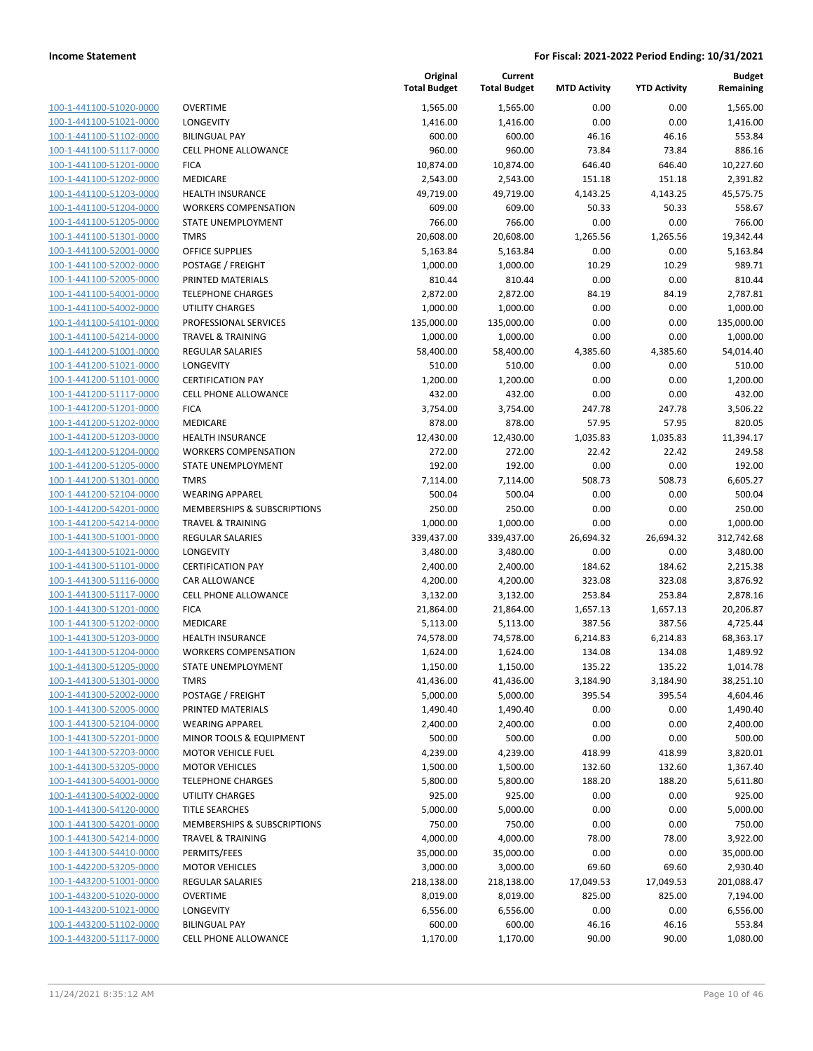| 100-1-441100-51020-0000        |
|--------------------------------|
| 100-1-441100-51021-0000        |
| 100-1-441100-51102-0000        |
| 100-1-441100-51117-0000        |
| 100-1-441100-51201-0000        |
| 100-1-441100-51202-0000        |
| 100-1-441100-51203-0000        |
| 100-1-441100-51204-0000        |
| 100-1-441100-51205-0000        |
| 100-1-441100-51301-0000        |
| 100-1-441100-52001-0000        |
| 100-1-441100-52002-0000        |
| <u>100-1-441100-52005-0000</u> |
| 100-1-441100-54001-0000        |
| 100-1-441100-54002-0000        |
| 100-1-441100-54101-0000        |
| 100-1-441100-54214-0000        |
| 100-1-441200-51001-0000        |
| 100-1-441200-51021-0000        |
| 100-1-441200-51101-0000        |
| 100-1-441200-51117-0000        |
| 100-1-441200-51201-0000        |
| 100-1-441200-51202-0000        |
| 100-1-441200-51203-0000        |
| 100-1-441200-51204-0000        |
| 100-1-441200-51205-0000        |
| 100-1-441200-51301-0000        |
| <u>100-1-441200-52104-0000</u> |
| 100-1-441200-54201-0000        |
| 100-1-441200-54214-0000        |
| 100-1-441300-51001-0000        |
| 100-1-441300-51021-0000        |
| <u>100-1-441300-51101-0000</u> |
| 100-1-441300-51116-0000        |
| 100-1-441300-51117-0000        |
| 100-1-441300-51201-0000        |
| 100-1-441300-51202-0000        |
| 100-1-441300-51203-0000        |
| 100-1-441300-51204-0000        |
| 100-1-441300-51205-0000        |
| 100-1-441300-51301-0000        |
| <u>100-1-441300-52002-0000</u> |
| <u>100-1-441300-52005-0000</u> |
| <u>100-1-441300-52104-0000</u> |
| 100-1-441300-52201-0000        |
| 100-1-441300-52203-0000        |
| 100-1-441300-53205-0000        |
| <u>100-1-441300-54001-0000</u> |
| <u>100-1-441300-54002-0000</u> |
| <u>100-1-441300-54120-0000</u> |
| 100-1-441300-54201-0000        |
| 100-1-441300-54214-0000        |
| <u>100-1-441300-54410-0000</u> |
| <u>100-1-442200-53205-0000</u> |
| <u>100-1-443200-51001-0000</u> |
| <u>100-1-443200-51020-0000</u> |
| 100-1-443200-51021-0000        |
| <u>100-1-443200-51102-0000</u> |
| <u>100-1-443200-51117-0000</u> |
|                                |

|                         |                              | Original<br><b>Total Budget</b> | Current<br><b>Total Budget</b> | <b>MTD Activity</b> | <b>YTD Activity</b> | <b>Budget</b><br>Remaining |
|-------------------------|------------------------------|---------------------------------|--------------------------------|---------------------|---------------------|----------------------------|
| 100-1-441100-51020-0000 | <b>OVERTIME</b>              | 1,565.00                        | 1,565.00                       | 0.00                | 0.00                | 1,565.00                   |
| 100-1-441100-51021-0000 | LONGEVITY                    | 1,416.00                        | 1,416.00                       | 0.00                | 0.00                | 1,416.00                   |
| 100-1-441100-51102-0000 | <b>BILINGUAL PAY</b>         | 600.00                          | 600.00                         | 46.16               | 46.16               | 553.84                     |
| 100-1-441100-51117-0000 | CELL PHONE ALLOWANCE         | 960.00                          | 960.00                         | 73.84               | 73.84               | 886.16                     |
| 100-1-441100-51201-0000 | <b>FICA</b>                  | 10,874.00                       | 10,874.00                      | 646.40              | 646.40              | 10,227.60                  |
| 100-1-441100-51202-0000 | MEDICARE                     | 2,543.00                        | 2,543.00                       | 151.18              | 151.18              | 2,391.82                   |
| 100-1-441100-51203-0000 | <b>HEALTH INSURANCE</b>      | 49,719.00                       | 49,719.00                      | 4,143.25            | 4,143.25            | 45,575.75                  |
| 100-1-441100-51204-0000 | <b>WORKERS COMPENSATION</b>  | 609.00                          | 609.00                         | 50.33               | 50.33               | 558.67                     |
| 100-1-441100-51205-0000 | STATE UNEMPLOYMENT           | 766.00                          | 766.00                         | 0.00                | 0.00                | 766.00                     |
| 100-1-441100-51301-0000 | <b>TMRS</b>                  | 20,608.00                       | 20,608.00                      | 1,265.56            | 1,265.56            | 19,342.44                  |
| 100-1-441100-52001-0000 | <b>OFFICE SUPPLIES</b>       | 5,163.84                        | 5,163.84                       | 0.00                | 0.00                | 5,163.84                   |
| 100-1-441100-52002-0000 | POSTAGE / FREIGHT            | 1,000.00                        | 1,000.00                       | 10.29               | 10.29               | 989.71                     |
| 100-1-441100-52005-0000 | PRINTED MATERIALS            | 810.44                          | 810.44                         | 0.00                | 0.00                | 810.44                     |
| 100-1-441100-54001-0000 | <b>TELEPHONE CHARGES</b>     | 2,872.00                        | 2,872.00                       | 84.19               | 84.19               | 2,787.81                   |
| 100-1-441100-54002-0000 | <b>UTILITY CHARGES</b>       | 1,000.00                        | 1,000.00                       | 0.00                | 0.00                | 1,000.00                   |
| 100-1-441100-54101-0000 | PROFESSIONAL SERVICES        | 135,000.00                      | 135,000.00                     | 0.00                | 0.00                | 135,000.00                 |
| 100-1-441100-54214-0000 | <b>TRAVEL &amp; TRAINING</b> | 1,000.00                        | 1,000.00                       | 0.00                | 0.00                | 1,000.00                   |
| 100-1-441200-51001-0000 | REGULAR SALARIES             | 58,400.00                       | 58,400.00                      | 4,385.60            | 4,385.60            | 54,014.40                  |
| 100-1-441200-51021-0000 | <b>LONGEVITY</b>             | 510.00                          | 510.00                         | 0.00                | 0.00                | 510.00                     |
| 100-1-441200-51101-0000 | <b>CERTIFICATION PAY</b>     | 1,200.00                        | 1,200.00                       | 0.00                | 0.00                | 1,200.00                   |
| 100-1-441200-51117-0000 | <b>CELL PHONE ALLOWANCE</b>  | 432.00                          | 432.00                         | 0.00                | 0.00                | 432.00                     |
| 100-1-441200-51201-0000 | <b>FICA</b>                  | 3,754.00                        | 3,754.00                       | 247.78              | 247.78              | 3,506.22                   |
| 100-1-441200-51202-0000 | MEDICARE                     | 878.00                          | 878.00                         | 57.95               | 57.95               | 820.05                     |
| 100-1-441200-51203-0000 | <b>HEALTH INSURANCE</b>      | 12,430.00                       | 12,430.00                      | 1,035.83            | 1,035.83            | 11,394.17                  |
| 100-1-441200-51204-0000 | <b>WORKERS COMPENSATION</b>  | 272.00                          | 272.00                         | 22.42               | 22.42               | 249.58                     |
| 100-1-441200-51205-0000 | STATE UNEMPLOYMENT           | 192.00                          | 192.00                         | 0.00                | 0.00                | 192.00                     |
| 100-1-441200-51301-0000 | <b>TMRS</b>                  | 7,114.00                        | 7,114.00                       | 508.73              | 508.73              | 6,605.27                   |
| 100-1-441200-52104-0000 | <b>WEARING APPAREL</b>       | 500.04                          | 500.04                         | 0.00                | 0.00                | 500.04                     |
| 100-1-441200-54201-0000 | MEMBERSHIPS & SUBSCRIPTIONS  | 250.00                          | 250.00                         | 0.00                | 0.00                | 250.00                     |
| 100-1-441200-54214-0000 | <b>TRAVEL &amp; TRAINING</b> | 1,000.00                        | 1,000.00                       | 0.00                | 0.00                | 1,000.00                   |
| 100-1-441300-51001-0000 | <b>REGULAR SALARIES</b>      | 339,437.00                      | 339,437.00                     | 26,694.32           | 26,694.32           | 312,742.68                 |
| 100-1-441300-51021-0000 | LONGEVITY                    | 3,480.00                        | 3,480.00                       | 0.00                | 0.00                | 3,480.00                   |
| 100-1-441300-51101-0000 | <b>CERTIFICATION PAY</b>     | 2,400.00                        | 2,400.00                       | 184.62              | 184.62              | 2,215.38                   |
| 100-1-441300-51116-0000 | CAR ALLOWANCE                | 4,200.00                        | 4,200.00                       | 323.08              | 323.08              | 3,876.92                   |
| 100-1-441300-51117-0000 | CELL PHONE ALLOWANCE         | 3,132.00                        | 3,132.00                       | 253.84              | 253.84              | 2,878.16                   |
| 100-1-441300-51201-0000 | <b>FICA</b>                  | 21,864.00                       | 21,864.00                      | 1,657.13            | 1,657.13            | 20,206.87                  |
| 100-1-441300-51202-0000 | <b>MEDICARE</b>              | 5,113.00                        | 5,113.00                       | 387.56              | 387.56              | 4,725.44                   |
| 100-1-441300-51203-0000 | <b>HEALTH INSURANCE</b>      | 74,578.00                       | 74,578.00                      | 6,214.83            | 6,214.83            | 68,363.17                  |
| 100-1-441300-51204-0000 | <b>WORKERS COMPENSATION</b>  | 1,624.00                        | 1,624.00                       | 134.08              | 134.08              | 1,489.92                   |
| 100-1-441300-51205-0000 | STATE UNEMPLOYMENT           | 1,150.00                        | 1,150.00                       | 135.22              | 135.22              | 1,014.78                   |
| 100-1-441300-51301-0000 | TMRS                         | 41,436.00                       | 41,436.00                      | 3,184.90            | 3,184.90            | 38,251.10                  |
| 100-1-441300-52002-0000 | POSTAGE / FREIGHT            | 5,000.00                        | 5,000.00                       | 395.54              | 395.54              | 4,604.46                   |
| 100-1-441300-52005-0000 | PRINTED MATERIALS            | 1,490.40                        | 1,490.40                       | 0.00                | 0.00                | 1,490.40                   |
| 100-1-441300-52104-0000 | <b>WEARING APPAREL</b>       | 2,400.00                        | 2,400.00                       | 0.00                | 0.00                | 2,400.00                   |
| 100-1-441300-52201-0000 | MINOR TOOLS & EQUIPMENT      | 500.00                          | 500.00                         | 0.00                | 0.00                | 500.00                     |
| 100-1-441300-52203-0000 | <b>MOTOR VEHICLE FUEL</b>    | 4,239.00                        | 4,239.00                       | 418.99              | 418.99              | 3,820.01                   |
| 100-1-441300-53205-0000 | <b>MOTOR VEHICLES</b>        | 1,500.00                        | 1,500.00                       | 132.60              | 132.60              | 1,367.40                   |
| 100-1-441300-54001-0000 | <b>TELEPHONE CHARGES</b>     | 5,800.00                        | 5,800.00                       | 188.20              | 188.20              | 5,611.80                   |
| 100-1-441300-54002-0000 | UTILITY CHARGES              | 925.00                          | 925.00                         | 0.00                | 0.00                | 925.00                     |
| 100-1-441300-54120-0000 | <b>TITLE SEARCHES</b>        | 5,000.00                        | 5,000.00                       | 0.00                | 0.00                | 5,000.00                   |
| 100-1-441300-54201-0000 | MEMBERSHIPS & SUBSCRIPTIONS  | 750.00                          | 750.00                         | 0.00                | 0.00                | 750.00                     |
| 100-1-441300-54214-0000 | <b>TRAVEL &amp; TRAINING</b> | 4,000.00                        | 4,000.00                       | 78.00               | 78.00               | 3,922.00                   |
| 100-1-441300-54410-0000 | PERMITS/FEES                 | 35,000.00                       | 35,000.00                      | 0.00                | 0.00                | 35,000.00                  |
| 100-1-442200-53205-0000 | <b>MOTOR VEHICLES</b>        | 3,000.00                        | 3,000.00                       | 69.60               | 69.60               | 2,930.40                   |
| 100-1-443200-51001-0000 | REGULAR SALARIES             | 218,138.00                      | 218,138.00                     | 17,049.53           | 17,049.53           | 201,088.47                 |
| 100-1-443200-51020-0000 | <b>OVERTIME</b>              | 8,019.00                        | 8,019.00                       | 825.00              | 825.00              | 7,194.00                   |
| 100-1-443200-51021-0000 | LONGEVITY                    | 6,556.00                        | 6,556.00                       | 0.00                | 0.00                | 6,556.00                   |
| 100-1-443200-51102-0000 | <b>BILINGUAL PAY</b>         | 600.00                          | 600.00                         | 46.16               | 46.16               | 553.84                     |
| 100-1-443200-51117-0000 | <b>CELL PHONE ALLOWANCE</b>  | 1,170.00                        | 1,170.00                       | 90.00               | 90.00               | 1,080.00                   |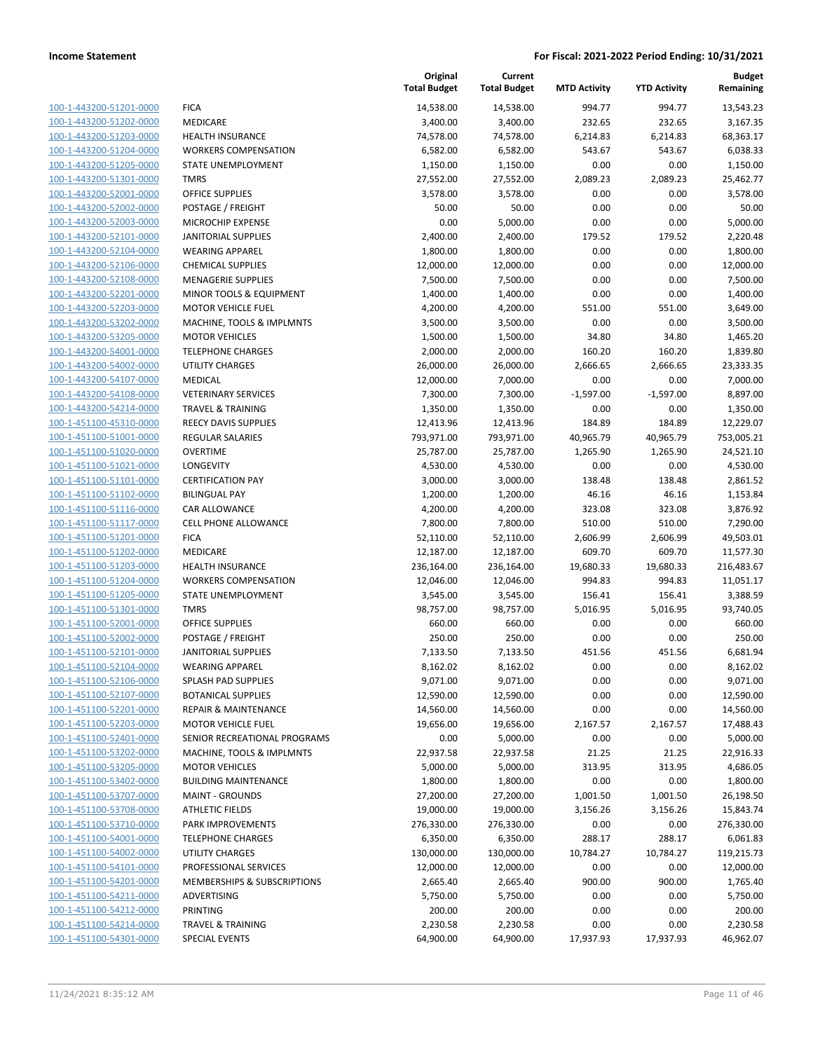| 100-1-443200-51201-0000        |
|--------------------------------|
| 100-1-443200-51202-0000        |
| 100-1-443200-51203-0000        |
| 100-1-443200-51204-0000        |
| 100-1-443200-51205-0000        |
| 100-1-443200-51301-0000        |
| 100-1-443200-52001-0000        |
| 100-1-443200-52002-0000        |
| 100-1-443200-52003-0000        |
| 100-1-443200-52101-0000        |
| 100-1-443200-52104-0000        |
| 100-1-443200-52106-0000        |
| 100-1-443200-52108-0000        |
| 100-1-443200-52201-0000        |
| 100-1-443200-52203-0000        |
| <u>100-1-443200-53202-0000</u> |
| 100-1-443200-53205-0000        |
| 100-1-443200-54001-0000        |
| 100-1-443200-54002-0000        |
| 100-1-443200-54107-0000        |
| <u>100-1-443200-54108-0000</u> |
| 100-1-443200-54214-0000        |
| 100-1-451100-45310-0000        |
| 100-1-451100-51001-0000        |
| 100-1-451100-51020-0000        |
|                                |
| 100-1-451100-51021-0000        |
| 100-1-451100-51101-0000        |
| 100-1-451100-51102-0000        |
| 100-1-451100-51116-0000        |
| 100-1-451100-51117-0000        |
| <u>100-1-451100-51201-0000</u> |
| 100-1-451100-51202-0000        |
| 100-1-451100-51203-0000        |
| 100-1-451100-51204-0000        |
| 100-1-451100-51205-0000        |
| <u>100-1-451100-51301-0000</u> |
| 100-1-451100-52001-0000        |
| 100-1-451100-52002-0000        |
| 100-1-451100-52101-0000        |
| 100-1-451100-52104-0000        |
| 100-1-451100-52106-0000        |
| <u>100-1-451100-52107-0000</u> |
| 100-1-451100-52201-0000        |
| 100-1-451100-52203-0000        |
| <u>100-1-451100-52401-0000</u> |
| 100-1-451100-53202-0000        |
| <u>100-1-451100-53205-0000</u> |
| 100-1-451100-53402-0000        |
| 100-1-451100-53707-0000        |
| 100-1-451100-53708-0000        |
| <u>100-1-451100-53710-0000</u> |
| <u>100-1-451100-54001-0000</u> |
| 100-1-451100-54002-0000        |
| 100-1-451100-54101-0000        |
| <u>100-1-451100-54201-0000</u> |
| <u>100-1-451100-54211-0000</u> |
| <u>100-1-451100-54212-0000</u> |
| 100-1-451100-54214-0000        |
| 100-1-451100-54301-0000        |
|                                |

|                                                    |                                          | Original<br><b>Total Budget</b> | Current<br><b>Total Budget</b> | <b>MTD Activity</b> | <b>YTD Activity</b> | <b>Budget</b><br>Remaining |
|----------------------------------------------------|------------------------------------------|---------------------------------|--------------------------------|---------------------|---------------------|----------------------------|
| 100-1-443200-51201-0000                            | <b>FICA</b>                              | 14,538.00                       | 14,538.00                      | 994.77              | 994.77              | 13,543.23                  |
| 100-1-443200-51202-0000                            | MEDICARE                                 | 3,400.00                        | 3,400.00                       | 232.65              | 232.65              | 3,167.35                   |
| 100-1-443200-51203-0000                            | HEALTH INSURANCE                         | 74,578.00                       | 74,578.00                      | 6,214.83            | 6,214.83            | 68,363.17                  |
| 100-1-443200-51204-0000                            | <b>WORKERS COMPENSATION</b>              | 6,582.00                        | 6,582.00                       | 543.67              | 543.67              | 6,038.33                   |
| 100-1-443200-51205-0000                            | STATE UNEMPLOYMENT                       | 1,150.00                        | 1,150.00                       | 0.00                | 0.00                | 1,150.00                   |
| 100-1-443200-51301-0000                            | <b>TMRS</b>                              | 27,552.00                       | 27,552.00                      | 2,089.23            | 2,089.23            | 25,462.77                  |
| 100-1-443200-52001-0000                            | OFFICE SUPPLIES                          | 3,578.00                        | 3,578.00                       | 0.00                | 0.00                | 3,578.00                   |
| 100-1-443200-52002-0000                            | POSTAGE / FREIGHT                        | 50.00                           | 50.00                          | 0.00                | 0.00                | 50.00                      |
| 100-1-443200-52003-0000                            | <b>MICROCHIP EXPENSE</b>                 | 0.00                            | 5,000.00                       | 0.00                | 0.00                | 5,000.00                   |
| 100-1-443200-52101-0000                            | <b>JANITORIAL SUPPLIES</b>               | 2,400.00                        | 2,400.00                       | 179.52              | 179.52              | 2,220.48                   |
| 100-1-443200-52104-0000                            | <b>WEARING APPAREL</b>                   | 1,800.00                        | 1,800.00                       | 0.00                | 0.00                | 1,800.00                   |
| 100-1-443200-52106-0000                            | <b>CHEMICAL SUPPLIES</b>                 | 12,000.00                       | 12,000.00                      | 0.00                | 0.00                | 12,000.00                  |
| 100-1-443200-52108-0000                            | <b>MENAGERIE SUPPLIES</b>                | 7,500.00                        | 7,500.00                       | 0.00                | 0.00                | 7,500.00                   |
| 100-1-443200-52201-0000                            | MINOR TOOLS & EQUIPMENT                  | 1,400.00                        | 1,400.00                       | 0.00                | 0.00                | 1,400.00                   |
| 100-1-443200-52203-0000                            | <b>MOTOR VEHICLE FUEL</b>                | 4,200.00                        | 4,200.00                       | 551.00              | 551.00              | 3,649.00                   |
| 100-1-443200-53202-0000                            | MACHINE, TOOLS & IMPLMNTS                | 3,500.00                        | 3,500.00                       | 0.00                | 0.00                | 3,500.00                   |
| 100-1-443200-53205-0000                            | <b>MOTOR VEHICLES</b>                    | 1,500.00                        | 1,500.00                       | 34.80               | 34.80               | 1,465.20                   |
| 100-1-443200-54001-0000                            | <b>TELEPHONE CHARGES</b>                 | 2,000.00                        | 2,000.00                       | 160.20              | 160.20              | 1,839.80                   |
| 100-1-443200-54002-0000                            | <b>UTILITY CHARGES</b>                   | 26,000.00                       | 26,000.00                      | 2,666.65            | 2,666.65            | 23,333.35                  |
| 100-1-443200-54107-0000                            | MEDICAL                                  | 12,000.00                       | 7,000.00                       | 0.00                | 0.00                | 7,000.00                   |
| 100-1-443200-54108-0000                            | <b>VETERINARY SERVICES</b>               | 7,300.00                        | 7,300.00                       | $-1,597.00$         | $-1,597.00$         | 8,897.00                   |
| 100-1-443200-54214-0000                            | <b>TRAVEL &amp; TRAINING</b>             | 1,350.00                        | 1,350.00                       | 0.00                | 0.00                | 1,350.00                   |
| 100-1-451100-45310-0000                            | REECY DAVIS SUPPLIES                     | 12,413.96                       | 12,413.96                      | 184.89              | 184.89              | 12,229.07                  |
| 100-1-451100-51001-0000                            | REGULAR SALARIES                         | 793,971.00                      | 793,971.00                     | 40,965.79           | 40,965.79           | 753,005.21                 |
| 100-1-451100-51020-0000                            | <b>OVERTIME</b>                          | 25,787.00                       | 25,787.00                      | 1,265.90            | 1,265.90            | 24,521.10                  |
| 100-1-451100-51021-0000                            | LONGEVITY                                | 4,530.00                        | 4,530.00                       | 0.00                | 0.00                | 4,530.00                   |
| 100-1-451100-51101-0000                            | <b>CERTIFICATION PAY</b>                 | 3,000.00                        | 3,000.00                       | 138.48              | 138.48              | 2,861.52                   |
| 100-1-451100-51102-0000                            | <b>BILINGUAL PAY</b>                     | 1,200.00                        | 1,200.00                       | 46.16               | 46.16               | 1,153.84                   |
| 100-1-451100-51116-0000                            | CAR ALLOWANCE                            | 4,200.00                        | 4,200.00                       | 323.08              | 323.08              | 3,876.92                   |
| 100-1-451100-51117-0000                            | <b>CELL PHONE ALLOWANCE</b>              | 7,800.00                        | 7,800.00                       | 510.00              | 510.00              | 7,290.00                   |
| 100-1-451100-51201-0000                            | <b>FICA</b>                              | 52,110.00                       | 52,110.00                      | 2,606.99            | 2,606.99            | 49,503.01                  |
| 100-1-451100-51202-0000                            | MEDICARE                                 | 12,187.00                       | 12,187.00                      | 609.70              | 609.70              | 11,577.30                  |
| 100-1-451100-51203-0000                            | <b>HEALTH INSURANCE</b>                  | 236,164.00                      | 236,164.00                     | 19,680.33           | 19,680.33           | 216,483.67                 |
| 100-1-451100-51204-0000                            | <b>WORKERS COMPENSATION</b>              | 12,046.00                       | 12,046.00                      | 994.83              | 994.83              | 11,051.17                  |
| 100-1-451100-51205-0000                            | STATE UNEMPLOYMENT                       | 3,545.00                        | 3,545.00                       | 156.41              | 156.41              | 3,388.59                   |
| 100-1-451100-51301-0000                            | <b>TMRS</b>                              | 98,757.00                       | 98,757.00                      | 5,016.95            | 5,016.95            | 93,740.05                  |
| 100-1-451100-52001-0000                            | <b>OFFICE SUPPLIES</b>                   | 660.00                          | 660.00                         | 0.00                | 0.00                | 660.00                     |
| 100-1-451100-52002-0000                            | POSTAGE / FREIGHT                        | 250.00                          | 250.00                         | 0.00                | 0.00                | 250.00                     |
| 100-1-451100-52101-0000                            | <b>JANITORIAL SUPPLIES</b>               | 7,133.50                        | 7,133.50                       | 451.56              | 451.56              | 6,681.94                   |
| 100-1-451100-52104-0000                            | <b>WEARING APPAREL</b>                   | 8,162.02                        | 8,162.02                       | 0.00                | 0.00                | 8,162.02                   |
| 100-1-451100-52106-0000                            | SPLASH PAD SUPPLIES                      | 9,071.00                        | 9,071.00                       | 0.00                | 0.00                | 9,071.00                   |
| 100-1-451100-52107-0000                            | <b>BOTANICAL SUPPLIES</b>                | 12,590.00                       | 12,590.00                      | 0.00                | 0.00                | 12,590.00                  |
| 100-1-451100-52201-0000                            | <b>REPAIR &amp; MAINTENANCE</b>          | 14,560.00                       | 14,560.00                      | 0.00                | 0.00                | 14,560.00                  |
| 100-1-451100-52203-0000                            | <b>MOTOR VEHICLE FUEL</b>                | 19,656.00                       | 19,656.00                      | 2,167.57            | 2,167.57            | 17,488.43                  |
| 100-1-451100-52401-0000                            | SENIOR RECREATIONAL PROGRAMS             | 0.00                            | 5,000.00                       | 0.00                | 0.00                | 5,000.00                   |
| 100-1-451100-53202-0000                            | MACHINE, TOOLS & IMPLMNTS                | 22,937.58                       | 22,937.58                      | 21.25               | 21.25               | 22,916.33                  |
| 100-1-451100-53205-0000                            | <b>MOTOR VEHICLES</b>                    | 5,000.00                        | 5,000.00                       | 313.95              | 313.95              | 4,686.05                   |
| 100-1-451100-53402-0000                            | <b>BUILDING MAINTENANCE</b>              | 1,800.00                        | 1,800.00                       | 0.00                | 0.00                | 1,800.00                   |
| 100-1-451100-53707-0000<br>100-1-451100-53708-0000 | <b>MAINT - GROUNDS</b>                   | 27,200.00                       | 27,200.00                      | 1,001.50            | 1,001.50            | 26,198.50                  |
|                                                    | <b>ATHLETIC FIELDS</b>                   | 19,000.00                       | 19,000.00                      | 3,156.26            | 3,156.26            | 15,843.74                  |
| 100-1-451100-53710-0000                            | PARK IMPROVEMENTS                        | 276,330.00                      | 276,330.00                     | 0.00                | 0.00                | 276,330.00                 |
| 100-1-451100-54001-0000                            | <b>TELEPHONE CHARGES</b>                 | 6,350.00                        | 6,350.00                       | 288.17              | 288.17              | 6,061.83                   |
| 100-1-451100-54002-0000<br>100-1-451100-54101-0000 | UTILITY CHARGES<br>PROFESSIONAL SERVICES | 130,000.00                      | 130,000.00                     | 10,784.27           | 10,784.27           | 119,215.73                 |
| 100-1-451100-54201-0000                            | MEMBERSHIPS & SUBSCRIPTIONS              | 12,000.00<br>2,665.40           | 12,000.00                      | 0.00<br>900.00      | 0.00<br>900.00      | 12,000.00<br>1,765.40      |
|                                                    | ADVERTISING                              |                                 | 2,665.40                       |                     |                     |                            |
| 100-1-451100-54211-0000                            | PRINTING                                 | 5,750.00<br>200.00              | 5,750.00<br>200.00             | 0.00                | 0.00                | 5,750.00                   |
| 100-1-451100-54212-0000<br>100-1-451100-54214-0000 | <b>TRAVEL &amp; TRAINING</b>             |                                 |                                | 0.00<br>0.00        | 0.00<br>0.00        | 200.00<br>2,230.58         |
| 100-1-451100-54301-0000                            | <b>SPECIAL EVENTS</b>                    | 2,230.58<br>64,900.00           | 2,230.58<br>64,900.00          |                     | 17,937.93           | 46,962.07                  |
|                                                    |                                          |                                 |                                | 17,937.93           |                     |                            |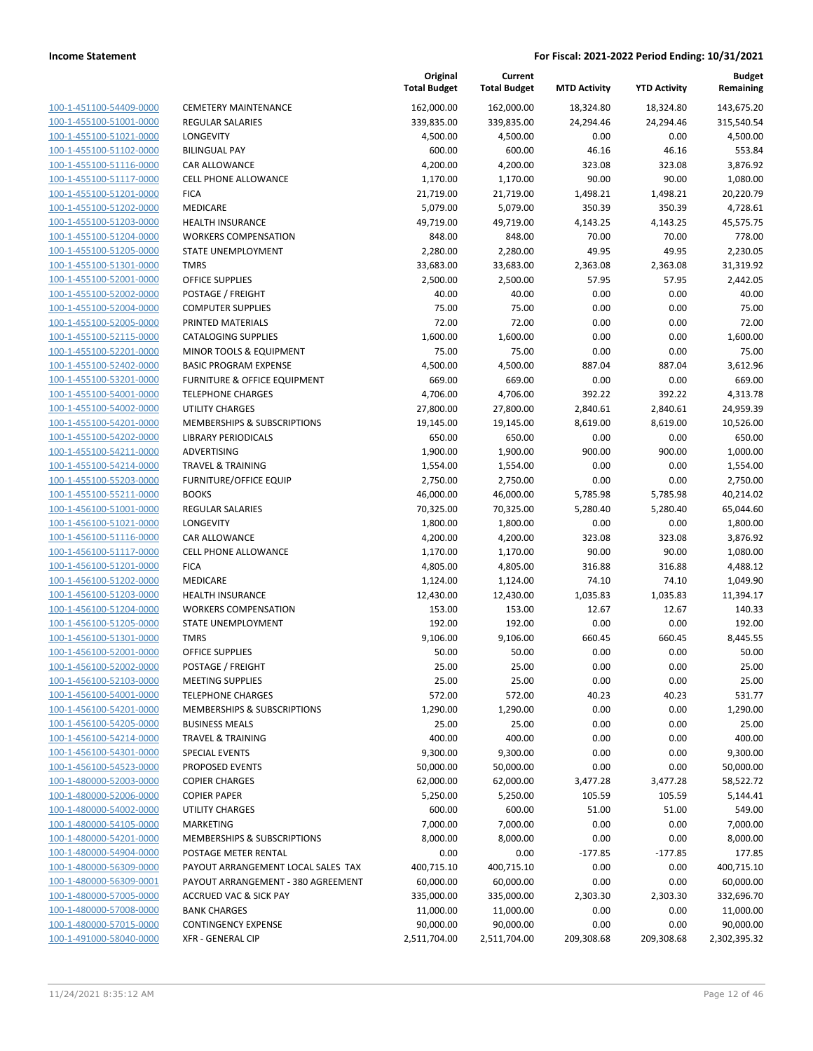|                                                    |                                                       | Original<br><b>Total Budget</b> | Current<br><b>Total Budget</b> | <b>MTD Activity</b> | <b>YTD Activity</b> | Budget<br>Remaining |
|----------------------------------------------------|-------------------------------------------------------|---------------------------------|--------------------------------|---------------------|---------------------|---------------------|
| 100-1-451100-54409-0000                            | <b>CEMETERY MAINTENANCE</b>                           | 162,000.00                      | 162,000.00                     | 18,324.80           | 18,324.80           | 143,675.20          |
| 100-1-455100-51001-0000                            | <b>REGULAR SALARIES</b>                               | 339,835.00                      | 339,835.00                     | 24,294.46           | 24,294.46           | 315,540.54          |
| 100-1-455100-51021-0000                            | LONGEVITY                                             | 4,500.00                        | 4,500.00                       | 0.00                | 0.00                | 4,500.00            |
| 100-1-455100-51102-0000                            | <b>BILINGUAL PAY</b>                                  | 600.00                          | 600.00                         | 46.16               | 46.16               | 553.84              |
| 100-1-455100-51116-0000                            | <b>CAR ALLOWANCE</b>                                  | 4,200.00                        | 4,200.00                       | 323.08              | 323.08              | 3,876.92            |
| 100-1-455100-51117-0000                            | <b>CELL PHONE ALLOWANCE</b>                           | 1,170.00                        | 1,170.00                       | 90.00               | 90.00               | 1,080.00            |
| 100-1-455100-51201-0000                            | <b>FICA</b>                                           | 21,719.00                       | 21,719.00                      | 1,498.21            | 1,498.21            | 20,220.79           |
| 100-1-455100-51202-0000                            | <b>MEDICARE</b>                                       | 5,079.00                        | 5,079.00                       | 350.39              | 350.39              | 4,728.61            |
| 100-1-455100-51203-0000                            | <b>HEALTH INSURANCE</b>                               | 49,719.00                       | 49,719.00                      | 4,143.25            | 4,143.25            | 45,575.75           |
| 100-1-455100-51204-0000                            | <b>WORKERS COMPENSATION</b>                           | 848.00                          | 848.00                         | 70.00               | 70.00               | 778.00              |
| 100-1-455100-51205-0000                            | STATE UNEMPLOYMENT                                    | 2,280.00                        | 2,280.00                       | 49.95               | 49.95               | 2,230.05            |
| 100-1-455100-51301-0000                            | <b>TMRS</b>                                           | 33,683.00                       | 33,683.00                      | 2,363.08            | 2,363.08            | 31,319.92           |
| 100-1-455100-52001-0000                            | OFFICE SUPPLIES                                       | 2,500.00                        | 2,500.00                       | 57.95               | 57.95               | 2,442.05            |
| 100-1-455100-52002-0000                            | POSTAGE / FREIGHT                                     | 40.00                           | 40.00                          | 0.00                | 0.00                | 40.00               |
| 100-1-455100-52004-0000                            | <b>COMPUTER SUPPLIES</b>                              | 75.00                           | 75.00                          | 0.00                | 0.00                | 75.00               |
| 100-1-455100-52005-0000                            | PRINTED MATERIALS                                     | 72.00                           | 72.00                          | 0.00                | 0.00                | 72.00               |
| 100-1-455100-52115-0000                            | <b>CATALOGING SUPPLIES</b>                            | 1,600.00                        | 1,600.00                       | 0.00                | 0.00                | 1,600.00            |
| 100-1-455100-52201-0000                            | MINOR TOOLS & EQUIPMENT                               | 75.00                           | 75.00                          | 0.00                | 0.00                | 75.00               |
| 100-1-455100-52402-0000                            | <b>BASIC PROGRAM EXPENSE</b>                          | 4,500.00                        | 4,500.00                       | 887.04              | 887.04              | 3,612.96            |
| 100-1-455100-53201-0000                            | <b>FURNITURE &amp; OFFICE EQUIPMENT</b>               | 669.00                          | 669.00                         | 0.00                | 0.00                | 669.00              |
| 100-1-455100-54001-0000                            | <b>TELEPHONE CHARGES</b>                              | 4,706.00                        | 4,706.00                       | 392.22              | 392.22              | 4,313.78            |
| 100-1-455100-54002-0000                            | <b>UTILITY CHARGES</b>                                | 27,800.00                       | 27,800.00                      | 2,840.61            | 2,840.61            | 24,959.39           |
| 100-1-455100-54201-0000                            | <b>MEMBERSHIPS &amp; SUBSCRIPTIONS</b>                | 19,145.00                       | 19,145.00                      | 8,619.00            | 8,619.00            | 10,526.00           |
| 100-1-455100-54202-0000                            | <b>LIBRARY PERIODICALS</b>                            | 650.00                          | 650.00                         | 0.00                | 0.00                | 650.00              |
| 100-1-455100-54211-0000                            | ADVERTISING                                           | 1,900.00                        | 1,900.00                       | 900.00              | 900.00              | 1,000.00            |
| 100-1-455100-54214-0000                            | <b>TRAVEL &amp; TRAINING</b>                          | 1,554.00                        | 1,554.00                       | 0.00                | 0.00                | 1,554.00            |
| 100-1-455100-55203-0000                            | FURNITURE/OFFICE EQUIP                                | 2,750.00                        | 2,750.00                       | 0.00                | 0.00                | 2,750.00            |
| 100-1-455100-55211-0000                            | <b>BOOKS</b>                                          | 46,000.00                       | 46,000.00                      | 5,785.98            | 5,785.98            | 40,214.02           |
| 100-1-456100-51001-0000                            | <b>REGULAR SALARIES</b>                               | 70,325.00                       | 70,325.00                      | 5,280.40            | 5,280.40            | 65,044.60           |
| 100-1-456100-51021-0000                            | LONGEVITY                                             | 1,800.00                        | 1,800.00                       | 0.00                | 0.00                | 1,800.00            |
| 100-1-456100-51116-0000                            | CAR ALLOWANCE                                         | 4,200.00                        | 4,200.00                       | 323.08              | 323.08              | 3,876.92            |
| 100-1-456100-51117-0000                            | CELL PHONE ALLOWANCE                                  | 1,170.00                        | 1,170.00                       | 90.00               | 90.00               | 1,080.00            |
| 100-1-456100-51201-0000                            | <b>FICA</b>                                           | 4,805.00                        | 4,805.00                       | 316.88              | 316.88              | 4,488.12            |
| 100-1-456100-51202-0000                            | MEDICARE                                              | 1,124.00                        | 1,124.00                       | 74.10               | 74.10               | 1,049.90            |
| 100-1-456100-51203-0000                            | <b>HEALTH INSURANCE</b>                               | 12,430.00                       | 12,430.00                      | 1,035.83            | 1,035.83            | 11,394.17           |
| 100-1-456100-51204-0000                            | <b>WORKERS COMPENSATION</b>                           | 153.00                          | 153.00                         | 12.67               | 12.67               | 140.33              |
| 100-1-456100-51205-0000                            | STATE UNEMPLOYMENT                                    | 192.00                          | 192.00                         | 0.00                | 0.00                | 192.00              |
| 100-1-456100-51301-0000                            | <b>TMRS</b>                                           | 9,106.00                        | 9,106.00                       | 660.45              | 660.45              | 8,445.55            |
| 100-1-456100-52001-0000                            | <b>OFFICE SUPPLIES</b>                                | 50.00                           | 50.00                          | 0.00                | 0.00                | 50.00               |
| 100-1-456100-52002-0000                            | POSTAGE / FREIGHT                                     | 25.00                           | 25.00                          | 0.00                | 0.00                | 25.00               |
| 100-1-456100-52103-0000                            | <b>MEETING SUPPLIES</b>                               | 25.00                           | 25.00                          | 0.00                | 0.00                | 25.00               |
| 100-1-456100-54001-0000                            | <b>TELEPHONE CHARGES</b>                              | 572.00                          | 572.00                         | 40.23               | 40.23               | 531.77              |
| 100-1-456100-54201-0000                            | <b>MEMBERSHIPS &amp; SUBSCRIPTIONS</b>                | 1,290.00                        | 1,290.00                       | 0.00                | 0.00                | 1,290.00            |
| 100-1-456100-54205-0000<br>100-1-456100-54214-0000 | <b>BUSINESS MEALS</b><br><b>TRAVEL &amp; TRAINING</b> | 25.00<br>400.00                 | 25.00<br>400.00                | 0.00                | 0.00                | 25.00               |
| 100-1-456100-54301-0000                            | <b>SPECIAL EVENTS</b>                                 |                                 |                                | 0.00<br>0.00        | 0.00<br>0.00        | 400.00<br>9,300.00  |
| 100-1-456100-54523-0000                            | PROPOSED EVENTS                                       | 9,300.00<br>50,000.00           | 9,300.00<br>50,000.00          | 0.00                | 0.00                | 50,000.00           |
| 100-1-480000-52003-0000                            | <b>COPIER CHARGES</b>                                 | 62,000.00                       | 62,000.00                      | 3,477.28            | 3,477.28            | 58,522.72           |
| 100-1-480000-52006-0000                            | <b>COPIER PAPER</b>                                   | 5,250.00                        | 5,250.00                       | 105.59              | 105.59              | 5,144.41            |
| 100-1-480000-54002-0000                            | <b>UTILITY CHARGES</b>                                | 600.00                          | 600.00                         | 51.00               | 51.00               | 549.00              |
| 100-1-480000-54105-0000                            | <b>MARKETING</b>                                      | 7,000.00                        | 7,000.00                       | 0.00                | 0.00                | 7,000.00            |
| 100-1-480000-54201-0000                            | MEMBERSHIPS & SUBSCRIPTIONS                           | 8,000.00                        | 8,000.00                       | 0.00                | 0.00                | 8,000.00            |
| 100-1-480000-54904-0000                            | POSTAGE METER RENTAL                                  | 0.00                            | 0.00                           | $-177.85$           | $-177.85$           | 177.85              |
| 100-1-480000-56309-0000                            | PAYOUT ARRANGEMENT LOCAL SALES TAX                    | 400,715.10                      | 400,715.10                     | 0.00                | 0.00                | 400,715.10          |
| 100-1-480000-56309-0001                            | PAYOUT ARRANGEMENT - 380 AGREEMENT                    | 60,000.00                       | 60,000.00                      | 0.00                | 0.00                | 60,000.00           |
| 100-1-480000-57005-0000                            | ACCRUED VAC & SICK PAY                                | 335,000.00                      | 335,000.00                     | 2,303.30            | 2,303.30            | 332,696.70          |
| 100-1-480000-57008-0000                            | <b>BANK CHARGES</b>                                   | 11,000.00                       | 11,000.00                      | 0.00                | 0.00                | 11,000.00           |
| 100-1-480000-57015-0000                            | <b>CONTINGENCY EXPENSE</b>                            | 90,000.00                       | 90,000.00                      | 0.00                | 0.00                | 90,000.00           |
| 100-1-491000-58040-0000                            | <b>XFR - GENERAL CIP</b>                              | 2,511,704.00                    | 2,511,704.00                   | 209,308.68          | 209,308.68          | 2,302,395.32        |
|                                                    |                                                       |                                 |                                |                     |                     |                     |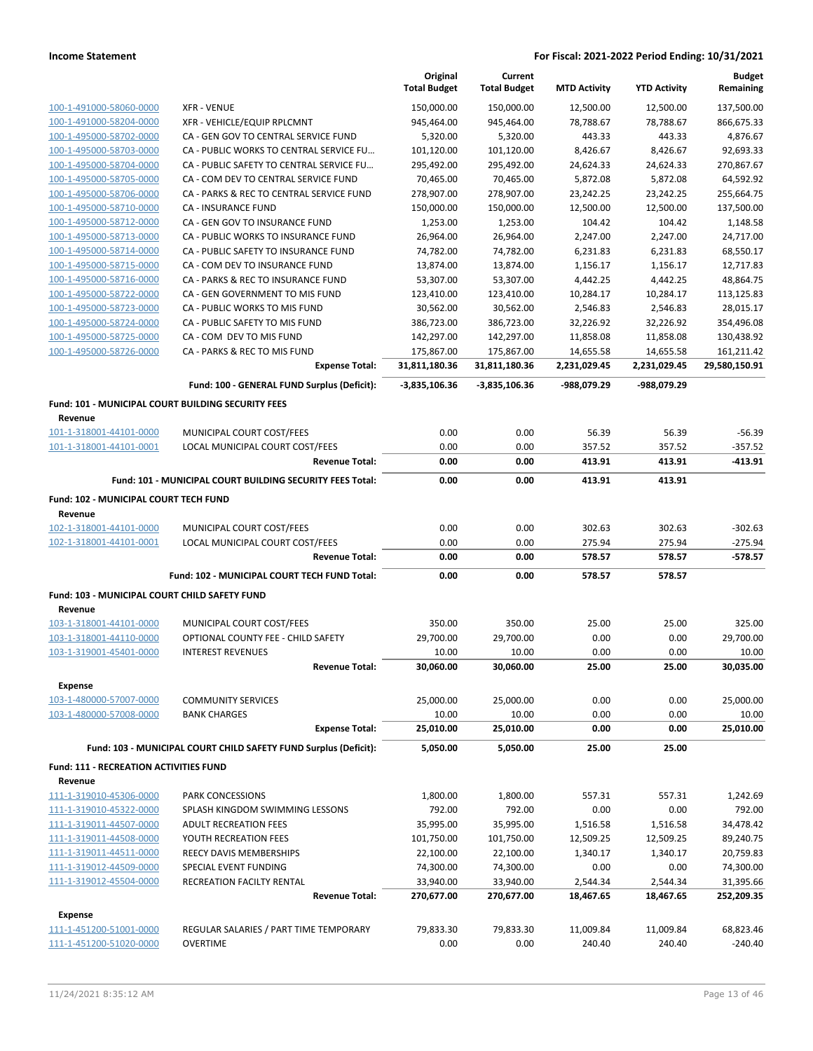|                                                      |                                                                  | Original<br><b>Total Budget</b> | Current<br><b>Total Budget</b> | <b>MTD Activity</b> | <b>YTD Activity</b> | <b>Budget</b><br>Remaining |
|------------------------------------------------------|------------------------------------------------------------------|---------------------------------|--------------------------------|---------------------|---------------------|----------------------------|
| 100-1-491000-58060-0000                              | <b>XFR - VENUE</b>                                               | 150,000.00                      | 150,000.00                     | 12,500.00           | 12,500.00           | 137,500.00                 |
| 100-1-491000-58204-0000                              | XFR - VEHICLE/EQUIP RPLCMNT                                      | 945,464.00                      | 945,464.00                     | 78,788.67           | 78,788.67           | 866,675.33                 |
| 100-1-495000-58702-0000                              | CA - GEN GOV TO CENTRAL SERVICE FUND                             | 5,320.00                        | 5,320.00                       | 443.33              | 443.33              | 4,876.67                   |
| 100-1-495000-58703-0000                              | CA - PUBLIC WORKS TO CENTRAL SERVICE FU                          | 101,120.00                      | 101,120.00                     | 8,426.67            | 8,426.67            | 92.693.33                  |
| 100-1-495000-58704-0000                              | CA - PUBLIC SAFETY TO CENTRAL SERVICE FU                         | 295,492.00                      | 295,492.00                     | 24,624.33           | 24,624.33           | 270,867.67                 |
| 100-1-495000-58705-0000                              | CA - COM DEV TO CENTRAL SERVICE FUND                             | 70,465.00                       | 70,465.00                      | 5,872.08            | 5,872.08            | 64,592.92                  |
| 100-1-495000-58706-0000                              | CA - PARKS & REC TO CENTRAL SERVICE FUND                         | 278,907.00                      | 278,907.00                     | 23,242.25           | 23,242.25           | 255,664.75                 |
| 100-1-495000-58710-0000                              | <b>CA - INSURANCE FUND</b>                                       | 150,000.00                      | 150,000.00                     | 12,500.00           | 12,500.00           | 137,500.00                 |
| 100-1-495000-58712-0000                              | CA - GEN GOV TO INSURANCE FUND                                   | 1,253.00                        | 1,253.00                       | 104.42              | 104.42              | 1,148.58                   |
| 100-1-495000-58713-0000                              | CA - PUBLIC WORKS TO INSURANCE FUND                              | 26,964.00                       | 26,964.00                      | 2,247.00            | 2,247.00            | 24,717.00                  |
| 100-1-495000-58714-0000                              | CA - PUBLIC SAFETY TO INSURANCE FUND                             | 74,782.00                       | 74,782.00                      | 6,231.83            | 6,231.83            | 68,550.17                  |
| 100-1-495000-58715-0000                              | CA - COM DEV TO INSURANCE FUND                                   | 13,874.00                       | 13,874.00                      | 1,156.17            | 1,156.17            | 12,717.83                  |
| 100-1-495000-58716-0000                              | CA - PARKS & REC TO INSURANCE FUND                               | 53,307.00                       | 53,307.00                      | 4,442.25            | 4,442.25            | 48,864.75                  |
| 100-1-495000-58722-0000                              | CA - GEN GOVERNMENT TO MIS FUND                                  | 123,410.00                      | 123,410.00                     | 10,284.17           | 10,284.17           | 113,125.83                 |
| 100-1-495000-58723-0000                              | CA - PUBLIC WORKS TO MIS FUND                                    | 30,562.00                       | 30,562.00                      | 2,546.83            | 2,546.83            | 28,015.17                  |
| 100-1-495000-58724-0000                              | CA - PUBLIC SAFETY TO MIS FUND                                   | 386,723.00                      | 386,723.00                     | 32,226.92           | 32,226.92           | 354,496.08                 |
| 100-1-495000-58725-0000                              | CA - COM DEV TO MIS FUND                                         | 142,297.00                      | 142,297.00                     | 11,858.08           | 11,858.08           | 130,438.92                 |
| 100-1-495000-58726-0000                              | CA - PARKS & REC TO MIS FUND                                     | 175,867.00                      | 175,867.00                     | 14,655.58           | 14,655.58           | 161,211.42                 |
|                                                      | <b>Expense Total:</b>                                            | 31,811,180.36                   | 31,811,180.36                  | 2,231,029.45        | 2,231,029.45        | 29,580,150.91              |
|                                                      | Fund: 100 - GENERAL FUND Surplus (Deficit):                      | $-3,835,106.36$                 | $-3,835,106.36$                | -988,079.29         | -988,079.29         |                            |
| Fund: 101 - MUNICIPAL COURT BUILDING SECURITY FEES   |                                                                  |                                 |                                |                     |                     |                            |
| Revenue<br>101-1-318001-44101-0000                   | MUNICIPAL COURT COST/FEES                                        | 0.00                            | 0.00                           | 56.39               | 56.39               | $-56.39$                   |
| 101-1-318001-44101-0001                              | LOCAL MUNICIPAL COURT COST/FEES                                  | 0.00                            | 0.00                           | 357.52              | 357.52              | $-357.52$                  |
|                                                      | <b>Revenue Total:</b>                                            | 0.00                            | 0.00                           | 413.91              | 413.91              | -413.91                    |
|                                                      | Fund: 101 - MUNICIPAL COURT BUILDING SECURITY FEES Total:        | 0.00                            | 0.00                           | 413.91              | 413.91              |                            |
|                                                      |                                                                  |                                 |                                |                     |                     |                            |
| Fund: 102 - MUNICIPAL COURT TECH FUND<br>Revenue     |                                                                  |                                 |                                |                     |                     |                            |
| 102-1-318001-44101-0000                              | MUNICIPAL COURT COST/FEES                                        | 0.00                            | 0.00                           | 302.63              | 302.63              | $-302.63$                  |
| 102-1-318001-44101-0001                              | LOCAL MUNICIPAL COURT COST/FEES                                  | 0.00                            | 0.00                           | 275.94              | 275.94              | $-275.94$                  |
|                                                      | <b>Revenue Total:</b>                                            | 0.00                            | 0.00                           | 578.57              | 578.57              | $-578.57$                  |
|                                                      | Fund: 102 - MUNICIPAL COURT TECH FUND Total:                     | 0.00                            | 0.00                           | 578.57              | 578.57              |                            |
| <b>Fund: 103 - MUNICIPAL COURT CHILD SAFETY FUND</b> |                                                                  |                                 |                                |                     |                     |                            |
| Revenue                                              |                                                                  |                                 |                                |                     |                     |                            |
| 103-1-318001-44101-0000                              | MUNICIPAL COURT COST/FEES                                        | 350.00                          | 350.00                         | 25.00               | 25.00               | 325.00                     |
| 103-1-318001-44110-0000                              | OPTIONAL COUNTY FEE - CHILD SAFETY                               | 29,700.00                       | 29,700.00                      | 0.00                | 0.00                | 29,700.00                  |
| 103-1-319001-45401-0000                              | <b>INTEREST REVENUES</b>                                         | 10.00                           | 10.00                          | 0.00                | 0.00                | 10.00                      |
|                                                      | <b>Revenue Total:</b>                                            | 30,060.00                       | 30,060.00                      | 25.00               | 25.00               | 30,035.00                  |
| Expense                                              |                                                                  |                                 |                                |                     |                     |                            |
| 103-1-480000-57007-0000                              | <b>COMMUNITY SERVICES</b>                                        | 25,000.00                       | 25,000.00                      | 0.00                | 0.00                | 25,000.00                  |
| 103-1-480000-57008-0000                              | <b>BANK CHARGES</b>                                              | 10.00                           | 10.00                          | 0.00                | 0.00                | 10.00                      |
|                                                      | <b>Expense Total:</b>                                            | 25,010.00                       | 25,010.00                      | 0.00                | 0.00                | 25,010.00                  |
|                                                      | Fund: 103 - MUNICIPAL COURT CHILD SAFETY FUND Surplus (Deficit): | 5,050.00                        | 5,050.00                       | 25.00               | 25.00               |                            |
| <b>Fund: 111 - RECREATION ACTIVITIES FUND</b>        |                                                                  |                                 |                                |                     |                     |                            |
| Revenue                                              |                                                                  |                                 |                                |                     |                     |                            |
| 111-1-319010-45306-0000                              | <b>PARK CONCESSIONS</b>                                          | 1,800.00                        | 1,800.00                       | 557.31              | 557.31              | 1,242.69                   |
| 111-1-319010-45322-0000                              | SPLASH KINGDOM SWIMMING LESSONS                                  | 792.00                          | 792.00                         | 0.00                | 0.00                | 792.00                     |
| 111-1-319011-44507-0000                              | <b>ADULT RECREATION FEES</b>                                     | 35,995.00                       | 35,995.00                      | 1,516.58            | 1,516.58            | 34,478.42                  |
| 111-1-319011-44508-0000                              | YOUTH RECREATION FEES                                            | 101,750.00                      | 101,750.00                     | 12,509.25           | 12,509.25           | 89,240.75                  |
| 111-1-319011-44511-0000                              | REECY DAVIS MEMBERSHIPS                                          | 22,100.00                       | 22,100.00                      | 1,340.17            | 1,340.17            | 20,759.83                  |
| 111-1-319012-44509-0000                              | SPECIAL EVENT FUNDING                                            | 74,300.00                       | 74,300.00                      | 0.00                | 0.00                | 74,300.00                  |
| 111-1-319012-45504-0000                              | RECREATION FACILTY RENTAL                                        | 33,940.00                       | 33,940.00                      | 2,544.34            | 2,544.34            | 31,395.66                  |
|                                                      | <b>Revenue Total:</b>                                            | 270,677.00                      | 270,677.00                     | 18,467.65           | 18,467.65           | 252,209.35                 |
| Expense                                              |                                                                  |                                 |                                |                     |                     |                            |
| 111-1-451200-51001-0000                              | REGULAR SALARIES / PART TIME TEMPORARY                           | 79,833.30                       | 79,833.30                      | 11,009.84           | 11,009.84           | 68,823.46                  |
| 111-1-451200-51020-0000                              | OVERTIME                                                         | 0.00                            | 0.00                           | 240.40              | 240.40              | -240.40                    |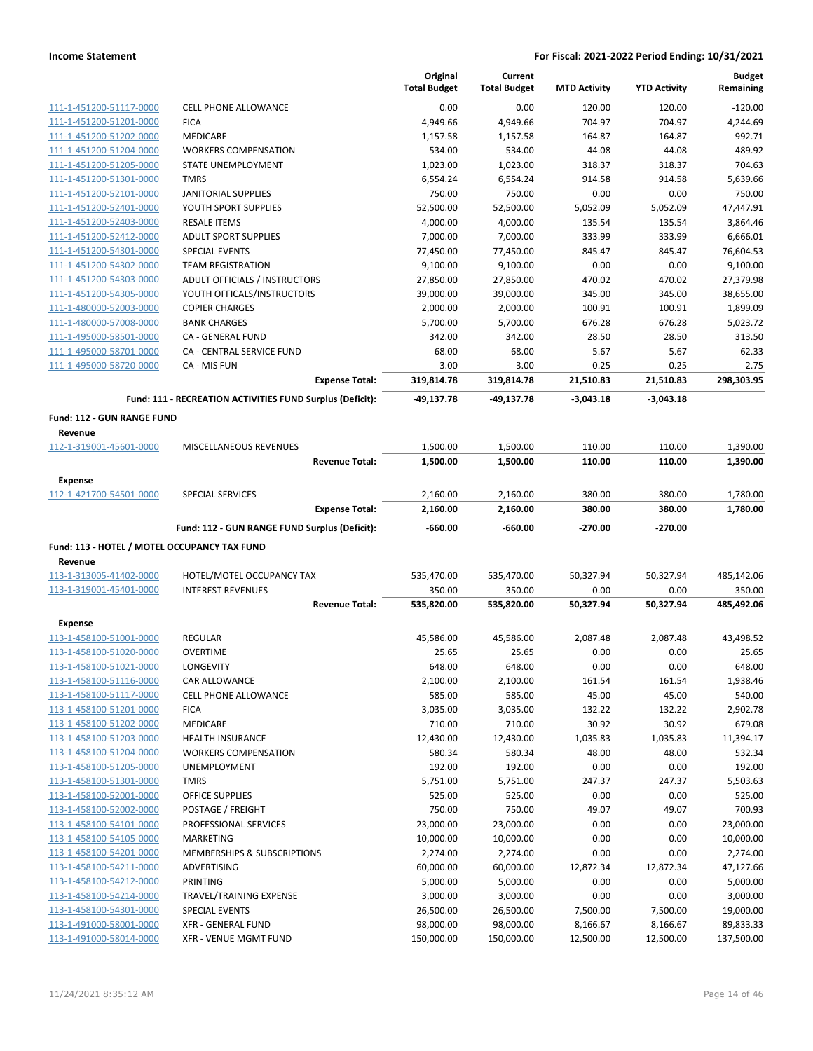|                                                    |                                                           | Original<br><b>Total Budget</b> | Current<br><b>Total Budget</b> | <b>MTD Activity</b>   | <b>YTD Activity</b>   | <b>Budget</b><br>Remaining |
|----------------------------------------------------|-----------------------------------------------------------|---------------------------------|--------------------------------|-----------------------|-----------------------|----------------------------|
| 111-1-451200-51117-0000                            | <b>CELL PHONE ALLOWANCE</b>                               | 0.00                            | 0.00                           | 120.00                | 120.00                | $-120.00$                  |
| 111-1-451200-51201-0000                            | <b>FICA</b>                                               | 4,949.66                        | 4,949.66                       | 704.97                | 704.97                | 4,244.69                   |
| 111-1-451200-51202-0000                            | <b>MEDICARE</b>                                           | 1,157.58                        | 1,157.58                       | 164.87                | 164.87                | 992.71                     |
| 111-1-451200-51204-0000                            | <b>WORKERS COMPENSATION</b>                               | 534.00                          | 534.00                         | 44.08                 | 44.08                 | 489.92                     |
| 111-1-451200-51205-0000                            | STATE UNEMPLOYMENT                                        | 1,023.00                        | 1,023.00                       | 318.37                | 318.37                | 704.63                     |
| 111-1-451200-51301-0000                            | <b>TMRS</b>                                               | 6,554.24                        | 6,554.24                       | 914.58                | 914.58                | 5,639.66                   |
| 111-1-451200-52101-0000                            | <b>JANITORIAL SUPPLIES</b>                                | 750.00                          | 750.00                         | 0.00                  | 0.00                  | 750.00                     |
| 111-1-451200-52401-0000                            | YOUTH SPORT SUPPLIES                                      | 52,500.00                       | 52,500.00                      | 5,052.09              | 5,052.09              | 47,447.91                  |
| 111-1-451200-52403-0000                            | <b>RESALE ITEMS</b>                                       | 4,000.00                        | 4,000.00                       | 135.54                | 135.54                | 3,864.46                   |
| 111-1-451200-52412-0000                            | <b>ADULT SPORT SUPPLIES</b>                               | 7,000.00                        | 7,000.00                       | 333.99                | 333.99                | 6,666.01                   |
| 111-1-451200-54301-0000                            | <b>SPECIAL EVENTS</b>                                     | 77,450.00                       | 77,450.00                      | 845.47                | 845.47                | 76,604.53                  |
| 111-1-451200-54302-0000                            | <b>TEAM REGISTRATION</b>                                  | 9,100.00                        | 9,100.00                       | 0.00                  | 0.00                  | 9,100.00                   |
| 111-1-451200-54303-0000                            | ADULT OFFICIALS / INSTRUCTORS                             | 27,850.00                       | 27,850.00                      | 470.02                | 470.02                | 27,379.98                  |
| 111-1-451200-54305-0000                            | YOUTH OFFICALS/INSTRUCTORS                                | 39,000.00                       | 39,000.00                      | 345.00                | 345.00                | 38,655.00                  |
| 111-1-480000-52003-0000                            | <b>COPIER CHARGES</b>                                     | 2,000.00                        | 2,000.00                       | 100.91                | 100.91                | 1,899.09                   |
| 111-1-480000-57008-0000                            | <b>BANK CHARGES</b>                                       | 5,700.00                        | 5,700.00                       | 676.28                | 676.28                | 5,023.72                   |
| 111-1-495000-58501-0000                            | CA - GENERAL FUND                                         | 342.00                          | 342.00                         | 28.50                 | 28.50                 | 313.50                     |
| 111-1-495000-58701-0000                            | CA - CENTRAL SERVICE FUND                                 | 68.00                           | 68.00                          | 5.67                  | 5.67                  | 62.33                      |
| 111-1-495000-58720-0000                            | CA - MIS FUN                                              | 3.00                            | 3.00                           | 0.25                  | 0.25                  | 2.75                       |
|                                                    | <b>Expense Total:</b>                                     | 319,814.78                      | 319,814.78                     | 21,510.83             | 21,510.83             | 298,303.95                 |
|                                                    | Fund: 111 - RECREATION ACTIVITIES FUND Surplus (Deficit): | -49,137.78                      | -49,137.78                     | $-3,043.18$           | $-3,043.18$           |                            |
| Fund: 112 - GUN RANGE FUND                         |                                                           |                                 |                                |                       |                       |                            |
| Revenue<br>112-1-319001-45601-0000                 | MISCELLANEOUS REVENUES                                    | 1,500.00                        | 1,500.00                       | 110.00                | 110.00                | 1,390.00                   |
|                                                    | <b>Revenue Total:</b>                                     | 1,500.00                        | 1,500.00                       | 110.00                | 110.00                | 1,390.00                   |
| <b>Expense</b>                                     |                                                           |                                 |                                |                       |                       |                            |
| 112-1-421700-54501-0000                            | <b>SPECIAL SERVICES</b>                                   | 2,160.00                        | 2,160.00                       | 380.00                | 380.00                | 1,780.00                   |
|                                                    | <b>Expense Total:</b>                                     | 2,160.00                        | 2,160.00                       | 380.00                | 380.00                | 1,780.00                   |
|                                                    |                                                           |                                 |                                |                       |                       |                            |
|                                                    | Fund: 112 - GUN RANGE FUND Surplus (Deficit):             | $-660.00$                       | $-660.00$                      | $-270.00$             | -270.00               |                            |
| Fund: 113 - HOTEL / MOTEL OCCUPANCY TAX FUND       |                                                           |                                 |                                |                       |                       |                            |
| Revenue                                            |                                                           |                                 |                                |                       |                       |                            |
| 113-1-313005-41402-0000                            | HOTEL/MOTEL OCCUPANCY TAX                                 | 535,470.00                      | 535,470.00                     | 50,327.94             | 50,327.94             | 485,142.06                 |
| 113-1-319001-45401-0000                            | <b>INTEREST REVENUES</b>                                  | 350.00                          | 350.00                         | 0.00                  | 0.00                  | 350.00                     |
|                                                    | <b>Revenue Total:</b>                                     | 535,820.00                      | 535,820.00                     | 50,327.94             | 50,327.94             | 485,492.06                 |
| <b>Expense</b>                                     |                                                           |                                 |                                |                       |                       |                            |
| 113-1-458100-51001-0000                            | REGULAR                                                   | 45,586.00                       | 45,586.00                      | 2,087.48              | 2,087.48              | 43,498.52                  |
| 113-1-458100-51020-0000                            | <b>OVERTIME</b>                                           | 25.65                           | 25.65                          | 0.00                  | 0.00                  | 25.65                      |
| 113-1-458100-51021-0000                            | LONGEVITY                                                 | 648.00                          | 648.00                         | 0.00                  | 0.00                  | 648.00                     |
| 113-1-458100-51116-0000                            | CAR ALLOWANCE                                             | 2,100.00                        | 2,100.00                       | 161.54                | 161.54                | 1,938.46                   |
| 113-1-458100-51117-0000                            | <b>CELL PHONE ALLOWANCE</b>                               | 585.00                          | 585.00                         | 45.00                 | 45.00                 | 540.00                     |
| 113-1-458100-51201-0000                            | <b>FICA</b>                                               | 3,035.00                        | 3,035.00                       | 132.22                | 132.22                | 2,902.78                   |
| 113-1-458100-51202-0000                            | MEDICARE                                                  | 710.00                          | 710.00                         | 30.92                 | 30.92                 | 679.08                     |
| 113-1-458100-51203-0000                            | <b>HEALTH INSURANCE</b>                                   | 12,430.00                       | 12,430.00                      | 1,035.83              | 1,035.83              | 11,394.17                  |
| 113-1-458100-51204-0000                            | <b>WORKERS COMPENSATION</b>                               | 580.34                          | 580.34                         | 48.00                 | 48.00                 | 532.34                     |
| 113-1-458100-51205-0000                            | UNEMPLOYMENT                                              | 192.00                          | 192.00                         | 0.00                  | 0.00                  | 192.00                     |
| 113-1-458100-51301-0000                            | <b>TMRS</b>                                               | 5,751.00                        | 5,751.00                       | 247.37                | 247.37                | 5,503.63                   |
| 113-1-458100-52001-0000                            | OFFICE SUPPLIES                                           | 525.00                          | 525.00                         | 0.00                  | 0.00                  | 525.00                     |
| 113-1-458100-52002-0000                            | POSTAGE / FREIGHT                                         | 750.00                          | 750.00                         | 49.07                 | 49.07                 | 700.93                     |
| 113-1-458100-54101-0000                            | PROFESSIONAL SERVICES                                     | 23,000.00                       | 23,000.00                      | 0.00                  | 0.00                  | 23,000.00                  |
| 113-1-458100-54105-0000                            | MARKETING                                                 | 10,000.00                       | 10,000.00                      | 0.00                  | 0.00                  | 10,000.00                  |
| 113-1-458100-54201-0000                            | MEMBERSHIPS & SUBSCRIPTIONS                               | 2,274.00                        | 2,274.00                       | 0.00                  | 0.00                  | 2,274.00                   |
| 113-1-458100-54211-0000                            | ADVERTISING                                               | 60,000.00                       | 60,000.00                      | 12,872.34             | 12,872.34             | 47,127.66                  |
| 113-1-458100-54212-0000                            | PRINTING                                                  | 5,000.00                        | 5,000.00                       | 0.00                  | 0.00                  | 5,000.00                   |
| 113-1-458100-54214-0000                            | TRAVEL/TRAINING EXPENSE                                   | 3,000.00                        | 3,000.00                       | 0.00                  | 0.00                  | 3,000.00                   |
| 113-1-458100-54301-0000                            | <b>SPECIAL EVENTS</b>                                     | 26,500.00                       | 26,500.00                      | 7,500.00              | 7,500.00              | 19,000.00                  |
| 113-1-491000-58001-0000<br>113-1-491000-58014-0000 | <b>XFR - GENERAL FUND</b><br>XFR - VENUE MGMT FUND        | 98,000.00<br>150,000.00         | 98,000.00<br>150,000.00        | 8,166.67<br>12,500.00 | 8,166.67<br>12,500.00 | 89,833.33<br>137,500.00    |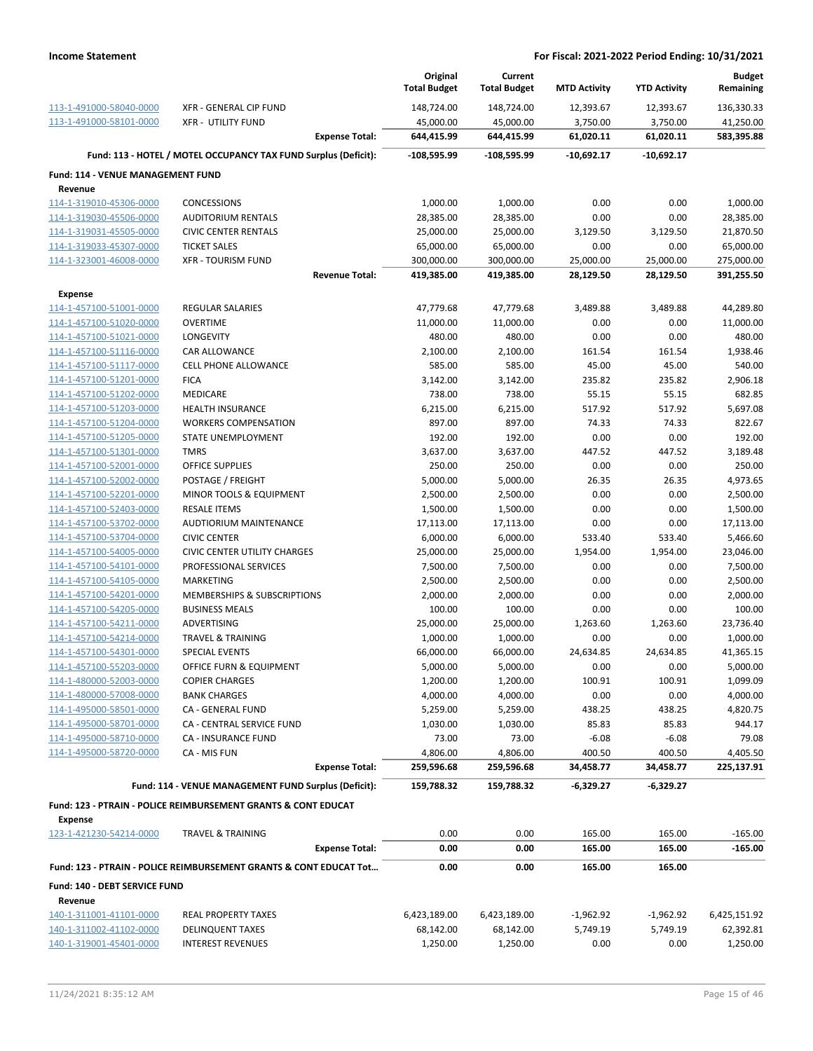|                                                    |                                                                               | Original<br><b>Total Budget</b> | Current<br><b>Total Budget</b> | <b>MTD Activity</b> | <b>YTD Activity</b> | <b>Budget</b><br>Remaining |
|----------------------------------------------------|-------------------------------------------------------------------------------|---------------------------------|--------------------------------|---------------------|---------------------|----------------------------|
| 113-1-491000-58040-0000                            | XFR - GENERAL CIP FUND                                                        | 148,724.00                      | 148,724.00                     | 12,393.67           | 12,393.67           | 136,330.33                 |
| 113-1-491000-58101-0000                            | <b>XFR - UTILITY FUND</b>                                                     | 45,000.00                       | 45,000.00                      | 3,750.00            | 3,750.00            | 41,250.00                  |
|                                                    | <b>Expense Total:</b>                                                         | 644,415.99                      | 644,415.99                     | 61,020.11           | 61,020.11           | 583,395.88                 |
|                                                    | Fund: 113 - HOTEL / MOTEL OCCUPANCY TAX FUND Surplus (Deficit):               | $-108,595.99$                   | $-108,595.99$                  | $-10,692.17$        | $-10,692.17$        |                            |
| Fund: 114 - VENUE MANAGEMENT FUND                  |                                                                               |                                 |                                |                     |                     |                            |
| Revenue                                            |                                                                               |                                 |                                |                     |                     |                            |
| 114-1-319010-45306-0000                            | <b>CONCESSIONS</b>                                                            | 1,000.00                        | 1,000.00                       | 0.00                | 0.00                | 1,000.00                   |
| 114-1-319030-45506-0000                            | <b>AUDITORIUM RENTALS</b>                                                     | 28,385.00                       | 28,385.00                      | 0.00                | 0.00                | 28,385.00                  |
| 114-1-319031-45505-0000                            | <b>CIVIC CENTER RENTALS</b>                                                   | 25,000.00                       | 25,000.00                      | 3,129.50            | 3,129.50            | 21,870.50                  |
| 114-1-319033-45307-0000                            | <b>TICKET SALES</b>                                                           | 65,000.00                       | 65,000.00                      | 0.00                | 0.00                | 65,000.00                  |
| 114-1-323001-46008-0000                            | <b>XFR - TOURISM FUND</b>                                                     | 300,000.00                      | 300,000.00                     | 25,000.00           | 25,000.00           | 275,000.00                 |
|                                                    | <b>Revenue Total:</b>                                                         | 419,385.00                      | 419,385.00                     | 28,129.50           | 28,129.50           | 391,255.50                 |
| <b>Expense</b>                                     |                                                                               |                                 |                                |                     |                     |                            |
| 114-1-457100-51001-0000                            | <b>REGULAR SALARIES</b>                                                       | 47,779.68                       | 47,779.68                      | 3,489.88            | 3,489.88            | 44,289.80                  |
| 114-1-457100-51020-0000                            | <b>OVERTIME</b>                                                               | 11,000.00                       | 11,000.00                      | 0.00                | 0.00                | 11,000.00                  |
| 114-1-457100-51021-0000                            | <b>LONGEVITY</b>                                                              | 480.00                          | 480.00                         | 0.00                | 0.00                | 480.00                     |
| 114-1-457100-51116-0000                            | <b>CAR ALLOWANCE</b>                                                          | 2,100.00                        | 2,100.00                       | 161.54              | 161.54              | 1,938.46                   |
| 114-1-457100-51117-0000                            | <b>CELL PHONE ALLOWANCE</b>                                                   | 585.00                          | 585.00                         | 45.00               | 45.00               | 540.00                     |
| 114-1-457100-51201-0000<br>114-1-457100-51202-0000 | <b>FICA</b><br><b>MEDICARE</b>                                                | 3,142.00<br>738.00              | 3,142.00<br>738.00             | 235.82<br>55.15     | 235.82<br>55.15     | 2,906.18<br>682.85         |
| 114-1-457100-51203-0000                            | <b>HEALTH INSURANCE</b>                                                       | 6,215.00                        | 6,215.00                       | 517.92              | 517.92              | 5,697.08                   |
| 114-1-457100-51204-0000                            | <b>WORKERS COMPENSATION</b>                                                   | 897.00                          | 897.00                         | 74.33               | 74.33               | 822.67                     |
| 114-1-457100-51205-0000                            | STATE UNEMPLOYMENT                                                            | 192.00                          | 192.00                         | 0.00                | 0.00                | 192.00                     |
| 114-1-457100-51301-0000                            | <b>TMRS</b>                                                                   | 3,637.00                        | 3,637.00                       | 447.52              | 447.52              | 3,189.48                   |
| 114-1-457100-52001-0000                            | <b>OFFICE SUPPLIES</b>                                                        | 250.00                          | 250.00                         | 0.00                | 0.00                | 250.00                     |
| 114-1-457100-52002-0000                            | POSTAGE / FREIGHT                                                             | 5,000.00                        | 5,000.00                       | 26.35               | 26.35               | 4,973.65                   |
| 114-1-457100-52201-0000                            | MINOR TOOLS & EQUIPMENT                                                       | 2,500.00                        | 2,500.00                       | 0.00                | 0.00                | 2,500.00                   |
| 114-1-457100-52403-0000                            | <b>RESALE ITEMS</b>                                                           | 1,500.00                        | 1,500.00                       | 0.00                | 0.00                | 1,500.00                   |
| 114-1-457100-53702-0000                            | AUDTIORIUM MAINTENANCE                                                        | 17,113.00                       | 17,113.00                      | 0.00                | 0.00                | 17,113.00                  |
| 114-1-457100-53704-0000                            | <b>CIVIC CENTER</b>                                                           | 6,000.00                        | 6,000.00                       | 533.40              | 533.40              | 5,466.60                   |
| 114-1-457100-54005-0000                            | <b>CIVIC CENTER UTILITY CHARGES</b>                                           | 25,000.00                       | 25,000.00                      | 1,954.00            | 1,954.00            | 23,046.00                  |
| 114-1-457100-54101-0000                            | PROFESSIONAL SERVICES                                                         | 7,500.00                        | 7,500.00                       | 0.00                | 0.00                | 7,500.00                   |
| 114-1-457100-54105-0000                            | <b>MARKETING</b>                                                              | 2,500.00                        | 2,500.00                       | 0.00                | 0.00                | 2,500.00                   |
| 114-1-457100-54201-0000                            | MEMBERSHIPS & SUBSCRIPTIONS                                                   | 2,000.00                        | 2,000.00                       | 0.00                | 0.00                | 2,000.00                   |
| 114-1-457100-54205-0000                            | <b>BUSINESS MEALS</b>                                                         | 100.00                          | 100.00                         | 0.00                | 0.00                | 100.00                     |
| 114-1-457100-54211-0000                            | ADVERTISING                                                                   | 25,000.00                       | 25,000.00                      | 1,263.60            | 1,263.60            | 23,736.40                  |
| 114-1-457100-54214-0000                            | <b>TRAVEL &amp; TRAINING</b>                                                  | 1,000.00                        | 1,000.00                       | 0.00                | 0.00                | 1,000.00                   |
| 114-1-457100-54301-0000                            | <b>SPECIAL EVENTS</b>                                                         | 66,000.00                       | 66,000.00                      | 24,634.85           | 24,634.85           | 41,365.15                  |
| 114-1-457100-55203-0000                            | OFFICE FURN & EQUIPMENT                                                       | 5,000.00                        | 5,000.00                       | 0.00                | 0.00                | 5,000.00                   |
| 114-1-480000-52003-0000                            | <b>COPIER CHARGES</b>                                                         | 1,200.00                        | 1,200.00                       | 100.91              | 100.91              | 1,099.09                   |
| 114-1-480000-57008-0000                            | <b>BANK CHARGES</b>                                                           | 4,000.00                        | 4,000.00                       | 0.00                | 0.00                | 4,000.00                   |
| 114-1-495000-58501-0000                            | <b>CA - GENERAL FUND</b>                                                      | 5,259.00                        | 5,259.00                       | 438.25              | 438.25              | 4,820.75                   |
| 114-1-495000-58701-0000<br>114-1-495000-58710-0000 | CA - CENTRAL SERVICE FUND<br>CA - INSURANCE FUND                              | 1,030.00<br>73.00               | 1,030.00<br>73.00              | 85.83<br>$-6.08$    | 85.83<br>$-6.08$    | 944.17<br>79.08            |
| 114-1-495000-58720-0000                            | CA - MIS FUN                                                                  | 4,806.00                        | 4,806.00                       | 400.50              | 400.50              | 4,405.50                   |
|                                                    | <b>Expense Total:</b>                                                         | 259,596.68                      | 259,596.68                     | 34,458.77           | 34,458.77           | 225,137.91                 |
|                                                    |                                                                               |                                 |                                |                     |                     |                            |
|                                                    | Fund: 114 - VENUE MANAGEMENT FUND Surplus (Deficit):                          | 159,788.32                      | 159,788.32                     | $-6,329.27$         | $-6,329.27$         |                            |
|                                                    | <b>Fund: 123 - PTRAIN - POLICE REIMBURSEMENT GRANTS &amp; CONT EDUCAT</b>     |                                 |                                |                     |                     |                            |
| <b>Expense</b><br>123-1-421230-54214-0000          | <b>TRAVEL &amp; TRAINING</b>                                                  | 0.00                            | 0.00                           | 165.00              | 165.00              | $-165.00$                  |
|                                                    | <b>Expense Total:</b>                                                         | 0.00                            | 0.00                           | 165.00              | 165.00              | $-165.00$                  |
|                                                    | <b>Fund: 123 - PTRAIN - POLICE REIMBURSEMENT GRANTS &amp; CONT EDUCAT Tot</b> | 0.00                            | 0.00                           | 165.00              | 165.00              |                            |
| Fund: 140 - DEBT SERVICE FUND                      |                                                                               |                                 |                                |                     |                     |                            |
| Revenue                                            |                                                                               |                                 |                                |                     |                     |                            |
| 140-1-311001-41101-0000                            | <b>REAL PROPERTY TAXES</b>                                                    | 6,423,189.00                    | 6,423,189.00                   | $-1,962.92$         | $-1,962.92$         | 6,425,151.92               |
| 140-1-311002-41102-0000                            | <b>DELINQUENT TAXES</b>                                                       | 68,142.00                       | 68,142.00                      | 5,749.19            | 5,749.19            | 62,392.81                  |
| 140-1-319001-45401-0000                            | <b>INTEREST REVENUES</b>                                                      | 1,250.00                        | 1,250.00                       | 0.00                | 0.00                | 1,250.00                   |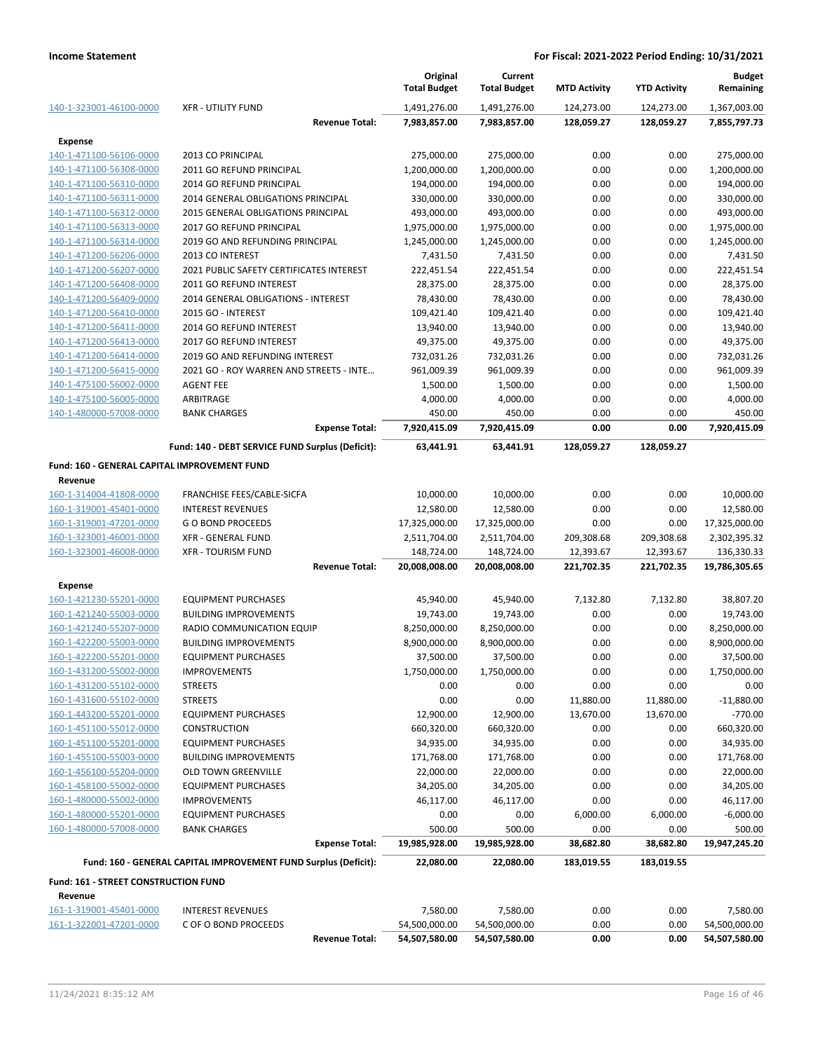|                                              |                                                                 | Original<br><b>Total Budget</b> | Current<br><b>Total Budget</b> | <b>MTD Activity</b> | <b>YTD Activity</b> | <b>Budget</b><br>Remaining |
|----------------------------------------------|-----------------------------------------------------------------|---------------------------------|--------------------------------|---------------------|---------------------|----------------------------|
| 140-1-323001-46100-0000                      | <b>XFR - UTILITY FUND</b>                                       | 1,491,276.00                    | 1,491,276.00                   | 124,273.00          | 124,273.00          | 1,367,003.00               |
|                                              | <b>Revenue Total:</b>                                           | 7,983,857.00                    | 7,983,857.00                   | 128,059.27          | 128,059.27          | 7,855,797.73               |
| <b>Expense</b>                               |                                                                 |                                 |                                |                     |                     |                            |
| 140-1-471100-56106-0000                      | 2013 CO PRINCIPAL                                               | 275,000.00                      | 275,000.00                     | 0.00                | 0.00                | 275,000.00                 |
| 140-1-471100-56308-0000                      | 2011 GO REFUND PRINCIPAL                                        | 1,200,000.00                    | 1,200,000.00                   | 0.00                | 0.00                | 1,200,000.00               |
| 140-1-471100-56310-0000                      | 2014 GO REFUND PRINCIPAL                                        | 194,000.00                      | 194,000.00                     | 0.00                | 0.00                | 194,000.00                 |
| 140-1-471100-56311-0000                      | 2014 GENERAL OBLIGATIONS PRINCIPAL                              | 330,000.00                      | 330,000.00                     | 0.00                | 0.00                | 330,000.00                 |
| 140-1-471100-56312-0000                      | 2015 GENERAL OBLIGATIONS PRINCIPAL                              | 493,000.00                      | 493,000.00                     | 0.00                | 0.00                | 493,000.00                 |
| 140-1-471100-56313-0000                      | 2017 GO REFUND PRINCIPAL                                        | 1,975,000.00                    | 1,975,000.00                   | 0.00                | 0.00                | 1,975,000.00               |
| 140-1-471100-56314-0000                      | 2019 GO AND REFUNDING PRINCIPAL                                 | 1,245,000.00                    | 1,245,000.00                   | 0.00                | 0.00                | 1,245,000.00               |
| 140-1-471200-56206-0000                      | 2013 CO INTEREST                                                | 7,431.50                        | 7,431.50                       | 0.00                | 0.00                | 7,431.50                   |
| 140-1-471200-56207-0000                      | 2021 PUBLIC SAFETY CERTIFICATES INTEREST                        | 222,451.54                      | 222,451.54                     | 0.00                | 0.00                | 222,451.54                 |
| 140-1-471200-56408-0000                      | 2011 GO REFUND INTEREST                                         | 28,375.00                       | 28,375.00                      | 0.00                | 0.00                | 28,375.00                  |
| 140-1-471200-56409-0000                      | 2014 GENERAL OBLIGATIONS - INTEREST                             | 78,430.00                       | 78,430.00                      | 0.00                | 0.00                | 78,430.00                  |
| 140-1-471200-56410-0000                      | 2015 GO - INTEREST                                              | 109,421.40                      | 109,421.40                     | 0.00                | 0.00                | 109,421.40                 |
| 140-1-471200-56411-0000                      | 2014 GO REFUND INTEREST                                         | 13,940.00                       | 13,940.00                      | 0.00                | 0.00                | 13,940.00                  |
| 140-1-471200-56413-0000                      | 2017 GO REFUND INTEREST                                         | 49,375.00                       | 49,375.00                      | 0.00                | 0.00                | 49,375.00                  |
| 140-1-471200-56414-0000                      | 2019 GO AND REFUNDING INTEREST                                  | 732,031.26                      | 732,031.26                     | 0.00                | 0.00                | 732,031.26                 |
| 140-1-471200-56415-0000                      | 2021 GO - ROY WARREN AND STREETS - INTE                         | 961,009.39                      | 961,009.39                     | 0.00                | 0.00                | 961,009.39                 |
| 140-1-475100-56002-0000                      | <b>AGENT FEE</b>                                                | 1,500.00                        | 1,500.00                       | 0.00                | 0.00                | 1,500.00                   |
| 140-1-475100-56005-0000                      | ARBITRAGE                                                       | 4,000.00                        | 4,000.00                       | 0.00                | 0.00                | 4,000.00                   |
| 140-1-480000-57008-0000                      | <b>BANK CHARGES</b>                                             | 450.00                          | 450.00                         | 0.00                | 0.00                | 450.00                     |
|                                              | <b>Expense Total:</b>                                           | 7,920,415.09                    | 7,920,415.09                   | 0.00                | 0.00                | 7,920,415.09               |
|                                              | Fund: 140 - DEBT SERVICE FUND Surplus (Deficit):                | 63,441.91                       | 63,441.91                      | 128,059.27          | 128,059.27          |                            |
| Fund: 160 - GENERAL CAPITAL IMPROVEMENT FUND |                                                                 |                                 |                                |                     |                     |                            |
| Revenue                                      |                                                                 |                                 |                                |                     |                     |                            |
| 160-1-314004-41808-0000                      | FRANCHISE FEES/CABLE-SICFA                                      | 10,000.00                       | 10,000.00                      | 0.00                | 0.00                | 10,000.00                  |
| 160-1-319001-45401-0000                      | <b>INTEREST REVENUES</b>                                        | 12,580.00                       | 12,580.00                      | 0.00                | 0.00                | 12,580.00                  |
| 160-1-319001-47201-0000                      | <b>GO BOND PROCEEDS</b>                                         | 17,325,000.00                   | 17,325,000.00                  | 0.00                | 0.00                | 17,325,000.00              |
| 160-1-323001-46001-0000                      | XFR - GENERAL FUND                                              | 2,511,704.00                    | 2,511,704.00                   | 209,308.68          | 209,308.68          | 2,302,395.32               |
| 160-1-323001-46008-0000                      | <b>XFR - TOURISM FUND</b>                                       | 148,724.00                      | 148,724.00                     | 12,393.67           | 12,393.67           | 136,330.33                 |
|                                              | <b>Revenue Total:</b>                                           | 20,008,008.00                   | 20,008,008.00                  | 221,702.35          | 221,702.35          | 19,786,305.65              |
| Expense                                      |                                                                 |                                 |                                |                     |                     |                            |
| 160-1-421230-55201-0000                      | <b>EQUIPMENT PURCHASES</b>                                      | 45,940.00                       | 45,940.00                      | 7,132.80            | 7,132.80            | 38,807.20                  |
| 160-1-421240-55003-0000                      | <b>BUILDING IMPROVEMENTS</b>                                    | 19,743.00                       | 19,743.00                      | 0.00                | 0.00                | 19,743.00                  |
| 160-1-421240-55207-0000                      | RADIO COMMUNICATION EQUIP                                       | 8,250,000.00                    | 8,250,000.00                   | 0.00                | 0.00                | 8,250,000.00               |
| 160-1-422200-55003-0000                      | <b>BUILDING IMPROVEMENTS</b>                                    | 8,900,000.00                    | 8,900,000.00                   | 0.00                | 0.00                | 8,900,000.00               |
| 160-1-422200-55201-0000                      | <b>EQUIPMENT PURCHASES</b>                                      | 37,500.00                       | 37,500.00                      | 0.00                | 0.00                | 37,500.00                  |
| 160-1-431200-55002-0000                      | <b>IMPROVEMENTS</b>                                             | 1,750,000.00                    | 1,750,000.00                   | 0.00                | 0.00                | 1,750,000.00               |
| 160-1-431200-55102-0000                      | <b>STREETS</b>                                                  | 0.00                            | 0.00                           | 0.00                | 0.00                | 0.00                       |
| 160-1-431600-55102-0000                      | <b>STREETS</b>                                                  | 0.00                            | 0.00                           | 11,880.00           | 11,880.00           | $-11,880.00$               |
| 160-1-443200-55201-0000                      | <b>EQUIPMENT PURCHASES</b>                                      | 12,900.00                       | 12,900.00                      | 13,670.00           | 13,670.00           | $-770.00$                  |
| 160-1-451100-55012-0000                      | <b>CONSTRUCTION</b>                                             | 660,320.00                      | 660,320.00                     | 0.00                | 0.00                | 660,320.00                 |
| 160-1-451100-55201-0000                      | <b>EQUIPMENT PURCHASES</b>                                      | 34,935.00                       | 34,935.00                      | 0.00                | 0.00                | 34,935.00                  |
| 160-1-455100-55003-0000                      | <b>BUILDING IMPROVEMENTS</b>                                    | 171,768.00                      | 171,768.00                     | 0.00                | 0.00                | 171,768.00                 |
| 160-1-456100-55204-0000                      | <b>OLD TOWN GREENVILLE</b>                                      | 22,000.00                       | 22,000.00                      | 0.00                | 0.00                | 22,000.00                  |
| 160-1-458100-55002-0000                      | <b>EQUIPMENT PURCHASES</b>                                      | 34,205.00                       | 34,205.00                      | 0.00                | 0.00                | 34,205.00                  |
| 160-1-480000-55002-0000                      | <b>IMPROVEMENTS</b>                                             | 46,117.00                       | 46,117.00                      | 0.00                | 0.00                | 46,117.00                  |
| 160-1-480000-55201-0000                      | <b>EQUIPMENT PURCHASES</b>                                      | 0.00                            | 0.00                           | 6,000.00            | 6,000.00            | $-6,000.00$                |
| 160-1-480000-57008-0000                      | <b>BANK CHARGES</b>                                             | 500.00                          | 500.00                         | 0.00                | 0.00                | 500.00                     |
|                                              | <b>Expense Total:</b>                                           | 19,985,928.00                   | 19,985,928.00                  | 38,682.80           | 38,682.80           | 19,947,245.20              |
|                                              | Fund: 160 - GENERAL CAPITAL IMPROVEMENT FUND Surplus (Deficit): | 22,080.00                       | 22,080.00                      | 183,019.55          | 183,019.55          |                            |
| Fund: 161 - STREET CONSTRUCTION FUND         |                                                                 |                                 |                                |                     |                     |                            |
| Revenue                                      |                                                                 |                                 |                                |                     |                     |                            |
| 161-1-319001-45401-0000                      | <b>INTEREST REVENUES</b>                                        | 7,580.00                        | 7,580.00                       | 0.00                | 0.00                | 7,580.00                   |
| 161-1-322001-47201-0000                      | C OF O BOND PROCEEDS                                            | 54,500,000.00                   | 54,500,000.00                  | 0.00                | 0.00                | 54,500,000.00              |
|                                              | <b>Revenue Total:</b>                                           | 54,507,580.00                   | 54,507,580.00                  | 0.00                | 0.00                | 54,507,580.00              |
|                                              |                                                                 |                                 |                                |                     |                     |                            |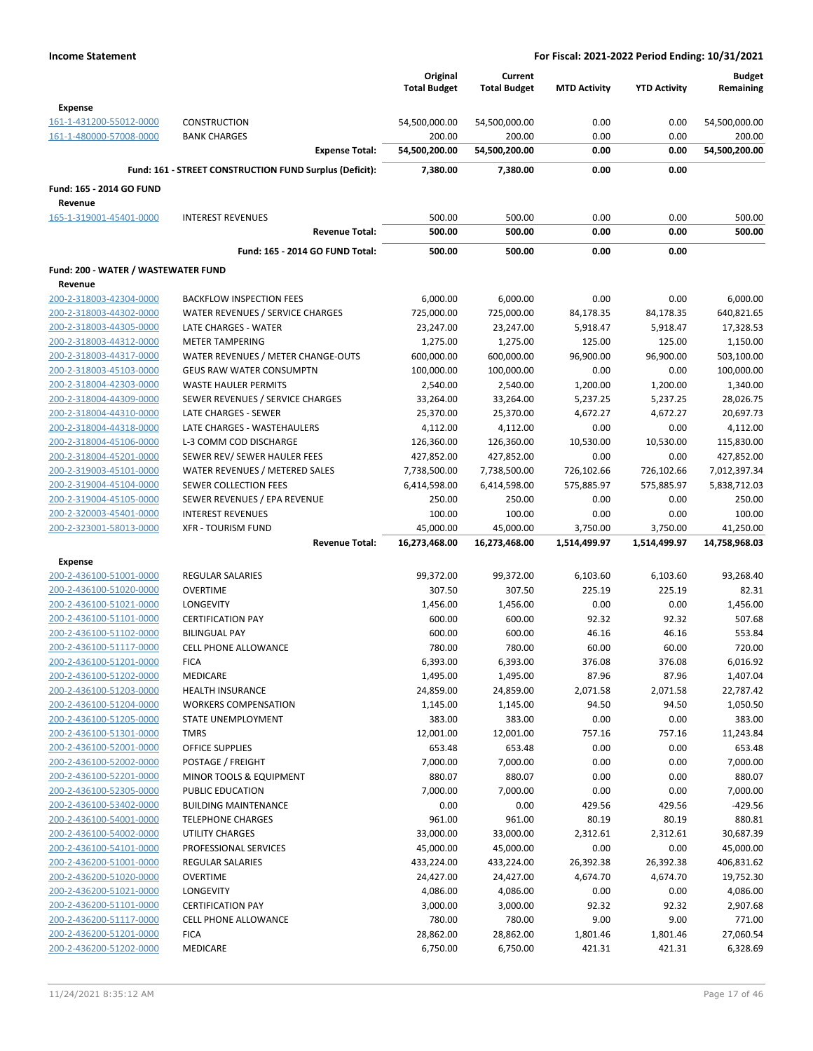|                                     |                                                         | Original<br><b>Total Budget</b> | Current<br><b>Total Budget</b> | <b>MTD Activity</b> | <b>YTD Activity</b> | <b>Budget</b><br>Remaining |
|-------------------------------------|---------------------------------------------------------|---------------------------------|--------------------------------|---------------------|---------------------|----------------------------|
| <b>Expense</b>                      |                                                         |                                 |                                |                     |                     |                            |
| 161-1-431200-55012-0000             | <b>CONSTRUCTION</b>                                     | 54,500,000.00                   | 54,500,000.00                  | 0.00                | 0.00                | 54,500,000.00              |
| 161-1-480000-57008-0000             | <b>BANK CHARGES</b>                                     | 200.00                          | 200.00                         | 0.00                | 0.00                | 200.00                     |
|                                     | <b>Expense Total:</b>                                   | 54,500,200.00                   | 54,500,200.00                  | 0.00                | 0.00                | 54,500,200.00              |
|                                     | Fund: 161 - STREET CONSTRUCTION FUND Surplus (Deficit): | 7,380.00                        | 7,380.00                       | 0.00                | 0.00                |                            |
| Fund: 165 - 2014 GO FUND            |                                                         |                                 |                                |                     |                     |                            |
| Revenue                             |                                                         |                                 |                                |                     |                     |                            |
| 165-1-319001-45401-0000             | <b>INTEREST REVENUES</b>                                | 500.00                          | 500.00                         | 0.00                | 0.00                | 500.00                     |
|                                     | <b>Revenue Total:</b>                                   | 500.00                          | 500.00                         | 0.00                | 0.00                | 500.00                     |
|                                     | Fund: 165 - 2014 GO FUND Total:                         | 500.00                          | 500.00                         | 0.00                | 0.00                |                            |
| Fund: 200 - WATER / WASTEWATER FUND |                                                         |                                 |                                |                     |                     |                            |
| Revenue                             |                                                         |                                 |                                |                     |                     |                            |
| 200-2-318003-42304-0000             | <b>BACKFLOW INSPECTION FEES</b>                         | 6,000.00                        | 6,000.00                       | 0.00                | 0.00                | 6,000.00                   |
| 200-2-318003-44302-0000             | WATER REVENUES / SERVICE CHARGES                        | 725,000.00                      | 725,000.00                     | 84,178.35           | 84,178.35           | 640,821.65                 |
| 200-2-318003-44305-0000             | LATE CHARGES - WATER                                    | 23,247.00                       | 23,247.00                      | 5,918.47            | 5,918.47            | 17,328.53                  |
| 200-2-318003-44312-0000             | <b>METER TAMPERING</b>                                  | 1,275.00                        | 1,275.00                       | 125.00              | 125.00              | 1,150.00                   |
| 200-2-318003-44317-0000             | WATER REVENUES / METER CHANGE-OUTS                      | 600,000.00                      | 600,000.00                     | 96,900.00           | 96,900.00           | 503,100.00                 |
| 200-2-318003-45103-0000             | <b>GEUS RAW WATER CONSUMPTN</b>                         | 100,000.00                      | 100,000.00                     | 0.00                | 0.00                | 100,000.00                 |
| 200-2-318004-42303-0000             | <b>WASTE HAULER PERMITS</b>                             | 2,540.00                        | 2,540.00                       | 1,200.00            | 1,200.00            | 1,340.00                   |
| 200-2-318004-44309-0000             | SEWER REVENUES / SERVICE CHARGES                        | 33,264.00                       | 33,264.00                      | 5,237.25            | 5,237.25            | 28,026.75                  |
| 200-2-318004-44310-0000             | LATE CHARGES - SEWER                                    | 25,370.00                       | 25,370.00                      | 4,672.27            | 4,672.27            | 20,697.73                  |
| 200-2-318004-44318-0000             | LATE CHARGES - WASTEHAULERS                             | 4,112.00                        | 4,112.00                       | 0.00                | 0.00                | 4,112.00                   |
| 200-2-318004-45106-0000             | L-3 COMM COD DISCHARGE                                  | 126,360.00                      | 126,360.00                     | 10,530.00           | 10,530.00           | 115,830.00                 |
| 200-2-318004-45201-0000             | SEWER REV/ SEWER HAULER FEES                            | 427,852.00                      | 427,852.00                     | 0.00                | 0.00                | 427,852.00                 |
| 200-2-319003-45101-0000             | WATER REVENUES / METERED SALES                          | 7,738,500.00                    | 7,738,500.00                   | 726,102.66          | 726,102.66          | 7,012,397.34               |
| 200-2-319004-45104-0000             | SEWER COLLECTION FEES                                   | 6,414,598.00                    | 6,414,598.00                   | 575,885.97          | 575,885.97          | 5,838,712.03               |
| 200-2-319004-45105-0000             | SEWER REVENUES / EPA REVENUE                            | 250.00                          | 250.00                         | 0.00                | 0.00                | 250.00                     |
| 200-2-320003-45401-0000             | <b>INTEREST REVENUES</b>                                | 100.00                          | 100.00                         | 0.00                | 0.00                | 100.00                     |
| 200-2-323001-58013-0000             | <b>XFR - TOURISM FUND</b>                               | 45,000.00                       | 45,000.00                      | 3,750.00            | 3,750.00            | 41,250.00                  |
|                                     | <b>Revenue Total:</b>                                   | 16,273,468.00                   | 16,273,468.00                  | 1,514,499.97        | 1,514,499.97        | 14,758,968.03              |
| <b>Expense</b>                      |                                                         |                                 |                                |                     |                     |                            |
| 200-2-436100-51001-0000             | <b>REGULAR SALARIES</b>                                 | 99,372.00                       | 99,372.00                      | 6,103.60            | 6,103.60            | 93,268.40                  |
| 200-2-436100-51020-0000             | <b>OVERTIME</b>                                         | 307.50                          | 307.50                         | 225.19              | 225.19              | 82.31                      |
| 200-2-436100-51021-0000             | <b>LONGEVITY</b>                                        | 1,456.00                        | 1,456.00                       | 0.00                | 0.00                | 1,456.00                   |
| 200-2-436100-51101-0000             | <b>CERTIFICATION PAY</b>                                | 600.00                          | 600.00                         | 92.32               | 92.32               | 507.68                     |
| 200-2-436100-51102-0000             | <b>BILINGUAL PAY</b>                                    | 600.00                          | 600.00                         | 46.16               | 46.16               | 553.84                     |
| 200-2-436100-51117-0000             | <b>CELL PHONE ALLOWANCE</b>                             | 780.00                          | 780.00                         | 60.00               | 60.00               | 720.00                     |
| 200-2-436100-51201-0000             | <b>FICA</b>                                             | 6,393.00                        | 6,393.00                       | 376.08              | 376.08              | 6,016.92                   |
| 200-2-436100-51202-0000             | MEDICARE                                                | 1,495.00                        | 1,495.00                       | 87.96               | 87.96               | 1,407.04                   |
| 200-2-436100-51203-0000             | <b>HEALTH INSURANCE</b>                                 | 24,859.00                       | 24,859.00                      | 2,071.58            | 2,071.58            | 22,787.42                  |
| 200-2-436100-51204-0000             | <b>WORKERS COMPENSATION</b>                             | 1,145.00                        | 1,145.00                       | 94.50               | 94.50               | 1,050.50                   |
| 200-2-436100-51205-0000             | STATE UNEMPLOYMENT                                      | 383.00                          | 383.00                         | 0.00                | 0.00                | 383.00                     |
| 200-2-436100-51301-0000             | <b>TMRS</b>                                             | 12,001.00                       | 12,001.00                      | 757.16              | 757.16              | 11,243.84                  |
| 200-2-436100-52001-0000             | <b>OFFICE SUPPLIES</b>                                  | 653.48                          | 653.48                         | 0.00                | 0.00                | 653.48                     |
| 200-2-436100-52002-0000             | POSTAGE / FREIGHT                                       | 7,000.00                        | 7,000.00                       | 0.00                | 0.00                | 7,000.00                   |
| 200-2-436100-52201-0000             | MINOR TOOLS & EQUIPMENT                                 | 880.07                          | 880.07                         | 0.00                | 0.00                | 880.07                     |
| 200-2-436100-52305-0000             | PUBLIC EDUCATION                                        | 7,000.00                        | 7,000.00                       | 0.00                | 0.00                | 7,000.00                   |
| 200-2-436100-53402-0000             | <b>BUILDING MAINTENANCE</b>                             | 0.00                            | 0.00                           | 429.56              | 429.56              | $-429.56$                  |
| 200-2-436100-54001-0000             | <b>TELEPHONE CHARGES</b>                                | 961.00                          | 961.00                         | 80.19               | 80.19               | 880.81                     |
|                                     |                                                         |                                 |                                |                     |                     |                            |
| 200-2-436100-54002-0000             | UTILITY CHARGES                                         | 33,000.00                       | 33,000.00                      | 2,312.61            | 2,312.61            | 30,687.39                  |
| 200-2-436100-54101-0000             | PROFESSIONAL SERVICES                                   | 45,000.00                       | 45,000.00                      | 0.00                | 0.00                | 45,000.00                  |
| 200-2-436200-51001-0000             | <b>REGULAR SALARIES</b>                                 | 433,224.00                      | 433,224.00                     | 26,392.38           | 26,392.38           | 406,831.62                 |
| 200-2-436200-51020-0000             | <b>OVERTIME</b>                                         | 24,427.00                       | 24,427.00                      | 4,674.70            | 4,674.70            | 19,752.30                  |
| 200-2-436200-51021-0000             | LONGEVITY                                               | 4,086.00                        | 4,086.00                       | 0.00                | 0.00                | 4,086.00                   |
| 200-2-436200-51101-0000             | <b>CERTIFICATION PAY</b>                                | 3,000.00                        | 3,000.00                       | 92.32               | 92.32               | 2,907.68                   |
| 200-2-436200-51117-0000             | <b>CELL PHONE ALLOWANCE</b>                             | 780.00                          | 780.00                         | 9.00                | 9.00                | 771.00                     |
| 200-2-436200-51201-0000             | <b>FICA</b>                                             | 28,862.00                       | 28,862.00                      | 1,801.46            | 1,801.46            | 27,060.54                  |
| 200-2-436200-51202-0000             | MEDICARE                                                | 6,750.00                        | 6,750.00                       | 421.31              | 421.31              | 6,328.69                   |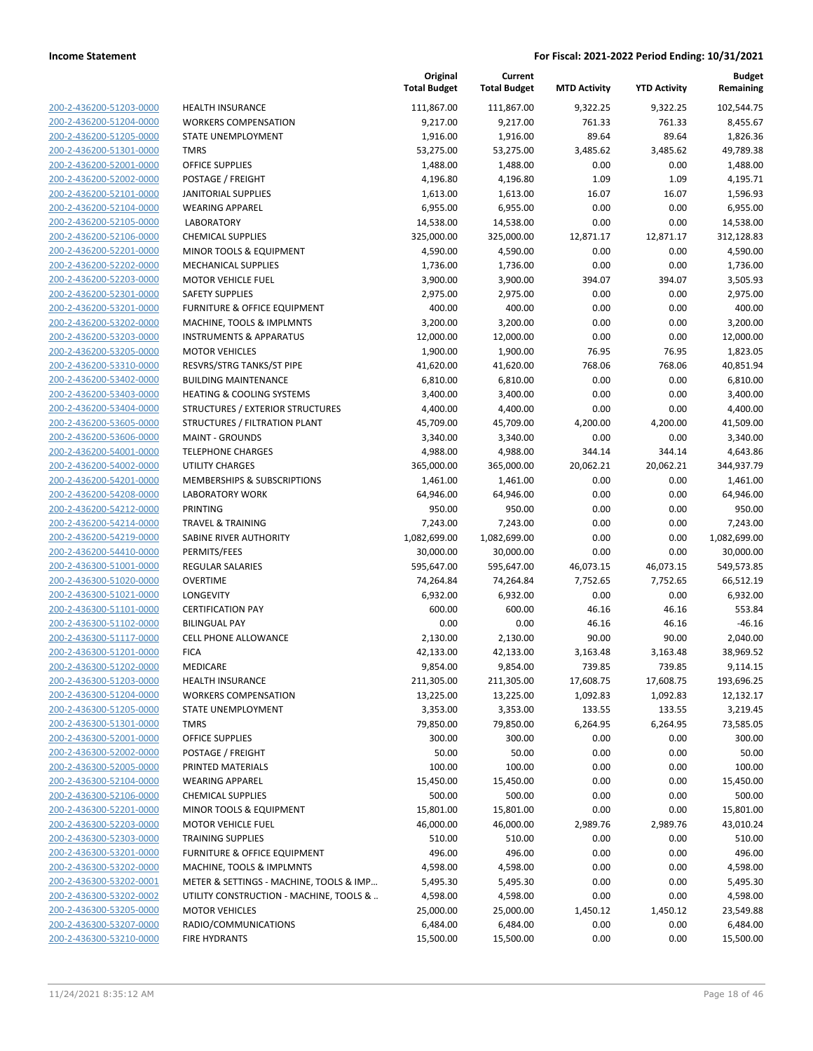| 200-2-436200-51203-0000        |
|--------------------------------|
| 200-2-436200-51204-0000        |
| 200-2-436200-51205-0000        |
| 200-2-436200-51301-0000        |
| 200-2-436200-52001-0000        |
| 200-2-436200-52002-0000        |
| 200-2-436200-52101-0000        |
| 200-2-436200-52104-0000        |
| 200-2-436200-52105-0000        |
| 200-2-436200-52106-0000        |
| 200-2-436200-52201-0000        |
| 200-2-436200-52202-0000        |
| 200-2-436200-52203-0000        |
| 200-2-436200-52301-0000        |
|                                |
| 200-2-436200-53201-0000        |
| 200-2-436200-53202-0000        |
| 200-2-436200-53203-0000        |
| 200-2-436200-53205-0000        |
| 200-2-436200-53310-0000        |
| 200-2-436200-53402-0000        |
| 200-2-436200-53403-0000        |
| 200-2-436200-53404-0000        |
| 200-2-436200-53605-0000        |
| 200-2-436200-53606-0000        |
| 200-2-436200-54001-0000        |
| 200-2-436200-54002-0000        |
| 200-2-436200-54201-0000        |
| 200-2-436200-54208-0000        |
| 200-2-436200-54212-0000        |
| 200-2-436200-54214-0000        |
| 200-2-436200-54219-0000        |
| 200-2-436200-54410-0000        |
| 200-2-436300-51001-0000        |
| 200-2-436300-51020-0000        |
|                                |
| 200-2-436300-51021-0000        |
| 200-2-436300-51101-0000        |
| 200-2-436300-51102-0000        |
| 200-2-436300-51117-0000        |
| 200-2-436300-51201-0000        |
| 200-2-436300-51202-0000        |
| 200-2-436300-51203-0000        |
| <u>200-2-436300-51204-0000</u> |
| 200-2-436300-51205-0000        |
| 200-2-436300-51301-0000        |
| 200-2-436300-52001-0000        |
| <u>200-2-436300-52002-0000</u> |
| <u>200-2-436300-52005-0000</u> |
| 200-2-436300-52104-0000        |
| 200-2-436300-52106-0000        |
| 200-2-436300-52201-0000        |
| <u>200-2-436300-52203-0000</u> |
| <u>200-2-436300-52303-0000</u> |
| 200-2-436300-53201-0000        |
| 200-2-436300-53202-0000        |
| <u>200-2-436300-53202-0001</u> |
|                                |
| <u>200-2-436300-53202-0002</u> |
| <u>200-2-436300-53205-0000</u> |
| 200-2-436300-53207-0000        |
| 200-2-436300-53210-0000        |

|                                                    |                                                   | Original<br><b>Total Budget</b> | Current<br><b>Total Budget</b> | <b>MTD Activity</b> | <b>YTD Activity</b> | Budget<br>Remaining   |
|----------------------------------------------------|---------------------------------------------------|---------------------------------|--------------------------------|---------------------|---------------------|-----------------------|
| 200-2-436200-51203-0000                            | <b>HEALTH INSURANCE</b>                           | 111,867.00                      | 111,867.00                     | 9,322.25            | 9,322.25            | 102,544.75            |
| 200-2-436200-51204-0000                            | <b>WORKERS COMPENSATION</b>                       | 9,217.00                        | 9,217.00                       | 761.33              | 761.33              | 8,455.67              |
| 200-2-436200-51205-0000                            | STATE UNEMPLOYMENT                                | 1,916.00                        | 1,916.00                       | 89.64               | 89.64               | 1,826.36              |
| 200-2-436200-51301-0000                            | <b>TMRS</b>                                       | 53,275.00                       | 53,275.00                      | 3,485.62            | 3,485.62            | 49,789.38             |
| 200-2-436200-52001-0000                            | <b>OFFICE SUPPLIES</b>                            | 1,488.00                        | 1,488.00                       | 0.00                | 0.00                | 1,488.00              |
| 200-2-436200-52002-0000                            | POSTAGE / FREIGHT                                 | 4,196.80                        | 4,196.80                       | 1.09                | 1.09                | 4,195.71              |
| 200-2-436200-52101-0000                            | <b>JANITORIAL SUPPLIES</b>                        | 1,613.00                        | 1,613.00                       | 16.07               | 16.07               | 1,596.93              |
| 200-2-436200-52104-0000                            | <b>WEARING APPAREL</b>                            | 6,955.00                        | 6,955.00                       | 0.00                | 0.00                | 6,955.00              |
| 200-2-436200-52105-0000                            | <b>LABORATORY</b>                                 | 14,538.00                       | 14,538.00                      | 0.00                | 0.00                | 14,538.00             |
| 200-2-436200-52106-0000                            | <b>CHEMICAL SUPPLIES</b>                          | 325,000.00                      | 325,000.00                     | 12,871.17           | 12,871.17           | 312,128.83            |
| 200-2-436200-52201-0000                            | MINOR TOOLS & EQUIPMENT                           | 4,590.00                        | 4,590.00                       | 0.00                | 0.00                | 4,590.00              |
| 200-2-436200-52202-0000                            | <b>MECHANICAL SUPPLIES</b>                        | 1,736.00                        | 1,736.00                       | 0.00                | 0.00                | 1,736.00              |
| 200-2-436200-52203-0000                            | <b>MOTOR VEHICLE FUEL</b>                         | 3,900.00                        | 3,900.00                       | 394.07              | 394.07              | 3,505.93              |
| 200-2-436200-52301-0000                            | <b>SAFETY SUPPLIES</b>                            | 2,975.00                        | 2,975.00                       | 0.00                | 0.00                | 2,975.00              |
| 200-2-436200-53201-0000                            | FURNITURE & OFFICE EQUIPMENT                      | 400.00                          | 400.00                         | 0.00                | 0.00                | 400.00                |
| 200-2-436200-53202-0000                            | MACHINE, TOOLS & IMPLMNTS                         | 3,200.00                        | 3,200.00                       | 0.00                | 0.00                | 3,200.00              |
| 200-2-436200-53203-0000                            | <b>INSTRUMENTS &amp; APPARATUS</b>                | 12,000.00                       | 12,000.00                      | 0.00                | 0.00                | 12,000.00             |
| 200-2-436200-53205-0000                            | <b>MOTOR VEHICLES</b>                             | 1,900.00                        | 1,900.00                       | 76.95               | 76.95               | 1,823.05              |
| 200-2-436200-53310-0000                            | RESVRS/STRG TANKS/ST PIPE                         | 41,620.00                       | 41,620.00                      | 768.06              | 768.06              | 40,851.94             |
| 200-2-436200-53402-0000                            | <b>BUILDING MAINTENANCE</b>                       | 6,810.00                        | 6,810.00                       | 0.00                | 0.00                | 6,810.00              |
| 200-2-436200-53403-0000                            | <b>HEATING &amp; COOLING SYSTEMS</b>              | 3,400.00                        | 3,400.00                       | 0.00                | 0.00                | 3,400.00              |
| 200-2-436200-53404-0000                            | STRUCTURES / EXTERIOR STRUCTURES                  | 4,400.00                        | 4,400.00                       | 0.00                | 0.00                | 4,400.00              |
| 200-2-436200-53605-0000                            | STRUCTURES / FILTRATION PLANT                     | 45,709.00                       | 45,709.00                      | 4,200.00            | 4,200.00            | 41,509.00             |
| 200-2-436200-53606-0000                            | <b>MAINT - GROUNDS</b>                            | 3,340.00                        | 3,340.00                       | 0.00                | 0.00                | 3,340.00              |
| 200-2-436200-54001-0000                            | <b>TELEPHONE CHARGES</b>                          | 4,988.00                        | 4,988.00                       | 344.14              | 344.14              | 4,643.86              |
| 200-2-436200-54002-0000                            | <b>UTILITY CHARGES</b>                            | 365,000.00                      | 365,000.00                     | 20,062.21           | 20,062.21           | 344,937.79            |
| 200-2-436200-54201-0000                            | MEMBERSHIPS & SUBSCRIPTIONS                       | 1,461.00                        | 1,461.00                       | 0.00                | 0.00                | 1,461.00              |
| 200-2-436200-54208-0000                            | <b>LABORATORY WORK</b>                            | 64,946.00                       | 64,946.00                      | 0.00                | 0.00                | 64,946.00             |
| 200-2-436200-54212-0000                            | <b>PRINTING</b>                                   | 950.00                          | 950.00                         | 0.00                | 0.00                | 950.00                |
| 200-2-436200-54214-0000                            | <b>TRAVEL &amp; TRAINING</b>                      | 7,243.00                        | 7,243.00                       | 0.00                | 0.00                | 7,243.00              |
| 200-2-436200-54219-0000                            | SABINE RIVER AUTHORITY                            | 1,082,699.00                    | 1,082,699.00                   | 0.00                | 0.00                | 1,082,699.00          |
| 200-2-436200-54410-0000                            | PERMITS/FEES                                      | 30,000.00                       | 30,000.00                      | 0.00                | 0.00                | 30,000.00             |
| 200-2-436300-51001-0000                            | REGULAR SALARIES                                  | 595,647.00                      | 595,647.00                     | 46,073.15           | 46,073.15           | 549,573.85            |
| 200-2-436300-51020-0000                            | <b>OVERTIME</b>                                   | 74,264.84                       | 74,264.84                      | 7,752.65            | 7,752.65            | 66,512.19             |
| 200-2-436300-51021-0000                            | LONGEVITY                                         | 6,932.00                        | 6,932.00                       | 0.00                | 0.00                | 6,932.00              |
| 200-2-436300-51101-0000                            | <b>CERTIFICATION PAY</b>                          | 600.00                          | 600.00                         | 46.16               | 46.16               | 553.84                |
| 200-2-436300-51102-0000                            | <b>BILINGUAL PAY</b>                              | 0.00                            | 0.00                           | 46.16               | 46.16               | $-46.16$              |
| 200-2-436300-51117-0000                            | <b>CELL PHONE ALLOWANCE</b>                       | 2,130.00                        | 2,130.00                       | 90.00               | 90.00               | 2,040.00              |
| 200-2-436300-51201-0000                            | <b>FICA</b>                                       | 42,133.00                       | 42,133.00                      | 3,163.48            | 3,163.48            | 38,969.52             |
| 200-2-436300-51202-0000                            | MEDICARE                                          | 9,854.00                        | 9,854.00                       | 739.85              | 739.85              | 9,114.15              |
| 200-2-436300-51203-0000                            | <b>HEALTH INSURANCE</b>                           | 211,305.00                      | 211,305.00                     | 17,608.75           | 17,608.75           | 193,696.25            |
| 200-2-436300-51204-0000<br>200-2-436300-51205-0000 | <b>WORKERS COMPENSATION</b><br>STATE UNEMPLOYMENT | 13,225.00<br>3,353.00           | 13,225.00<br>3,353.00          | 1,092.83<br>133.55  | 1,092.83<br>133.55  | 12,132.17<br>3,219.45 |
| 200-2-436300-51301-0000                            | <b>TMRS</b>                                       | 79,850.00                       | 79,850.00                      | 6,264.95            | 6,264.95            | 73,585.05             |
| 200-2-436300-52001-0000                            | OFFICE SUPPLIES                                   | 300.00                          | 300.00                         | 0.00                | 0.00                | 300.00                |
| 200-2-436300-52002-0000                            | POSTAGE / FREIGHT                                 | 50.00                           | 50.00                          | 0.00                | 0.00                | 50.00                 |
| 200-2-436300-52005-0000                            | PRINTED MATERIALS                                 | 100.00                          | 100.00                         | 0.00                | 0.00                | 100.00                |
| 200-2-436300-52104-0000                            | <b>WEARING APPAREL</b>                            | 15,450.00                       | 15,450.00                      | 0.00                | 0.00                | 15,450.00             |
| 200-2-436300-52106-0000                            | <b>CHEMICAL SUPPLIES</b>                          | 500.00                          | 500.00                         | 0.00                | 0.00                | 500.00                |
| 200-2-436300-52201-0000                            | MINOR TOOLS & EQUIPMENT                           | 15,801.00                       | 15,801.00                      | 0.00                | 0.00                | 15,801.00             |
| 200-2-436300-52203-0000                            | <b>MOTOR VEHICLE FUEL</b>                         | 46,000.00                       | 46,000.00                      | 2,989.76            | 2,989.76            | 43,010.24             |
| 200-2-436300-52303-0000                            | <b>TRAINING SUPPLIES</b>                          | 510.00                          | 510.00                         | 0.00                | 0.00                | 510.00                |
| 200-2-436300-53201-0000                            | <b>FURNITURE &amp; OFFICE EQUIPMENT</b>           | 496.00                          | 496.00                         | 0.00                | 0.00                | 496.00                |
| 200-2-436300-53202-0000                            | MACHINE, TOOLS & IMPLMNTS                         | 4,598.00                        | 4,598.00                       | 0.00                | 0.00                | 4,598.00              |
| 200-2-436300-53202-0001                            | METER & SETTINGS - MACHINE, TOOLS & IMP           | 5,495.30                        | 5,495.30                       | 0.00                | 0.00                | 5,495.30              |
| 200-2-436300-53202-0002                            | UTILITY CONSTRUCTION - MACHINE, TOOLS &           | 4,598.00                        | 4,598.00                       | 0.00                | 0.00                | 4,598.00              |
| 200-2-436300-53205-0000                            | <b>MOTOR VEHICLES</b>                             | 25,000.00                       | 25,000.00                      | 1,450.12            | 1,450.12            | 23,549.88             |
| 200-2-436300-53207-0000                            | RADIO/COMMUNICATIONS                              | 6,484.00                        | 6,484.00                       | 0.00                | 0.00                | 6,484.00              |
| 200-2-436300-53210-0000                            | <b>FIRE HYDRANTS</b>                              | 15,500.00                       | 15,500.00                      | 0.00                | 0.00                | 15,500.00             |
|                                                    |                                                   |                                 |                                |                     |                     |                       |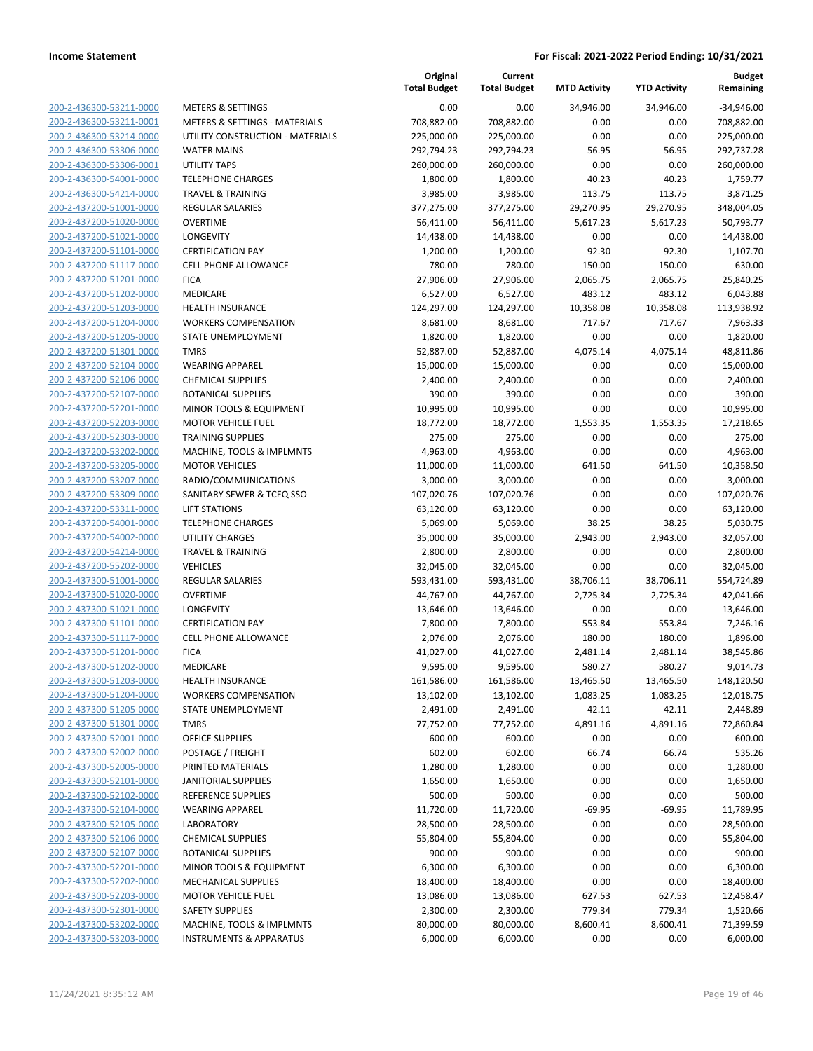|                         |                                          | Original<br><b>Total Budget</b> | Current<br><b>Total Budget</b> | <b>MTD Activity</b> | <b>YTD Activity</b> | <b>Budget</b><br>Remaining |
|-------------------------|------------------------------------------|---------------------------------|--------------------------------|---------------------|---------------------|----------------------------|
| 200-2-436300-53211-0000 | <b>METERS &amp; SETTINGS</b>             | 0.00                            | 0.00                           | 34,946.00           | 34,946.00           | $-34,946.00$               |
| 200-2-436300-53211-0001 | <b>METERS &amp; SETTINGS - MATERIALS</b> | 708,882.00                      | 708,882.00                     | 0.00                | 0.00                | 708,882.00                 |
| 200-2-436300-53214-0000 | UTILITY CONSTRUCTION - MATERIALS         | 225,000.00                      | 225,000.00                     | 0.00                | 0.00                | 225,000.00                 |
| 200-2-436300-53306-0000 | <b>WATER MAINS</b>                       | 292,794.23                      | 292,794.23                     | 56.95               | 56.95               | 292,737.28                 |
| 200-2-436300-53306-0001 | <b>UTILITY TAPS</b>                      | 260,000.00                      | 260,000.00                     | 0.00                | 0.00                | 260,000.00                 |
| 200-2-436300-54001-0000 | <b>TELEPHONE CHARGES</b>                 | 1,800.00                        | 1,800.00                       | 40.23               | 40.23               | 1,759.77                   |
| 200-2-436300-54214-0000 | <b>TRAVEL &amp; TRAINING</b>             | 3,985.00                        | 3,985.00                       | 113.75              | 113.75              | 3,871.25                   |
| 200-2-437200-51001-0000 | REGULAR SALARIES                         | 377,275.00                      | 377,275.00                     | 29,270.95           | 29,270.95           | 348,004.05                 |
| 200-2-437200-51020-0000 | <b>OVERTIME</b>                          | 56,411.00                       | 56,411.00                      | 5,617.23            | 5,617.23            | 50,793.77                  |
| 200-2-437200-51021-0000 | LONGEVITY                                | 14,438.00                       | 14,438.00                      | 0.00                | 0.00                | 14,438.00                  |
| 200-2-437200-51101-0000 | <b>CERTIFICATION PAY</b>                 | 1,200.00                        | 1,200.00                       | 92.30               | 92.30               | 1,107.70                   |
| 200-2-437200-51117-0000 | <b>CELL PHONE ALLOWANCE</b>              | 780.00                          | 780.00                         | 150.00              | 150.00              | 630.00                     |
| 200-2-437200-51201-0000 | <b>FICA</b>                              | 27,906.00                       | 27,906.00                      | 2,065.75            | 2,065.75            | 25,840.25                  |
| 200-2-437200-51202-0000 | MEDICARE                                 | 6,527.00                        | 6,527.00                       | 483.12              | 483.12              | 6,043.88                   |
| 200-2-437200-51203-0000 | <b>HEALTH INSURANCE</b>                  | 124,297.00                      | 124,297.00                     | 10,358.08           | 10,358.08           | 113,938.92                 |
| 200-2-437200-51204-0000 | <b>WORKERS COMPENSATION</b>              | 8,681.00                        | 8,681.00                       | 717.67              | 717.67              | 7,963.33                   |
| 200-2-437200-51205-0000 | STATE UNEMPLOYMENT                       | 1,820.00                        | 1,820.00                       | 0.00                | 0.00                | 1,820.00                   |
| 200-2-437200-51301-0000 | <b>TMRS</b>                              | 52,887.00                       | 52,887.00                      | 4,075.14            | 4,075.14            | 48,811.86                  |
| 200-2-437200-52104-0000 | <b>WEARING APPAREL</b>                   | 15,000.00                       | 15,000.00                      | 0.00                | 0.00                | 15,000.00                  |
| 200-2-437200-52106-0000 | <b>CHEMICAL SUPPLIES</b>                 | 2,400.00                        | 2,400.00                       | 0.00                | 0.00                | 2,400.00                   |
| 200-2-437200-52107-0000 | <b>BOTANICAL SUPPLIES</b>                | 390.00                          | 390.00                         | 0.00                | 0.00                | 390.00                     |
| 200-2-437200-52201-0000 | MINOR TOOLS & EQUIPMENT                  | 10,995.00                       | 10,995.00                      | 0.00                | 0.00                | 10,995.00                  |
| 200-2-437200-52203-0000 | <b>MOTOR VEHICLE FUEL</b>                | 18,772.00                       | 18,772.00                      | 1,553.35            | 1,553.35            | 17,218.65                  |
| 200-2-437200-52303-0000 | <b>TRAINING SUPPLIES</b>                 | 275.00                          | 275.00                         | 0.00                | 0.00                | 275.00                     |
| 200-2-437200-53202-0000 | MACHINE, TOOLS & IMPLMNTS                | 4,963.00                        | 4,963.00                       | 0.00                | 0.00                | 4,963.00                   |
| 200-2-437200-53205-0000 | <b>MOTOR VEHICLES</b>                    | 11,000.00                       | 11,000.00                      | 641.50              | 641.50              | 10,358.50                  |
| 200-2-437200-53207-0000 | RADIO/COMMUNICATIONS                     | 3,000.00                        | 3,000.00                       | 0.00                | 0.00                | 3,000.00                   |
| 200-2-437200-53309-0000 | SANITARY SEWER & TCEQ SSO                | 107,020.76                      | 107,020.76                     | 0.00                | 0.00                | 107,020.76                 |
| 200-2-437200-53311-0000 | <b>LIFT STATIONS</b>                     | 63,120.00                       | 63,120.00                      | 0.00                | 0.00                | 63,120.00                  |
| 200-2-437200-54001-0000 | <b>TELEPHONE CHARGES</b>                 | 5,069.00                        | 5,069.00                       | 38.25               | 38.25               | 5,030.75                   |
| 200-2-437200-54002-0000 | <b>UTILITY CHARGES</b>                   | 35,000.00                       | 35,000.00                      | 2,943.00            | 2,943.00            | 32,057.00                  |
| 200-2-437200-54214-0000 | <b>TRAVEL &amp; TRAINING</b>             | 2,800.00                        | 2,800.00                       | 0.00                | 0.00                | 2,800.00                   |
| 200-2-437200-55202-0000 | <b>VEHICLES</b>                          | 32,045.00                       | 32,045.00                      | 0.00                | 0.00                | 32,045.00                  |
| 200-2-437300-51001-0000 | REGULAR SALARIES                         | 593,431.00                      | 593,431.00                     | 38,706.11           | 38,706.11           | 554,724.89                 |
| 200-2-437300-51020-0000 | <b>OVERTIME</b>                          | 44,767.00                       | 44,767.00                      | 2,725.34            | 2,725.34            | 42,041.66                  |
| 200-2-437300-51021-0000 | LONGEVITY                                | 13,646.00                       | 13,646.00                      | 0.00                | 0.00                | 13,646.00                  |
| 200-2-437300-51101-0000 | <b>CERTIFICATION PAY</b>                 | 7,800.00                        | 7,800.00                       | 553.84              | 553.84              | 7,246.16                   |
| 200-2-437300-51117-0000 | <b>CELL PHONE ALLOWANCE</b>              | 2,076.00                        | 2,076.00                       | 180.00              | 180.00              | 1,896.00                   |
| 200-2-437300-51201-0000 | <b>FICA</b>                              | 41,027.00                       | 41,027.00                      | 2,481.14            | 2,481.14            | 38,545.86                  |
| 200-2-437300-51202-0000 | MEDICARE                                 | 9,595.00                        | 9,595.00                       | 580.27              | 580.27              | 9,014.73                   |
| 200-2-437300-51203-0000 | <b>HEALTH INSURANCE</b>                  | 161,586.00                      | 161,586.00                     | 13,465.50           | 13,465.50           | 148,120.50                 |
| 200-2-437300-51204-0000 | <b>WORKERS COMPENSATION</b>              | 13,102.00                       | 13,102.00                      | 1,083.25            | 1,083.25            | 12,018.75                  |
| 200-2-437300-51205-0000 | STATE UNEMPLOYMENT                       |                                 |                                | 42.11               | 42.11               | 2,448.89                   |
| 200-2-437300-51301-0000 |                                          | 2,491.00                        | 2,491.00                       |                     | 4,891.16            |                            |
| 200-2-437300-52001-0000 | <b>TMRS</b><br><b>OFFICE SUPPLIES</b>    | 77,752.00<br>600.00             | 77,752.00<br>600.00            | 4,891.16<br>0.00    | 0.00                | 72,860.84<br>600.00        |
| 200-2-437300-52002-0000 |                                          |                                 |                                |                     |                     |                            |
| 200-2-437300-52005-0000 | POSTAGE / FREIGHT                        | 602.00<br>1,280.00              | 602.00<br>1,280.00             | 66.74<br>0.00       | 66.74               | 535.26                     |
|                         | PRINTED MATERIALS                        |                                 |                                |                     | 0.00                | 1,280.00                   |
| 200-2-437300-52101-0000 | <b>JANITORIAL SUPPLIES</b>               | 1,650.00                        | 1,650.00                       | 0.00                | 0.00                | 1,650.00                   |
| 200-2-437300-52102-0000 | <b>REFERENCE SUPPLIES</b>                | 500.00                          | 500.00                         | 0.00                | 0.00                | 500.00                     |
| 200-2-437300-52104-0000 | <b>WEARING APPAREL</b>                   | 11,720.00                       | 11,720.00                      | $-69.95$            | $-69.95$            | 11,789.95                  |
| 200-2-437300-52105-0000 | <b>LABORATORY</b>                        | 28,500.00                       | 28,500.00                      | 0.00                | 0.00                | 28,500.00                  |
| 200-2-437300-52106-0000 | <b>CHEMICAL SUPPLIES</b>                 | 55,804.00                       | 55,804.00                      | 0.00                | 0.00                | 55,804.00                  |
| 200-2-437300-52107-0000 | <b>BOTANICAL SUPPLIES</b>                | 900.00                          | 900.00                         | 0.00                | 0.00                | 900.00                     |
| 200-2-437300-52201-0000 | MINOR TOOLS & EQUIPMENT                  | 6,300.00                        | 6,300.00                       | 0.00                | 0.00                | 6,300.00                   |
| 200-2-437300-52202-0000 | <b>MECHANICAL SUPPLIES</b>               | 18,400.00                       | 18,400.00                      | 0.00                | 0.00                | 18,400.00                  |
| 200-2-437300-52203-0000 | <b>MOTOR VEHICLE FUEL</b>                | 13,086.00                       | 13,086.00                      | 627.53              | 627.53              | 12,458.47                  |
| 200-2-437300-52301-0000 | <b>SAFETY SUPPLIES</b>                   | 2,300.00                        | 2,300.00                       | 779.34              | 779.34              | 1,520.66                   |
| 200-2-437300-53202-0000 | MACHINE, TOOLS & IMPLMNTS                | 80,000.00                       | 80,000.00                      | 8,600.41            | 8,600.41            | 71,399.59                  |
| 200-2-437300-53203-0000 | <b>INSTRUMENTS &amp; APPARATUS</b>       | 6,000.00                        | 6,000.00                       | 0.00                | 0.00                | 6,000.00                   |
|                         |                                          |                                 |                                |                     |                     |                            |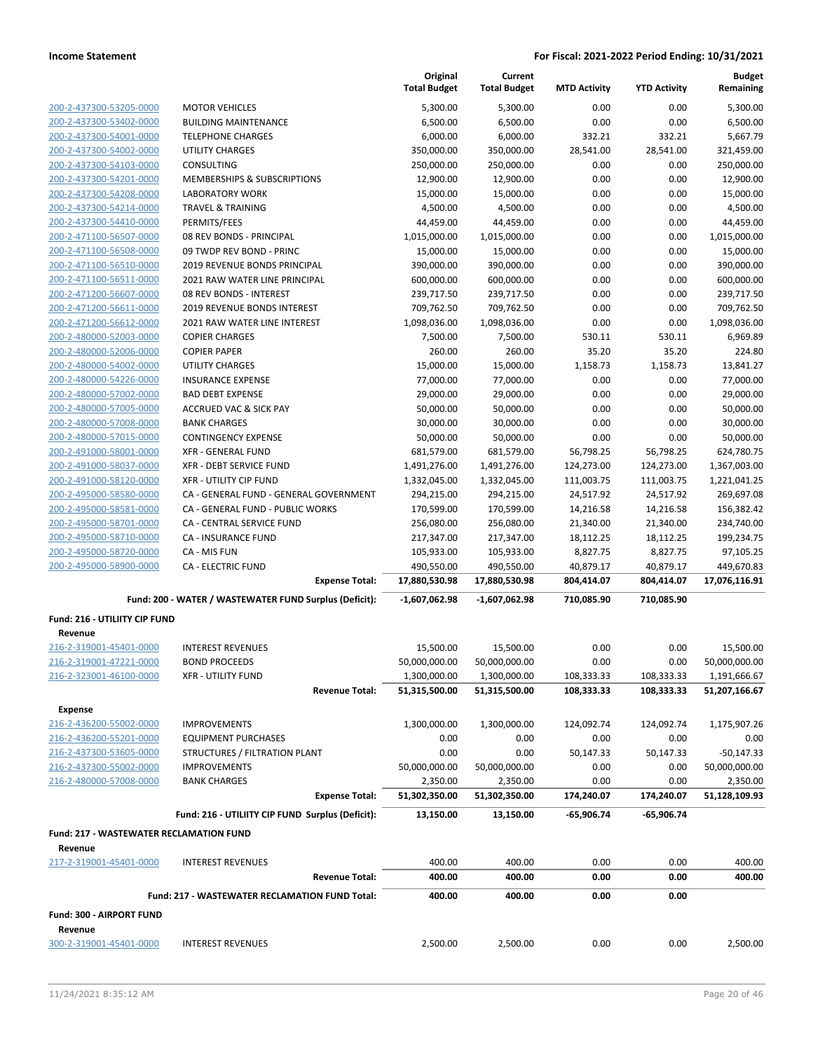|                                                           |                                                        | Original<br><b>Total Budget</b> | Current<br><b>Total Budget</b> | <b>MTD Activity</b>     | <b>YTD Activity</b>     | <b>Budget</b><br>Remaining  |
|-----------------------------------------------------------|--------------------------------------------------------|---------------------------------|--------------------------------|-------------------------|-------------------------|-----------------------------|
| 200-2-437300-53205-0000                                   | <b>MOTOR VEHICLES</b>                                  | 5,300.00                        | 5,300.00                       | 0.00                    | 0.00                    | 5,300.00                    |
| 200-2-437300-53402-0000                                   | <b>BUILDING MAINTENANCE</b>                            | 6,500.00                        | 6,500.00                       | 0.00                    | 0.00                    | 6,500.00                    |
| 200-2-437300-54001-0000                                   | <b>TELEPHONE CHARGES</b>                               | 6,000.00                        | 6,000.00                       | 332.21                  | 332.21                  | 5,667.79                    |
| 200-2-437300-54002-0000                                   | <b>UTILITY CHARGES</b>                                 | 350,000.00                      | 350,000.00                     | 28,541.00               | 28,541.00               | 321,459.00                  |
| 200-2-437300-54103-0000                                   | CONSULTING                                             | 250,000.00                      | 250,000.00                     | 0.00                    | 0.00                    | 250,000.00                  |
| 200-2-437300-54201-0000                                   | MEMBERSHIPS & SUBSCRIPTIONS                            | 12,900.00                       | 12,900.00                      | 0.00                    | 0.00                    | 12,900.00                   |
| 200-2-437300-54208-0000                                   | <b>LABORATORY WORK</b>                                 | 15,000.00                       | 15,000.00                      | 0.00                    | 0.00                    | 15,000.00                   |
| 200-2-437300-54214-0000                                   | <b>TRAVEL &amp; TRAINING</b>                           | 4,500.00                        | 4,500.00                       | 0.00                    | 0.00                    | 4,500.00                    |
| 200-2-437300-54410-0000                                   | PERMITS/FEES                                           | 44,459.00                       | 44,459.00                      | 0.00                    | 0.00                    | 44,459.00                   |
| 200-2-471100-56507-0000                                   | 08 REV BONDS - PRINCIPAL                               | 1,015,000.00                    | 1,015,000.00                   | 0.00                    | 0.00                    | 1,015,000.00                |
| 200-2-471100-56508-0000                                   | 09 TWDP REV BOND - PRINC                               | 15,000.00                       | 15,000.00                      | 0.00                    | 0.00                    | 15,000.00                   |
| 200-2-471100-56510-0000                                   | 2019 REVENUE BONDS PRINCIPAL                           | 390,000.00                      | 390,000.00                     | 0.00                    | 0.00                    | 390,000.00                  |
| 200-2-471100-56511-0000                                   | 2021 RAW WATER LINE PRINCIPAL                          | 600,000.00                      | 600,000.00                     | 0.00                    | 0.00                    | 600,000.00                  |
| 200-2-471200-56607-0000                                   | 08 REV BONDS - INTEREST                                | 239,717.50                      | 239,717.50                     | 0.00                    | 0.00                    | 239,717.50                  |
| 200-2-471200-56611-0000                                   | <b>2019 REVENUE BONDS INTEREST</b>                     | 709,762.50                      | 709,762.50                     | 0.00                    | 0.00                    | 709,762.50                  |
| 200-2-471200-56612-0000                                   | 2021 RAW WATER LINE INTEREST                           | 1,098,036.00                    | 1,098,036.00                   | 0.00                    | 0.00                    | 1,098,036.00                |
| 200-2-480000-52003-0000                                   | <b>COPIER CHARGES</b>                                  | 7,500.00                        | 7,500.00                       | 530.11                  | 530.11                  | 6,969.89                    |
| 200-2-480000-52006-0000                                   | <b>COPIER PAPER</b>                                    | 260.00                          | 260.00                         | 35.20                   | 35.20                   | 224.80                      |
| 200-2-480000-54002-0000                                   | <b>UTILITY CHARGES</b>                                 | 15,000.00                       | 15,000.00                      | 1,158.73                | 1,158.73                | 13,841.27                   |
| 200-2-480000-54226-0000                                   | <b>INSURANCE EXPENSE</b>                               | 77,000.00                       | 77,000.00                      | 0.00                    | 0.00                    | 77,000.00                   |
| 200-2-480000-57002-0000                                   | <b>BAD DEBT EXPENSE</b>                                | 29,000.00                       | 29,000.00                      | 0.00                    | 0.00                    | 29,000.00                   |
| 200-2-480000-57005-0000                                   | <b>ACCRUED VAC &amp; SICK PAY</b>                      | 50,000.00                       | 50,000.00                      | 0.00                    | 0.00                    | 50,000.00                   |
| 200-2-480000-57008-0000                                   | <b>BANK CHARGES</b>                                    | 30,000.00                       | 30,000.00                      | 0.00                    | 0.00                    | 30,000.00                   |
| 200-2-480000-57015-0000                                   | <b>CONTINGENCY EXPENSE</b>                             | 50,000.00                       | 50,000.00                      | 0.00                    | 0.00                    | 50,000.00                   |
| 200-2-491000-58001-0000                                   | <b>XFR - GENERAL FUND</b>                              | 681,579.00                      | 681,579.00                     | 56,798.25               | 56,798.25               | 624,780.75                  |
| 200-2-491000-58037-0000                                   | <b>XFR - DEBT SERVICE FUND</b>                         | 1,491,276.00                    | 1,491,276.00                   | 124,273.00              | 124,273.00              | 1,367,003.00                |
| 200-2-491000-58120-0000                                   | <b>XFR - UTILITY CIP FUND</b>                          | 1,332,045.00                    | 1,332,045.00                   | 111,003.75              | 111,003.75              | 1,221,041.25                |
| 200-2-495000-58580-0000                                   | CA - GENERAL FUND - GENERAL GOVERNMENT                 | 294,215.00                      | 294,215.00                     | 24,517.92               | 24,517.92               | 269,697.08                  |
| 200-2-495000-58581-0000                                   | CA - GENERAL FUND - PUBLIC WORKS                       | 170,599.00                      | 170,599.00                     | 14,216.58               | 14,216.58               | 156,382.42                  |
| 200-2-495000-58701-0000                                   | CA - CENTRAL SERVICE FUND                              | 256,080.00                      | 256,080.00                     | 21,340.00               | 21,340.00               | 234,740.00                  |
| 200-2-495000-58710-0000                                   | <b>CA - INSURANCE FUND</b>                             | 217,347.00                      | 217,347.00                     | 18,112.25               | 18,112.25               | 199,234.75                  |
| 200-2-495000-58720-0000                                   | CA - MIS FUN<br><b>CA - ELECTRIC FUND</b>              | 105,933.00                      | 105,933.00                     | 8,827.75                | 8,827.75                | 97,105.25                   |
| 200-2-495000-58900-0000                                   | <b>Expense Total:</b>                                  | 490,550.00<br>17,880,530.98     | 490,550.00<br>17,880,530.98    | 40,879.17<br>804,414.07 | 40,879.17<br>804,414.07 | 449,670.83<br>17,076,116.91 |
|                                                           | Fund: 200 - WATER / WASTEWATER FUND Surplus (Deficit): | $-1,607,062.98$                 | $-1,607,062.98$                | 710,085.90              | 710,085.90              |                             |
| Fund: 216 - UTILIITY CIP FUND                             |                                                        |                                 |                                |                         |                         |                             |
| Revenue                                                   |                                                        |                                 |                                |                         |                         |                             |
| 216-2-319001-45401-0000                                   | <b>INTEREST REVENUES</b>                               | 15,500.00                       | 15,500.00                      | 0.00                    | 0.00                    | 15,500.00                   |
| 216-2-319001-47221-0000                                   | <b>BOND PROCEEDS</b>                                   | 50,000,000.00                   | 50,000,000.00                  | 0.00                    | 0.00                    | 50,000,000.00               |
| 216-2-323001-46100-0000                                   | <b>XFR - UTILITY FUND</b>                              | 1,300,000.00                    | 1,300,000.00                   | 108,333.33              | 108,333.33              | 1,191,666.67                |
|                                                           | <b>Revenue Total:</b>                                  | 51,315,500.00                   | 51,315,500.00                  | 108,333.33              | 108,333.33              | 51,207,166.67               |
| <b>Expense</b>                                            |                                                        |                                 |                                |                         |                         |                             |
| 216-2-436200-55002-0000                                   | <b>IMPROVEMENTS</b>                                    | 1,300,000.00                    | 1,300,000.00                   | 124,092.74              | 124,092.74              | 1,175,907.26                |
| 216-2-436200-55201-0000                                   | <b>EQUIPMENT PURCHASES</b>                             | 0.00                            | 0.00                           | 0.00                    | 0.00                    | 0.00                        |
| 216-2-437300-53605-0000                                   | STRUCTURES / FILTRATION PLANT                          | 0.00                            | 0.00                           | 50,147.33               | 50,147.33               | $-50,147.33$                |
| 216-2-437300-55002-0000                                   | <b>IMPROVEMENTS</b>                                    | 50,000,000.00                   | 50,000,000.00                  | 0.00                    | 0.00                    | 50,000,000.00               |
| 216-2-480000-57008-0000                                   | <b>BANK CHARGES</b>                                    | 2,350.00                        | 2,350.00                       | 0.00                    | 0.00                    | 2,350.00                    |
|                                                           | <b>Expense Total:</b>                                  | 51,302,350.00                   | 51,302,350.00                  | 174,240.07              | 174,240.07              | 51,128,109.93               |
|                                                           | Fund: 216 - UTILIITY CIP FUND Surplus (Deficit):       | 13,150.00                       | 13,150.00                      | $-65,906.74$            | $-65,906.74$            |                             |
| <b>Fund: 217 - WASTEWATER RECLAMATION FUND</b><br>Revenue |                                                        |                                 |                                |                         |                         |                             |
| 217-2-319001-45401-0000                                   | <b>INTEREST REVENUES</b>                               | 400.00                          | 400.00                         | 0.00                    | 0.00                    | 400.00                      |
|                                                           | <b>Revenue Total:</b>                                  | 400.00                          | 400.00                         | 0.00                    | 0.00                    | 400.00                      |
|                                                           | Fund: 217 - WASTEWATER RECLAMATION FUND Total:         | 400.00                          | 400.00                         | 0.00                    | 0.00                    |                             |
| Fund: 300 - AIRPORT FUND<br>Revenue                       |                                                        |                                 |                                |                         |                         |                             |
| 300-2-319001-45401-0000                                   | <b>INTEREST REVENUES</b>                               | 2,500.00                        | 2,500.00                       | 0.00                    | 0.00                    | 2,500.00                    |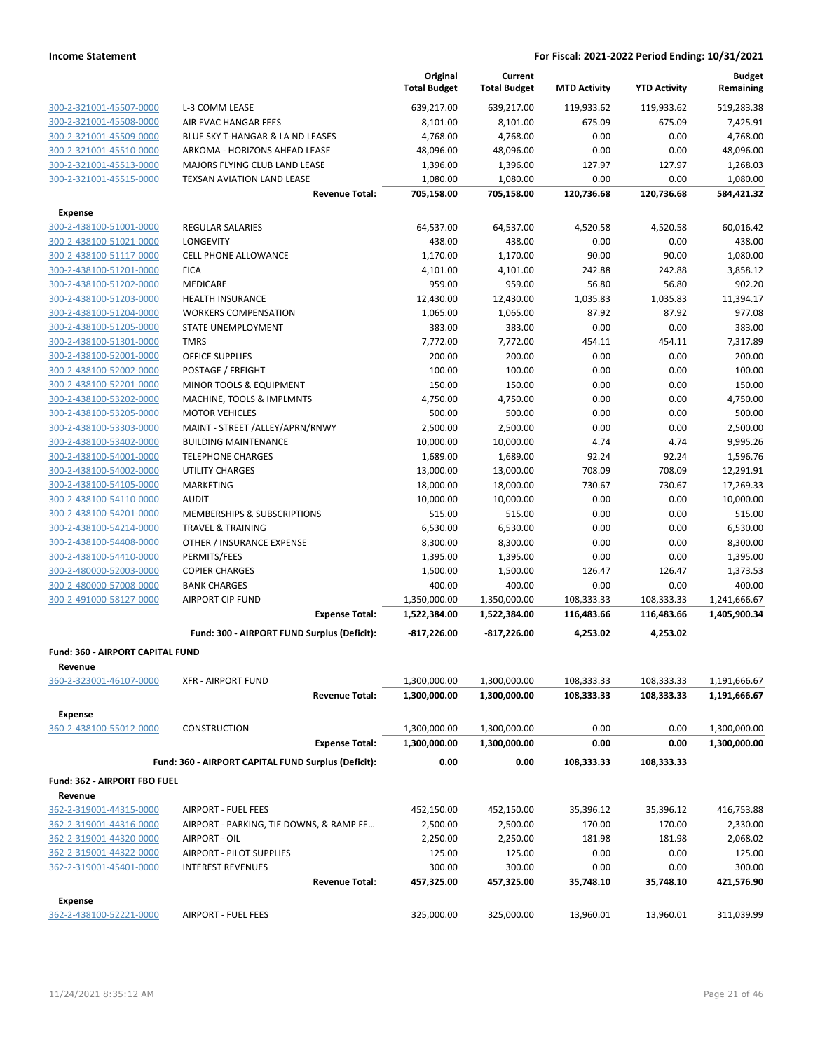|                                           |                                                     | Original<br><b>Total Budget</b> | Current<br><b>Total Budget</b> | <b>MTD Activity</b>      | <b>YTD Activity</b>      | <b>Budget</b><br>Remaining   |
|-------------------------------------------|-----------------------------------------------------|---------------------------------|--------------------------------|--------------------------|--------------------------|------------------------------|
| 300-2-321001-45507-0000                   | L-3 COMM LEASE                                      | 639,217.00                      | 639,217.00                     | 119,933.62               | 119,933.62               | 519,283.38                   |
| 300-2-321001-45508-0000                   | AIR EVAC HANGAR FEES                                | 8,101.00                        | 8,101.00                       | 675.09                   | 675.09                   | 7,425.91                     |
| 300-2-321001-45509-0000                   | BLUE SKY T-HANGAR & LA ND LEASES                    | 4,768.00                        | 4,768.00                       | 0.00                     | 0.00                     | 4,768.00                     |
| 300-2-321001-45510-0000                   | ARKOMA - HORIZONS AHEAD LEASE                       | 48,096.00                       | 48,096.00                      | 0.00                     | 0.00                     | 48,096.00                    |
| 300-2-321001-45513-0000                   | MAJORS FLYING CLUB LAND LEASE                       | 1,396.00                        | 1,396.00                       | 127.97                   | 127.97                   | 1,268.03                     |
| 300-2-321001-45515-0000                   | TEXSAN AVIATION LAND LEASE                          | 1,080.00                        | 1,080.00                       | 0.00                     | 0.00                     | 1,080.00                     |
|                                           | <b>Revenue Total:</b>                               | 705,158.00                      | 705,158.00                     | 120,736.68               | 120,736.68               | 584,421.32                   |
| <b>Expense</b>                            |                                                     |                                 |                                |                          |                          |                              |
| 300-2-438100-51001-0000                   | <b>REGULAR SALARIES</b>                             | 64,537.00                       | 64,537.00                      | 4,520.58                 | 4,520.58                 | 60,016.42                    |
| 300-2-438100-51021-0000                   | LONGEVITY                                           | 438.00                          | 438.00                         | 0.00                     | 0.00                     | 438.00                       |
| 300-2-438100-51117-0000                   | <b>CELL PHONE ALLOWANCE</b>                         | 1,170.00                        | 1,170.00                       | 90.00                    | 90.00                    | 1,080.00                     |
| 300-2-438100-51201-0000                   | <b>FICA</b>                                         | 4,101.00                        | 4,101.00                       | 242.88                   | 242.88                   | 3,858.12                     |
| 300-2-438100-51202-0000                   | <b>MEDICARE</b>                                     | 959.00                          | 959.00                         | 56.80                    | 56.80                    | 902.20                       |
| 300-2-438100-51203-0000                   | <b>HEALTH INSURANCE</b>                             | 12,430.00                       | 12,430.00                      | 1,035.83                 | 1,035.83                 | 11,394.17                    |
| 300-2-438100-51204-0000                   | <b>WORKERS COMPENSATION</b>                         | 1,065.00                        | 1,065.00                       | 87.92                    | 87.92                    | 977.08                       |
| 300-2-438100-51205-0000                   | STATE UNEMPLOYMENT                                  | 383.00                          | 383.00                         | 0.00                     | 0.00                     | 383.00                       |
| 300-2-438100-51301-0000                   | <b>TMRS</b>                                         | 7,772.00                        | 7,772.00                       | 454.11                   | 454.11                   | 7,317.89                     |
| 300-2-438100-52001-0000                   | <b>OFFICE SUPPLIES</b>                              | 200.00                          | 200.00                         | 0.00                     | 0.00                     | 200.00                       |
| 300-2-438100-52002-0000                   | POSTAGE / FREIGHT                                   | 100.00                          | 100.00                         | 0.00                     | 0.00                     | 100.00                       |
| 300-2-438100-52201-0000                   | MINOR TOOLS & EQUIPMENT                             | 150.00                          | 150.00                         | 0.00                     | 0.00                     | 150.00                       |
| 300-2-438100-53202-0000                   | MACHINE, TOOLS & IMPLMNTS                           | 4,750.00                        | 4,750.00                       | 0.00                     | 0.00                     | 4,750.00                     |
| 300-2-438100-53205-0000                   | <b>MOTOR VEHICLES</b>                               | 500.00                          | 500.00                         | 0.00                     | 0.00                     | 500.00                       |
| 300-2-438100-53303-0000                   | MAINT - STREET /ALLEY/APRN/RNWY                     | 2,500.00                        | 2,500.00                       | 0.00                     | 0.00                     | 2,500.00                     |
| 300-2-438100-53402-0000                   | <b>BUILDING MAINTENANCE</b>                         | 10,000.00                       | 10,000.00                      | 4.74                     | 4.74                     | 9,995.26                     |
| 300-2-438100-54001-0000                   | <b>TELEPHONE CHARGES</b>                            | 1,689.00                        | 1,689.00                       | 92.24                    | 92.24                    | 1,596.76                     |
| 300-2-438100-54002-0000                   | <b>UTILITY CHARGES</b>                              | 13,000.00                       | 13,000.00                      | 708.09                   | 708.09                   | 12,291.91                    |
| 300-2-438100-54105-0000                   | MARKETING                                           | 18,000.00                       | 18,000.00                      | 730.67                   | 730.67                   | 17,269.33                    |
| 300-2-438100-54110-0000                   | <b>AUDIT</b>                                        | 10,000.00                       | 10,000.00                      | 0.00                     | 0.00                     | 10,000.00                    |
| 300-2-438100-54201-0000                   | MEMBERSHIPS & SUBSCRIPTIONS                         | 515.00                          | 515.00                         | 0.00                     | 0.00                     | 515.00                       |
| 300-2-438100-54214-0000                   | <b>TRAVEL &amp; TRAINING</b>                        | 6,530.00                        | 6,530.00                       | 0.00                     | 0.00                     | 6,530.00                     |
| 300-2-438100-54408-0000                   | OTHER / INSURANCE EXPENSE                           | 8,300.00                        | 8,300.00                       | 0.00                     | 0.00                     | 8,300.00                     |
| 300-2-438100-54410-0000                   | PERMITS/FEES                                        | 1,395.00                        | 1,395.00                       | 0.00                     | 0.00                     | 1,395.00                     |
| 300-2-480000-52003-0000                   | <b>COPIER CHARGES</b>                               | 1,500.00                        | 1,500.00                       | 126.47                   | 126.47                   | 1,373.53                     |
| 300-2-480000-57008-0000                   | <b>BANK CHARGES</b>                                 | 400.00                          | 400.00                         | 0.00                     | 0.00                     | 400.00                       |
| 300-2-491000-58127-0000                   | <b>AIRPORT CIP FUND</b><br><b>Expense Total:</b>    | 1,350,000.00<br>1,522,384.00    | 1,350,000.00<br>1,522,384.00   | 108,333.33<br>116,483.66 | 108,333.33<br>116,483.66 | 1,241,666.67<br>1,405,900.34 |
|                                           |                                                     |                                 |                                |                          |                          |                              |
|                                           | Fund: 300 - AIRPORT FUND Surplus (Deficit):         | $-817,226.00$                   | $-817,226.00$                  | 4,253.02                 | 4,253.02                 |                              |
| Fund: 360 - AIRPORT CAPITAL FUND          |                                                     |                                 |                                |                          |                          |                              |
| Revenue                                   |                                                     |                                 |                                |                          |                          |                              |
| 360-2-323001-46107-0000                   | <b>XFR - AIRPORT FUND</b><br><b>Revenue Total:</b>  | 1,300,000.00<br>1,300,000.00    | 1,300,000.00<br>1,300,000.00   | 108,333.33<br>108,333.33 | 108,333.33<br>108,333.33 | 1,191,666.67<br>1,191,666.67 |
|                                           |                                                     |                                 |                                |                          |                          |                              |
| <b>Expense</b>                            |                                                     |                                 |                                |                          |                          |                              |
| 360-2-438100-55012-0000                   | CONSTRUCTION<br><b>Expense Total:</b>               | 1,300,000.00<br>1,300,000.00    | 1,300,000.00<br>1,300,000.00   | 0.00<br>0.00             | 0.00<br>0.00             | 1,300,000.00<br>1,300,000.00 |
|                                           |                                                     |                                 |                                |                          |                          |                              |
|                                           | Fund: 360 - AIRPORT CAPITAL FUND Surplus (Deficit): | 0.00                            | 0.00                           | 108,333.33               | 108,333.33               |                              |
| Fund: 362 - AIRPORT FBO FUEL              |                                                     |                                 |                                |                          |                          |                              |
| Revenue                                   |                                                     |                                 |                                |                          |                          |                              |
| 362-2-319001-44315-0000                   | <b>AIRPORT - FUEL FEES</b>                          | 452,150.00                      | 452,150.00                     | 35,396.12                | 35,396.12                | 416,753.88                   |
| 362-2-319001-44316-0000                   | AIRPORT - PARKING, TIE DOWNS, & RAMP FE             | 2,500.00                        | 2,500.00                       | 170.00                   | 170.00                   | 2,330.00                     |
| 362-2-319001-44320-0000                   | AIRPORT - OIL                                       | 2,250.00                        | 2,250.00                       | 181.98                   | 181.98                   | 2,068.02                     |
| 362-2-319001-44322-0000                   | AIRPORT - PILOT SUPPLIES                            | 125.00                          | 125.00                         | 0.00                     | 0.00                     | 125.00                       |
| 362-2-319001-45401-0000                   | <b>INTEREST REVENUES</b><br><b>Revenue Total:</b>   | 300.00<br>457,325.00            | 300.00<br>457,325.00           | 0.00<br>35,748.10        | 0.00<br>35,748.10        | 300.00<br>421,576.90         |
|                                           |                                                     |                                 |                                |                          |                          |                              |
| <b>Expense</b><br>362-2-438100-52221-0000 | <b>AIRPORT - FUEL FEES</b>                          | 325,000.00                      | 325,000.00                     |                          |                          |                              |
|                                           |                                                     |                                 |                                | 13,960.01                | 13,960.01                | 311,039.99                   |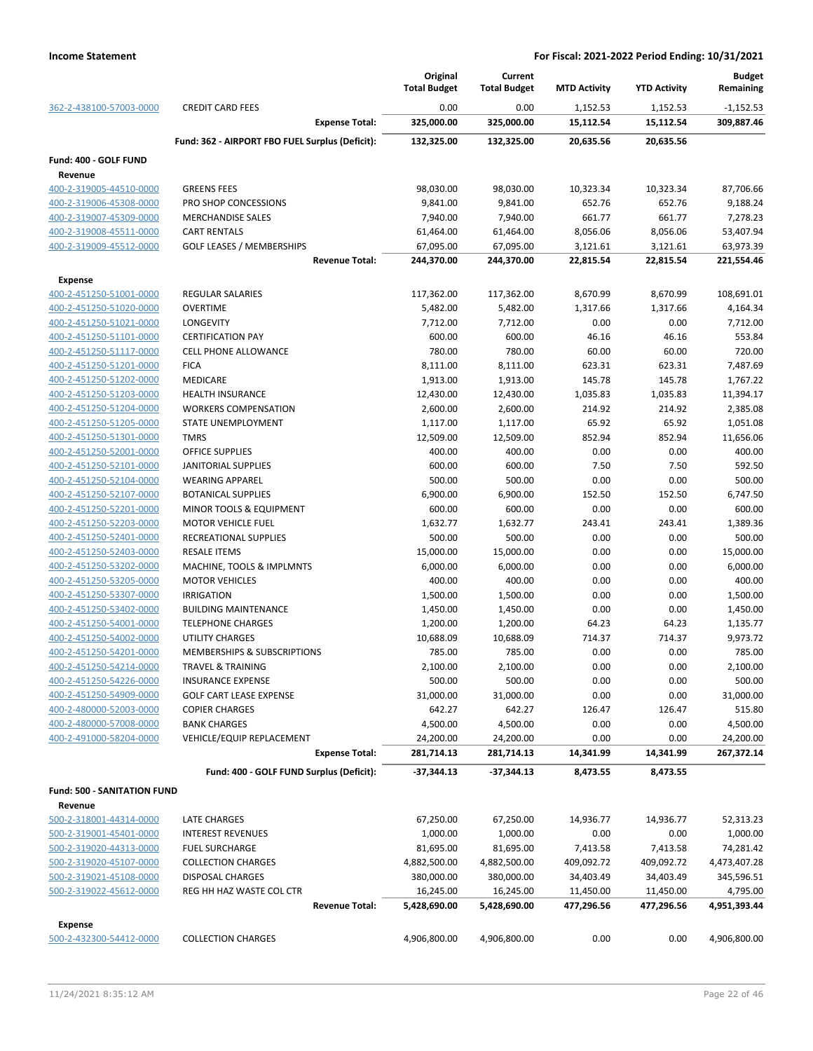|                                                    |                                                 | Original              | Current             |                     |                     | <b>Budget</b>      |
|----------------------------------------------------|-------------------------------------------------|-----------------------|---------------------|---------------------|---------------------|--------------------|
|                                                    |                                                 | <b>Total Budget</b>   | <b>Total Budget</b> | <b>MTD Activity</b> | <b>YTD Activity</b> | Remaining          |
| 362-2-438100-57003-0000                            | <b>CREDIT CARD FEES</b>                         | 0.00                  | 0.00                | 1,152.53            | 1,152.53            | $-1,152.53$        |
|                                                    | <b>Expense Total:</b>                           | 325,000.00            | 325,000.00          | 15,112.54           | 15,112.54           | 309,887.46         |
|                                                    | Fund: 362 - AIRPORT FBO FUEL Surplus (Deficit): | 132,325.00            | 132,325.00          | 20,635.56           | 20,635.56           |                    |
| Fund: 400 - GOLF FUND                              |                                                 |                       |                     |                     |                     |                    |
| Revenue                                            |                                                 |                       |                     |                     |                     |                    |
| 400-2-319005-44510-0000                            | <b>GREENS FEES</b>                              | 98,030.00             | 98,030.00           | 10,323.34           | 10,323.34           | 87,706.66          |
| 400-2-319006-45308-0000                            | PRO SHOP CONCESSIONS                            | 9,841.00              | 9,841.00            | 652.76              | 652.76              | 9,188.24           |
| 400-2-319007-45309-0000                            | <b>MERCHANDISE SALES</b>                        | 7,940.00              | 7,940.00            | 661.77              | 661.77              | 7,278.23           |
| 400-2-319008-45511-0000                            | <b>CART RENTALS</b>                             | 61,464.00             | 61,464.00           | 8,056.06            | 8,056.06            | 53,407.94          |
| 400-2-319009-45512-0000                            | <b>GOLF LEASES / MEMBERSHIPS</b>                | 67,095.00             | 67,095.00           | 3,121.61            | 3,121.61            | 63,973.39          |
|                                                    | <b>Revenue Total:</b>                           | 244,370.00            | 244,370.00          | 22,815.54           | 22,815.54           | 221,554.46         |
| <b>Expense</b>                                     |                                                 |                       |                     |                     |                     |                    |
| 400-2-451250-51001-0000                            | <b>REGULAR SALARIES</b>                         | 117,362.00            | 117,362.00          | 8,670.99            | 8,670.99            | 108,691.01         |
| 400-2-451250-51020-0000                            | <b>OVERTIME</b>                                 | 5,482.00              | 5,482.00            | 1,317.66            | 1,317.66            | 4,164.34           |
| 400-2-451250-51021-0000                            | LONGEVITY                                       | 7,712.00              | 7,712.00            | 0.00                | 0.00                | 7,712.00           |
| 400-2-451250-51101-0000                            | <b>CERTIFICATION PAY</b>                        | 600.00                | 600.00              | 46.16               | 46.16               | 553.84             |
| 400-2-451250-51117-0000                            | <b>CELL PHONE ALLOWANCE</b>                     | 780.00                | 780.00              | 60.00               | 60.00               | 720.00             |
| 400-2-451250-51201-0000                            | <b>FICA</b>                                     | 8,111.00              | 8,111.00            | 623.31              | 623.31              | 7,487.69           |
| 400-2-451250-51202-0000                            | MEDICARE                                        | 1,913.00              | 1,913.00            | 145.78              | 145.78              | 1,767.22           |
| 400-2-451250-51203-0000                            | <b>HEALTH INSURANCE</b>                         | 12,430.00             | 12,430.00           | 1,035.83            | 1,035.83            | 11,394.17          |
| 400-2-451250-51204-0000                            | <b>WORKERS COMPENSATION</b>                     | 2,600.00              | 2,600.00            | 214.92              | 214.92              | 2,385.08           |
| 400-2-451250-51205-0000                            | STATE UNEMPLOYMENT                              | 1,117.00              | 1,117.00            | 65.92               | 65.92               | 1,051.08           |
| 400-2-451250-51301-0000                            | <b>TMRS</b>                                     | 12,509.00             | 12,509.00           | 852.94              | 852.94              | 11,656.06          |
| 400-2-451250-52001-0000                            | OFFICE SUPPLIES                                 | 400.00                | 400.00              | 0.00                | 0.00                | 400.00             |
| 400-2-451250-52101-0000                            | JANITORIAL SUPPLIES                             | 600.00                | 600.00              | 7.50                | 7.50                | 592.50             |
| 400-2-451250-52104-0000                            | <b>WEARING APPAREL</b>                          | 500.00                | 500.00              | 0.00                | 0.00                | 500.00             |
| 400-2-451250-52107-0000                            | <b>BOTANICAL SUPPLIES</b>                       | 6,900.00              | 6,900.00            | 152.50              | 152.50              | 6,747.50           |
| 400-2-451250-52201-0000                            | MINOR TOOLS & EQUIPMENT                         | 600.00                | 600.00              | 0.00                | 0.00                | 600.00             |
| 400-2-451250-52203-0000                            | <b>MOTOR VEHICLE FUEL</b>                       | 1,632.77              | 1,632.77            | 243.41              | 243.41              | 1,389.36           |
| 400-2-451250-52401-0000                            | RECREATIONAL SUPPLIES                           | 500.00                | 500.00              | 0.00                | 0.00                | 500.00             |
| 400-2-451250-52403-0000                            | <b>RESALE ITEMS</b>                             | 15,000.00             | 15,000.00           | 0.00                | 0.00                | 15,000.00          |
| 400-2-451250-53202-0000                            | MACHINE, TOOLS & IMPLMNTS                       | 6,000.00              | 6,000.00            | 0.00                | 0.00                | 6,000.00           |
| 400-2-451250-53205-0000<br>400-2-451250-53307-0000 | <b>MOTOR VEHICLES</b>                           | 400.00                | 400.00              | 0.00                | 0.00                | 400.00             |
|                                                    | <b>IRRIGATION</b>                               | 1,500.00              | 1,500.00            | 0.00                | 0.00                | 1,500.00           |
| 400-2-451250-53402-0000<br>400-2-451250-54001-0000 | <b>BUILDING MAINTENANCE</b>                     | 1,450.00              | 1,450.00            | 0.00                | 0.00                | 1,450.00           |
| 400-2-451250-54002-0000                            | <b>TELEPHONE CHARGES</b><br>UTILITY CHARGES     | 1,200.00<br>10,688.09 | 1,200.00            | 64.23<br>714.37     | 64.23<br>714.37     | 1,135.77           |
| 400-2-451250-54201-0000                            | MEMBERSHIPS & SUBSCRIPTIONS                     | 785.00                | 10,688.09<br>785.00 | 0.00                | 0.00                | 9,973.72<br>785.00 |
| 400-2-451250-54214-0000                            | TRAVEL & TRAINING                               | 2,100.00              | 2,100.00            | 0.00                | 0.00                | 2,100.00           |
| 400-2-451250-54226-0000                            | <b>INSURANCE EXPENSE</b>                        | 500.00                | 500.00              | 0.00                | 0.00                | 500.00             |
| 400-2-451250-54909-0000                            | <b>GOLF CART LEASE EXPENSE</b>                  | 31,000.00             | 31,000.00           | 0.00                | 0.00                | 31,000.00          |
| 400-2-480000-52003-0000                            | <b>COPIER CHARGES</b>                           | 642.27                | 642.27              | 126.47              | 126.47              | 515.80             |
| 400-2-480000-57008-0000                            | <b>BANK CHARGES</b>                             | 4,500.00              | 4,500.00            | 0.00                | 0.00                | 4,500.00           |
| 400-2-491000-58204-0000                            | VEHICLE/EQUIP REPLACEMENT                       | 24,200.00             | 24,200.00           | 0.00                | 0.00                | 24,200.00          |
|                                                    | <b>Expense Total:</b>                           | 281,714.13            | 281,714.13          | 14,341.99           | 14,341.99           | 267,372.14         |
|                                                    |                                                 |                       |                     |                     |                     |                    |
|                                                    | Fund: 400 - GOLF FUND Surplus (Deficit):        | $-37,344.13$          | $-37,344.13$        | 8,473.55            | 8,473.55            |                    |
| <b>Fund: 500 - SANITATION FUND</b>                 |                                                 |                       |                     |                     |                     |                    |
| Revenue                                            |                                                 |                       |                     |                     |                     |                    |
| 500-2-318001-44314-0000                            | LATE CHARGES                                    | 67,250.00             | 67,250.00           | 14,936.77           | 14,936.77           | 52,313.23          |
| 500-2-319001-45401-0000                            | <b>INTEREST REVENUES</b>                        | 1,000.00              | 1,000.00            | 0.00                | 0.00                | 1,000.00           |
| 500-2-319020-44313-0000                            | <b>FUEL SURCHARGE</b>                           | 81,695.00             | 81,695.00           | 7,413.58            | 7,413.58            | 74,281.42          |
| 500-2-319020-45107-0000                            | <b>COLLECTION CHARGES</b>                       | 4,882,500.00          | 4,882,500.00        | 409,092.72          | 409,092.72          | 4,473,407.28       |
| 500-2-319021-45108-0000                            | DISPOSAL CHARGES                                | 380,000.00            | 380,000.00          | 34,403.49           | 34,403.49           | 345,596.51         |
| 500-2-319022-45612-0000                            | REG HH HAZ WASTE COL CTR                        | 16,245.00             | 16,245.00           | 11,450.00           | 11,450.00           | 4,795.00           |
|                                                    | <b>Revenue Total:</b>                           | 5,428,690.00          | 5,428,690.00        | 477,296.56          | 477,296.56          | 4,951,393.44       |
| <b>Expense</b>                                     |                                                 |                       |                     |                     |                     |                    |
| 500-2-432300-54412-0000                            | <b>COLLECTION CHARGES</b>                       | 4,906,800.00          | 4,906,800.00        | 0.00                | 0.00                | 4,906,800.00       |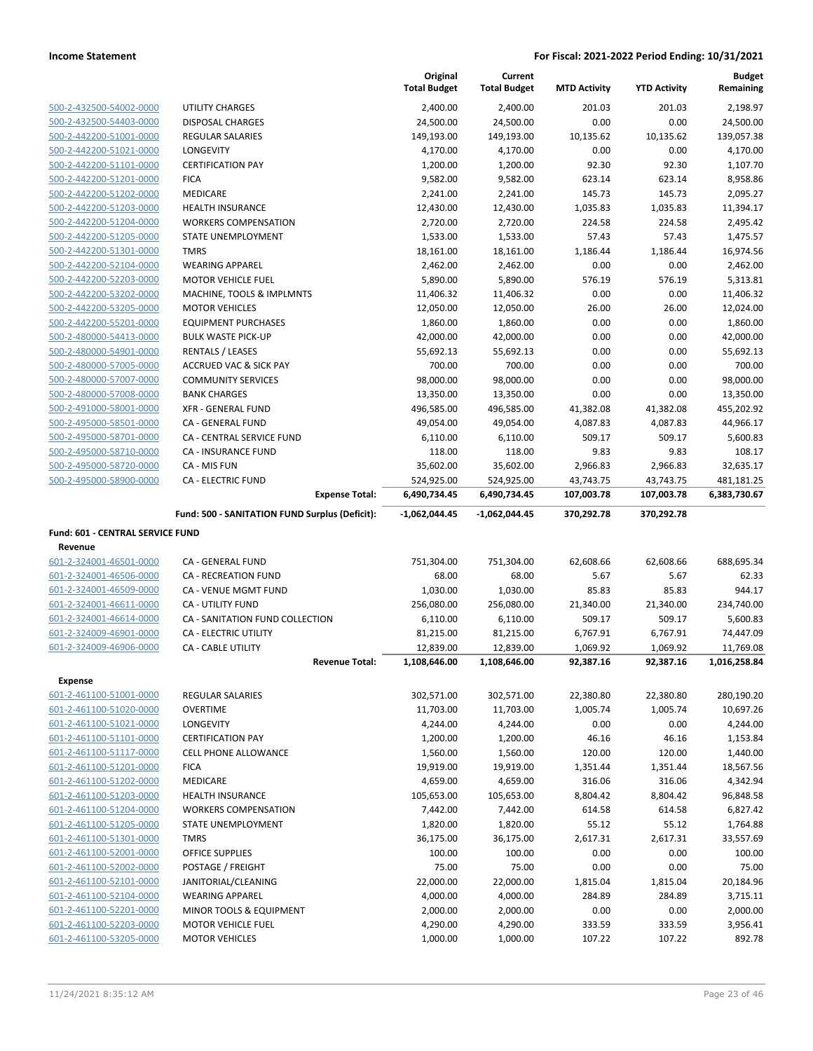|                                                    |                                                    | Original<br><b>Total Budget</b> | Current<br><b>Total Budget</b> | <b>MTD Activity</b> | <b>YTD Activity</b> | <b>Budget</b><br>Remaining |
|----------------------------------------------------|----------------------------------------------------|---------------------------------|--------------------------------|---------------------|---------------------|----------------------------|
| 500-2-432500-54002-0000                            | UTILITY CHARGES                                    | 2,400.00                        | 2,400.00                       | 201.03              | 201.03              | 2,198.97                   |
| 500-2-432500-54403-0000                            | <b>DISPOSAL CHARGES</b>                            | 24,500.00                       | 24,500.00                      | 0.00                | 0.00                | 24,500.00                  |
| 500-2-442200-51001-0000                            | <b>REGULAR SALARIES</b>                            | 149,193.00                      | 149,193.00                     | 10,135.62           | 10,135.62           | 139,057.38                 |
| 500-2-442200-51021-0000                            | LONGEVITY                                          | 4,170.00                        | 4,170.00                       | 0.00                | 0.00                | 4,170.00                   |
| 500-2-442200-51101-0000                            | <b>CERTIFICATION PAY</b>                           | 1,200.00                        | 1,200.00                       | 92.30               | 92.30               | 1,107.70                   |
| 500-2-442200-51201-0000                            | <b>FICA</b>                                        | 9,582.00                        | 9,582.00                       | 623.14              | 623.14              | 8,958.86                   |
| 500-2-442200-51202-0000                            | <b>MEDICARE</b>                                    | 2,241.00                        | 2,241.00                       | 145.73              | 145.73              | 2,095.27                   |
| 500-2-442200-51203-0000                            | HEALTH INSURANCE                                   | 12,430.00                       | 12,430.00                      | 1,035.83            | 1,035.83            | 11,394.17                  |
| 500-2-442200-51204-0000                            | <b>WORKERS COMPENSATION</b>                        | 2,720.00                        | 2,720.00                       | 224.58              | 224.58              | 2,495.42                   |
| 500-2-442200-51205-0000                            | STATE UNEMPLOYMENT                                 | 1,533.00                        | 1,533.00                       | 57.43               | 57.43               | 1,475.57                   |
| 500-2-442200-51301-0000                            | <b>TMRS</b>                                        | 18,161.00                       | 18,161.00                      | 1,186.44            | 1,186.44            | 16,974.56                  |
| 500-2-442200-52104-0000                            | <b>WEARING APPAREL</b>                             | 2,462.00                        | 2,462.00                       | 0.00                | 0.00                | 2,462.00                   |
| 500-2-442200-52203-0000                            | <b>MOTOR VEHICLE FUEL</b>                          | 5,890.00                        | 5,890.00                       | 576.19              | 576.19              | 5,313.81                   |
| 500-2-442200-53202-0000                            | MACHINE, TOOLS & IMPLMNTS                          | 11,406.32                       | 11,406.32                      | 0.00                | 0.00                | 11,406.32                  |
| 500-2-442200-53205-0000                            | <b>MOTOR VEHICLES</b>                              | 12,050.00                       | 12,050.00                      | 26.00               | 26.00               | 12,024.00                  |
| 500-2-442200-55201-0000                            | <b>EQUIPMENT PURCHASES</b>                         | 1,860.00                        | 1,860.00                       | 0.00                | 0.00                | 1,860.00                   |
| 500-2-480000-54413-0000                            | <b>BULK WASTE PICK-UP</b>                          | 42,000.00                       | 42,000.00                      | 0.00                | 0.00                | 42,000.00                  |
| 500-2-480000-54901-0000                            | <b>RENTALS / LEASES</b>                            | 55,692.13                       | 55,692.13                      | 0.00                | 0.00                | 55,692.13                  |
| 500-2-480000-57005-0000                            | <b>ACCRUED VAC &amp; SICK PAY</b>                  | 700.00                          | 700.00                         | 0.00                | 0.00                | 700.00                     |
| 500-2-480000-57007-0000                            | <b>COMMUNITY SERVICES</b>                          | 98,000.00                       | 98,000.00                      | 0.00                | 0.00                | 98,000.00                  |
| 500-2-480000-57008-0000                            | <b>BANK CHARGES</b>                                | 13,350.00                       | 13,350.00                      | 0.00                | 0.00                | 13,350.00                  |
| 500-2-491000-58001-0000                            | <b>XFR - GENERAL FUND</b>                          | 496,585.00                      | 496,585.00                     | 41,382.08           | 41,382.08           | 455,202.92                 |
| 500-2-495000-58501-0000                            | CA - GENERAL FUND                                  | 49,054.00                       | 49,054.00                      | 4,087.83            | 4,087.83            | 44,966.17                  |
| 500-2-495000-58701-0000                            | <b>CA - CENTRAL SERVICE FUND</b>                   | 6,110.00                        | 6,110.00                       | 509.17              | 509.17              | 5,600.83                   |
| 500-2-495000-58710-0000                            | CA - INSURANCE FUND                                | 118.00                          | 118.00                         | 9.83                | 9.83                | 108.17                     |
| 500-2-495000-58720-0000                            | CA - MIS FUN                                       | 35,602.00                       | 35,602.00                      | 2,966.83            | 2,966.83            | 32,635.17                  |
| 500-2-495000-58900-0000                            | <b>CA - ELECTRIC FUND</b>                          | 524,925.00                      | 524,925.00                     | 43,743.75           | 43,743.75           | 481,181.25                 |
|                                                    | <b>Expense Total:</b>                              | 6,490,734.45                    | 6,490,734.45                   | 107,003.78          | 107,003.78          | 6,383,730.67               |
|                                                    | Fund: 500 - SANITATION FUND Surplus (Deficit):     | $-1,062,044.45$                 | -1,062,044.45                  | 370,292.78          | 370,292.78          |                            |
| Fund: 601 - CENTRAL SERVICE FUND                   |                                                    |                                 |                                |                     |                     |                            |
| Revenue                                            |                                                    |                                 |                                |                     |                     |                            |
| 601-2-324001-46501-0000                            | CA - GENERAL FUND                                  | 751,304.00                      | 751,304.00                     | 62,608.66           | 62,608.66           | 688,695.34                 |
| 601-2-324001-46506-0000                            | CA - RECREATION FUND                               | 68.00                           | 68.00                          | 5.67                | 5.67                | 62.33                      |
| 601-2-324001-46509-0000                            | <b>CA - VENUE MGMT FUND</b>                        | 1,030.00                        | 1,030.00                       | 85.83               | 85.83               | 944.17                     |
| 601-2-324001-46611-0000                            | <b>CA - UTILITY FUND</b>                           | 256,080.00                      | 256,080.00                     | 21,340.00           | 21,340.00           | 234,740.00                 |
| 601-2-324001-46614-0000                            | CA - SANITATION FUND COLLECTION                    | 6,110.00                        | 6,110.00                       | 509.17              | 509.17              | 5,600.83                   |
| 601-2-324009-46901-0000                            | CA - ELECTRIC UTILITY                              | 81,215.00                       | 81,215.00                      | 6,767.91            | 6,767.91            | 74,447.09                  |
| 601-2-324009-46906-0000                            | <b>CA - CABLE UTILITY</b>                          | 12,839.00                       | 12,839.00                      | 1,069.92            | 1,069.92            | 11,769.08                  |
|                                                    | <b>Revenue Total:</b>                              | 1,108,646.00                    | 1,108,646.00                   | 92,387.16           | 92,387.16           | 1,016,258.84               |
| <b>Expense</b>                                     |                                                    |                                 |                                |                     |                     |                            |
| 601-2-461100-51001-0000                            | <b>REGULAR SALARIES</b>                            | 302,571.00                      | 302,571.00                     | 22,380.80           | 22,380.80           | 280,190.20                 |
| 601-2-461100-51020-0000                            | <b>OVERTIME</b>                                    | 11,703.00                       | 11,703.00                      | 1,005.74            | 1,005.74            | 10,697.26                  |
| 601-2-461100-51021-0000                            | LONGEVITY                                          | 4,244.00                        | 4,244.00                       | 0.00                | 0.00                | 4,244.00                   |
| 601-2-461100-51101-0000                            | <b>CERTIFICATION PAY</b>                           | 1,200.00                        | 1,200.00                       | 46.16               | 46.16               | 1,153.84                   |
| 601-2-461100-51117-0000                            | <b>CELL PHONE ALLOWANCE</b>                        | 1,560.00                        | 1,560.00                       | 120.00              | 120.00              | 1,440.00                   |
| 601-2-461100-51201-0000                            | <b>FICA</b>                                        | 19,919.00                       | 19,919.00                      | 1,351.44            | 1,351.44            | 18,567.56                  |
| 601-2-461100-51202-0000                            | MEDICARE                                           | 4,659.00                        | 4,659.00                       | 316.06              | 316.06              | 4,342.94                   |
| 601-2-461100-51203-0000                            | <b>HEALTH INSURANCE</b>                            | 105,653.00                      | 105,653.00                     | 8,804.42            | 8,804.42            | 96,848.58                  |
| 601-2-461100-51204-0000                            | <b>WORKERS COMPENSATION</b>                        | 7,442.00                        | 7,442.00                       | 614.58              | 614.58              | 6,827.42                   |
| 601-2-461100-51205-0000                            | STATE UNEMPLOYMENT                                 | 1,820.00                        | 1,820.00                       | 55.12               | 55.12               | 1,764.88                   |
|                                                    | <b>TMRS</b>                                        | 36,175.00                       | 36,175.00                      | 2,617.31            | 2,617.31            | 33,557.69                  |
| 601-2-461100-51301-0000                            |                                                    |                                 |                                |                     |                     |                            |
| 601-2-461100-52001-0000                            | OFFICE SUPPLIES                                    | 100.00                          | 100.00                         | 0.00                | 0.00                | 100.00                     |
| 601-2-461100-52002-0000                            | POSTAGE / FREIGHT                                  | 75.00                           | 75.00                          | 0.00                | 0.00                | 75.00                      |
| 601-2-461100-52101-0000                            | JANITORIAL/CLEANING                                | 22,000.00                       | 22,000.00                      | 1,815.04            | 1,815.04            | 20,184.96                  |
| 601-2-461100-52104-0000                            | <b>WEARING APPAREL</b>                             | 4,000.00                        | 4,000.00                       | 284.89              | 284.89              | 3,715.11                   |
| 601-2-461100-52201-0000                            | MINOR TOOLS & EQUIPMENT                            | 2,000.00                        | 2,000.00                       | 0.00                | 0.00                | 2,000.00                   |
| 601-2-461100-52203-0000<br>601-2-461100-53205-0000 | <b>MOTOR VEHICLE FUEL</b><br><b>MOTOR VEHICLES</b> | 4,290.00<br>1,000.00            | 4,290.00<br>1,000.00           | 333.59<br>107.22    | 333.59<br>107.22    | 3,956.41<br>892.78         |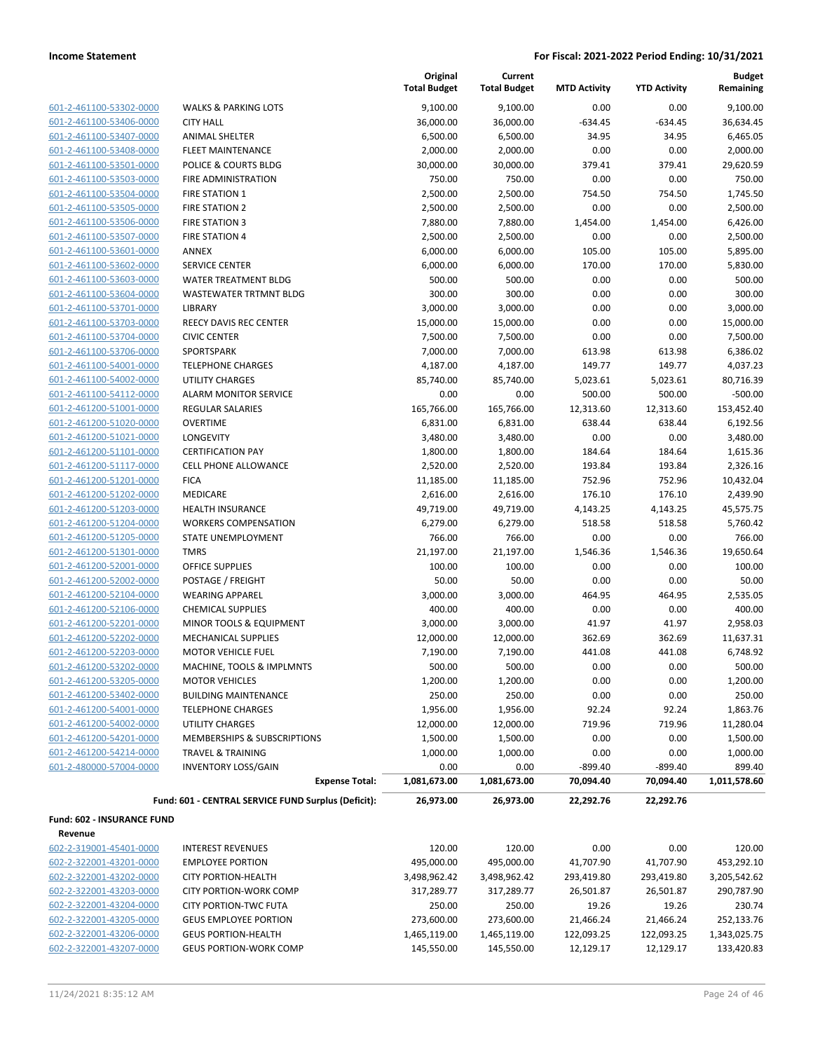| 601-2-461100-53302-0000 |
|-------------------------|
| 601-2-461100-53406-0000 |
| 601-2-461100-53407-0000 |
| 601-2-461100-53408-0000 |
| 601-2-461100-53501-0000 |
| 601-2-461100-53503-0000 |
| 601-2-461100-53504-0000 |
| 601-2-461100-53505-0000 |
| 601-2-461100-53506-0000 |
| 601-2-461100-53507-0000 |
| 601-2-461100-53601-0000 |
| 601-2-461100-53602-0000 |
| 601-2-461100-53603-0000 |
| 601-2-461100-53604-0000 |
| 601-2-461100-53701-0000 |
| 601-2-461100-53703-0000 |
| 601-2-461100-53704-0000 |
| 601-2-461100-53706-0000 |
| 601-2-461100-54001-0000 |
| 601-2-461100-54002-0000 |
| 601-2-461100-54112-0000 |
| 601-2-461200-51001-0000 |
| 601-2-461200-51020-0000 |
| 601-2-461200-51021-0000 |
| 601-2-461200-51101-0000 |
| 601-2-461200-51117-0000 |
| 601-2-461200-51201-0000 |
| 601-2-461200-51202-0000 |
| 601-2-461200-51203-0000 |
| 601-2-461200-51204-0000 |
| 601-2-461200-51205-0000 |
| 601-2-461200-51301-0000 |
| 601-2-461200-52001-0000 |
| 601-2-461200-52002-0000 |
| 601-2-461200-52104-0000 |
| 601-2-461200-52106-0000 |
| 601-2-461200-52201-0000 |
| 601-2-461200-52202-0000 |
| 601-2-461200-52203-0000 |
| 601-2-461200-53202-0000 |
| 601-2-461200-53205-0000 |
| 601-2-461200-53402-0000 |
| 601-2-461200-54001-0000 |
| 601-2-461200-54002-0000 |
| 601-2-461200-54201-0000 |
| 601-2-461200-54214-0000 |
| 601-2-480000-57004-0000 |
|                         |
|                         |

|                            |                                                     | Original<br><b>Total Budget</b> | Current<br><b>Total Budget</b> | <b>MTD Activity</b> | <b>YTD Activity</b> | <b>Budget</b><br>Remaining |
|----------------------------|-----------------------------------------------------|---------------------------------|--------------------------------|---------------------|---------------------|----------------------------|
| 601-2-461100-53302-0000    | <b>WALKS &amp; PARKING LOTS</b>                     | 9,100.00                        | 9,100.00                       | 0.00                | 0.00                | 9,100.00                   |
| 601-2-461100-53406-0000    | <b>CITY HALL</b>                                    | 36,000.00                       | 36,000.00                      | $-634.45$           | $-634.45$           | 36,634.45                  |
| 601-2-461100-53407-0000    | ANIMAL SHELTER                                      | 6,500.00                        | 6,500.00                       | 34.95               | 34.95               | 6,465.05                   |
| 601-2-461100-53408-0000    | <b>FLEET MAINTENANCE</b>                            | 2,000.00                        | 2,000.00                       | 0.00                | 0.00                | 2,000.00                   |
| 601-2-461100-53501-0000    | POLICE & COURTS BLDG                                | 30,000.00                       | 30,000.00                      | 379.41              | 379.41              | 29,620.59                  |
| 601-2-461100-53503-0000    | FIRE ADMINISTRATION                                 | 750.00                          | 750.00                         | 0.00                | 0.00                | 750.00                     |
| 601-2-461100-53504-0000    | <b>FIRE STATION 1</b>                               | 2,500.00                        | 2,500.00                       | 754.50              | 754.50              | 1,745.50                   |
| 601-2-461100-53505-0000    | <b>FIRE STATION 2</b>                               | 2,500.00                        | 2,500.00                       | 0.00                | 0.00                | 2,500.00                   |
| 601-2-461100-53506-0000    | <b>FIRE STATION 3</b>                               | 7,880.00                        | 7,880.00                       | 1,454.00            | 1,454.00            | 6,426.00                   |
| 601-2-461100-53507-0000    | <b>FIRE STATION 4</b>                               | 2,500.00                        | 2,500.00                       | 0.00                | 0.00                | 2,500.00                   |
| 601-2-461100-53601-0000    | <b>ANNEX</b>                                        | 6,000.00                        | 6,000.00                       | 105.00              | 105.00              | 5,895.00                   |
| 601-2-461100-53602-0000    | <b>SERVICE CENTER</b>                               | 6,000.00                        | 6,000.00                       | 170.00              | 170.00              | 5,830.00                   |
| 601-2-461100-53603-0000    | WATER TREATMENT BLDG                                | 500.00                          | 500.00                         | 0.00                | 0.00                | 500.00                     |
| 601-2-461100-53604-0000    | <b>WASTEWATER TRTMNT BLDG</b>                       | 300.00                          | 300.00                         | 0.00                | 0.00                | 300.00                     |
| 601-2-461100-53701-0000    | LIBRARY                                             | 3,000.00                        | 3,000.00                       | 0.00                | 0.00                | 3,000.00                   |
| 601-2-461100-53703-0000    | REECY DAVIS REC CENTER                              | 15,000.00                       | 15,000.00                      | 0.00                | 0.00                | 15,000.00                  |
| 601-2-461100-53704-0000    | <b>CIVIC CENTER</b>                                 | 7,500.00                        | 7,500.00                       | 0.00                | 0.00                | 7,500.00                   |
| 601-2-461100-53706-0000    | SPORTSPARK                                          | 7,000.00                        | 7,000.00                       | 613.98              | 613.98              | 6,386.02                   |
| 601-2-461100-54001-0000    | <b>TELEPHONE CHARGES</b>                            | 4,187.00                        | 4,187.00                       | 149.77              | 149.77              | 4,037.23                   |
| 601-2-461100-54002-0000    | <b>UTILITY CHARGES</b>                              | 85,740.00                       | 85,740.00                      | 5,023.61            | 5,023.61            | 80,716.39                  |
| 601-2-461100-54112-0000    | <b>ALARM MONITOR SERVICE</b>                        | 0.00                            | 0.00                           | 500.00              | 500.00              | $-500.00$                  |
| 601-2-461200-51001-0000    | <b>REGULAR SALARIES</b>                             | 165,766.00                      | 165,766.00                     | 12,313.60           | 12,313.60           | 153,452.40                 |
| 601-2-461200-51020-0000    | <b>OVERTIME</b>                                     | 6,831.00                        | 6,831.00                       | 638.44              | 638.44              | 6,192.56                   |
| 601-2-461200-51021-0000    | <b>LONGEVITY</b>                                    | 3,480.00                        | 3,480.00                       | 0.00                | 0.00                | 3,480.00                   |
| 601-2-461200-51101-0000    | <b>CERTIFICATION PAY</b>                            | 1,800.00                        | 1,800.00                       | 184.64              | 184.64              | 1,615.36                   |
| 601-2-461200-51117-0000    | <b>CELL PHONE ALLOWANCE</b>                         | 2,520.00                        | 2,520.00                       | 193.84              | 193.84              | 2,326.16                   |
| 601-2-461200-51201-0000    | <b>FICA</b>                                         | 11,185.00                       | 11,185.00                      | 752.96              | 752.96              | 10,432.04                  |
| 601-2-461200-51202-0000    | MEDICARE                                            | 2,616.00                        | 2,616.00                       | 176.10              | 176.10              | 2,439.90                   |
| 601-2-461200-51203-0000    | <b>HEALTH INSURANCE</b>                             | 49,719.00                       | 49,719.00                      | 4,143.25            | 4,143.25            | 45,575.75                  |
| 601-2-461200-51204-0000    | <b>WORKERS COMPENSATION</b>                         | 6,279.00                        | 6,279.00                       | 518.58              | 518.58              | 5,760.42                   |
| 601-2-461200-51205-0000    | STATE UNEMPLOYMENT                                  | 766.00                          | 766.00                         | 0.00                | 0.00                | 766.00                     |
| 601-2-461200-51301-0000    | <b>TMRS</b>                                         | 21,197.00                       | 21,197.00                      | 1,546.36            | 1,546.36            | 19,650.64                  |
| 601-2-461200-52001-0000    | OFFICE SUPPLIES                                     | 100.00                          | 100.00                         | 0.00                | 0.00                | 100.00                     |
| 601-2-461200-52002-0000    | POSTAGE / FREIGHT                                   | 50.00                           | 50.00                          | 0.00                | 0.00                | 50.00                      |
| 601-2-461200-52104-0000    | <b>WEARING APPAREL</b>                              | 3,000.00                        | 3,000.00                       | 464.95              | 464.95              | 2,535.05                   |
| 601-2-461200-52106-0000    | <b>CHEMICAL SUPPLIES</b>                            | 400.00                          | 400.00                         | 0.00                | 0.00                | 400.00                     |
| 601-2-461200-52201-0000    | MINOR TOOLS & EQUIPMENT                             | 3,000.00                        | 3,000.00                       | 41.97               | 41.97               | 2,958.03                   |
| 601-2-461200-52202-0000    | MECHANICAL SUPPLIES                                 | 12,000.00                       | 12,000.00                      | 362.69              | 362.69              | 11,637.31                  |
| 601-2-461200-52203-0000    | <b>MOTOR VEHICLE FUEL</b>                           | 7,190.00                        | 7,190.00                       | 441.08              | 441.08              | 6,748.92                   |
| 601-2-461200-53202-0000    | MACHINE, TOOLS & IMPLMNTS                           | 500.00                          | 500.00                         | 0.00                | 0.00                | 500.00                     |
| 601-2-461200-53205-0000    | <b>MOTOR VEHICLES</b>                               | 1,200.00                        | 1,200.00                       | 0.00                | 0.00                | 1,200.00                   |
| 601-2-461200-53402-0000    | <b>BUILDING MAINTENANCE</b>                         | 250.00                          | 250.00                         | 0.00                | 0.00                | 250.00                     |
| 601-2-461200-54001-0000    | <b>TELEPHONE CHARGES</b>                            | 1,956.00                        | 1,956.00                       | 92.24               | 92.24               | 1,863.76                   |
| 601-2-461200-54002-0000    | UTILITY CHARGES                                     | 12,000.00                       | 12,000.00                      | 719.96              | 719.96              | 11,280.04                  |
| 601-2-461200-54201-0000    | MEMBERSHIPS & SUBSCRIPTIONS                         | 1,500.00                        | 1,500.00                       | 0.00                | 0.00                | 1,500.00                   |
| 601-2-461200-54214-0000    | <b>TRAVEL &amp; TRAINING</b>                        | 1,000.00                        | 1,000.00                       | 0.00                | 0.00                | 1,000.00                   |
| 601-2-480000-57004-0000    | <b>INVENTORY LOSS/GAIN</b>                          | 0.00                            | 0.00                           | $-899.40$           | $-899.40$           | 899.40                     |
|                            | <b>Expense Total:</b>                               | 1,081,673.00                    | 1,081,673.00                   | 70,094.40           | 70,094.40           | 1,011,578.60               |
|                            | Fund: 601 - CENTRAL SERVICE FUND Surplus (Deficit): | 26,973.00                       | 26,973.00                      | 22,292.76           | 22,292.76           |                            |
| Fund: 602 - INSURANCE FUND |                                                     |                                 |                                |                     |                     |                            |
| Revenue                    |                                                     |                                 |                                |                     |                     |                            |
| 602-2-319001-45401-0000    | <b>INTEREST REVENUES</b>                            | 120.00                          | 120.00                         | 0.00                | 0.00                | 120.00                     |
| 602-2-322001-43201-0000    | <b>EMPLOYEE PORTION</b>                             | 495,000.00                      | 495,000.00                     | 41,707.90           | 41,707.90           | 453,292.10                 |
| 602-2-322001-43202-0000    | <b>CITY PORTION-HEALTH</b>                          | 3.498.962.42                    | 3.498.962.42                   | 293.419.80          | 293.419.80          | 3.205.542.62               |

| 602-2-322001-43201-0000 | <b>EMPLOYEE PORTION</b>       | 495.000.00   | 495.000.00   | 41.707.90  | 41.707.90  | 453,292.10   |
|-------------------------|-------------------------------|--------------|--------------|------------|------------|--------------|
| 602-2-322001-43202-0000 | CITY PORTION-HEALTH           | 3,498,962.42 | 3,498,962.42 | 293.419.80 | 293.419.80 | 3,205,542.62 |
| 602-2-322001-43203-0000 | CITY PORTION-WORK COMP        | 317.289.77   | 317.289.77   | 26.501.87  | 26.501.87  | 290,787.90   |
| 602-2-322001-43204-0000 | <b>CITY PORTION-TWC FUTA</b>  | 250.00       | 250.00       | 19.26      | 19.26      | 230.74       |
| 602-2-322001-43205-0000 | <b>GEUS EMPLOYEE PORTION</b>  | 273.600.00   | 273.600.00   | 21.466.24  | 21.466.24  | 252,133.76   |
| 602-2-322001-43206-0000 | <b>GEUS PORTION-HEALTH</b>    | 1,465,119.00 | 1.465.119.00 | 122.093.25 | 122.093.25 | 1,343,025.75 |
| 602-2-322001-43207-0000 | <b>GEUS PORTION-WORK COMP</b> | 145,550.00   | 145,550.00   | 12,129.17  | 12,129.17  | 133,420.83   |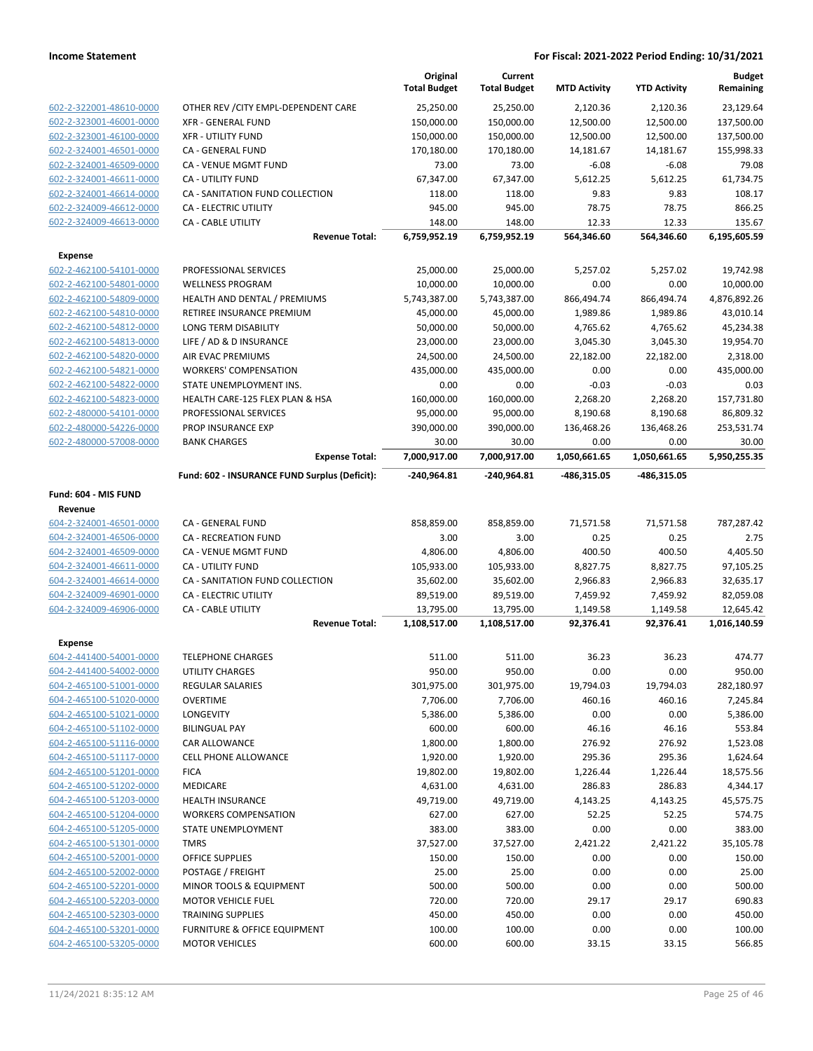|                         |                                               | Original<br><b>Total Budget</b> | Current<br><b>Total Budget</b> | <b>MTD Activity</b> | <b>YTD Activity</b> | <b>Budget</b><br>Remaining |
|-------------------------|-----------------------------------------------|---------------------------------|--------------------------------|---------------------|---------------------|----------------------------|
| 602-2-322001-48610-0000 | OTHER REV / CITY EMPL-DEPENDENT CARE          | 25,250.00                       | 25,250.00                      | 2,120.36            | 2,120.36            | 23,129.64                  |
| 602-2-323001-46001-0000 | <b>XFR - GENERAL FUND</b>                     | 150,000.00                      | 150,000.00                     | 12,500.00           | 12,500.00           | 137,500.00                 |
| 602-2-323001-46100-0000 | <b>XFR - UTILITY FUND</b>                     | 150,000.00                      | 150,000.00                     | 12,500.00           | 12,500.00           | 137,500.00                 |
| 602-2-324001-46501-0000 | CA - GENERAL FUND                             | 170,180.00                      | 170,180.00                     | 14,181.67           | 14,181.67           | 155,998.33                 |
| 602-2-324001-46509-0000 | CA - VENUE MGMT FUND                          | 73.00                           | 73.00                          | $-6.08$             | $-6.08$             | 79.08                      |
| 602-2-324001-46611-0000 | <b>CA - UTILITY FUND</b>                      | 67,347.00                       | 67,347.00                      | 5,612.25            | 5,612.25            | 61,734.75                  |
| 602-2-324001-46614-0000 | CA - SANITATION FUND COLLECTION               | 118.00                          | 118.00                         | 9.83                | 9.83                | 108.17                     |
| 602-2-324009-46612-0000 | <b>CA - ELECTRIC UTILITY</b>                  | 945.00                          | 945.00                         | 78.75               | 78.75               | 866.25                     |
| 602-2-324009-46613-0000 | <b>CA - CABLE UTILITY</b>                     | 148.00                          | 148.00                         | 12.33               | 12.33               | 135.67                     |
|                         | <b>Revenue Total:</b>                         | 6,759,952.19                    | 6,759,952.19                   | 564,346.60          | 564,346.60          | 6,195,605.59               |
| <b>Expense</b>          |                                               |                                 |                                |                     |                     |                            |
| 602-2-462100-54101-0000 | PROFESSIONAL SERVICES                         | 25,000.00                       | 25,000.00                      | 5,257.02            | 5,257.02            | 19,742.98                  |
| 602-2-462100-54801-0000 | <b>WELLNESS PROGRAM</b>                       | 10,000.00                       | 10,000.00                      | 0.00                | 0.00                | 10,000.00                  |
| 602-2-462100-54809-0000 | HEALTH AND DENTAL / PREMIUMS                  | 5,743,387.00                    | 5,743,387.00                   | 866,494.74          | 866,494.74          | 4,876,892.26               |
| 602-2-462100-54810-0000 | RETIREE INSURANCE PREMIUM                     | 45,000.00                       | 45,000.00                      | 1,989.86            | 1,989.86            | 43,010.14                  |
| 602-2-462100-54812-0000 | LONG TERM DISABILITY                          | 50,000.00                       | 50,000.00                      | 4,765.62            | 4,765.62            | 45,234.38                  |
| 602-2-462100-54813-0000 | LIFE / AD & D INSURANCE                       | 23,000.00                       | 23,000.00                      | 3,045.30            | 3,045.30            | 19,954.70                  |
| 602-2-462100-54820-0000 | AIR EVAC PREMIUMS                             | 24,500.00                       | 24,500.00                      | 22,182.00           | 22,182.00           | 2,318.00                   |
| 602-2-462100-54821-0000 | <b>WORKERS' COMPENSATION</b>                  | 435,000.00                      | 435,000.00                     | 0.00                | 0.00                | 435,000.00                 |
| 602-2-462100-54822-0000 | STATE UNEMPLOYMENT INS.                       | 0.00                            | 0.00                           | $-0.03$             | $-0.03$             | 0.03                       |
| 602-2-462100-54823-0000 | HEALTH CARE-125 FLEX PLAN & HSA               | 160,000.00                      | 160,000.00                     | 2,268.20            | 2,268.20            | 157,731.80                 |
| 602-2-480000-54101-0000 | PROFESSIONAL SERVICES                         | 95,000.00                       | 95,000.00                      | 8,190.68            | 8,190.68            | 86,809.32                  |
| 602-2-480000-54226-0000 | PROP INSURANCE EXP                            | 390,000.00                      | 390,000.00                     | 136,468.26          | 136,468.26          | 253,531.74                 |
| 602-2-480000-57008-0000 | <b>BANK CHARGES</b>                           | 30.00                           | 30.00                          | 0.00                | 0.00                | 30.00                      |
|                         | <b>Expense Total:</b>                         | 7,000,917.00                    | 7,000,917.00                   | 1,050,661.65        | 1,050,661.65        | 5,950,255.35               |
|                         | Fund: 602 - INSURANCE FUND Surplus (Deficit): | -240,964.81                     | -240,964.81                    | -486,315.05         | -486,315.05         |                            |
| Fund: 604 - MIS FUND    |                                               |                                 |                                |                     |                     |                            |
| Revenue                 |                                               |                                 |                                |                     |                     |                            |
| 604-2-324001-46501-0000 | CA - GENERAL FUND                             | 858,859.00                      | 858,859.00                     | 71,571.58           | 71,571.58           | 787,287.42                 |
| 604-2-324001-46506-0000 | CA - RECREATION FUND                          | 3.00                            | 3.00                           | 0.25                | 0.25                | 2.75                       |
| 604-2-324001-46509-0000 | CA - VENUE MGMT FUND                          | 4,806.00                        | 4,806.00                       | 400.50              | 400.50              | 4,405.50                   |
| 604-2-324001-46611-0000 | <b>CA - UTILITY FUND</b>                      | 105,933.00                      | 105,933.00                     | 8,827.75            | 8,827.75            | 97,105.25                  |
| 604-2-324001-46614-0000 | CA - SANITATION FUND COLLECTION               | 35,602.00                       | 35,602.00                      | 2,966.83            | 2,966.83            | 32,635.17                  |
| 604-2-324009-46901-0000 | CA - ELECTRIC UTILITY                         | 89,519.00                       | 89,519.00                      | 7,459.92            | 7,459.92            | 82,059.08                  |
| 604-2-324009-46906-0000 | <b>CA - CABLE UTILITY</b>                     | 13,795.00                       | 13,795.00                      | 1,149.58            | 1,149.58            | 12,645.42                  |
|                         | <b>Revenue Total:</b>                         | 1,108,517.00                    | 1,108,517.00                   | 92,376.41           | 92,376.41           | 1,016,140.59               |
| <b>Expense</b>          |                                               |                                 |                                |                     |                     |                            |
| 604-2-441400-54001-0000 | <b>TELEPHONE CHARGES</b>                      | 511.00                          | 511.00                         | 36.23               | 36.23               | 474.77                     |
| 604-2-441400-54002-0000 | <b>UTILITY CHARGES</b>                        | 950.00                          | 950.00                         | 0.00                | 0.00                | 950.00                     |
| 604-2-465100-51001-0000 | <b>REGULAR SALARIES</b>                       | 301,975.00                      | 301,975.00                     | 19,794.03           | 19,794.03           | 282,180.97                 |
| 604-2-465100-51020-0000 | <b>OVERTIME</b>                               | 7,706.00                        | 7,706.00                       | 460.16              | 460.16              | 7,245.84                   |
| 604-2-465100-51021-0000 | <b>LONGEVITY</b>                              | 5,386.00                        | 5,386.00                       | 0.00                | 0.00                | 5,386.00                   |
| 604-2-465100-51102-0000 | <b>BILINGUAL PAY</b>                          | 600.00                          | 600.00                         | 46.16               | 46.16               | 553.84                     |
| 604-2-465100-51116-0000 | CAR ALLOWANCE                                 | 1,800.00                        | 1,800.00                       | 276.92              | 276.92              | 1,523.08                   |
| 604-2-465100-51117-0000 | <b>CELL PHONE ALLOWANCE</b>                   | 1,920.00                        | 1,920.00                       | 295.36              | 295.36              | 1,624.64                   |
| 604-2-465100-51201-0000 | <b>FICA</b>                                   | 19,802.00                       | 19,802.00                      | 1,226.44            | 1,226.44            | 18,575.56                  |
| 604-2-465100-51202-0000 | <b>MEDICARE</b>                               | 4,631.00                        | 4,631.00                       | 286.83              | 286.83              | 4,344.17                   |
| 604-2-465100-51203-0000 | <b>HEALTH INSURANCE</b>                       | 49,719.00                       | 49,719.00                      | 4,143.25            | 4,143.25            | 45,575.75                  |
| 604-2-465100-51204-0000 | <b>WORKERS COMPENSATION</b>                   | 627.00                          | 627.00                         | 52.25               | 52.25               | 574.75                     |
| 604-2-465100-51205-0000 | STATE UNEMPLOYMENT                            | 383.00                          | 383.00                         | 0.00                | 0.00                | 383.00                     |
| 604-2-465100-51301-0000 | TMRS                                          | 37,527.00                       | 37,527.00                      | 2,421.22            | 2,421.22            | 35,105.78                  |
| 604-2-465100-52001-0000 | OFFICE SUPPLIES                               | 150.00                          | 150.00                         | 0.00                | 0.00                | 150.00                     |
| 604-2-465100-52002-0000 | POSTAGE / FREIGHT                             | 25.00                           | 25.00                          | 0.00                | 0.00                | 25.00                      |
| 604-2-465100-52201-0000 | MINOR TOOLS & EQUIPMENT                       | 500.00                          | 500.00                         | 0.00                | 0.00                | 500.00                     |
| 604-2-465100-52203-0000 | <b>MOTOR VEHICLE FUEL</b>                     | 720.00                          | 720.00                         | 29.17               | 29.17               | 690.83                     |
| 604-2-465100-52303-0000 | <b>TRAINING SUPPLIES</b>                      | 450.00                          | 450.00                         | 0.00                | 0.00                | 450.00                     |
| 604-2-465100-53201-0000 | <b>FURNITURE &amp; OFFICE EQUIPMENT</b>       | 100.00                          | 100.00                         | 0.00                | 0.00                | 100.00                     |
| 604-2-465100-53205-0000 | <b>MOTOR VEHICLES</b>                         | 600.00                          | 600.00                         | 33.15               | 33.15               | 566.85                     |
|                         |                                               |                                 |                                |                     |                     |                            |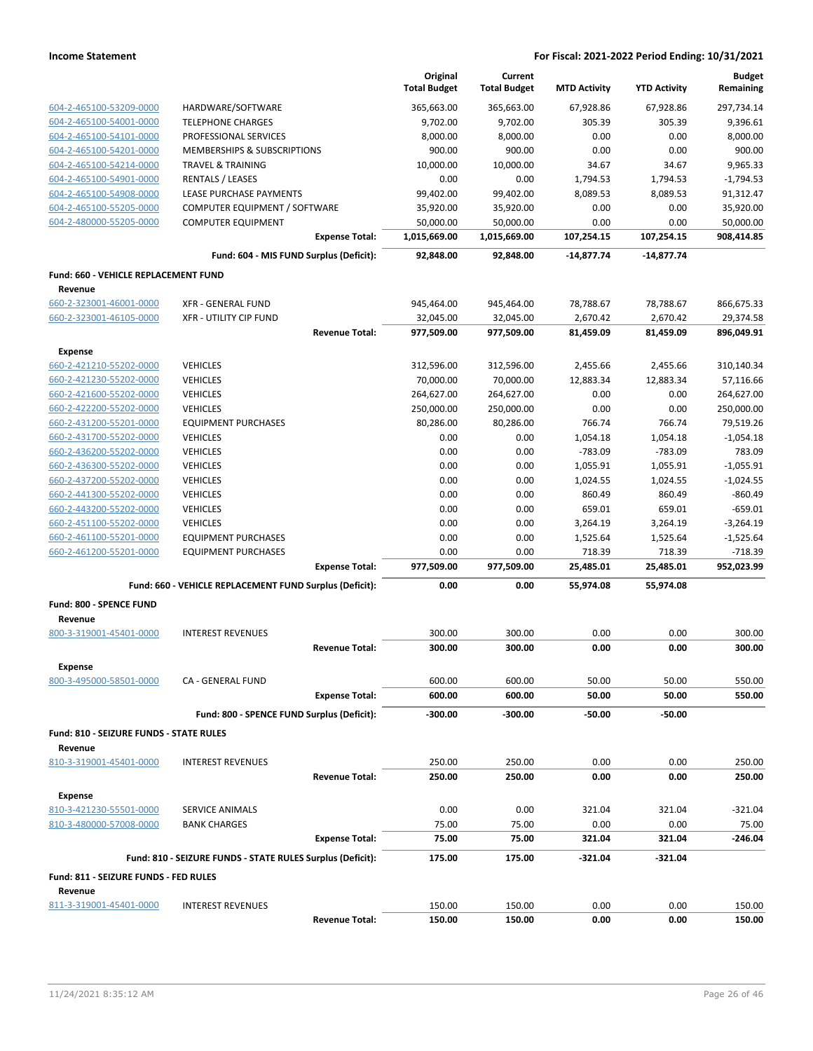|                                           |                                                            | Original<br><b>Total Budget</b> | Current<br><b>Total Budget</b> | <b>MTD Activity</b> | <b>YTD Activity</b> | <b>Budget</b><br>Remaining |
|-------------------------------------------|------------------------------------------------------------|---------------------------------|--------------------------------|---------------------|---------------------|----------------------------|
| 604-2-465100-53209-0000                   | HARDWARE/SOFTWARE                                          | 365,663.00                      | 365,663.00                     | 67,928.86           | 67,928.86           | 297,734.14                 |
| 604-2-465100-54001-0000                   | <b>TELEPHONE CHARGES</b>                                   | 9,702.00                        | 9,702.00                       | 305.39              | 305.39              | 9,396.61                   |
| 604-2-465100-54101-0000                   | PROFESSIONAL SERVICES                                      | 8,000.00                        | 8,000.00                       | 0.00                | 0.00                | 8,000.00                   |
| 604-2-465100-54201-0000                   | <b>MEMBERSHIPS &amp; SUBSCRIPTIONS</b>                     | 900.00                          | 900.00                         | 0.00                | 0.00                | 900.00                     |
| 604-2-465100-54214-0000                   | <b>TRAVEL &amp; TRAINING</b>                               | 10,000.00                       | 10,000.00                      | 34.67               | 34.67               | 9,965.33                   |
| 604-2-465100-54901-0000                   | <b>RENTALS / LEASES</b>                                    | 0.00                            | 0.00                           | 1,794.53            | 1,794.53            | $-1,794.53$                |
| 604-2-465100-54908-0000                   | LEASE PURCHASE PAYMENTS                                    | 99,402.00                       | 99,402.00                      | 8,089.53            | 8,089.53            | 91,312.47                  |
| 604-2-465100-55205-0000                   | COMPUTER EQUIPMENT / SOFTWARE                              | 35,920.00                       | 35,920.00                      | 0.00                | 0.00                | 35,920.00                  |
| 604-2-480000-55205-0000                   | <b>COMPUTER EQUIPMENT</b>                                  | 50,000.00                       | 50,000.00                      | 0.00                | 0.00                | 50,000.00                  |
|                                           | <b>Expense Total:</b>                                      | 1,015,669.00                    | 1,015,669.00                   | 107,254.15          | 107,254.15          | 908,414.85                 |
|                                           | Fund: 604 - MIS FUND Surplus (Deficit):                    | 92,848.00                       | 92,848.00                      | $-14,877.74$        | -14,877.74          |                            |
| Fund: 660 - VEHICLE REPLACEMENT FUND      |                                                            |                                 |                                |                     |                     |                            |
| Revenue                                   |                                                            |                                 |                                |                     |                     |                            |
| 660-2-323001-46001-0000                   | <b>XFR - GENERAL FUND</b>                                  | 945,464.00                      | 945,464.00                     | 78,788.67           | 78,788.67           | 866,675.33                 |
| 660-2-323001-46105-0000                   | <b>XFR - UTILITY CIP FUND</b><br><b>Revenue Total:</b>     | 32,045.00<br>977,509.00         | 32,045.00<br>977,509.00        | 2,670.42            | 2,670.42            | 29,374.58                  |
|                                           |                                                            |                                 |                                | 81,459.09           | 81,459.09           | 896,049.91                 |
| <b>Expense</b><br>660-2-421210-55202-0000 | <b>VEHICLES</b>                                            | 312,596.00                      | 312,596.00                     | 2,455.66            | 2,455.66            | 310,140.34                 |
| 660-2-421230-55202-0000                   | <b>VEHICLES</b>                                            | 70,000.00                       | 70,000.00                      | 12,883.34           | 12,883.34           | 57,116.66                  |
| 660-2-421600-55202-0000                   | <b>VEHICLES</b>                                            | 264,627.00                      | 264,627.00                     | 0.00                | 0.00                | 264,627.00                 |
| 660-2-422200-55202-0000                   | <b>VEHICLES</b>                                            | 250,000.00                      | 250,000.00                     | 0.00                | 0.00                | 250,000.00                 |
| 660-2-431200-55201-0000                   | <b>EQUIPMENT PURCHASES</b>                                 | 80,286.00                       | 80,286.00                      | 766.74              | 766.74              | 79,519.26                  |
| 660-2-431700-55202-0000                   | <b>VEHICLES</b>                                            | 0.00                            | 0.00                           | 1,054.18            | 1,054.18            | $-1,054.18$                |
| 660-2-436200-55202-0000                   | <b>VEHICLES</b>                                            | 0.00                            | 0.00                           | $-783.09$           | $-783.09$           | 783.09                     |
| 660-2-436300-55202-0000                   | <b>VEHICLES</b>                                            | 0.00                            | 0.00                           | 1,055.91            | 1,055.91            | $-1,055.91$                |
| 660-2-437200-55202-0000                   | <b>VEHICLES</b>                                            | 0.00                            | 0.00                           | 1,024.55            | 1,024.55            | $-1,024.55$                |
| 660-2-441300-55202-0000                   | <b>VEHICLES</b>                                            | 0.00                            | 0.00                           | 860.49              | 860.49              | $-860.49$                  |
| 660-2-443200-55202-0000                   | <b>VEHICLES</b>                                            | 0.00                            | 0.00                           | 659.01              | 659.01              | $-659.01$                  |
| 660-2-451100-55202-0000                   | <b>VEHICLES</b>                                            | 0.00                            | 0.00                           | 3,264.19            | 3,264.19            | -3,264.19                  |
| 660-2-461100-55201-0000                   | <b>EQUIPMENT PURCHASES</b>                                 | 0.00                            | 0.00                           | 1,525.64            | 1,525.64            | $-1,525.64$                |
| 660-2-461200-55201-0000                   | <b>EQUIPMENT PURCHASES</b>                                 | 0.00                            | 0.00                           | 718.39              | 718.39              | $-718.39$                  |
|                                           | <b>Expense Total:</b>                                      | 977,509.00                      | 977,509.00                     | 25,485.01           | 25,485.01           | 952,023.99                 |
|                                           | Fund: 660 - VEHICLE REPLACEMENT FUND Surplus (Deficit):    | 0.00                            | 0.00                           | 55,974.08           | 55,974.08           |                            |
| Fund: 800 - SPENCE FUND                   |                                                            |                                 |                                |                     |                     |                            |
| Revenue<br>800-3-319001-45401-0000        | <b>INTEREST REVENUES</b>                                   | 300.00                          | 300.00                         | 0.00                | 0.00                | 300.00                     |
|                                           | <b>Revenue Total:</b>                                      | 300.00                          | 300.00                         | 0.00                | 0.00                | 300.00                     |
| <b>Expense</b>                            |                                                            |                                 |                                |                     |                     |                            |
| 800-3-495000-58501-0000                   | CA - GENERAL FUND                                          | 600.00                          | 600.00                         | 50.00               | 50.00               | 550.00                     |
|                                           | <b>Expense Total:</b>                                      | 600.00                          | 600.00                         | 50.00               | 50.00               | 550.00                     |
|                                           | Fund: 800 - SPENCE FUND Surplus (Deficit):                 | -300.00                         | $-300.00$                      | -50.00              | -50.00              |                            |
| Fund: 810 - SEIZURE FUNDS - STATE RULES   |                                                            |                                 |                                |                     |                     |                            |
| Revenue<br>810-3-319001-45401-0000        | <b>INTEREST REVENUES</b>                                   | 250.00                          | 250.00                         | 0.00                | 0.00                | 250.00                     |
|                                           | <b>Revenue Total:</b>                                      | 250.00                          | 250.00                         | 0.00                | 0.00                | 250.00                     |
| <b>Expense</b>                            |                                                            |                                 |                                |                     |                     |                            |
| 810-3-421230-55501-0000                   | SERVICE ANIMALS                                            | 0.00                            | 0.00                           | 321.04              | 321.04              | $-321.04$                  |
| 810-3-480000-57008-0000                   | <b>BANK CHARGES</b>                                        | 75.00                           | 75.00                          | 0.00                | 0.00                | 75.00                      |
|                                           | <b>Expense Total:</b>                                      | 75.00                           | 75.00                          | 321.04              | 321.04              | -246.04                    |
|                                           | Fund: 810 - SEIZURE FUNDS - STATE RULES Surplus (Deficit): | 175.00                          | 175.00                         | $-321.04$           | $-321.04$           |                            |
| Fund: 811 - SEIZURE FUNDS - FED RULES     |                                                            |                                 |                                |                     |                     |                            |
| Revenue<br>811-3-319001-45401-0000        | <b>INTEREST REVENUES</b>                                   | 150.00                          | 150.00                         | 0.00                | 0.00                | 150.00                     |
|                                           | <b>Revenue Total:</b>                                      | 150.00                          | 150.00                         | 0.00                | 0.00                | 150.00                     |
|                                           |                                                            |                                 |                                |                     |                     |                            |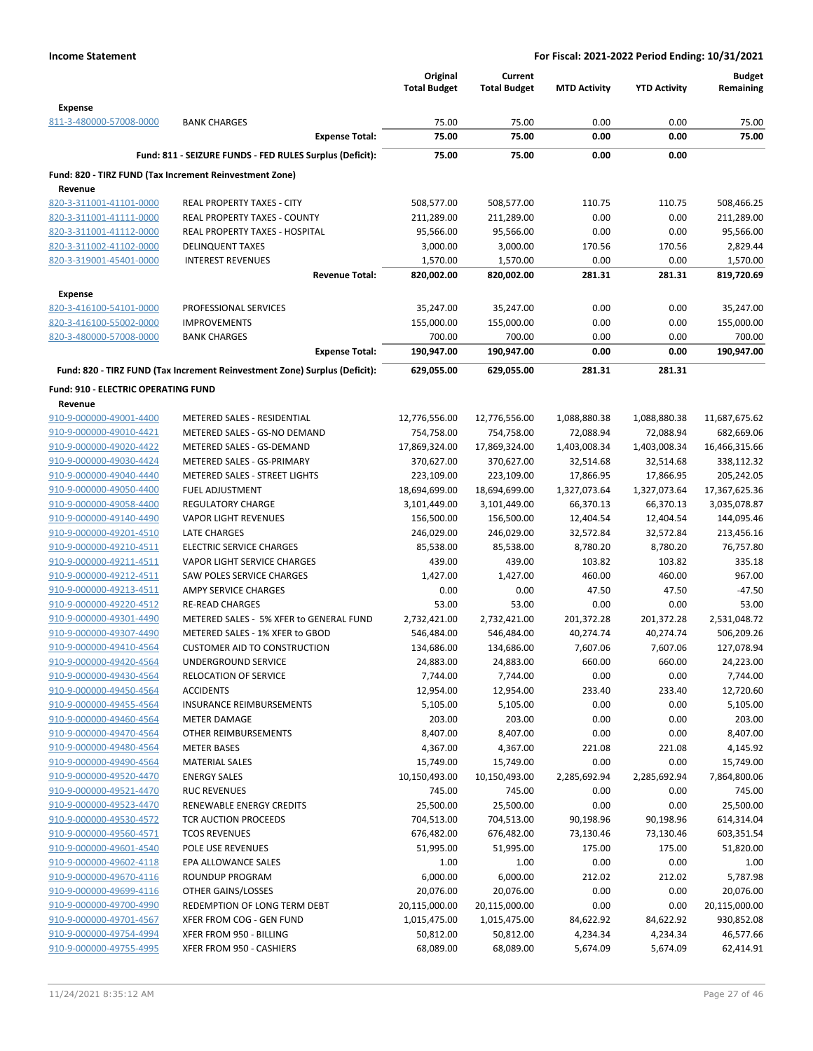|                                                    |                                                                            | Original<br><b>Total Budget</b> | Current<br><b>Total Budget</b> | <b>MTD Activity</b>    | <b>YTD Activity</b>    | <b>Budget</b><br>Remaining |
|----------------------------------------------------|----------------------------------------------------------------------------|---------------------------------|--------------------------------|------------------------|------------------------|----------------------------|
| <b>Expense</b>                                     |                                                                            |                                 |                                |                        |                        |                            |
| 811-3-480000-57008-0000                            | <b>BANK CHARGES</b>                                                        | 75.00                           | 75.00                          | 0.00                   | 0.00                   | 75.00                      |
|                                                    | <b>Expense Total:</b>                                                      | 75.00                           | 75.00                          | 0.00                   | 0.00                   | 75.00                      |
|                                                    | Fund: 811 - SEIZURE FUNDS - FED RULES Surplus (Deficit):                   | 75.00                           | 75.00                          | 0.00                   | 0.00                   |                            |
| Revenue                                            | Fund: 820 - TIRZ FUND (Tax Increment Reinvestment Zone)                    |                                 |                                |                        |                        |                            |
| 820-3-311001-41101-0000                            | <b>REAL PROPERTY TAXES - CITY</b>                                          | 508,577.00                      | 508,577.00                     | 110.75                 | 110.75                 | 508,466.25                 |
| 820-3-311001-41111-0000                            | REAL PROPERTY TAXES - COUNTY                                               | 211,289.00                      | 211,289.00                     | 0.00                   | 0.00                   | 211,289.00                 |
| 820-3-311001-41112-0000                            | <b>REAL PROPERTY TAXES - HOSPITAL</b>                                      | 95,566.00                       | 95,566.00                      | 0.00                   | 0.00                   | 95,566.00                  |
| 820-3-311002-41102-0000                            | <b>DELINQUENT TAXES</b>                                                    | 3,000.00                        | 3,000.00                       | 170.56                 | 170.56                 | 2,829.44                   |
| 820-3-319001-45401-0000                            | <b>INTEREST REVENUES</b>                                                   | 1,570.00                        | 1,570.00                       | 0.00                   | 0.00                   | 1,570.00                   |
|                                                    | <b>Revenue Total:</b>                                                      | 820,002.00                      | 820,002.00                     | 281.31                 | 281.31                 | 819,720.69                 |
| <b>Expense</b>                                     |                                                                            |                                 |                                |                        |                        |                            |
| 820-3-416100-54101-0000                            | PROFESSIONAL SERVICES                                                      | 35,247.00                       | 35,247.00                      | 0.00                   | 0.00                   | 35,247.00                  |
| 820-3-416100-55002-0000<br>820-3-480000-57008-0000 | <b>IMPROVEMENTS</b><br><b>BANK CHARGES</b>                                 | 155,000.00<br>700.00            | 155,000.00<br>700.00           | 0.00<br>0.00           | 0.00<br>0.00           | 155,000.00<br>700.00       |
|                                                    | <b>Expense Total:</b>                                                      | 190,947.00                      | 190,947.00                     | 0.00                   | 0.00                   | 190,947.00                 |
|                                                    | Fund: 820 - TIRZ FUND (Tax Increment Reinvestment Zone) Surplus (Deficit): | 629,055.00                      | 629,055.00                     | 281.31                 | 281.31                 |                            |
| <b>Fund: 910 - ELECTRIC OPERATING FUND</b>         |                                                                            |                                 |                                |                        |                        |                            |
| Revenue                                            |                                                                            |                                 |                                |                        |                        |                            |
| 910-9-000000-49001-4400                            | METERED SALES - RESIDENTIAL                                                | 12,776,556.00                   | 12,776,556.00                  | 1,088,880.38           | 1,088,880.38           | 11,687,675.62              |
| 910-9-000000-49010-4421                            | METERED SALES - GS-NO DEMAND                                               | 754,758.00                      | 754,758.00                     | 72,088.94              | 72,088.94              | 682,669.06                 |
| 910-9-000000-49020-4422<br>910-9-000000-49030-4424 | METERED SALES - GS-DEMAND<br>METERED SALES - GS-PRIMARY                    | 17,869,324.00                   | 17,869,324.00                  | 1,403,008.34           | 1,403,008.34           | 16,466,315.66              |
| 910-9-000000-49040-4440                            | METERED SALES - STREET LIGHTS                                              | 370,627.00<br>223,109.00        | 370,627.00<br>223,109.00       | 32,514.68<br>17,866.95 | 32,514.68<br>17,866.95 | 338,112.32<br>205,242.05   |
| 910-9-000000-49050-4400                            | <b>FUEL ADJUSTMENT</b>                                                     | 18,694,699.00                   | 18,694,699.00                  | 1,327,073.64           | 1,327,073.64           | 17,367,625.36              |
| 910-9-000000-49058-4400                            | <b>REGULATORY CHARGE</b>                                                   | 3,101,449.00                    | 3,101,449.00                   | 66,370.13              | 66,370.13              | 3,035,078.87               |
| 910-9-000000-49140-4490                            | <b>VAPOR LIGHT REVENUES</b>                                                | 156,500.00                      | 156,500.00                     | 12,404.54              | 12,404.54              | 144,095.46                 |
| 910-9-000000-49201-4510                            | LATE CHARGES                                                               | 246,029.00                      | 246,029.00                     | 32,572.84              | 32,572.84              | 213,456.16                 |
| 910-9-000000-49210-4511                            | <b>ELECTRIC SERVICE CHARGES</b>                                            | 85,538.00                       | 85,538.00                      | 8,780.20               | 8,780.20               | 76,757.80                  |
| 910-9-000000-49211-4511                            | VAPOR LIGHT SERVICE CHARGES                                                | 439.00                          | 439.00                         | 103.82                 | 103.82                 | 335.18                     |
| 910-9-000000-49212-4511                            | <b>SAW POLES SERVICE CHARGES</b>                                           | 1,427.00                        | 1,427.00                       | 460.00                 | 460.00                 | 967.00                     |
| 910-9-000000-49213-4511                            | <b>AMPY SERVICE CHARGES</b>                                                | 0.00                            | 0.00                           | 47.50                  | 47.50                  | $-47.50$                   |
| 910-9-000000-49220-4512                            | <b>RE-READ CHARGES</b>                                                     | 53.00                           | 53.00                          | 0.00                   | 0.00                   | 53.00                      |
| 910-9-000000-49301-4490                            | METERED SALES - 5% XFER to GENERAL FUND                                    | 2,732,421.00                    | 2,732,421.00                   | 201,372.28             | 201,372.28             | 2,531,048.72               |
| 910-9-000000-49307-4490                            | METERED SALES - 1% XFER to GBOD                                            | 546,484.00                      | 546,484.00                     | 40,274.74              | 40,274.74              | 506,209.26                 |
| 910-9-000000-49410-4564                            | <b>CUSTOMER AID TO CONSTRUCTION</b>                                        | 134,686.00                      | 134,686.00                     | 7,607.06               | 7,607.06               | 127,078.94                 |
| 910-9-000000-49420-4564                            | UNDERGROUND SERVICE                                                        | 24,883.00                       | 24,883.00                      | 660.00                 | 660.00                 | 24,223.00                  |
| 910-9-000000-49430-4564                            | <b>RELOCATION OF SERVICE</b>                                               | 7,744.00                        | 7,744.00                       | 0.00                   | 0.00                   | 7,744.00                   |
| 910-9-000000-49450-4564                            | <b>ACCIDENTS</b>                                                           | 12,954.00                       | 12,954.00                      | 233.40                 | 233.40                 | 12,720.60                  |
| 910-9-000000-49455-4564<br>910-9-000000-49460-4564 | <b>INSURANCE REIMBURSEMENTS</b>                                            | 5,105.00                        | 5,105.00                       | 0.00                   | 0.00                   | 5,105.00                   |
| 910-9-000000-49470-4564                            | <b>METER DAMAGE</b><br>OTHER REIMBURSEMENTS                                | 203.00<br>8,407.00              | 203.00<br>8,407.00             | 0.00<br>0.00           | 0.00<br>0.00           | 203.00                     |
| 910-9-000000-49480-4564                            | <b>METER BASES</b>                                                         | 4,367.00                        | 4,367.00                       | 221.08                 | 221.08                 | 8,407.00<br>4,145.92       |
| 910-9-000000-49490-4564                            | MATERIAL SALES                                                             | 15,749.00                       | 15,749.00                      | 0.00                   | 0.00                   | 15,749.00                  |
| 910-9-000000-49520-4470                            | <b>ENERGY SALES</b>                                                        | 10,150,493.00                   | 10,150,493.00                  | 2,285,692.94           | 2,285,692.94           | 7,864,800.06               |
| 910-9-000000-49521-4470                            | <b>RUC REVENUES</b>                                                        | 745.00                          | 745.00                         | 0.00                   | 0.00                   | 745.00                     |
| 910-9-000000-49523-4470                            | RENEWABLE ENERGY CREDITS                                                   | 25,500.00                       | 25,500.00                      | 0.00                   | 0.00                   | 25,500.00                  |
| 910-9-000000-49530-4572                            | <b>TCR AUCTION PROCEEDS</b>                                                | 704,513.00                      | 704,513.00                     | 90,198.96              | 90,198.96              | 614,314.04                 |
| 910-9-000000-49560-4571                            | <b>TCOS REVENUES</b>                                                       | 676,482.00                      | 676,482.00                     | 73,130.46              | 73,130.46              | 603,351.54                 |
| 910-9-000000-49601-4540                            | POLE USE REVENUES                                                          | 51,995.00                       | 51,995.00                      | 175.00                 | 175.00                 | 51,820.00                  |
| 910-9-000000-49602-4118                            | EPA ALLOWANCE SALES                                                        | 1.00                            | 1.00                           | 0.00                   | 0.00                   | 1.00                       |
| 910-9-000000-49670-4116                            | <b>ROUNDUP PROGRAM</b>                                                     | 6,000.00                        | 6,000.00                       | 212.02                 | 212.02                 | 5,787.98                   |
| 910-9-000000-49699-4116                            | OTHER GAINS/LOSSES                                                         | 20,076.00                       | 20,076.00                      | 0.00                   | 0.00                   | 20,076.00                  |
| 910-9-000000-49700-4990                            | REDEMPTION OF LONG TERM DEBT                                               | 20,115,000.00                   | 20,115,000.00                  | 0.00                   | 0.00                   | 20,115,000.00              |
| 910-9-000000-49701-4567                            | XFER FROM COG - GEN FUND                                                   | 1,015,475.00                    | 1,015,475.00                   | 84,622.92              | 84,622.92              | 930,852.08                 |
| 910-9-000000-49754-4994                            | XFER FROM 950 - BILLING                                                    | 50,812.00                       | 50,812.00                      | 4,234.34               | 4,234.34               | 46,577.66                  |
| 910-9-000000-49755-4995                            | XFER FROM 950 - CASHIERS                                                   | 68,089.00                       | 68,089.00                      | 5,674.09               | 5,674.09               | 62,414.91                  |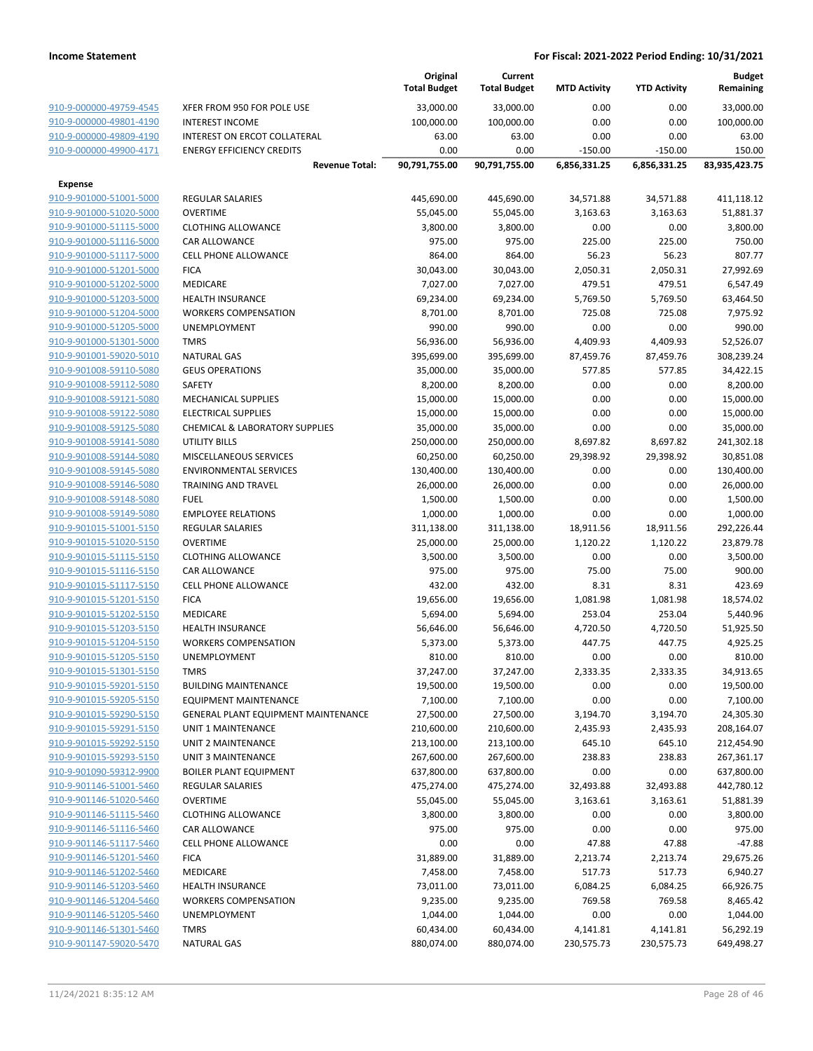|                                                    |                                             | Original<br><b>Total Budget</b> | Current<br><b>Total Budget</b> | <b>MTD Activity</b> | <b>YTD Activity</b> | <b>Budget</b><br>Remaining |
|----------------------------------------------------|---------------------------------------------|---------------------------------|--------------------------------|---------------------|---------------------|----------------------------|
| 910-9-000000-49759-4545                            | XFER FROM 950 FOR POLE USE                  | 33,000.00                       | 33,000.00                      | 0.00                | 0.00                | 33,000.00                  |
| 910-9-000000-49801-4190                            | <b>INTEREST INCOME</b>                      | 100,000.00                      | 100,000.00                     | 0.00                | 0.00                | 100,000.00                 |
| 910-9-000000-49809-4190                            | INTEREST ON ERCOT COLLATERAL                | 63.00                           | 63.00                          | 0.00                | 0.00                | 63.00                      |
| 910-9-000000-49900-4171                            | <b>ENERGY EFFICIENCY CREDITS</b>            | 0.00                            | 0.00                           | $-150.00$           | $-150.00$           | 150.00                     |
|                                                    | <b>Revenue Total:</b>                       | 90,791,755.00                   | 90,791,755.00                  | 6,856,331.25        | 6,856,331.25        | 83,935,423.75              |
| <b>Expense</b>                                     |                                             |                                 |                                |                     |                     |                            |
| 910-9-901000-51001-5000                            | REGULAR SALARIES                            | 445,690.00                      | 445,690.00                     | 34,571.88           | 34,571.88           | 411,118.12                 |
| 910-9-901000-51020-5000                            | <b>OVERTIME</b>                             | 55,045.00                       | 55,045.00                      | 3,163.63            | 3,163.63            | 51,881.37                  |
| 910-9-901000-51115-5000                            | <b>CLOTHING ALLOWANCE</b>                   | 3,800.00                        | 3,800.00                       | 0.00                | 0.00                | 3,800.00                   |
| 910-9-901000-51116-5000                            | CAR ALLOWANCE                               | 975.00                          | 975.00                         | 225.00              | 225.00              | 750.00                     |
| 910-9-901000-51117-5000                            | <b>CELL PHONE ALLOWANCE</b>                 | 864.00                          | 864.00                         | 56.23               | 56.23               | 807.77                     |
| 910-9-901000-51201-5000                            | <b>FICA</b>                                 | 30,043.00                       | 30,043.00                      | 2,050.31            | 2,050.31            | 27,992.69                  |
| 910-9-901000-51202-5000                            | MEDICARE                                    | 7,027.00                        | 7,027.00                       | 479.51              | 479.51              | 6,547.49                   |
| 910-9-901000-51203-5000                            | <b>HEALTH INSURANCE</b>                     | 69,234.00                       | 69,234.00                      | 5,769.50            | 5,769.50            | 63,464.50                  |
| 910-9-901000-51204-5000                            | <b>WORKERS COMPENSATION</b>                 | 8,701.00                        | 8,701.00                       | 725.08              | 725.08              | 7,975.92                   |
| 910-9-901000-51205-5000                            | <b>UNEMPLOYMENT</b>                         | 990.00                          | 990.00                         | 0.00                | 0.00                | 990.00                     |
| 910-9-901000-51301-5000                            | <b>TMRS</b>                                 | 56,936.00                       | 56,936.00                      | 4,409.93            | 4,409.93            | 52,526.07                  |
| 910-9-901001-59020-5010                            | <b>NATURAL GAS</b>                          | 395,699.00                      | 395,699.00                     | 87,459.76           | 87,459.76           | 308,239.24                 |
| 910-9-901008-59110-5080                            | <b>GEUS OPERATIONS</b>                      | 35,000.00                       | 35,000.00                      | 577.85              | 577.85              | 34,422.15                  |
| 910-9-901008-59112-5080                            | <b>SAFETY</b>                               | 8,200.00                        | 8,200.00                       | 0.00                | 0.00                | 8,200.00                   |
| 910-9-901008-59121-5080                            | <b>MECHANICAL SUPPLIES</b>                  | 15,000.00                       | 15,000.00                      | 0.00                | 0.00                | 15,000.00                  |
| 910-9-901008-59122-5080                            | <b>ELECTRICAL SUPPLIES</b>                  | 15,000.00                       | 15,000.00                      | 0.00                | 0.00                | 15,000.00                  |
| 910-9-901008-59125-5080                            | <b>CHEMICAL &amp; LABORATORY SUPPLIES</b>   | 35,000.00                       | 35,000.00                      | 0.00                | 0.00                | 35,000.00                  |
| 910-9-901008-59141-5080                            | <b>UTILITY BILLS</b>                        | 250,000.00                      | 250,000.00                     | 8,697.82            | 8,697.82            | 241,302.18                 |
| 910-9-901008-59144-5080                            | MISCELLANEOUS SERVICES                      | 60,250.00                       | 60,250.00                      | 29,398.92           | 29,398.92           | 30,851.08                  |
| 910-9-901008-59145-5080                            | <b>ENVIRONMENTAL SERVICES</b>               | 130,400.00                      | 130,400.00                     | 0.00                | 0.00                | 130,400.00                 |
| 910-9-901008-59146-5080                            | <b>TRAINING AND TRAVEL</b>                  | 26,000.00                       | 26,000.00                      | 0.00                | 0.00                | 26,000.00                  |
| 910-9-901008-59148-5080                            | <b>FUEL</b>                                 | 1,500.00                        | 1,500.00                       | 0.00                | 0.00                | 1,500.00                   |
| 910-9-901008-59149-5080                            | <b>EMPLOYEE RELATIONS</b>                   | 1,000.00                        | 1,000.00                       | 0.00                | 0.00                | 1,000.00                   |
| 910-9-901015-51001-5150                            | <b>REGULAR SALARIES</b>                     | 311,138.00                      | 311,138.00                     | 18,911.56           | 18,911.56           | 292,226.44                 |
| 910-9-901015-51020-5150                            | <b>OVERTIME</b>                             | 25,000.00                       | 25,000.00                      | 1,120.22            | 1,120.22            | 23,879.78                  |
| 910-9-901015-51115-5150                            | <b>CLOTHING ALLOWANCE</b>                   | 3,500.00                        | 3,500.00                       | 0.00                | 0.00                | 3,500.00                   |
| 910-9-901015-51116-5150                            | CAR ALLOWANCE                               | 975.00                          | 975.00                         | 75.00               | 75.00               | 900.00                     |
| 910-9-901015-51117-5150                            | CELL PHONE ALLOWANCE                        | 432.00                          | 432.00                         | 8.31                | 8.31                | 423.69                     |
| 910-9-901015-51201-5150                            | <b>FICA</b>                                 | 19,656.00                       | 19,656.00                      | 1,081.98            | 1,081.98            | 18,574.02                  |
| 910-9-901015-51202-5150                            | MEDICARE                                    | 5,694.00                        | 5,694.00                       | 253.04              | 253.04              | 5,440.96                   |
| 910-9-901015-51203-5150                            | <b>HEALTH INSURANCE</b>                     | 56,646.00                       | 56,646.00                      | 4,720.50            | 4,720.50            | 51,925.50                  |
| 910-9-901015-51204-5150<br>910-9-901015-51205-5150 | <b>WORKERS COMPENSATION</b><br>UNEMPLOYMENT | 5,373.00                        | 5,373.00                       | 447.75<br>0.00      | 447.75<br>0.00      | 4,925.25<br>810.00         |
| 910-9-901015-51301-5150                            | <b>TMRS</b>                                 | 810.00                          | 810.00                         |                     |                     |                            |
| 910-9-901015-59201-5150                            | <b>BUILDING MAINTENANCE</b>                 | 37,247.00<br>19,500.00          | 37,247.00<br>19,500.00         | 2,333.35<br>0.00    | 2,333.35<br>0.00    | 34,913.65<br>19,500.00     |
| 910-9-901015-59205-5150                            | <b>EQUIPMENT MAINTENANCE</b>                | 7,100.00                        | 7,100.00                       | 0.00                | 0.00                | 7,100.00                   |
| 910-9-901015-59290-5150                            | GENERAL PLANT EQUIPMENT MAINTENANCE         | 27,500.00                       | 27,500.00                      | 3,194.70            | 3,194.70            | 24,305.30                  |
| 910-9-901015-59291-5150                            | UNIT 1 MAINTENANCE                          | 210,600.00                      | 210,600.00                     | 2,435.93            | 2,435.93            | 208,164.07                 |
| 910-9-901015-59292-5150                            | <b>UNIT 2 MAINTENANCE</b>                   | 213,100.00                      | 213,100.00                     | 645.10              | 645.10              | 212,454.90                 |
| 910-9-901015-59293-5150                            | UNIT 3 MAINTENANCE                          | 267,600.00                      | 267,600.00                     | 238.83              | 238.83              | 267,361.17                 |
| 910-9-901090-59312-9900                            | <b>BOILER PLANT EQUIPMENT</b>               | 637,800.00                      | 637,800.00                     | 0.00                | 0.00                | 637,800.00                 |
| 910-9-901146-51001-5460                            | REGULAR SALARIES                            | 475,274.00                      | 475,274.00                     | 32,493.88           | 32,493.88           | 442,780.12                 |
| 910-9-901146-51020-5460                            | <b>OVERTIME</b>                             | 55,045.00                       | 55,045.00                      | 3,163.61            | 3,163.61            | 51,881.39                  |
| 910-9-901146-51115-5460                            | <b>CLOTHING ALLOWANCE</b>                   | 3,800.00                        | 3,800.00                       | 0.00                | 0.00                | 3,800.00                   |
| 910-9-901146-51116-5460                            | CAR ALLOWANCE                               | 975.00                          | 975.00                         | 0.00                | 0.00                | 975.00                     |
| 910-9-901146-51117-5460                            | CELL PHONE ALLOWANCE                        | 0.00                            | 0.00                           | 47.88               | 47.88               | $-47.88$                   |
| 910-9-901146-51201-5460                            | <b>FICA</b>                                 | 31,889.00                       | 31,889.00                      | 2,213.74            | 2,213.74            | 29,675.26                  |
| 910-9-901146-51202-5460                            | MEDICARE                                    | 7,458.00                        | 7,458.00                       | 517.73              | 517.73              | 6,940.27                   |
| 910-9-901146-51203-5460                            | <b>HEALTH INSURANCE</b>                     | 73,011.00                       | 73,011.00                      | 6,084.25            | 6,084.25            | 66,926.75                  |
| 910-9-901146-51204-5460                            | <b>WORKERS COMPENSATION</b>                 | 9,235.00                        | 9,235.00                       | 769.58              | 769.58              | 8,465.42                   |
| 910-9-901146-51205-5460                            | UNEMPLOYMENT                                | 1,044.00                        | 1,044.00                       | 0.00                | 0.00                | 1,044.00                   |
| 910-9-901146-51301-5460                            | <b>TMRS</b>                                 | 60,434.00                       | 60,434.00                      | 4,141.81            | 4,141.81            | 56,292.19                  |
| 910-9-901147-59020-5470                            | <b>NATURAL GAS</b>                          | 880,074.00                      | 880,074.00                     | 230,575.73          | 230,575.73          | 649,498.27                 |
|                                                    |                                             |                                 |                                |                     |                     |                            |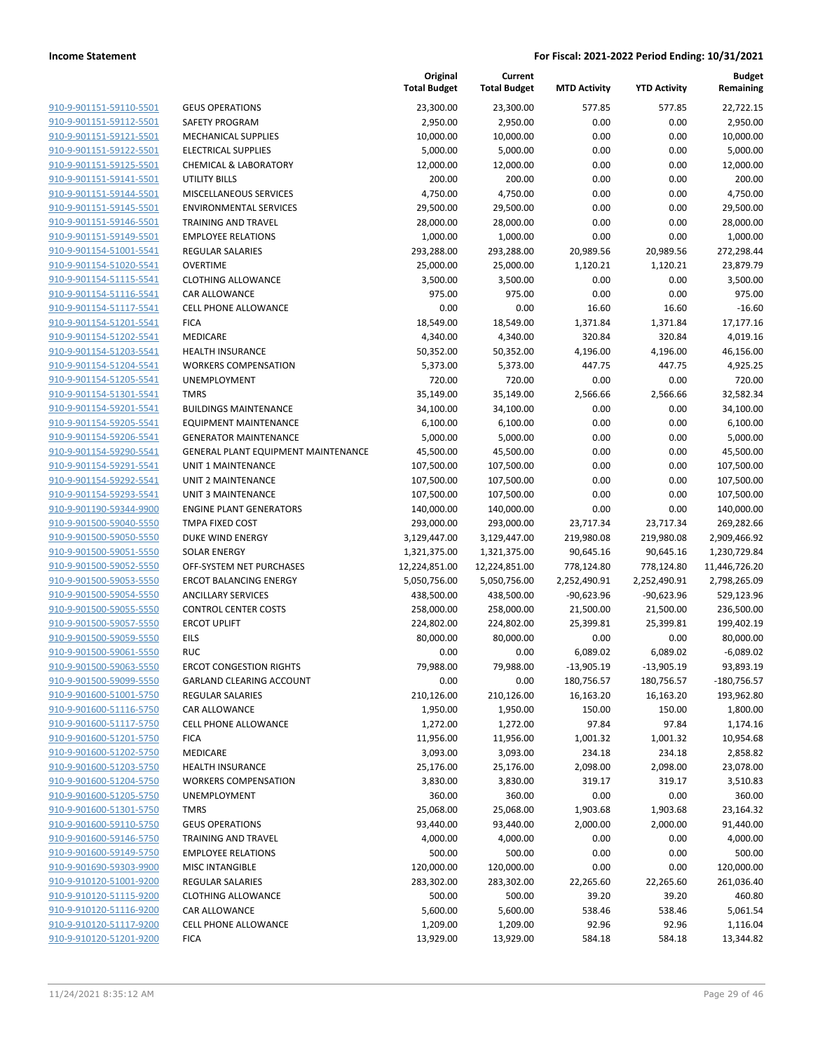|                                                    |                                                     | Original<br><b>Total Budget</b> | Current<br><b>Total Budget</b> | <b>MTD Activity</b>  | <b>YTD Activity</b> | <b>Budget</b><br>Remaining |
|----------------------------------------------------|-----------------------------------------------------|---------------------------------|--------------------------------|----------------------|---------------------|----------------------------|
| 910-9-901151-59110-5501                            | <b>GEUS OPERATIONS</b>                              | 23,300.00                       | 23,300.00                      | 577.85               | 577.85              | 22,722.15                  |
| 910-9-901151-59112-5501                            | SAFETY PROGRAM                                      | 2,950.00                        | 2,950.00                       | 0.00                 | 0.00                | 2,950.00                   |
| 910-9-901151-59121-5501                            | <b>MECHANICAL SUPPLIES</b>                          | 10,000.00                       | 10,000.00                      | 0.00                 | 0.00                | 10,000.00                  |
| 910-9-901151-59122-5501                            | <b>ELECTRICAL SUPPLIES</b>                          | 5,000.00                        | 5,000.00                       | 0.00                 | 0.00                | 5,000.00                   |
| 910-9-901151-59125-5501                            | <b>CHEMICAL &amp; LABORATORY</b>                    | 12,000.00                       | 12,000.00                      | 0.00                 | 0.00                | 12,000.00                  |
| 910-9-901151-59141-5501                            | <b>UTILITY BILLS</b>                                | 200.00                          | 200.00                         | 0.00                 | 0.00                | 200.00                     |
| 910-9-901151-59144-5501                            | MISCELLANEOUS SERVICES                              | 4,750.00                        | 4,750.00                       | 0.00                 | 0.00                | 4,750.00                   |
| 910-9-901151-59145-5501                            | <b>ENVIRONMENTAL SERVICES</b>                       | 29,500.00                       | 29,500.00                      | 0.00                 | 0.00                | 29,500.00                  |
| 910-9-901151-59146-5501                            | <b>TRAINING AND TRAVEL</b>                          | 28,000.00                       | 28,000.00                      | 0.00                 | 0.00                | 28,000.00                  |
| 910-9-901151-59149-5501                            | <b>EMPLOYEE RELATIONS</b>                           | 1,000.00                        | 1,000.00                       | 0.00                 | 0.00                | 1,000.00                   |
| 910-9-901154-51001-5541                            | REGULAR SALARIES                                    | 293,288.00                      | 293,288.00                     | 20,989.56            | 20,989.56           | 272,298.44                 |
| 910-9-901154-51020-5541                            | <b>OVERTIME</b>                                     | 25,000.00                       | 25,000.00                      | 1,120.21             | 1,120.21            | 23,879.79                  |
| 910-9-901154-51115-5541                            | <b>CLOTHING ALLOWANCE</b>                           | 3,500.00                        | 3,500.00                       | 0.00                 | 0.00                | 3,500.00                   |
| 910-9-901154-51116-5541                            | CAR ALLOWANCE                                       | 975.00                          | 975.00                         | 0.00                 | 0.00                | 975.00                     |
| 910-9-901154-51117-5541                            | CELL PHONE ALLOWANCE                                | 0.00                            | 0.00                           | 16.60                | 16.60               | $-16.60$                   |
| 910-9-901154-51201-5541                            | <b>FICA</b>                                         | 18,549.00                       | 18,549.00                      | 1,371.84             | 1,371.84            | 17,177.16                  |
| 910-9-901154-51202-5541                            | MEDICARE                                            | 4,340.00                        | 4,340.00                       | 320.84               | 320.84              | 4,019.16                   |
| 910-9-901154-51203-5541                            | <b>HEALTH INSURANCE</b>                             | 50,352.00                       | 50,352.00                      | 4,196.00             | 4,196.00            | 46,156.00                  |
| 910-9-901154-51204-5541                            | <b>WORKERS COMPENSATION</b>                         | 5,373.00                        | 5,373.00                       | 447.75               | 447.75              | 4,925.25                   |
| 910-9-901154-51205-5541<br>910-9-901154-51301-5541 | UNEMPLOYMENT<br><b>TMRS</b>                         | 720.00                          | 720.00<br>35,149.00            | 0.00<br>2,566.66     | 0.00<br>2,566.66    | 720.00<br>32,582.34        |
| 910-9-901154-59201-5541                            | <b>BUILDINGS MAINTENANCE</b>                        | 35,149.00<br>34,100.00          | 34,100.00                      | 0.00                 | 0.00                | 34,100.00                  |
| 910-9-901154-59205-5541                            | <b>EQUIPMENT MAINTENANCE</b>                        | 6,100.00                        | 6,100.00                       | 0.00                 | 0.00                | 6,100.00                   |
| 910-9-901154-59206-5541                            | <b>GENERATOR MAINTENANCE</b>                        | 5,000.00                        | 5,000.00                       | 0.00                 | 0.00                | 5,000.00                   |
| 910-9-901154-59290-5541                            | GENERAL PLANT EQUIPMENT MAINTENANCE                 | 45,500.00                       | 45,500.00                      | 0.00                 | 0.00                | 45,500.00                  |
| 910-9-901154-59291-5541                            | UNIT 1 MAINTENANCE                                  | 107,500.00                      | 107,500.00                     | 0.00                 | 0.00                | 107,500.00                 |
| 910-9-901154-59292-5541                            | <b>UNIT 2 MAINTENANCE</b>                           | 107,500.00                      | 107,500.00                     | 0.00                 | 0.00                | 107,500.00                 |
| 910-9-901154-59293-5541                            | <b>UNIT 3 MAINTENANCE</b>                           | 107,500.00                      | 107,500.00                     | 0.00                 | 0.00                | 107,500.00                 |
| 910-9-901190-59344-9900                            | <b>ENGINE PLANT GENERATORS</b>                      | 140,000.00                      | 140,000.00                     | 0.00                 | 0.00                | 140,000.00                 |
| 910-9-901500-59040-5550                            | TMPA FIXED COST                                     | 293,000.00                      | 293,000.00                     | 23,717.34            | 23,717.34           | 269,282.66                 |
| 910-9-901500-59050-5550                            | DUKE WIND ENERGY                                    | 3,129,447.00                    | 3,129,447.00                   | 219,980.08           | 219,980.08          | 2,909,466.92               |
| 910-9-901500-59051-5550                            | <b>SOLAR ENERGY</b>                                 | 1,321,375.00                    | 1,321,375.00                   | 90,645.16            | 90,645.16           | 1,230,729.84               |
| 910-9-901500-59052-5550                            | OFF-SYSTEM NET PURCHASES                            | 12,224,851.00                   | 12,224,851.00                  | 778,124.80           | 778,124.80          | 11,446,726.20              |
| 910-9-901500-59053-5550                            | <b>ERCOT BALANCING ENERGY</b>                       | 5,050,756.00                    | 5,050,756.00                   | 2,252,490.91         | 2,252,490.91        | 2,798,265.09               |
| 910-9-901500-59054-5550                            | <b>ANCILLARY SERVICES</b>                           | 438,500.00                      | 438,500.00                     | -90,623.96           | $-90,623.96$        | 529,123.96                 |
| 910-9-901500-59055-5550                            | <b>CONTROL CENTER COSTS</b>                         | 258,000.00                      | 258,000.00                     | 21,500.00            | 21,500.00           | 236,500.00                 |
| 910-9-901500-59057-5550                            | <b>ERCOT UPLIFT</b>                                 | 224,802.00                      | 224,802.00                     | 25,399.81            | 25,399.81           | 199,402.19                 |
| 910-9-901500-59059-5550                            | EILS                                                | 80,000.00                       | 80,000.00                      | 0.00                 | 0.00                | 80,000.00                  |
| 910-9-901500-59061-5550                            | <b>RUC</b>                                          | 0.00                            | 0.00                           | 6,089.02             | 6,089.02            | $-6,089.02$                |
| 910-9-901500-59063-5550                            | <b>ERCOT CONGESTION RIGHTS</b>                      | 79,988.00                       | 79,988.00                      | $-13,905.19$         | -13,905.19          | 93,893.19                  |
| 910-9-901500-59099-5550                            | <b>GARLAND CLEARING ACCOUNT</b>                     | 0.00                            | 0.00                           | 180,756.57           | 180,756.57          | $-180,756.57$              |
| 910-9-901600-51001-5750                            | <b>REGULAR SALARIES</b>                             | 210,126.00                      | 210,126.00                     | 16,163.20            | 16,163.20           | 193,962.80                 |
| 910-9-901600-51116-5750                            | <b>CAR ALLOWANCE</b>                                | 1,950.00                        | 1,950.00                       | 150.00               | 150.00              | 1,800.00                   |
| 910-9-901600-51117-5750                            | <b>CELL PHONE ALLOWANCE</b>                         | 1,272.00                        | 1,272.00                       | 97.84                | 97.84               | 1,174.16                   |
| 910-9-901600-51201-5750                            | <b>FICA</b>                                         | 11,956.00                       | 11,956.00                      | 1,001.32             | 1,001.32            | 10,954.68                  |
| 910-9-901600-51202-5750                            | MEDICARE                                            | 3,093.00                        | 3,093.00                       | 234.18               | 234.18              | 2,858.82                   |
| 910-9-901600-51203-5750                            | <b>HEALTH INSURANCE</b>                             | 25,176.00                       | 25,176.00                      | 2,098.00             | 2,098.00            | 23,078.00                  |
| 910-9-901600-51204-5750                            | <b>WORKERS COMPENSATION</b>                         | 3,830.00                        | 3,830.00                       | 319.17               | 319.17              | 3,510.83                   |
| 910-9-901600-51205-5750                            | <b>UNEMPLOYMENT</b>                                 | 360.00                          | 360.00                         | 0.00                 | 0.00                | 360.00                     |
| 910-9-901600-51301-5750<br>910-9-901600-59110-5750 | <b>TMRS</b>                                         | 25,068.00<br>93,440.00          | 25,068.00                      | 1,903.68<br>2,000.00 | 1,903.68            | 23,164.32                  |
|                                                    | <b>GEUS OPERATIONS</b>                              |                                 | 93,440.00                      |                      | 2,000.00            | 91,440.00                  |
| 910-9-901600-59146-5750                            | <b>TRAINING AND TRAVEL</b>                          | 4,000.00                        | 4,000.00                       | 0.00                 | 0.00                | 4,000.00                   |
| 910-9-901600-59149-5750<br>910-9-901690-59303-9900 | <b>EMPLOYEE RELATIONS</b><br><b>MISC INTANGIBLE</b> | 500.00<br>120,000.00            | 500.00<br>120,000.00           | 0.00<br>0.00         | 0.00<br>0.00        | 500.00<br>120,000.00       |
| 910-9-910120-51001-9200                            | REGULAR SALARIES                                    | 283,302.00                      | 283,302.00                     | 22,265.60            | 22,265.60           | 261,036.40                 |
| 910-9-910120-51115-9200                            | <b>CLOTHING ALLOWANCE</b>                           | 500.00                          | 500.00                         | 39.20                | 39.20               | 460.80                     |
| 910-9-910120-51116-9200                            | CAR ALLOWANCE                                       | 5,600.00                        | 5,600.00                       | 538.46               | 538.46              | 5,061.54                   |
| 910-9-910120-51117-9200                            | <b>CELL PHONE ALLOWANCE</b>                         | 1,209.00                        | 1,209.00                       | 92.96                | 92.96               | 1,116.04                   |
| 910-9-910120-51201-9200                            | <b>FICA</b>                                         | 13,929.00                       | 13,929.00                      | 584.18               | 584.18              | 13,344.82                  |
|                                                    |                                                     |                                 |                                |                      |                     |                            |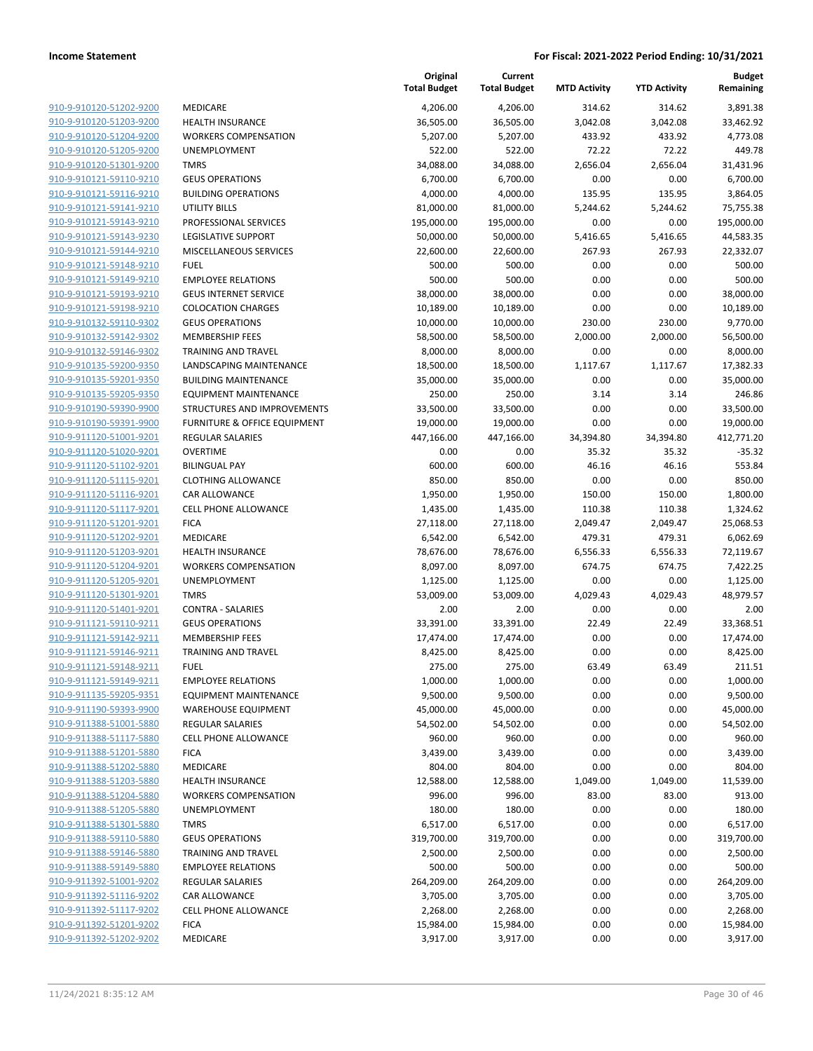**Current**

**Original**

**Budget Remaining**

| 910-9-910120-51202-9200                            | MEDICARE                                               | 4,206.00             | 4,206.00             | 314.62            | 314.62           |                     |
|----------------------------------------------------|--------------------------------------------------------|----------------------|----------------------|-------------------|------------------|---------------------|
|                                                    |                                                        |                      |                      |                   |                  | 3,891.38            |
| 910-9-910120-51203-9200                            | HEALTH INSURANCE                                       | 36,505.00            | 36,505.00            | 3,042.08          | 3,042.08         | 33,462.92           |
| 910-9-910120-51204-9200                            | <b>WORKERS COMPENSATION</b>                            | 5,207.00             | 5,207.00             | 433.92            | 433.92           | 4,773.08            |
| 910-9-910120-51205-9200                            | UNEMPLOYMENT                                           | 522.00               | 522.00               | 72.22             | 72.22            | 449.78              |
| 910-9-910120-51301-9200                            | <b>TMRS</b>                                            | 34,088.00            | 34,088.00            | 2,656.04          | 2,656.04         | 31,431.96           |
| 910-9-910121-59110-9210                            | <b>GEUS OPERATIONS</b>                                 | 6,700.00             | 6,700.00             | 0.00              | 0.00             | 6,700.00            |
| 910-9-910121-59116-9210                            | <b>BUILDING OPERATIONS</b>                             | 4,000.00             | 4,000.00             | 135.95            | 135.95           | 3,864.05            |
| 910-9-910121-59141-9210                            | <b>UTILITY BILLS</b>                                   | 81,000.00            | 81,000.00            | 5,244.62          | 5,244.62         | 75,755.38           |
| 910-9-910121-59143-9210                            | PROFESSIONAL SERVICES                                  | 195,000.00           | 195,000.00           | 0.00              | 0.00             | 195,000.00          |
| 910-9-910121-59143-9230                            | LEGISLATIVE SUPPORT                                    | 50,000.00            | 50,000.00            | 5,416.65          | 5,416.65         | 44,583.35           |
| 910-9-910121-59144-9210                            | MISCELLANEOUS SERVICES                                 | 22,600.00            | 22,600.00            | 267.93            | 267.93           | 22,332.07           |
| 910-9-910121-59148-9210                            | <b>FUEL</b>                                            | 500.00               | 500.00               | 0.00              | 0.00             | 500.00              |
| 910-9-910121-59149-9210                            | <b>EMPLOYEE RELATIONS</b>                              | 500.00               | 500.00               | 0.00              | 0.00             | 500.00              |
| 910-9-910121-59193-9210                            | <b>GEUS INTERNET SERVICE</b>                           | 38,000.00            | 38,000.00            | 0.00              | 0.00             | 38,000.00           |
| 910-9-910121-59198-9210                            | <b>COLOCATION CHARGES</b>                              | 10,189.00            | 10,189.00            | 0.00              | 0.00             | 10,189.00           |
| 910-9-910132-59110-9302                            | <b>GEUS OPERATIONS</b>                                 | 10,000.00            | 10,000.00            | 230.00            | 230.00           | 9,770.00            |
| 910-9-910132-59142-9302                            | <b>MEMBERSHIP FEES</b>                                 | 58,500.00            | 58,500.00            | 2,000.00          | 2,000.00         | 56,500.00           |
| 910-9-910132-59146-9302                            | <b>TRAINING AND TRAVEL</b>                             | 8,000.00             | 8,000.00             | 0.00              | 0.00             | 8,000.00            |
| 910-9-910135-59200-9350                            | LANDSCAPING MAINTENANCE                                | 18,500.00            | 18,500.00            | 1,117.67          | 1,117.67         | 17,382.33           |
| 910-9-910135-59201-9350                            | <b>BUILDING MAINTENANCE</b>                            | 35,000.00            | 35,000.00            | 0.00              | 0.00             | 35,000.00           |
| 910-9-910135-59205-9350                            | <b>EQUIPMENT MAINTENANCE</b>                           | 250.00               | 250.00               | 3.14              | 3.14             | 246.86              |
| 910-9-910190-59390-9900                            | STRUCTURES AND IMPROVEMENTS                            | 33,500.00            | 33,500.00            | 0.00              | 0.00             | 33,500.00           |
| 910-9-910190-59391-9900                            | <b>FURNITURE &amp; OFFICE EQUIPMENT</b>                | 19,000.00            | 19,000.00            | 0.00              | 0.00             | 19,000.00           |
| 910-9-911120-51001-9201                            | <b>REGULAR SALARIES</b>                                | 447,166.00           | 447,166.00           | 34,394.80         | 34,394.80        | 412,771.20          |
| 910-9-911120-51020-9201                            | <b>OVERTIME</b>                                        | 0.00                 | 0.00                 | 35.32             | 35.32            | $-35.32$            |
| 910-9-911120-51102-9201                            | <b>BILINGUAL PAY</b>                                   | 600.00               | 600.00               | 46.16             | 46.16            | 553.84              |
| 910-9-911120-51115-9201                            | <b>CLOTHING ALLOWANCE</b>                              | 850.00               | 850.00               | 0.00              | 0.00             | 850.00              |
| 910-9-911120-51116-9201                            | <b>CAR ALLOWANCE</b>                                   | 1,950.00             | 1,950.00             | 150.00            | 150.00           | 1,800.00            |
| 910-9-911120-51117-9201                            | <b>CELL PHONE ALLOWANCE</b>                            | 1,435.00             | 1,435.00             | 110.38            | 110.38           | 1,324.62            |
| 910-9-911120-51201-9201                            | <b>FICA</b>                                            | 27,118.00            | 27,118.00            | 2,049.47          | 2,049.47         | 25,068.53           |
| 910-9-911120-51202-9201                            | MEDICARE                                               | 6,542.00             | 6,542.00             | 479.31            | 479.31           | 6,062.69            |
| 910-9-911120-51203-9201                            | <b>HEALTH INSURANCE</b>                                | 78,676.00            | 78,676.00            | 6,556.33          | 6,556.33         | 72,119.67           |
| 910-9-911120-51204-9201                            | <b>WORKERS COMPENSATION</b>                            | 8,097.00             | 8,097.00             | 674.75            | 674.75           | 7,422.25            |
| 910-9-911120-51205-9201                            | UNEMPLOYMENT                                           | 1,125.00             | 1,125.00             | 0.00              | 0.00             | 1,125.00            |
| 910-9-911120-51301-9201                            | <b>TMRS</b>                                            | 53,009.00            | 53,009.00            | 4,029.43          | 4,029.43         | 48,979.57           |
| 910-9-911120-51401-9201                            | CONTRA - SALARIES                                      | 2.00                 | 2.00                 | 0.00              | 0.00             | 2.00                |
| 910-9-911121-59110-9211                            | <b>GEUS OPERATIONS</b>                                 | 33,391.00            | 33,391.00            | 22.49             | 22.49            | 33,368.51           |
| 910-9-911121-59142-9211                            | <b>MEMBERSHIP FEES</b>                                 | 17,474.00            | 17,474.00            | 0.00              | 0.00             | 17,474.00           |
| 910-9-911121-59146-9211                            | <b>TRAINING AND TRAVEL</b>                             | 8,425.00             | 8,425.00             | 0.00              | 0.00             | 8,425.00            |
| 910-9-911121-59148-9211                            | <b>FUEL</b>                                            | 275.00               | 275.00               | 63.49             | 63.49            | 211.51              |
| 910-9-911121-59149-9211                            | <b>EMPLOYEE RELATIONS</b>                              | 1,000.00             | 1,000.00             | 0.00              | 0.00             | 1,000.00            |
| 910-9-911135-59205-9351                            | <b>EQUIPMENT MAINTENANCE</b>                           | 9,500.00             | 9,500.00             | 0.00              | 0.00             | 9,500.00            |
| 910-9-911190-59393-9900                            | <b>WAREHOUSE EQUIPMENT</b>                             | 45,000.00            | 45,000.00            | 0.00              | 0.00             | 45,000.00           |
| 910-9-911388-51001-5880                            | <b>REGULAR SALARIES</b><br><b>CELL PHONE ALLOWANCE</b> | 54,502.00            | 54,502.00            | 0.00<br>0.00      | 0.00<br>0.00     | 54,502.00<br>960.00 |
| 910-9-911388-51117-5880<br>910-9-911388-51201-5880 | <b>FICA</b>                                            | 960.00               | 960.00               |                   |                  | 3,439.00            |
| 910-9-911388-51202-5880                            | MEDICARE                                               | 3,439.00             | 3,439.00             | 0.00              | 0.00             |                     |
| 910-9-911388-51203-5880                            | <b>HEALTH INSURANCE</b>                                | 804.00               | 804.00               | 0.00              | 0.00<br>1,049.00 | 804.00              |
| 910-9-911388-51204-5880                            | <b>WORKERS COMPENSATION</b>                            | 12,588.00<br>996.00  | 12,588.00<br>996.00  | 1,049.00<br>83.00 | 83.00            | 11,539.00<br>913.00 |
| 910-9-911388-51205-5880                            | UNEMPLOYMENT                                           | 180.00               | 180.00               | 0.00              | 0.00             | 180.00              |
| 910-9-911388-51301-5880                            | <b>TMRS</b>                                            | 6,517.00             | 6,517.00             | 0.00              | 0.00             | 6,517.00            |
| 910-9-911388-59110-5880                            | <b>GEUS OPERATIONS</b>                                 | 319,700.00           | 319,700.00           | 0.00              | 0.00             | 319,700.00          |
| 910-9-911388-59146-5880                            | <b>TRAINING AND TRAVEL</b>                             | 2,500.00             | 2,500.00             | 0.00              | 0.00             | 2,500.00            |
| 910-9-911388-59149-5880                            | <b>EMPLOYEE RELATIONS</b>                              |                      |                      |                   |                  | 500.00              |
| 910-9-911392-51001-9202                            | <b>REGULAR SALARIES</b>                                | 500.00<br>264,209.00 | 500.00<br>264,209.00 | 0.00<br>0.00      | 0.00<br>0.00     | 264,209.00          |
| 910-9-911392-51116-9202                            | <b>CAR ALLOWANCE</b>                                   | 3,705.00             | 3,705.00             | 0.00              | 0.00             | 3,705.00            |
| 910-9-911392-51117-9202                            | <b>CELL PHONE ALLOWANCE</b>                            | 2,268.00             | 2,268.00             | 0.00              | 0.00             | 2,268.00            |
| 910-9-911392-51201-9202                            | <b>FICA</b>                                            | 15,984.00            | 15,984.00            | 0.00              | 0.00             | 15,984.00           |
| 910-9-911392-51202-9202                            | MEDICARE                                               | 3,917.00             | 3,917.00             | 0.00              | 0.00             | 3,917.00            |
|                                                    |                                                        |                      |                      |                   |                  |                     |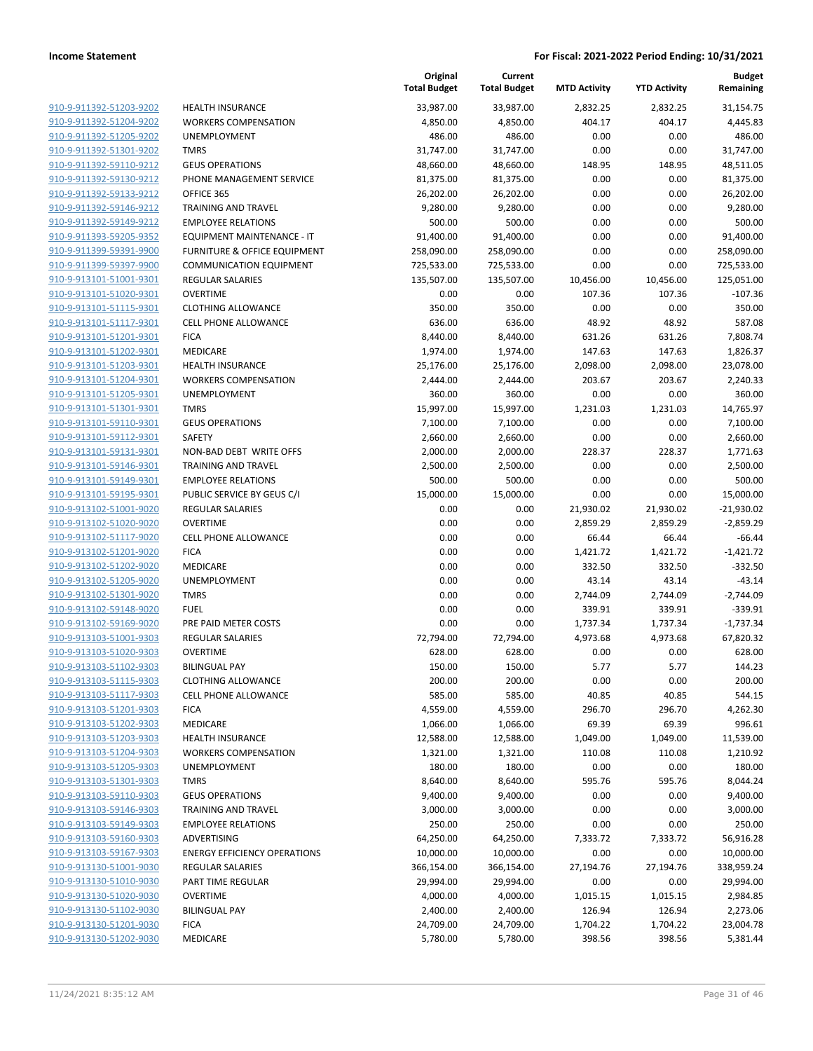|                         |                                         | Original<br><b>Total Budget</b> | Current<br><b>Total Budget</b> | <b>MTD Activity</b> | <b>YTD Activity</b> | Budget<br>Remaining |
|-------------------------|-----------------------------------------|---------------------------------|--------------------------------|---------------------|---------------------|---------------------|
| 910-9-911392-51203-9202 | <b>HEALTH INSURANCE</b>                 | 33.987.00                       | 33,987.00                      | 2,832.25            | 2,832.25            | 31.154.75           |
| 910-9-911392-51204-9202 | <b>WORKERS COMPENSATION</b>             | 4,850.00                        | 4,850.00                       | 404.17              | 404.17              | 4,445.83            |
| 910-9-911392-51205-9202 | <b>UNEMPLOYMENT</b>                     | 486.00                          | 486.00                         | 0.00                | 0.00                | 486.00              |
| 910-9-911392-51301-9202 | <b>TMRS</b>                             | 31,747.00                       | 31,747.00                      | 0.00                | 0.00                | 31,747.00           |
| 910-9-911392-59110-9212 | <b>GEUS OPERATIONS</b>                  | 48,660.00                       | 48,660.00                      | 148.95              | 148.95              | 48,511.05           |
| 910-9-911392-59130-9212 | PHONE MANAGEMENT SERVICE                | 81,375.00                       | 81,375.00                      | 0.00                | 0.00                | 81,375.00           |
| 910-9-911392-59133-9212 | OFFICE 365                              | 26,202.00                       | 26,202.00                      | 0.00                | 0.00                | 26,202.00           |
| 910-9-911392-59146-9212 | <b>TRAINING AND TRAVEL</b>              | 9,280.00                        | 9,280.00                       | 0.00                | 0.00                | 9,280.00            |
| 910-9-911392-59149-9212 | <b>EMPLOYEE RELATIONS</b>               | 500.00                          | 500.00                         | 0.00                | 0.00                | 500.00              |
| 910-9-911393-59205-9352 | EQUIPMENT MAINTENANCE - IT              | 91,400.00                       | 91,400.00                      | 0.00                | 0.00                | 91,400.00           |
| 910-9-911399-59391-9900 | <b>FURNITURE &amp; OFFICE EQUIPMENT</b> | 258,090.00                      | 258,090.00                     | 0.00                | 0.00                | 258,090.00          |
| 910-9-911399-59397-9900 | <b>COMMUNICATION EQUIPMENT</b>          | 725,533.00                      | 725,533.00                     | 0.00                | 0.00                | 725,533.00          |
| 910-9-913101-51001-9301 | <b>REGULAR SALARIES</b>                 | 135,507.00                      | 135,507.00                     | 10,456.00           | 10,456.00           | 125,051.00          |
| 910-9-913101-51020-9301 | <b>OVERTIME</b>                         | 0.00                            | 0.00                           | 107.36              | 107.36              | $-107.36$           |
| 910-9-913101-51115-9301 | <b>CLOTHING ALLOWANCE</b>               | 350.00                          | 350.00                         | 0.00                | 0.00                | 350.00              |
| 910-9-913101-51117-9301 | <b>CELL PHONE ALLOWANCE</b>             | 636.00                          | 636.00                         | 48.92               | 48.92               | 587.08              |
| 910-9-913101-51201-9301 | <b>FICA</b>                             | 8,440.00                        | 8,440.00                       | 631.26              | 631.26              | 7,808.74            |
| 910-9-913101-51202-9301 | MEDICARE                                | 1,974.00                        | 1,974.00                       | 147.63              | 147.63              | 1,826.37            |
| 910-9-913101-51203-9301 | <b>HEALTH INSURANCE</b>                 | 25,176.00                       | 25,176.00                      | 2,098.00            | 2,098.00            | 23,078.00           |
| 910-9-913101-51204-9301 | <b>WORKERS COMPENSATION</b>             | 2,444.00                        | 2,444.00                       | 203.67              | 203.67              | 2,240.33            |
| 910-9-913101-51205-9301 | UNEMPLOYMENT                            | 360.00                          | 360.00                         | 0.00                | 0.00                | 360.00              |
| 910-9-913101-51301-9301 | <b>TMRS</b>                             | 15,997.00                       | 15,997.00                      | 1,231.03            | 1,231.03            | 14,765.97           |
| 910-9-913101-59110-9301 | <b>GEUS OPERATIONS</b>                  | 7,100.00                        | 7,100.00                       | 0.00                | 0.00                | 7,100.00            |
| 910-9-913101-59112-9301 | SAFETY                                  | 2,660.00                        | 2,660.00                       | 0.00                | 0.00                | 2,660.00            |
| 910-9-913101-59131-9301 | NON-BAD DEBT WRITE OFFS                 | 2,000.00                        | 2,000.00                       | 228.37              | 228.37              | 1,771.63            |
| 910-9-913101-59146-9301 | <b>TRAINING AND TRAVEL</b>              | 2,500.00                        | 2,500.00                       | 0.00                | 0.00                | 2,500.00            |
| 910-9-913101-59149-9301 | <b>EMPLOYEE RELATIONS</b>               | 500.00                          | 500.00                         | 0.00                | 0.00                | 500.00              |
| 910-9-913101-59195-9301 | PUBLIC SERVICE BY GEUS C/I              | 15,000.00                       | 15,000.00                      | 0.00                | 0.00                | 15,000.00           |
| 910-9-913102-51001-9020 | <b>REGULAR SALARIES</b>                 | 0.00                            | 0.00                           | 21,930.02           | 21,930.02           | $-21,930.02$        |
| 910-9-913102-51020-9020 | <b>OVERTIME</b>                         | 0.00                            | 0.00                           | 2,859.29            | 2,859.29            | $-2,859.29$         |
| 910-9-913102-51117-9020 | <b>CELL PHONE ALLOWANCE</b>             | 0.00                            | 0.00                           | 66.44               | 66.44               | $-66.44$            |
| 910-9-913102-51201-9020 | <b>FICA</b>                             | 0.00                            | 0.00                           | 1,421.72            | 1,421.72            | $-1,421.72$         |
| 910-9-913102-51202-9020 | MEDICARE                                | 0.00                            | 0.00                           | 332.50              | 332.50              | $-332.50$           |
| 910-9-913102-51205-9020 | UNEMPLOYMENT                            | 0.00                            | 0.00                           | 43.14               | 43.14               | $-43.14$            |
| 910-9-913102-51301-9020 | <b>TMRS</b>                             | 0.00                            | 0.00                           | 2,744.09            | 2,744.09            | $-2,744.09$         |
| 910-9-913102-59148-9020 | <b>FUEL</b>                             | 0.00                            | 0.00                           | 339.91              | 339.91              | $-339.91$           |
| 910-9-913102-59169-9020 | PRE PAID METER COSTS                    | 0.00                            | 0.00                           | 1,737.34            | 1,737.34            | $-1,737.34$         |
| 910-9-913103-51001-9303 | <b>REGULAR SALARIES</b>                 | 72,794.00                       | 72,794.00                      | 4,973.68            | 4,973.68            | 67,820.32           |
| 910-9-913103-51020-9303 | <b>OVERTIME</b>                         | 628.00                          | 628.00                         | 0.00                | 0.00                | 628.00              |
| 910-9-913103-51102-9303 | <b>BILINGUAL PAY</b>                    | 150.00                          | 150.00                         | 5.77                | 5.77                | 144.23              |
| 910-9-913103-51115-9303 | <b>CLOTHING ALLOWANCE</b>               | 200.00                          | 200.00                         | 0.00                | 0.00                | 200.00              |
| 910-9-913103-51117-9303 | <b>CELL PHONE ALLOWANCE</b>             | 585.00                          | 585.00                         | 40.85               | 40.85               | 544.15              |
| 910-9-913103-51201-9303 | <b>FICA</b>                             | 4,559.00                        | 4,559.00                       | 296.70              | 296.70              | 4,262.30            |
| 910-9-913103-51202-9303 | MEDICARE                                | 1,066.00                        | 1,066.00                       | 69.39               | 69.39               | 996.61              |
| 910-9-913103-51203-9303 | <b>HEALTH INSURANCE</b>                 | 12,588.00                       | 12,588.00                      | 1,049.00            | 1,049.00            | 11,539.00           |
| 910-9-913103-51204-9303 | <b>WORKERS COMPENSATION</b>             | 1,321.00                        | 1,321.00                       | 110.08              | 110.08              | 1,210.92            |
| 910-9-913103-51205-9303 | UNEMPLOYMENT                            | 180.00                          | 180.00                         | 0.00                | 0.00                | 180.00              |
| 910-9-913103-51301-9303 | <b>TMRS</b>                             | 8,640.00                        | 8,640.00                       | 595.76              | 595.76              | 8,044.24            |
| 910-9-913103-59110-9303 | <b>GEUS OPERATIONS</b>                  | 9,400.00                        | 9,400.00                       | 0.00                | 0.00                | 9,400.00            |
| 910-9-913103-59146-9303 | TRAINING AND TRAVEL                     | 3,000.00                        | 3,000.00                       | 0.00                | 0.00                | 3,000.00            |
| 910-9-913103-59149-9303 | <b>EMPLOYEE RELATIONS</b>               | 250.00                          | 250.00                         | 0.00                | 0.00                | 250.00              |
| 910-9-913103-59160-9303 | ADVERTISING                             | 64,250.00                       | 64,250.00                      | 7,333.72            | 7,333.72            | 56,916.28           |
| 910-9-913103-59167-9303 | <b>ENERGY EFFICIENCY OPERATIONS</b>     | 10,000.00                       | 10,000.00                      | 0.00                | 0.00                | 10,000.00           |
| 910-9-913130-51001-9030 | REGULAR SALARIES                        | 366,154.00                      | 366,154.00                     | 27,194.76           | 27,194.76           | 338,959.24          |
| 910-9-913130-51010-9030 | PART TIME REGULAR                       | 29,994.00                       | 29,994.00                      | 0.00                | 0.00                | 29,994.00           |
| 910-9-913130-51020-9030 | <b>OVERTIME</b>                         | 4,000.00                        | 4,000.00                       | 1,015.15            | 1,015.15            | 2,984.85            |
| 910-9-913130-51102-9030 | <b>BILINGUAL PAY</b>                    | 2,400.00                        | 2,400.00                       | 126.94              | 126.94              | 2,273.06            |
| 910-9-913130-51201-9030 | <b>FICA</b>                             | 24,709.00                       | 24,709.00                      | 1,704.22            | 1,704.22            | 23,004.78           |
| 910-9-913130-51202-9030 | MEDICARE                                | 5,780.00                        | 5,780.00                       | 398.56              | 398.56              | 5,381.44            |
|                         |                                         |                                 |                                |                     |                     |                     |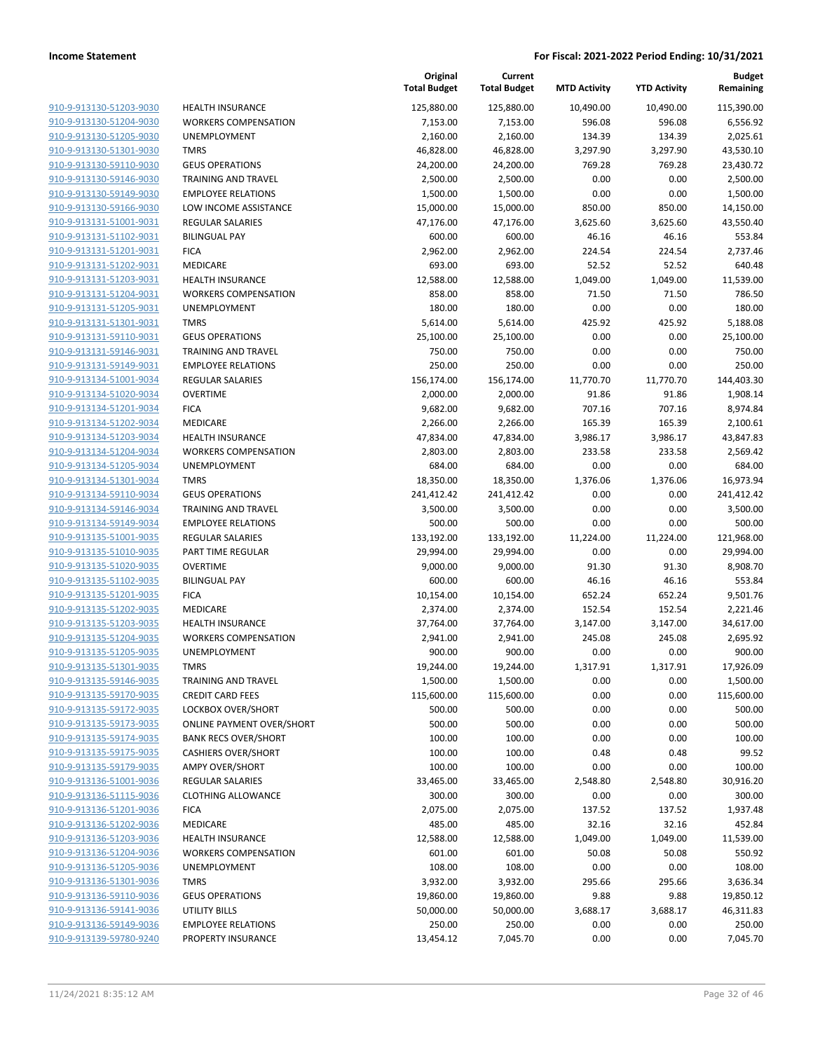| 910-9-913130-51203-9030        |
|--------------------------------|
| 910-9-913130-51204-9030        |
| 910-9-913130-51205-9030        |
| 910-9-913130-51301-9030        |
| <u>910-9-913130-59110-9030</u> |
| 910-9-913130-59146-9030        |
| 910-9-913130-59149-9030        |
| 910-9-913130-59166-9030        |
| 910-9-913131-51001-9031        |
| <u>910-9-913131-51102-9031</u> |
| 910-9-913131-51201-9031        |
| 910-9-913131-51202-9031        |
| 910-9-913131-51203-9031        |
| 910-9-913131-51204-9031        |
| <u>910-9-913131-51205-9031</u> |
| 910-9-913131-51301-9031        |
| 910-9-913131-59110-9031        |
| 910-9-913131-59146-9031        |
|                                |
| 910-9-913131-59149-9031        |
| <u>910-9-913134-51001-9034</u> |
| 910-9-913134-51020-9034        |
| 910-9-913134-51201-9034        |
| 910-9-913134-51202-9034        |
| 910-9-913134-51203-9034        |
| <u>910-9-913134-51204-9034</u> |
| 910-9-913134-51205-9034        |
| 910-9-913134-51301-9034        |
| 910-9-913134-59110-9034        |
| 910-9-913134-59146-9034        |
| <u>910-9-913134-59149-9034</u> |
| 910-9-913135-51001-9035        |
| 910-9-913135-51010-9035        |
| 910-9-913135-51020-9035        |
| 910-9-913135-51102-9035        |
| <u>910-9-913135-51201-9035</u> |
| 910-9-913135-51202-9035        |
| 910-9-913135-51203-9035        |
| 910-9-913135-51204-9035        |
| 910-9-913135-51205-9035        |
|                                |
| 910-9-913135-51301-9035        |
| 910-9-913135-59146-9035        |
| 910-9-913135-59170-9035        |
| 910-9-913135-59172-9035        |
| 910-9-913135-59173-9035        |
| 910-9-913135-59174-9035        |
| 910-9-913135-59175-9035        |
| 910-9-913135-59179-9035        |
| 910-9-913136-51001-9036        |
| <u>910-9-913136-51115-9036</u> |
| <u>910-9-913136-51201-9036</u> |
| 910-9-913136-51202-9036        |
| 910-9-913136-51203-9036        |
| 910-9-913136-51204-9036        |
| <u>910-9-913136-51205-9036</u> |
| <u>910-9-913136-51301-9036</u> |
| <u>910-9-913136-59110-9036</u> |
| 910-9-913136-59141-9036        |
| <u>910-9-913136-59149-9036</u> |
| 910-9-913139-59780-9240        |
|                                |

|                         |                                  | Original<br><b>Total Budget</b> | Current<br><b>Total Budget</b> | <b>MTD Activity</b> | <b>YTD Activity</b> | <b>Budget</b><br>Remaining |
|-------------------------|----------------------------------|---------------------------------|--------------------------------|---------------------|---------------------|----------------------------|
| 910-9-913130-51203-9030 | <b>HEALTH INSURANCE</b>          | 125,880.00                      | 125,880.00                     | 10,490.00           | 10,490.00           | 115,390.00                 |
| 910-9-913130-51204-9030 | <b>WORKERS COMPENSATION</b>      | 7,153.00                        | 7,153.00                       | 596.08              | 596.08              | 6,556.92                   |
| 910-9-913130-51205-9030 | <b>UNEMPLOYMENT</b>              | 2,160.00                        | 2,160.00                       | 134.39              | 134.39              | 2,025.61                   |
| 910-9-913130-51301-9030 | <b>TMRS</b>                      | 46,828.00                       | 46,828.00                      | 3,297.90            | 3,297.90            | 43,530.10                  |
| 910-9-913130-59110-9030 | <b>GEUS OPERATIONS</b>           | 24,200.00                       | 24,200.00                      | 769.28              | 769.28              | 23,430.72                  |
| 910-9-913130-59146-9030 | <b>TRAINING AND TRAVEL</b>       | 2,500.00                        | 2,500.00                       | 0.00                | 0.00                | 2,500.00                   |
| 910-9-913130-59149-9030 | <b>EMPLOYEE RELATIONS</b>        | 1,500.00                        | 1,500.00                       | 0.00                | 0.00                | 1,500.00                   |
| 910-9-913130-59166-9030 | LOW INCOME ASSISTANCE            | 15,000.00                       | 15,000.00                      | 850.00              | 850.00              | 14,150.00                  |
| 910-9-913131-51001-9031 | <b>REGULAR SALARIES</b>          | 47,176.00                       | 47,176.00                      | 3,625.60            | 3,625.60            | 43,550.40                  |
| 910-9-913131-51102-9031 | <b>BILINGUAL PAY</b>             | 600.00                          | 600.00                         | 46.16               | 46.16               | 553.84                     |
| 910-9-913131-51201-9031 | <b>FICA</b>                      | 2,962.00                        | 2,962.00                       | 224.54              | 224.54              | 2,737.46                   |
| 910-9-913131-51202-9031 | MEDICARE                         | 693.00                          | 693.00                         | 52.52               | 52.52               | 640.48                     |
| 910-9-913131-51203-9031 | HEALTH INSURANCE                 | 12,588.00                       | 12,588.00                      | 1,049.00            | 1,049.00            | 11,539.00                  |
| 910-9-913131-51204-9031 | <b>WORKERS COMPENSATION</b>      | 858.00                          | 858.00                         | 71.50               | 71.50               | 786.50                     |
| 910-9-913131-51205-9031 | UNEMPLOYMENT                     | 180.00                          | 180.00                         | 0.00                | 0.00                | 180.00                     |
| 910-9-913131-51301-9031 | <b>TMRS</b>                      | 5,614.00                        | 5,614.00                       | 425.92              | 425.92              | 5,188.08                   |
| 910-9-913131-59110-9031 | <b>GEUS OPERATIONS</b>           | 25,100.00                       | 25,100.00                      | 0.00                | 0.00                | 25,100.00                  |
| 910-9-913131-59146-9031 | <b>TRAINING AND TRAVEL</b>       | 750.00                          | 750.00                         | 0.00                | 0.00                | 750.00                     |
| 910-9-913131-59149-9031 | <b>EMPLOYEE RELATIONS</b>        | 250.00                          | 250.00                         | 0.00                | 0.00                | 250.00                     |
| 910-9-913134-51001-9034 | <b>REGULAR SALARIES</b>          | 156,174.00                      | 156,174.00                     | 11,770.70           | 11,770.70           | 144,403.30                 |
| 910-9-913134-51020-9034 | <b>OVERTIME</b>                  | 2,000.00                        | 2,000.00                       | 91.86               | 91.86               | 1,908.14                   |
| 910-9-913134-51201-9034 | <b>FICA</b>                      | 9,682.00                        | 9,682.00                       | 707.16              | 707.16              | 8,974.84                   |
| 910-9-913134-51202-9034 | MEDICARE                         | 2,266.00                        | 2,266.00                       | 165.39              | 165.39              | 2,100.61                   |
| 910-9-913134-51203-9034 | <b>HEALTH INSURANCE</b>          | 47,834.00                       | 47,834.00                      | 3,986.17            | 3,986.17            | 43,847.83                  |
| 910-9-913134-51204-9034 | <b>WORKERS COMPENSATION</b>      | 2,803.00                        | 2,803.00                       | 233.58              | 233.58              | 2,569.42                   |
| 910-9-913134-51205-9034 | UNEMPLOYMENT                     | 684.00                          | 684.00                         | 0.00                | 0.00                | 684.00                     |
| 910-9-913134-51301-9034 | <b>TMRS</b>                      | 18,350.00                       | 18,350.00                      | 1,376.06            | 1,376.06            | 16,973.94                  |
| 910-9-913134-59110-9034 | <b>GEUS OPERATIONS</b>           | 241,412.42                      | 241,412.42                     | 0.00                | 0.00                | 241,412.42                 |
| 910-9-913134-59146-9034 | <b>TRAINING AND TRAVEL</b>       | 3,500.00                        | 3,500.00                       | 0.00                | 0.00                | 3,500.00                   |
| 910-9-913134-59149-9034 | <b>EMPLOYEE RELATIONS</b>        | 500.00                          | 500.00                         | 0.00                | 0.00                | 500.00                     |
| 910-9-913135-51001-9035 | <b>REGULAR SALARIES</b>          | 133,192.00                      | 133,192.00                     | 11,224.00           | 11,224.00           | 121,968.00                 |
| 910-9-913135-51010-9035 | PART TIME REGULAR                | 29,994.00                       | 29,994.00                      | 0.00                | 0.00                | 29,994.00                  |
| 910-9-913135-51020-9035 | <b>OVERTIME</b>                  | 9,000.00                        | 9,000.00                       | 91.30               | 91.30               | 8,908.70                   |
| 910-9-913135-51102-9035 | <b>BILINGUAL PAY</b>             | 600.00                          | 600.00                         | 46.16               | 46.16               | 553.84                     |
| 910-9-913135-51201-9035 | <b>FICA</b>                      | 10,154.00                       | 10,154.00                      | 652.24              | 652.24              | 9,501.76                   |
| 910-9-913135-51202-9035 | MEDICARE                         | 2,374.00                        | 2,374.00                       | 152.54              | 152.54              | 2,221.46                   |
| 910-9-913135-51203-9035 | <b>HEALTH INSURANCE</b>          | 37,764.00                       | 37,764.00                      | 3,147.00            | 3,147.00            | 34,617.00                  |
| 910-9-913135-51204-9035 | <b>WORKERS COMPENSATION</b>      | 2,941.00                        | 2,941.00                       | 245.08              | 245.08              | 2,695.92                   |
| 910-9-913135-51205-9035 | UNEMPLOYMENT                     | 900.00                          | 900.00                         | 0.00                | 0.00                | 900.00                     |
| 910-9-913135-51301-9035 | <b>TMRS</b>                      | 19,244.00                       | 19,244.00                      | 1,317.91            | 1,317.91            | 17,926.09                  |
| 910-9-913135-59146-9035 | TRAINING AND TRAVEL              | 1,500.00                        | 1,500.00                       | 0.00                | 0.00                | 1,500.00                   |
| 910-9-913135-59170-9035 | <b>CREDIT CARD FEES</b>          | 115,600.00                      | 115,600.00                     | 0.00                | 0.00                | 115,600.00                 |
| 910-9-913135-59172-9035 | LOCKBOX OVER/SHORT               | 500.00                          | 500.00                         | 0.00                | 0.00                | 500.00                     |
| 910-9-913135-59173-9035 | <b>ONLINE PAYMENT OVER/SHORT</b> | 500.00                          | 500.00                         | 0.00                | 0.00                | 500.00                     |
| 910-9-913135-59174-9035 | <b>BANK RECS OVER/SHORT</b>      | 100.00                          | 100.00                         | 0.00                | 0.00                | 100.00                     |
| 910-9-913135-59175-9035 | <b>CASHIERS OVER/SHORT</b>       | 100.00                          | 100.00                         | 0.48                | 0.48                | 99.52                      |
| 910-9-913135-59179-9035 | <b>AMPY OVER/SHORT</b>           | 100.00                          | 100.00                         | 0.00                | 0.00                | 100.00                     |
| 910-9-913136-51001-9036 | <b>REGULAR SALARIES</b>          | 33,465.00                       | 33,465.00                      | 2,548.80            | 2,548.80            | 30,916.20                  |
| 910-9-913136-51115-9036 | <b>CLOTHING ALLOWANCE</b>        | 300.00                          | 300.00                         | 0.00                | 0.00                | 300.00                     |
| 910-9-913136-51201-9036 | <b>FICA</b>                      | 2,075.00                        | 2,075.00                       | 137.52              | 137.52              | 1,937.48                   |
| 910-9-913136-51202-9036 | MEDICARE                         | 485.00                          | 485.00                         | 32.16               | 32.16               | 452.84                     |
| 910-9-913136-51203-9036 | <b>HEALTH INSURANCE</b>          | 12,588.00                       | 12,588.00                      | 1,049.00            | 1,049.00            | 11,539.00                  |
| 910-9-913136-51204-9036 | <b>WORKERS COMPENSATION</b>      | 601.00                          | 601.00                         | 50.08               | 50.08               | 550.92                     |
| 910-9-913136-51205-9036 | UNEMPLOYMENT                     | 108.00                          | 108.00                         | 0.00                | 0.00                | 108.00                     |
| 910-9-913136-51301-9036 | <b>TMRS</b>                      | 3,932.00                        | 3,932.00                       | 295.66              | 295.66              | 3,636.34                   |
| 910-9-913136-59110-9036 | <b>GEUS OPERATIONS</b>           | 19,860.00                       | 19,860.00                      | 9.88                | 9.88                | 19,850.12                  |
| 910-9-913136-59141-9036 | UTILITY BILLS                    | 50,000.00                       | 50,000.00                      | 3,688.17            | 3,688.17            | 46,311.83                  |
| 910-9-913136-59149-9036 | <b>EMPLOYEE RELATIONS</b>        | 250.00                          | 250.00                         | 0.00                | 0.00                | 250.00                     |
| 910-9-913139-59780-9240 | PROPERTY INSURANCE               | 13,454.12                       | 7,045.70                       | 0.00                | 0.00                | 7,045.70                   |

**Original**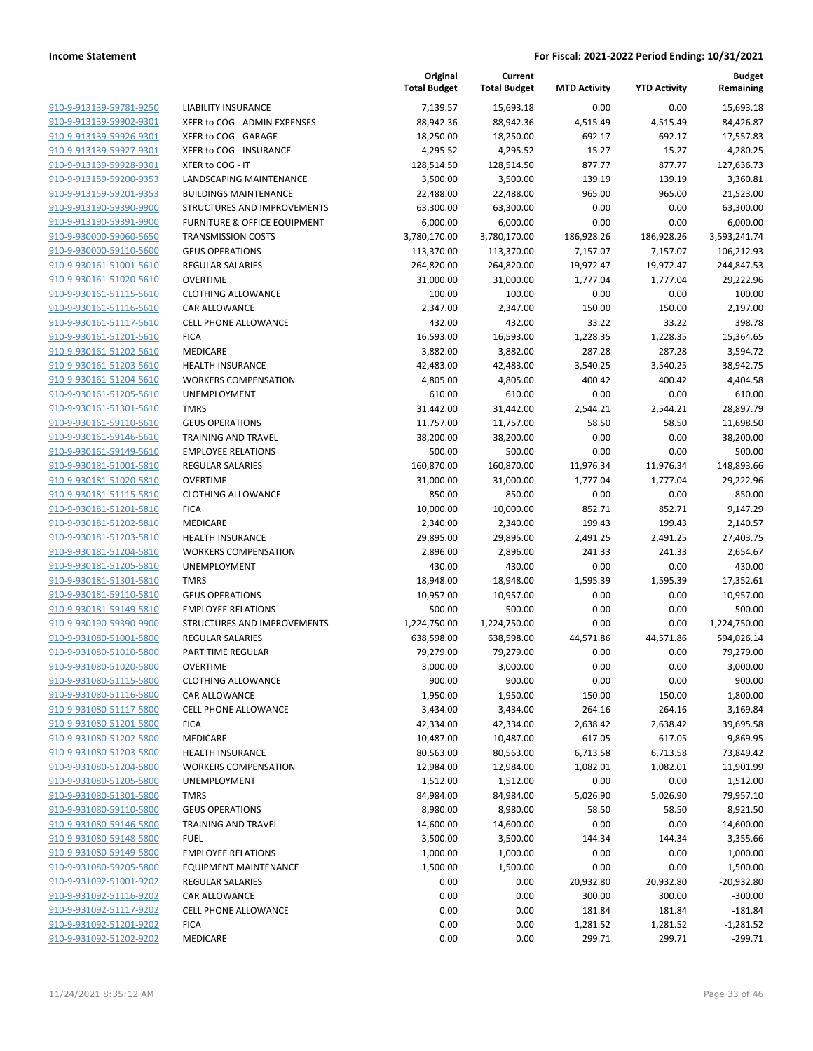|                         |                                         | Original<br><b>Total Budget</b> | Current<br><b>Total Budget</b> | <b>MTD Activity</b> | <b>YTD Activity</b> | <b>Budget</b><br>Remaining |
|-------------------------|-----------------------------------------|---------------------------------|--------------------------------|---------------------|---------------------|----------------------------|
| 910-9-913139-59781-9250 | <b>LIABILITY INSURANCE</b>              | 7,139.57                        | 15,693.18                      | 0.00                | 0.00                | 15,693.18                  |
| 910-9-913139-59902-9301 | XFER to COG - ADMIN EXPENSES            | 88,942.36                       | 88,942.36                      | 4,515.49            | 4,515.49            | 84,426.87                  |
| 910-9-913139-59926-9301 | XFER to COG - GARAGE                    | 18,250.00                       | 18,250.00                      | 692.17              | 692.17              | 17,557.83                  |
| 910-9-913139-59927-9301 | XFER to COG - INSURANCE                 | 4,295.52                        | 4,295.52                       | 15.27               | 15.27               | 4,280.25                   |
| 910-9-913139-59928-9301 | XFER to COG - IT                        | 128,514.50                      | 128,514.50                     | 877.77              | 877.77              | 127,636.73                 |
| 910-9-913159-59200-9353 | LANDSCAPING MAINTENANCE                 | 3,500.00                        | 3,500.00                       | 139.19              | 139.19              | 3,360.81                   |
| 910-9-913159-59201-9353 | <b>BUILDINGS MAINTENANCE</b>            | 22,488.00                       | 22,488.00                      | 965.00              | 965.00              | 21,523.00                  |
| 910-9-913190-59390-9900 | STRUCTURES AND IMPROVEMENTS             | 63,300.00                       | 63,300.00                      | 0.00                | 0.00                | 63,300.00                  |
| 910-9-913190-59391-9900 | <b>FURNITURE &amp; OFFICE EQUIPMENT</b> | 6,000.00                        | 6,000.00                       | 0.00                | 0.00                | 6,000.00                   |
| 910-9-930000-59060-5650 | <b>TRANSMISSION COSTS</b>               | 3,780,170.00                    | 3,780,170.00                   | 186,928.26          | 186,928.26          | 3,593,241.74               |
| 910-9-930000-59110-5600 | <b>GEUS OPERATIONS</b>                  | 113,370.00                      | 113,370.00                     | 7,157.07            | 7,157.07            | 106,212.93                 |
| 910-9-930161-51001-5610 | <b>REGULAR SALARIES</b>                 | 264,820.00                      | 264,820.00                     | 19,972.47           | 19,972.47           | 244,847.53                 |
| 910-9-930161-51020-5610 | <b>OVERTIME</b>                         | 31,000.00                       | 31,000.00                      | 1,777.04            | 1,777.04            | 29,222.96                  |
| 910-9-930161-51115-5610 | <b>CLOTHING ALLOWANCE</b>               | 100.00                          | 100.00                         | 0.00                | 0.00                | 100.00                     |
| 910-9-930161-51116-5610 | CAR ALLOWANCE                           | 2,347.00                        | 2,347.00                       | 150.00              | 150.00              | 2,197.00                   |
| 910-9-930161-51117-5610 | <b>CELL PHONE ALLOWANCE</b>             | 432.00                          | 432.00                         | 33.22               | 33.22               | 398.78                     |
| 910-9-930161-51201-5610 | <b>FICA</b>                             | 16,593.00                       | 16,593.00                      | 1,228.35            | 1,228.35            | 15,364.65                  |
| 910-9-930161-51202-5610 | MEDICARE                                | 3,882.00                        | 3,882.00                       | 287.28              | 287.28              | 3,594.72                   |
| 910-9-930161-51203-5610 | <b>HEALTH INSURANCE</b>                 | 42,483.00                       | 42,483.00                      | 3,540.25            | 3,540.25            | 38,942.75                  |
| 910-9-930161-51204-5610 | <b>WORKERS COMPENSATION</b>             | 4,805.00                        | 4,805.00                       | 400.42              | 400.42              | 4,404.58                   |
| 910-9-930161-51205-5610 | UNEMPLOYMENT                            | 610.00                          | 610.00                         | 0.00                | 0.00                | 610.00                     |
| 910-9-930161-51301-5610 | <b>TMRS</b>                             | 31,442.00                       | 31,442.00                      | 2,544.21            | 2,544.21            | 28,897.79                  |
| 910-9-930161-59110-5610 | <b>GEUS OPERATIONS</b>                  | 11,757.00                       | 11,757.00                      | 58.50               | 58.50               | 11,698.50                  |
| 910-9-930161-59146-5610 | <b>TRAINING AND TRAVEL</b>              | 38,200.00                       | 38,200.00                      | 0.00                | 0.00                | 38,200.00                  |
| 910-9-930161-59149-5610 | <b>EMPLOYEE RELATIONS</b>               | 500.00                          | 500.00                         | 0.00                | 0.00                | 500.00                     |
| 910-9-930181-51001-5810 | <b>REGULAR SALARIES</b>                 | 160,870.00                      | 160,870.00                     | 11,976.34           | 11,976.34           | 148,893.66                 |
| 910-9-930181-51020-5810 | <b>OVERTIME</b>                         | 31,000.00                       | 31,000.00                      | 1,777.04            | 1,777.04            | 29,222.96                  |
| 910-9-930181-51115-5810 | <b>CLOTHING ALLOWANCE</b>               | 850.00                          | 850.00                         | 0.00                | 0.00                | 850.00                     |
| 910-9-930181-51201-5810 | <b>FICA</b>                             | 10,000.00                       | 10,000.00                      | 852.71              | 852.71              | 9,147.29                   |
| 910-9-930181-51202-5810 | MEDICARE                                | 2,340.00                        | 2,340.00                       | 199.43              | 199.43              | 2,140.57                   |
| 910-9-930181-51203-5810 | <b>HEALTH INSURANCE</b>                 | 29,895.00                       | 29,895.00                      | 2,491.25            | 2,491.25            | 27,403.75                  |
| 910-9-930181-51204-5810 | <b>WORKERS COMPENSATION</b>             | 2,896.00                        | 2,896.00                       | 241.33              | 241.33              | 2,654.67                   |
| 910-9-930181-51205-5810 | UNEMPLOYMENT                            | 430.00                          | 430.00                         | 0.00                | 0.00                | 430.00                     |
| 910-9-930181-51301-5810 | <b>TMRS</b>                             | 18,948.00                       | 18,948.00                      | 1,595.39            | 1,595.39            | 17,352.61                  |
| 910-9-930181-59110-5810 | <b>GEUS OPERATIONS</b>                  | 10,957.00                       | 10,957.00                      | 0.00                | 0.00                | 10,957.00                  |
| 910-9-930181-59149-5810 | <b>EMPLOYEE RELATIONS</b>               | 500.00                          | 500.00                         | 0.00                | 0.00                | 500.00                     |
| 910-9-930190-59390-9900 | STRUCTURES AND IMPROVEMENTS             | 1,224,750.00                    | 1,224,750.00                   | 0.00                | 0.00                | 1,224,750.00               |
| 910-9-931080-51001-5800 | REGULAR SALARIES                        | 638,598.00                      | 638,598.00                     | 44,571.86           | 44,571.86           | 594,026.14                 |
| 910-9-931080-51010-5800 | PART TIME REGULAR                       | 79,279.00                       | 79,279.00                      | 0.00                | 0.00                | 79,279.00                  |
| 910-9-931080-51020-5800 | <b>OVERTIME</b>                         | 3,000.00                        | 3,000.00                       | 0.00                | 0.00                | 3,000.00                   |
| 910-9-931080-51115-5800 | <b>CLOTHING ALLOWANCE</b>               | 900.00                          | 900.00                         | 0.00                | 0.00                | 900.00                     |
| 910-9-931080-51116-5800 | CAR ALLOWANCE                           | 1,950.00                        | 1,950.00                       | 150.00              | 150.00              | 1,800.00                   |
| 910-9-931080-51117-5800 | <b>CELL PHONE ALLOWANCE</b>             | 3,434.00                        | 3,434.00                       | 264.16              | 264.16              | 3,169.84                   |
| 910-9-931080-51201-5800 | <b>FICA</b>                             | 42,334.00                       | 42,334.00                      | 2,638.42            | 2,638.42            | 39,695.58                  |
| 910-9-931080-51202-5800 | MEDICARE                                | 10,487.00                       | 10,487.00                      | 617.05              | 617.05              | 9,869.95                   |
| 910-9-931080-51203-5800 | <b>HEALTH INSURANCE</b>                 | 80,563.00                       | 80,563.00                      | 6,713.58            | 6,713.58            | 73,849.42                  |
| 910-9-931080-51204-5800 | <b>WORKERS COMPENSATION</b>             | 12,984.00                       | 12,984.00                      | 1,082.01            | 1,082.01            | 11,901.99                  |
| 910-9-931080-51205-5800 | UNEMPLOYMENT                            | 1,512.00                        | 1,512.00                       | 0.00                | 0.00                | 1,512.00                   |
| 910-9-931080-51301-5800 | <b>TMRS</b>                             | 84,984.00                       | 84,984.00                      | 5,026.90            | 5,026.90            | 79,957.10                  |
| 910-9-931080-59110-5800 | <b>GEUS OPERATIONS</b>                  | 8,980.00                        | 8,980.00                       | 58.50               | 58.50               | 8,921.50                   |
| 910-9-931080-59146-5800 | <b>TRAINING AND TRAVEL</b>              | 14,600.00                       | 14,600.00                      | 0.00                | 0.00                | 14,600.00                  |
| 910-9-931080-59148-5800 | <b>FUEL</b>                             | 3,500.00                        | 3,500.00                       | 144.34              | 144.34              | 3,355.66                   |
| 910-9-931080-59149-5800 | <b>EMPLOYEE RELATIONS</b>               | 1,000.00                        | 1,000.00                       | 0.00                | 0.00                | 1,000.00                   |
| 910-9-931080-59205-5800 | <b>EQUIPMENT MAINTENANCE</b>            | 1,500.00                        | 1,500.00                       | 0.00                | 0.00                | 1,500.00                   |
| 910-9-931092-51001-9202 | REGULAR SALARIES                        | 0.00                            | 0.00                           | 20,932.80           | 20,932.80           | $-20,932.80$               |
| 910-9-931092-51116-9202 | CAR ALLOWANCE                           | 0.00                            | 0.00                           | 300.00              | 300.00              | $-300.00$                  |
| 910-9-931092-51117-9202 | <b>CELL PHONE ALLOWANCE</b>             | 0.00                            | 0.00                           | 181.84              | 181.84              | $-181.84$                  |
| 910-9-931092-51201-9202 | <b>FICA</b>                             | 0.00                            | 0.00                           | 1,281.52            | 1,281.52            | $-1,281.52$                |
| 910-9-931092-51202-9202 | MEDICARE                                | 0.00                            | 0.00                           | 299.71              | 299.71              | $-299.71$                  |
|                         |                                         |                                 |                                |                     |                     |                            |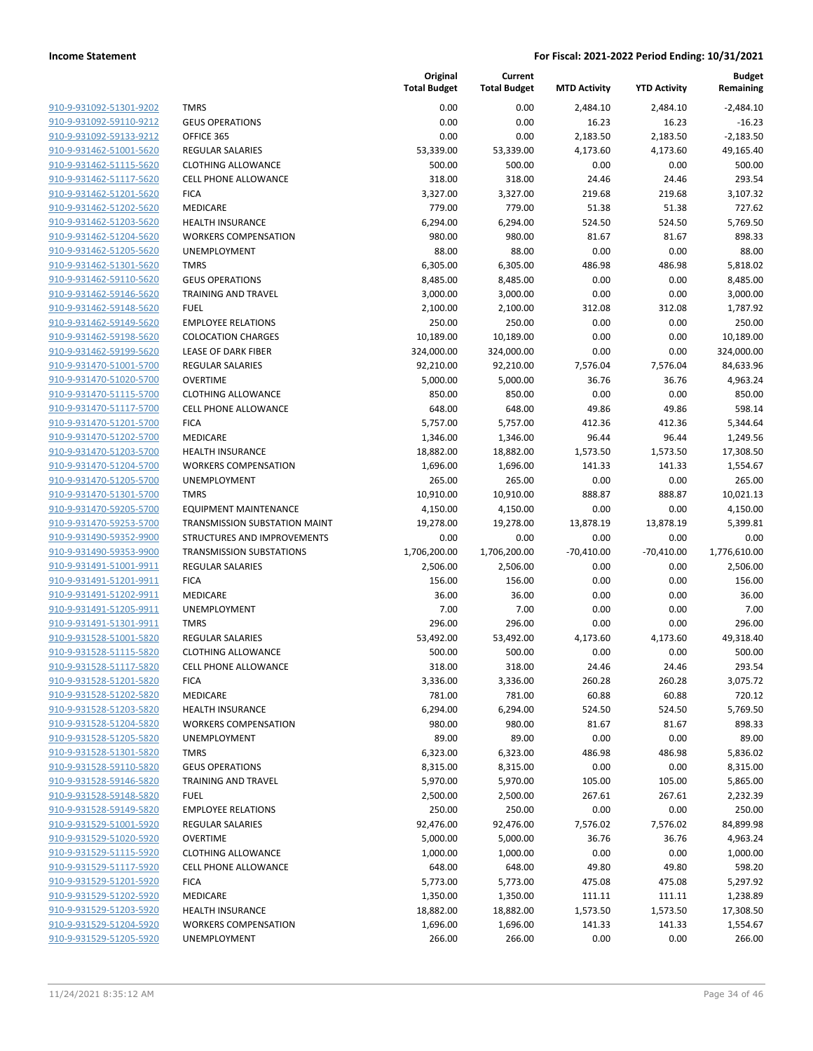| 910-9-931092-51301-9202                                   |
|-----------------------------------------------------------|
| 910-9-931092-59110-9212                                   |
| 910-9-931092-59133-9212                                   |
| 910-9-931462-51001-5620                                   |
| 910-9-931462-51115-5620                                   |
| 910-9-931462-51117-5620                                   |
| 910-9-931462-51201-5620                                   |
| 910-9-931462-51202-5620                                   |
| 910-9-931462-51203-5620                                   |
| 910-9-931462-51204-5620                                   |
| 910-9-931462-51205-5620                                   |
| 910-9-931462-51301-5620                                   |
| 910-9-931462-59110-5620                                   |
| 910-9-931462-59146-5620                                   |
|                                                           |
| <u>910-9-931462-59148-5620</u>                            |
| 910-9-931462-59149-5620                                   |
| 910-9-931462-59198-5620                                   |
| 910-9-931462-59199-5620                                   |
| 910-9-931470-51001-5700                                   |
| 910-9-931470-51020-5700                                   |
| 910-9-931470-51115-5700                                   |
| 910-9-931470-51117-5700                                   |
| 910-9-931470-51201-5700                                   |
| 910-9-931470-51202-5700                                   |
| 910-9-931470-51203-5700                                   |
| 910-9-931470-51204-5700                                   |
| 910-9-931470-51205-5700                                   |
| 910-9-931470-51301-5700                                   |
| 910-9-931470-59205-5700                                   |
| 910-9-931470-59253-5700                                   |
| 910-9-931490-59352-9900                                   |
| 910-9-931490-59353-9900                                   |
| 910-9-931491-51001-9911                                   |
| <u>910-9-931491-51201-9911</u>                            |
| 910-9-931491-51202-9911                                   |
| 910-9-931491-51205-9911                                   |
| 910-9-931491-51301-9911                                   |
| 910-9-931528-51001-5820                                   |
|                                                           |
| 910-9-931528-51115-5820                                   |
| 910-9-931528-51117-5820                                   |
| 910-9-931528-51201-5820                                   |
| <u>910-9-931528-51202-5820</u>                            |
| 910-9-931528-51203-5820                                   |
| 910-9-931528-51204-5820                                   |
| <u>910-9-931528-51205-5820</u>                            |
| 910-9-931528-51301-5820                                   |
|                                                           |
| 910-9-931528-59110-5820                                   |
| 910-9-931528-59146-5820                                   |
| 910-9-931528-59148-5820                                   |
| <u>910-9-931528-59149-5820</u>                            |
| 910-9-931529-51001-5920                                   |
| 910-9-931529-51020-5920                                   |
| 910-9-931529-51115-5920                                   |
|                                                           |
| 910-9-931529-51117-5920                                   |
| <u>910-9-931529-51201-5920</u>                            |
| 910-9-931529-51202-5920                                   |
| 910-9-931529-51203-5920                                   |
| 910-9-931529-51204-5920<br><u>910-9-931529-51205-5920</u> |

|                         |                                 | Original<br><b>Total Budget</b> | Current<br><b>Total Budget</b> | <b>MTD Activity</b> | <b>YTD Activity</b> | <b>Budget</b><br>Remaining |
|-------------------------|---------------------------------|---------------------------------|--------------------------------|---------------------|---------------------|----------------------------|
| 910-9-931092-51301-9202 | <b>TMRS</b>                     | 0.00                            | 0.00                           | 2,484.10            | 2,484.10            | $-2,484.10$                |
| 910-9-931092-59110-9212 | <b>GEUS OPERATIONS</b>          | 0.00                            | 0.00                           | 16.23               | 16.23               | $-16.23$                   |
| 910-9-931092-59133-9212 | OFFICE 365                      | 0.00                            | 0.00                           | 2,183.50            | 2,183.50            | $-2,183.50$                |
| 910-9-931462-51001-5620 | <b>REGULAR SALARIES</b>         | 53,339.00                       | 53,339.00                      | 4,173.60            | 4,173.60            | 49,165.40                  |
| 910-9-931462-51115-5620 | <b>CLOTHING ALLOWANCE</b>       | 500.00                          | 500.00                         | 0.00                | 0.00                | 500.00                     |
| 910-9-931462-51117-5620 | <b>CELL PHONE ALLOWANCE</b>     | 318.00                          | 318.00                         | 24.46               | 24.46               | 293.54                     |
| 910-9-931462-51201-5620 | <b>FICA</b>                     | 3,327.00                        | 3,327.00                       | 219.68              | 219.68              | 3,107.32                   |
| 910-9-931462-51202-5620 | MEDICARE                        | 779.00                          | 779.00                         | 51.38               | 51.38               | 727.62                     |
| 910-9-931462-51203-5620 | <b>HEALTH INSURANCE</b>         | 6,294.00                        | 6,294.00                       | 524.50              | 524.50              | 5,769.50                   |
| 910-9-931462-51204-5620 | <b>WORKERS COMPENSATION</b>     | 980.00                          | 980.00                         | 81.67               | 81.67               | 898.33                     |
| 910-9-931462-51205-5620 | UNEMPLOYMENT                    | 88.00                           | 88.00                          | 0.00                | 0.00                | 88.00                      |
| 910-9-931462-51301-5620 | <b>TMRS</b>                     | 6,305.00                        | 6,305.00                       | 486.98              | 486.98              | 5,818.02                   |
| 910-9-931462-59110-5620 | <b>GEUS OPERATIONS</b>          | 8,485.00                        | 8,485.00                       | 0.00                | 0.00                | 8,485.00                   |
| 910-9-931462-59146-5620 | <b>TRAINING AND TRAVEL</b>      | 3,000.00                        | 3,000.00                       | 0.00                | 0.00                | 3,000.00                   |
| 910-9-931462-59148-5620 | <b>FUEL</b>                     | 2,100.00                        | 2,100.00                       | 312.08              | 312.08              | 1,787.92                   |
| 910-9-931462-59149-5620 | <b>EMPLOYEE RELATIONS</b>       | 250.00                          | 250.00                         | 0.00                | 0.00                | 250.00                     |
| 910-9-931462-59198-5620 | <b>COLOCATION CHARGES</b>       | 10,189.00                       | 10,189.00                      | 0.00                | 0.00                | 10,189.00                  |
| 910-9-931462-59199-5620 | LEASE OF DARK FIBER             | 324,000.00                      | 324,000.00                     | 0.00                | 0.00                | 324,000.00                 |
| 910-9-931470-51001-5700 | <b>REGULAR SALARIES</b>         | 92,210.00                       | 92,210.00                      | 7,576.04            | 7,576.04            | 84,633.96                  |
| 910-9-931470-51020-5700 | <b>OVERTIME</b>                 | 5,000.00                        | 5,000.00                       | 36.76               | 36.76               | 4,963.24                   |
| 910-9-931470-51115-5700 | <b>CLOTHING ALLOWANCE</b>       | 850.00                          | 850.00                         | 0.00                | 0.00                | 850.00                     |
| 910-9-931470-51117-5700 | <b>CELL PHONE ALLOWANCE</b>     | 648.00                          | 648.00                         | 49.86               | 49.86               | 598.14                     |
| 910-9-931470-51201-5700 | <b>FICA</b>                     | 5,757.00                        | 5,757.00                       | 412.36              | 412.36              | 5,344.64                   |
| 910-9-931470-51202-5700 | MEDICARE                        | 1,346.00                        | 1,346.00                       | 96.44               | 96.44               | 1,249.56                   |
| 910-9-931470-51203-5700 | <b>HEALTH INSURANCE</b>         | 18,882.00                       | 18,882.00                      | 1,573.50            | 1,573.50            | 17,308.50                  |
| 910-9-931470-51204-5700 | <b>WORKERS COMPENSATION</b>     | 1,696.00                        | 1,696.00                       | 141.33              | 141.33              | 1,554.67                   |
| 910-9-931470-51205-5700 | UNEMPLOYMENT                    | 265.00                          | 265.00                         | 0.00                | 0.00                | 265.00                     |
| 910-9-931470-51301-5700 | <b>TMRS</b>                     | 10,910.00                       | 10,910.00                      | 888.87              | 888.87              | 10,021.13                  |
| 910-9-931470-59205-5700 | <b>EQUIPMENT MAINTENANCE</b>    | 4,150.00                        | 4,150.00                       | 0.00                | 0.00                | 4,150.00                   |
| 910-9-931470-59253-5700 | TRANSMISSION SUBSTATION MAINT   | 19,278.00                       | 19,278.00                      | 13,878.19           | 13,878.19           | 5,399.81                   |
| 910-9-931490-59352-9900 | STRUCTURES AND IMPROVEMENTS     | 0.00                            | 0.00                           | 0.00                | 0.00                | 0.00                       |
| 910-9-931490-59353-9900 | <b>TRANSMISSION SUBSTATIONS</b> | 1,706,200.00                    | 1,706,200.00                   | $-70,410.00$        | $-70,410.00$        | 1,776,610.00               |
| 910-9-931491-51001-9911 | <b>REGULAR SALARIES</b>         | 2,506.00                        | 2,506.00                       | 0.00                | 0.00                | 2,506.00                   |
| 910-9-931491-51201-9911 | <b>FICA</b>                     | 156.00                          | 156.00                         | 0.00                | 0.00                | 156.00                     |
| 910-9-931491-51202-9911 | <b>MEDICARE</b>                 | 36.00                           | 36.00                          | 0.00                | 0.00                | 36.00                      |
| 910-9-931491-51205-9911 | UNEMPLOYMENT                    | 7.00                            | 7.00                           | 0.00                | 0.00                | 7.00                       |
| 910-9-931491-51301-9911 | <b>TMRS</b>                     | 296.00                          | 296.00                         | 0.00                | 0.00                | 296.00                     |
| 910-9-931528-51001-5820 | <b>REGULAR SALARIES</b>         | 53,492.00                       | 53,492.00                      | 4,173.60            | 4,173.60            | 49,318.40                  |
| 910-9-931528-51115-5820 | <b>CLOTHING ALLOWANCE</b>       | 500.00                          | 500.00                         | 0.00                | 0.00                | 500.00                     |
| 910-9-931528-51117-5820 | CELL PHONE ALLOWANCE            | 318.00                          | 318.00                         | 24.46               | 24.46               | 293.54                     |
| 910-9-931528-51201-5820 | <b>FICA</b>                     | 3,336.00                        | 3,336.00                       | 260.28              | 260.28              | 3,075.72                   |
| 910-9-931528-51202-5820 | <b>MEDICARE</b>                 | 781.00                          | 781.00                         | 60.88               | 60.88               | 720.12                     |
| 910-9-931528-51203-5820 | <b>HEALTH INSURANCE</b>         | 6,294.00                        | 6,294.00                       | 524.50              | 524.50              | 5,769.50                   |
| 910-9-931528-51204-5820 | <b>WORKERS COMPENSATION</b>     | 980.00                          | 980.00                         | 81.67               | 81.67               | 898.33                     |
| 910-9-931528-51205-5820 | <b>UNEMPLOYMENT</b>             | 89.00                           | 89.00                          | 0.00                | 0.00                | 89.00                      |
| 910-9-931528-51301-5820 | <b>TMRS</b>                     | 6,323.00                        | 6,323.00                       | 486.98              | 486.98              | 5,836.02                   |
| 910-9-931528-59110-5820 | <b>GEUS OPERATIONS</b>          | 8,315.00                        | 8,315.00                       | 0.00                | 0.00                | 8,315.00                   |
| 910-9-931528-59146-5820 | <b>TRAINING AND TRAVEL</b>      | 5,970.00                        | 5,970.00                       | 105.00              | 105.00              | 5,865.00                   |
| 910-9-931528-59148-5820 | <b>FUEL</b>                     | 2,500.00                        | 2,500.00                       | 267.61              | 267.61              | 2,232.39                   |
| 910-9-931528-59149-5820 | <b>EMPLOYEE RELATIONS</b>       | 250.00                          | 250.00                         | 0.00                | 0.00                | 250.00                     |
| 910-9-931529-51001-5920 | REGULAR SALARIES                | 92,476.00                       | 92,476.00                      | 7,576.02            | 7,576.02            | 84,899.98                  |
| 910-9-931529-51020-5920 | <b>OVERTIME</b>                 | 5,000.00                        | 5,000.00                       | 36.76               | 36.76               | 4,963.24                   |
| 910-9-931529-51115-5920 | <b>CLOTHING ALLOWANCE</b>       | 1,000.00                        | 1,000.00                       | 0.00                | 0.00                | 1,000.00                   |
| 910-9-931529-51117-5920 | <b>CELL PHONE ALLOWANCE</b>     | 648.00                          | 648.00                         | 49.80               | 49.80               | 598.20                     |
| 910-9-931529-51201-5920 | <b>FICA</b>                     | 5,773.00                        | 5,773.00                       | 475.08              | 475.08              | 5,297.92                   |
| 910-9-931529-51202-5920 | MEDICARE                        | 1,350.00                        | 1,350.00                       | 111.11              | 111.11              | 1,238.89                   |
| 910-9-931529-51203-5920 | <b>HEALTH INSURANCE</b>         | 18,882.00                       | 18,882.00                      | 1,573.50            | 1,573.50            | 17,308.50                  |
| 910-9-931529-51204-5920 | <b>WORKERS COMPENSATION</b>     | 1,696.00                        | 1,696.00                       | 141.33              | 141.33              | 1,554.67                   |
| 910-9-931529-51205-5920 | UNEMPLOYMENT                    | 266.00                          | 266.00                         | 0.00                | 0.00                | 266.00                     |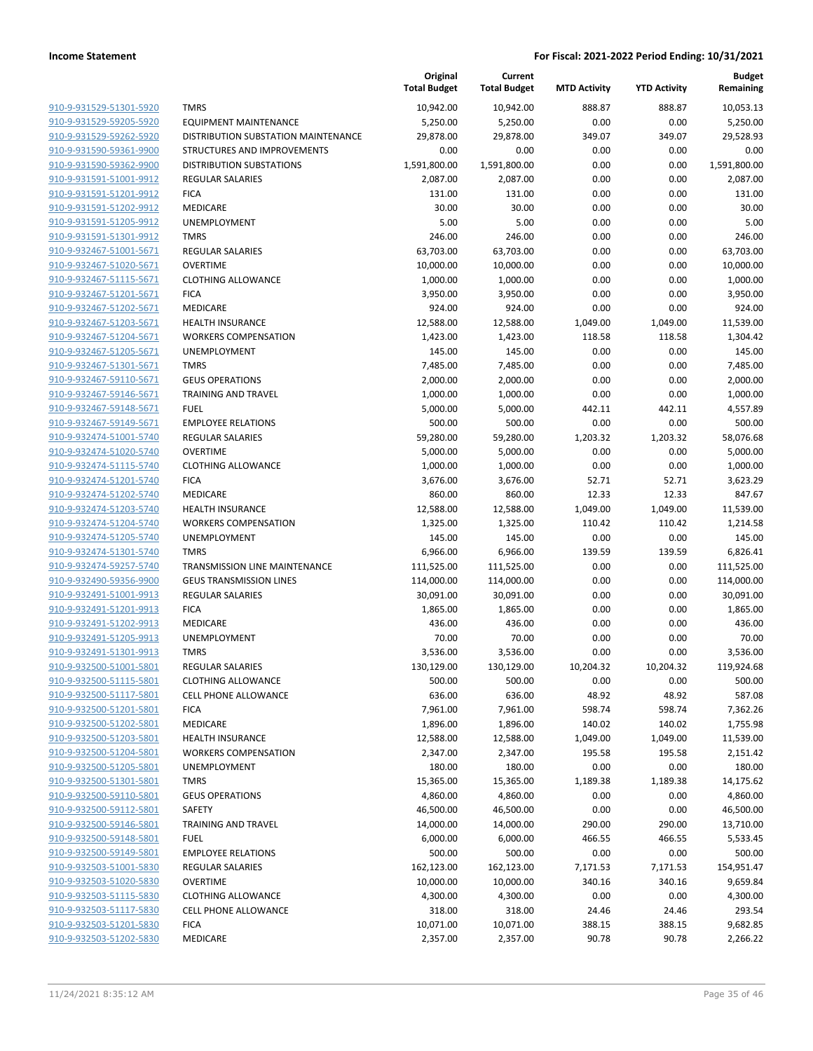|                                                    |                                     | Original<br><b>Total Budget</b> | Current<br><b>Total Budget</b> | <b>MTD Activity</b> | <b>YTD Activity</b> | <b>Budget</b><br>Remaining |
|----------------------------------------------------|-------------------------------------|---------------------------------|--------------------------------|---------------------|---------------------|----------------------------|
| 910-9-931529-51301-5920                            | <b>TMRS</b>                         | 10,942.00                       | 10,942.00                      | 888.87              | 888.87              | 10,053.13                  |
| 910-9-931529-59205-5920                            | <b>EQUIPMENT MAINTENANCE</b>        | 5,250.00                        | 5,250.00                       | 0.00                | 0.00                | 5,250.00                   |
| 910-9-931529-59262-5920                            | DISTRIBUTION SUBSTATION MAINTENANCE | 29,878.00                       | 29,878.00                      | 349.07              | 349.07              | 29,528.93                  |
| 910-9-931590-59361-9900                            | STRUCTURES AND IMPROVEMENTS         | 0.00                            | 0.00                           | 0.00                | 0.00                | 0.00                       |
| 910-9-931590-59362-9900                            | <b>DISTRIBUTION SUBSTATIONS</b>     | 1,591,800.00                    | 1,591,800.00                   | 0.00                | 0.00                | 1,591,800.00               |
| 910-9-931591-51001-9912                            | <b>REGULAR SALARIES</b>             | 2,087.00                        | 2,087.00                       | 0.00                | 0.00                | 2,087.00                   |
| 910-9-931591-51201-9912                            | <b>FICA</b>                         | 131.00                          | 131.00                         | 0.00                | 0.00                | 131.00                     |
| 910-9-931591-51202-9912                            | <b>MEDICARE</b>                     | 30.00                           | 30.00                          | 0.00                | 0.00                | 30.00                      |
| 910-9-931591-51205-9912                            | UNEMPLOYMENT                        | 5.00                            | 5.00                           | 0.00                | 0.00                | 5.00                       |
| 910-9-931591-51301-9912                            | <b>TMRS</b>                         | 246.00                          | 246.00                         | 0.00                | 0.00                | 246.00                     |
| 910-9-932467-51001-5671                            | <b>REGULAR SALARIES</b>             | 63,703.00                       | 63,703.00                      | 0.00                | 0.00                | 63,703.00                  |
| 910-9-932467-51020-5671                            | <b>OVERTIME</b>                     | 10,000.00                       | 10,000.00                      | 0.00                | 0.00                | 10,000.00                  |
| 910-9-932467-51115-5671                            | <b>CLOTHING ALLOWANCE</b>           | 1,000.00                        | 1,000.00                       | 0.00                | 0.00                | 1,000.00                   |
| 910-9-932467-51201-5671                            | <b>FICA</b>                         | 3,950.00                        | 3,950.00                       | 0.00                | 0.00                | 3,950.00                   |
| 910-9-932467-51202-5671                            | MEDICARE                            | 924.00                          | 924.00                         | 0.00                | 0.00                | 924.00                     |
| 910-9-932467-51203-5671                            | <b>HEALTH INSURANCE</b>             | 12,588.00                       | 12,588.00                      | 1,049.00            | 1,049.00            | 11,539.00                  |
| 910-9-932467-51204-5671                            | <b>WORKERS COMPENSATION</b>         | 1,423.00                        | 1,423.00                       | 118.58              | 118.58              | 1,304.42                   |
| 910-9-932467-51205-5671                            | UNEMPLOYMENT                        | 145.00                          | 145.00                         | 0.00                | 0.00                | 145.00                     |
| 910-9-932467-51301-5671                            | <b>TMRS</b>                         | 7,485.00                        | 7,485.00                       | 0.00                | 0.00                | 7,485.00                   |
| 910-9-932467-59110-5671                            | <b>GEUS OPERATIONS</b>              | 2,000.00                        | 2,000.00                       | 0.00                | 0.00                | 2,000.00                   |
| 910-9-932467-59146-5671                            | <b>TRAINING AND TRAVEL</b>          | 1,000.00                        | 1,000.00                       | 0.00                | 0.00                | 1,000.00                   |
| 910-9-932467-59148-5671                            | <b>FUEL</b>                         | 5,000.00                        | 5,000.00                       | 442.11              | 442.11              | 4,557.89                   |
| 910-9-932467-59149-5671                            | <b>EMPLOYEE RELATIONS</b>           | 500.00                          | 500.00                         | 0.00                | 0.00                | 500.00                     |
| 910-9-932474-51001-5740                            | <b>REGULAR SALARIES</b>             | 59,280.00                       | 59,280.00                      | 1,203.32            | 1,203.32            | 58,076.68                  |
| 910-9-932474-51020-5740                            | <b>OVERTIME</b>                     | 5,000.00                        | 5,000.00                       | 0.00                | 0.00                | 5,000.00                   |
| 910-9-932474-51115-5740                            | <b>CLOTHING ALLOWANCE</b>           | 1,000.00                        | 1,000.00                       | 0.00                | 0.00                | 1,000.00                   |
| 910-9-932474-51201-5740                            | <b>FICA</b>                         | 3,676.00                        | 3,676.00                       | 52.71               | 52.71               | 3,623.29                   |
| 910-9-932474-51202-5740<br>910-9-932474-51203-5740 | MEDICARE<br><b>HEALTH INSURANCE</b> | 860.00<br>12,588.00             | 860.00<br>12,588.00            | 12.33<br>1,049.00   | 12.33<br>1,049.00   | 847.67                     |
| 910-9-932474-51204-5740                            | <b>WORKERS COMPENSATION</b>         | 1,325.00                        | 1,325.00                       | 110.42              | 110.42              | 11,539.00<br>1,214.58      |
| 910-9-932474-51205-5740                            | UNEMPLOYMENT                        | 145.00                          | 145.00                         | 0.00                | 0.00                | 145.00                     |
| 910-9-932474-51301-5740                            | <b>TMRS</b>                         | 6,966.00                        | 6,966.00                       | 139.59              | 139.59              | 6,826.41                   |
| 910-9-932474-59257-5740                            | TRANSMISSION LINE MAINTENANCE       | 111,525.00                      | 111,525.00                     | 0.00                | 0.00                | 111,525.00                 |
| 910-9-932490-59356-9900                            | <b>GEUS TRANSMISSION LINES</b>      | 114,000.00                      | 114,000.00                     | 0.00                | 0.00                | 114,000.00                 |
| 910-9-932491-51001-9913                            | <b>REGULAR SALARIES</b>             | 30,091.00                       | 30,091.00                      | 0.00                | 0.00                | 30,091.00                  |
| 910-9-932491-51201-9913                            | <b>FICA</b>                         | 1,865.00                        | 1,865.00                       | 0.00                | 0.00                | 1,865.00                   |
| 910-9-932491-51202-9913                            | MEDICARE                            | 436.00                          | 436.00                         | 0.00                | 0.00                | 436.00                     |
| 910-9-932491-51205-9913                            | UNEMPLOYMENT                        | 70.00                           | 70.00                          | 0.00                | 0.00                | 70.00                      |
| 910-9-932491-51301-9913                            | <b>TMRS</b>                         | 3,536.00                        | 3,536.00                       | 0.00                | 0.00                | 3,536.00                   |
| 910-9-932500-51001-5801                            | <b>REGULAR SALARIES</b>             | 130,129.00                      | 130,129.00                     | 10,204.32           | 10,204.32           | 119,924.68                 |
| 910-9-932500-51115-5801                            | <b>CLOTHING ALLOWANCE</b>           | 500.00                          | 500.00                         | 0.00                | 0.00                | 500.00                     |
| 910-9-932500-51117-5801                            | <b>CELL PHONE ALLOWANCE</b>         | 636.00                          | 636.00                         | 48.92               | 48.92               | 587.08                     |
| 910-9-932500-51201-5801                            | <b>FICA</b>                         | 7,961.00                        | 7,961.00                       | 598.74              | 598.74              | 7,362.26                   |
| 910-9-932500-51202-5801                            | MEDICARE                            | 1,896.00                        | 1,896.00                       | 140.02              | 140.02              | 1,755.98                   |
| 910-9-932500-51203-5801                            | HEALTH INSURANCE                    | 12,588.00                       | 12,588.00                      | 1,049.00            | 1,049.00            | 11,539.00                  |
| 910-9-932500-51204-5801                            | <b>WORKERS COMPENSATION</b>         | 2,347.00                        | 2,347.00                       | 195.58              | 195.58              | 2,151.42                   |
| 910-9-932500-51205-5801                            | UNEMPLOYMENT                        | 180.00                          | 180.00                         | 0.00                | 0.00                | 180.00                     |
| 910-9-932500-51301-5801                            | <b>TMRS</b>                         | 15,365.00                       | 15,365.00                      | 1,189.38            | 1,189.38            | 14,175.62                  |
| 910-9-932500-59110-5801                            | <b>GEUS OPERATIONS</b>              | 4,860.00                        | 4,860.00                       | 0.00                | 0.00                | 4,860.00                   |
| 910-9-932500-59112-5801                            | SAFETY                              | 46,500.00                       | 46,500.00                      | 0.00                | 0.00                | 46,500.00                  |
| 910-9-932500-59146-5801                            | <b>TRAINING AND TRAVEL</b>          | 14,000.00                       | 14,000.00                      | 290.00              | 290.00              | 13,710.00                  |
| 910-9-932500-59148-5801                            | <b>FUEL</b>                         | 6,000.00                        | 6,000.00                       | 466.55              | 466.55              | 5,533.45                   |
| 910-9-932500-59149-5801                            | <b>EMPLOYEE RELATIONS</b>           | 500.00                          | 500.00                         | 0.00                | 0.00                | 500.00                     |
| 910-9-932503-51001-5830                            | <b>REGULAR SALARIES</b>             | 162,123.00                      | 162,123.00                     | 7,171.53            | 7,171.53            | 154,951.47                 |
| 910-9-932503-51020-5830                            | <b>OVERTIME</b>                     | 10,000.00                       | 10,000.00                      | 340.16              | 340.16              | 9,659.84                   |
| 910-9-932503-51115-5830                            | <b>CLOTHING ALLOWANCE</b>           | 4,300.00                        | 4,300.00                       | 0.00                | 0.00                | 4,300.00                   |
| 910-9-932503-51117-5830                            | CELL PHONE ALLOWANCE                | 318.00                          | 318.00                         | 24.46               | 24.46               | 293.54                     |
| 910-9-932503-51201-5830                            | <b>FICA</b>                         | 10,071.00                       | 10,071.00                      | 388.15              | 388.15              | 9,682.85                   |
| 910-9-932503-51202-5830                            | MEDICARE                            | 2,357.00                        | 2,357.00                       | 90.78               | 90.78               | 2,266.22                   |
|                                                    |                                     |                                 |                                |                     |                     |                            |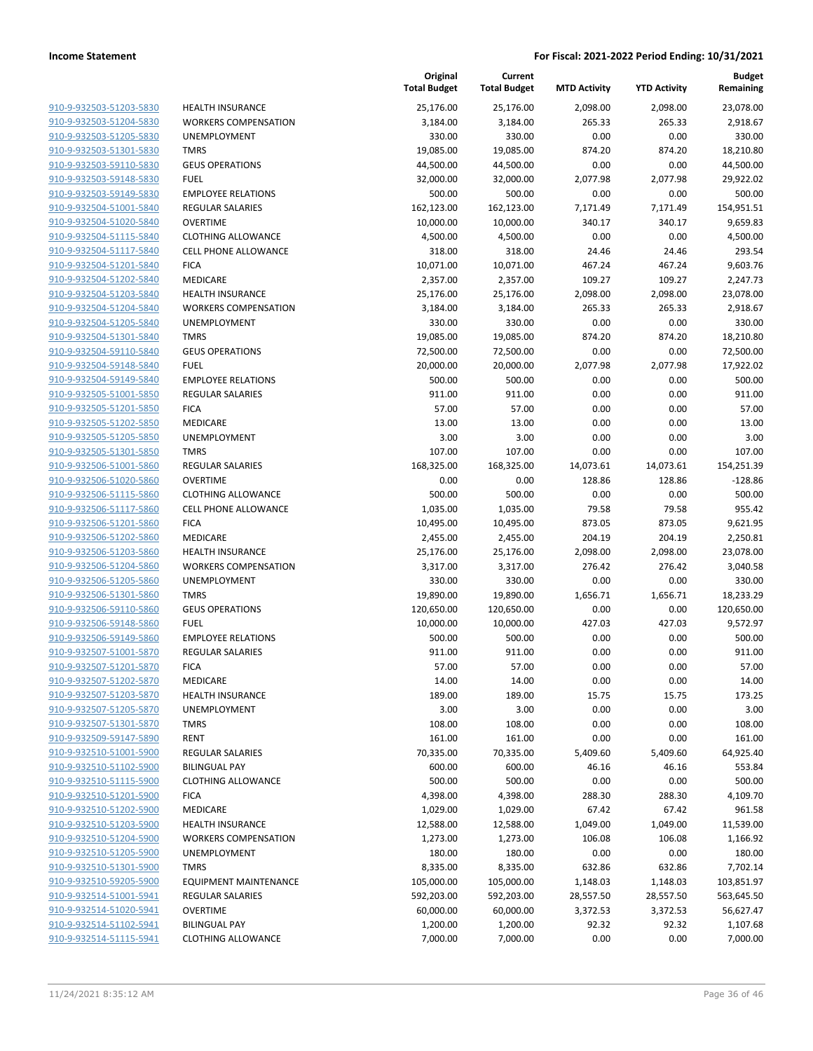| 910-9-932503-51203-5830        |
|--------------------------------|
| 910-9-932503-51204-5830        |
| 910-9-932503-51205-5830        |
| 910-9-932503-51301-5830        |
| <u>910-9-932503-59110-5830</u> |
| 910-9-932503-59148-5830        |
| 910-9-932503-59149-5830        |
| 910-9-932504-51001-5840        |
| 910-9-932504-51020-5840        |
| <u>910-9-932504-51115-5840</u> |
| 910-9-932504-51117-5840        |
| 910-9-932504-51201-5840        |
| 910-9-932504-51202-5840        |
| 910-9-932504-51203-5840        |
| <u>910-9-932504-51204-5840</u> |
| 910-9-932504-51205-5840        |
| 910-9-932504-51301-5840        |
| 910-9-932504-59110-5840        |
| 910-9-932504-59148-5840        |
| <u>910-9-932504-59149-5840</u> |
| 910-9-932505-51001-5850        |
| 910-9-932505-51201-5850        |
| 910-9-932505-51202-5850        |
| 910-9-932505-51205-5850        |
| <u>910-9-932505-51301-5850</u> |
| 910-9-932506-51001-5860        |
| 910-9-932506-51020-5860        |
| 910-9-932506-51115-5860        |
| 910-9-932506-51117-5860        |
| 910-9-932506-51201-5860        |
| 910-9-932506-51202-5860        |
| 910-9-932506-51203-5860        |
| 910-9-932506-51204-5860        |
| 910-9-932506-51205-5860        |
| <u>910-9-932506-51301-5860</u> |
| 910-9-932506-59110-5860        |
| 910-9-932506-59148-5860        |
| 910-9-932506-59149-5860        |
| 910-9-932507-51001-5870        |
| 910-9-932507-51201-5870        |
| 910-9-932507-51202-5870        |
| 910-9-932507-51203-5870        |
| 910-9-932507-51205-5870        |
| 910-9-932507-51301-5870        |
| <u>910-9-932509-59147-5890</u> |
| 910-9-932510-51001-5900        |
| 910-9-932510-51102-5900        |
| 910-9-932510-51115-5900        |
| 910-9-932510-51201-5900        |
| <u>910-9-932510-51202-5900</u> |
| 910-9-932510-51203-5900        |
| 910-9-932510-51204-5900        |
| 910-9-932510-51205-5900        |
| 910-9-932510-51301-5900        |
| 910-9-932510-59205-5900        |
| 910-9-932514-51001-5941        |
| 910-9-932514-51020-5941        |
| 910-9-932514-51102-5941        |
| 910-9-932514-51115-5941        |
|                                |

|                         |                              | Original<br><b>Total Budget</b> | Current<br><b>Total Budget</b> | <b>MTD Activity</b> | <b>YTD Activity</b> | <b>Budget</b><br>Remaining |
|-------------------------|------------------------------|---------------------------------|--------------------------------|---------------------|---------------------|----------------------------|
| 910-9-932503-51203-5830 | <b>HEALTH INSURANCE</b>      | 25,176.00                       | 25,176.00                      | 2,098.00            | 2,098.00            | 23,078.00                  |
| 910-9-932503-51204-5830 | <b>WORKERS COMPENSATION</b>  | 3,184.00                        | 3,184.00                       | 265.33              | 265.33              | 2,918.67                   |
| 910-9-932503-51205-5830 | UNEMPLOYMENT                 | 330.00                          | 330.00                         | 0.00                | 0.00                | 330.00                     |
| 910-9-932503-51301-5830 | <b>TMRS</b>                  | 19,085.00                       | 19,085.00                      | 874.20              | 874.20              | 18,210.80                  |
| 910-9-932503-59110-5830 | <b>GEUS OPERATIONS</b>       | 44,500.00                       | 44,500.00                      | 0.00                | 0.00                | 44,500.00                  |
| 910-9-932503-59148-5830 | <b>FUEL</b>                  | 32,000.00                       | 32,000.00                      | 2,077.98            | 2,077.98            | 29,922.02                  |
| 910-9-932503-59149-5830 | <b>EMPLOYEE RELATIONS</b>    | 500.00                          | 500.00                         | 0.00                | 0.00                | 500.00                     |
| 910-9-932504-51001-5840 | <b>REGULAR SALARIES</b>      | 162,123.00                      | 162,123.00                     | 7,171.49            | 7,171.49            | 154,951.51                 |
| 910-9-932504-51020-5840 | <b>OVERTIME</b>              | 10,000.00                       | 10,000.00                      | 340.17              | 340.17              | 9,659.83                   |
| 910-9-932504-51115-5840 | <b>CLOTHING ALLOWANCE</b>    | 4,500.00                        | 4,500.00                       | 0.00                | 0.00                | 4,500.00                   |
| 910-9-932504-51117-5840 | <b>CELL PHONE ALLOWANCE</b>  | 318.00                          | 318.00                         | 24.46               | 24.46               | 293.54                     |
| 910-9-932504-51201-5840 | <b>FICA</b>                  | 10,071.00                       | 10,071.00                      | 467.24              | 467.24              | 9,603.76                   |
| 910-9-932504-51202-5840 | MEDICARE                     | 2,357.00                        | 2,357.00                       | 109.27              | 109.27              | 2,247.73                   |
| 910-9-932504-51203-5840 | <b>HEALTH INSURANCE</b>      | 25,176.00                       | 25,176.00                      | 2,098.00            | 2,098.00            | 23,078.00                  |
| 910-9-932504-51204-5840 | <b>WORKERS COMPENSATION</b>  | 3,184.00                        | 3,184.00                       | 265.33              | 265.33              | 2,918.67                   |
| 910-9-932504-51205-5840 | UNEMPLOYMENT                 | 330.00                          | 330.00                         | 0.00                | 0.00                | 330.00                     |
| 910-9-932504-51301-5840 | <b>TMRS</b>                  | 19,085.00                       | 19,085.00                      | 874.20              | 874.20              | 18,210.80                  |
| 910-9-932504-59110-5840 | <b>GEUS OPERATIONS</b>       | 72,500.00                       | 72,500.00                      | 0.00                | 0.00                | 72,500.00                  |
| 910-9-932504-59148-5840 | <b>FUEL</b>                  | 20,000.00                       | 20,000.00                      | 2,077.98            | 2,077.98            | 17,922.02                  |
| 910-9-932504-59149-5840 | <b>EMPLOYEE RELATIONS</b>    | 500.00                          | 500.00                         | 0.00                | 0.00                | 500.00                     |
| 910-9-932505-51001-5850 | <b>REGULAR SALARIES</b>      | 911.00                          | 911.00                         | 0.00                | 0.00                | 911.00                     |
| 910-9-932505-51201-5850 | <b>FICA</b>                  | 57.00                           | 57.00                          | 0.00                | 0.00                | 57.00                      |
| 910-9-932505-51202-5850 | MEDICARE                     | 13.00                           | 13.00                          | 0.00                | 0.00                | 13.00                      |
| 910-9-932505-51205-5850 | UNEMPLOYMENT                 | 3.00                            | 3.00                           | 0.00                | 0.00                | 3.00                       |
| 910-9-932505-51301-5850 | <b>TMRS</b>                  | 107.00                          | 107.00                         | 0.00                | 0.00                | 107.00                     |
| 910-9-932506-51001-5860 | REGULAR SALARIES             | 168,325.00                      | 168,325.00                     | 14,073.61           | 14,073.61           | 154,251.39                 |
| 910-9-932506-51020-5860 | <b>OVERTIME</b>              | 0.00                            | 0.00                           | 128.86              | 128.86              | $-128.86$                  |
| 910-9-932506-51115-5860 | <b>CLOTHING ALLOWANCE</b>    | 500.00                          | 500.00                         | 0.00                | 0.00                | 500.00                     |
| 910-9-932506-51117-5860 | CELL PHONE ALLOWANCE         | 1,035.00                        | 1,035.00                       | 79.58               | 79.58               | 955.42                     |
| 910-9-932506-51201-5860 | <b>FICA</b>                  | 10,495.00                       | 10,495.00                      | 873.05              | 873.05              | 9,621.95                   |
| 910-9-932506-51202-5860 | MEDICARE                     | 2,455.00                        | 2,455.00                       | 204.19              | 204.19              | 2,250.81                   |
| 910-9-932506-51203-5860 | <b>HEALTH INSURANCE</b>      | 25,176.00                       | 25,176.00                      | 2,098.00            | 2,098.00            | 23,078.00                  |
| 910-9-932506-51204-5860 | <b>WORKERS COMPENSATION</b>  | 3,317.00                        | 3,317.00                       | 276.42              | 276.42              | 3,040.58                   |
| 910-9-932506-51205-5860 | UNEMPLOYMENT                 | 330.00                          | 330.00                         | 0.00                | 0.00                | 330.00                     |
| 910-9-932506-51301-5860 | <b>TMRS</b>                  | 19,890.00                       | 19,890.00                      | 1,656.71            | 1,656.71            | 18,233.29                  |
| 910-9-932506-59110-5860 | <b>GEUS OPERATIONS</b>       | 120,650.00                      | 120,650.00                     | 0.00                | 0.00                | 120,650.00                 |
| 910-9-932506-59148-5860 | <b>FUEL</b>                  | 10,000.00                       | 10,000.00                      | 427.03              | 427.03              | 9,572.97                   |
| 910-9-932506-59149-5860 | <b>EMPLOYEE RELATIONS</b>    | 500.00                          | 500.00                         | 0.00                | 0.00                | 500.00                     |
| 910-9-932507-51001-5870 | REGULAR SALARIES             | 911.00                          | 911.00                         | 0.00                | 0.00                | 911.00                     |
| 910-9-932507-51201-5870 | <b>FICA</b>                  | 57.00                           | 57.00                          | 0.00                | 0.00                | 57.00                      |
| 910-9-932507-51202-5870 | MEDICARE                     | 14.00                           | 14.00                          | 0.00                | 0.00                | 14.00                      |
| 910-9-932507-51203-5870 | <b>HEALTH INSURANCE</b>      | 189.00                          | 189.00                         | 15.75               | 15.75               | 173.25                     |
| 910-9-932507-51205-5870 | UNEMPLOYMENT                 | 3.00                            | 3.00                           | 0.00                | 0.00                | 3.00                       |
| 910-9-932507-51301-5870 | <b>TMRS</b>                  | 108.00                          | 108.00                         | 0.00                | 0.00                | 108.00                     |
| 910-9-932509-59147-5890 | <b>RENT</b>                  | 161.00                          | 161.00                         | 0.00                | 0.00                | 161.00                     |
| 910-9-932510-51001-5900 | <b>REGULAR SALARIES</b>      | 70,335.00                       | 70,335.00                      | 5,409.60            | 5,409.60            | 64,925.40                  |
| 910-9-932510-51102-5900 | <b>BILINGUAL PAY</b>         | 600.00                          | 600.00                         | 46.16               | 46.16               | 553.84                     |
| 910-9-932510-51115-5900 | <b>CLOTHING ALLOWANCE</b>    | 500.00                          | 500.00                         | 0.00                | 0.00                | 500.00                     |
| 910-9-932510-51201-5900 | <b>FICA</b>                  | 4,398.00                        | 4,398.00                       | 288.30              | 288.30              | 4,109.70                   |
| 910-9-932510-51202-5900 | MEDICARE                     | 1,029.00                        | 1,029.00                       | 67.42               | 67.42               | 961.58                     |
| 910-9-932510-51203-5900 | <b>HEALTH INSURANCE</b>      | 12,588.00                       | 12,588.00                      | 1,049.00            | 1,049.00            | 11,539.00                  |
| 910-9-932510-51204-5900 | <b>WORKERS COMPENSATION</b>  | 1,273.00                        | 1,273.00                       | 106.08              | 106.08              | 1,166.92                   |
| 910-9-932510-51205-5900 | UNEMPLOYMENT                 | 180.00                          | 180.00                         | 0.00                | 0.00                | 180.00                     |
| 910-9-932510-51301-5900 | <b>TMRS</b>                  | 8,335.00                        | 8,335.00                       | 632.86              | 632.86              | 7,702.14                   |
| 910-9-932510-59205-5900 | <b>EQUIPMENT MAINTENANCE</b> | 105,000.00                      | 105,000.00                     | 1,148.03            | 1,148.03            | 103,851.97                 |
| 910-9-932514-51001-5941 | REGULAR SALARIES             | 592,203.00                      | 592,203.00                     | 28,557.50           | 28,557.50           | 563,645.50                 |
| 910-9-932514-51020-5941 | <b>OVERTIME</b>              | 60,000.00                       | 60,000.00                      | 3,372.53            | 3,372.53            | 56,627.47                  |
| 910-9-932514-51102-5941 | <b>BILINGUAL PAY</b>         | 1,200.00                        | 1,200.00                       | 92.32               | 92.32               | 1,107.68                   |
| 910-9-932514-51115-5941 | <b>CLOTHING ALLOWANCE</b>    | 7,000.00                        | 7,000.00                       | 0.00                | 0.00                | 7,000.00                   |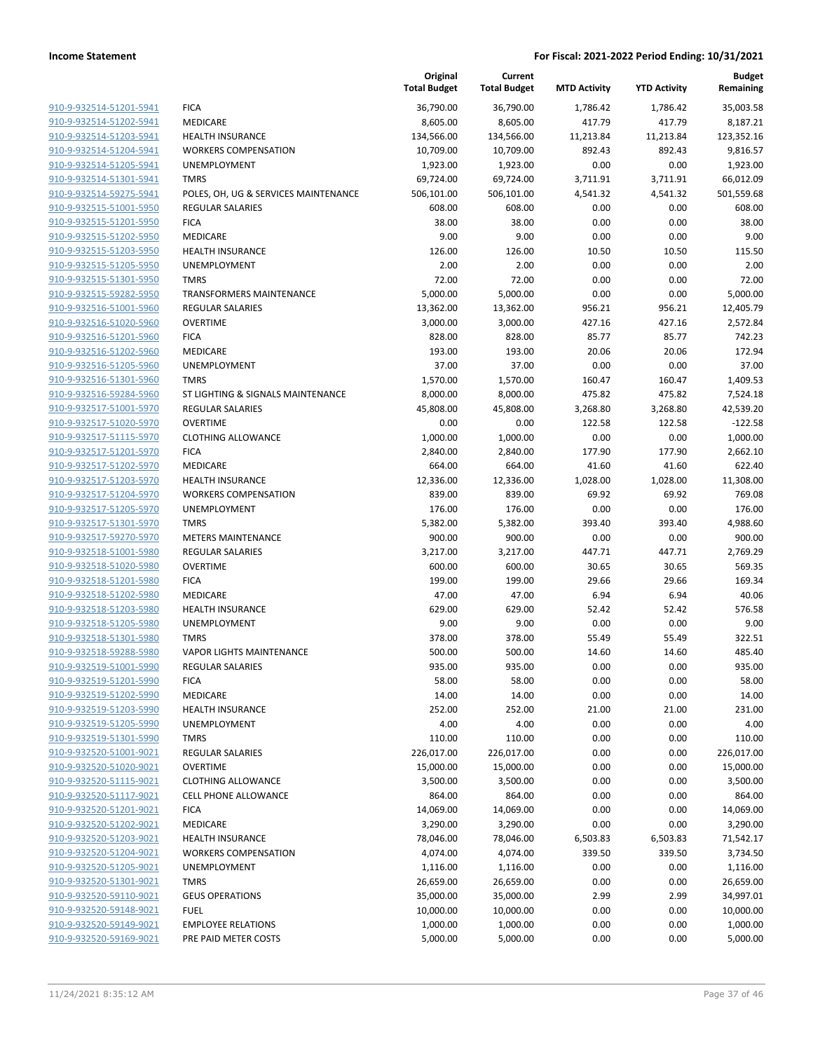|                         |                                      | Original<br><b>Total Budget</b> | Current<br><b>Total Budget</b> | <b>MTD Activity</b> | <b>YTD Activity</b> | <b>Budget</b><br>Remaining |
|-------------------------|--------------------------------------|---------------------------------|--------------------------------|---------------------|---------------------|----------------------------|
| 910-9-932514-51201-5941 | <b>FICA</b>                          | 36,790.00                       | 36,790.00                      | 1,786.42            | 1,786.42            | 35,003.58                  |
| 910-9-932514-51202-5941 | MEDICARE                             | 8,605.00                        | 8,605.00                       | 417.79              | 417.79              | 8,187.21                   |
| 910-9-932514-51203-5941 | <b>HEALTH INSURANCE</b>              | 134,566.00                      | 134,566.00                     | 11,213.84           | 11,213.84           | 123,352.16                 |
| 910-9-932514-51204-5941 | <b>WORKERS COMPENSATION</b>          | 10,709.00                       | 10,709.00                      | 892.43              | 892.43              | 9,816.57                   |
| 910-9-932514-51205-5941 | UNEMPLOYMENT                         | 1,923.00                        | 1,923.00                       | 0.00                | 0.00                | 1,923.00                   |
| 910-9-932514-51301-5941 | <b>TMRS</b>                          | 69,724.00                       | 69,724.00                      | 3,711.91            | 3,711.91            | 66,012.09                  |
| 910-9-932514-59275-5941 | POLES, OH, UG & SERVICES MAINTENANCE | 506,101.00                      | 506,101.00                     | 4,541.32            | 4,541.32            | 501,559.68                 |
| 910-9-932515-51001-5950 | <b>REGULAR SALARIES</b>              | 608.00                          | 608.00                         | 0.00                | 0.00                | 608.00                     |
| 910-9-932515-51201-5950 | <b>FICA</b>                          | 38.00                           | 38.00                          | 0.00                | 0.00                | 38.00                      |
| 910-9-932515-51202-5950 | MEDICARE                             | 9.00                            | 9.00                           | 0.00                | 0.00                | 9.00                       |
| 910-9-932515-51203-5950 | <b>HEALTH INSURANCE</b>              | 126.00                          | 126.00                         | 10.50               | 10.50               | 115.50                     |
| 910-9-932515-51205-5950 | <b>UNEMPLOYMENT</b>                  | 2.00                            | 2.00                           | 0.00                | 0.00                | 2.00                       |
| 910-9-932515-51301-5950 | <b>TMRS</b>                          | 72.00                           | 72.00                          | 0.00                | 0.00                | 72.00                      |
| 910-9-932515-59282-5950 | <b>TRANSFORMERS MAINTENANCE</b>      | 5,000.00                        | 5,000.00                       | 0.00                | 0.00                | 5,000.00                   |
| 910-9-932516-51001-5960 | <b>REGULAR SALARIES</b>              | 13,362.00                       | 13,362.00                      | 956.21              | 956.21              | 12,405.79                  |
| 910-9-932516-51020-5960 | <b>OVERTIME</b>                      | 3,000.00                        | 3,000.00                       | 427.16              | 427.16              | 2,572.84                   |
| 910-9-932516-51201-5960 | <b>FICA</b>                          | 828.00                          | 828.00                         | 85.77               | 85.77               | 742.23                     |
| 910-9-932516-51202-5960 | MEDICARE                             | 193.00                          | 193.00                         | 20.06               | 20.06               | 172.94                     |
| 910-9-932516-51205-5960 | UNEMPLOYMENT                         | 37.00                           | 37.00                          | 0.00                | 0.00                | 37.00                      |
| 910-9-932516-51301-5960 | <b>TMRS</b>                          | 1,570.00                        | 1,570.00                       | 160.47              | 160.47              | 1,409.53                   |
| 910-9-932516-59284-5960 | ST LIGHTING & SIGNALS MAINTENANCE    | 8,000.00                        | 8,000.00                       | 475.82              | 475.82              | 7,524.18                   |
| 910-9-932517-51001-5970 | REGULAR SALARIES                     | 45,808.00                       | 45,808.00                      | 3,268.80            | 3,268.80            | 42,539.20                  |
| 910-9-932517-51020-5970 | <b>OVERTIME</b>                      | 0.00                            | 0.00                           | 122.58              | 122.58              | $-122.58$                  |
| 910-9-932517-51115-5970 | <b>CLOTHING ALLOWANCE</b>            | 1,000.00                        | 1,000.00                       | 0.00                | 0.00                | 1,000.00                   |
| 910-9-932517-51201-5970 | <b>FICA</b>                          | 2,840.00                        | 2,840.00                       | 177.90              | 177.90              | 2,662.10                   |
| 910-9-932517-51202-5970 | MEDICARE                             | 664.00                          | 664.00                         | 41.60               | 41.60               | 622.40                     |
| 910-9-932517-51203-5970 | <b>HEALTH INSURANCE</b>              | 12,336.00                       | 12,336.00                      | 1,028.00            | 1,028.00            | 11,308.00                  |
| 910-9-932517-51204-5970 | <b>WORKERS COMPENSATION</b>          | 839.00                          | 839.00                         | 69.92               | 69.92               | 769.08                     |
| 910-9-932517-51205-5970 | UNEMPLOYMENT                         | 176.00                          | 176.00                         | 0.00                | 0.00                | 176.00                     |
| 910-9-932517-51301-5970 | <b>TMRS</b>                          | 5,382.00                        | 5,382.00                       | 393.40              | 393.40              | 4,988.60                   |
| 910-9-932517-59270-5970 | <b>METERS MAINTENANCE</b>            | 900.00                          | 900.00                         | 0.00                | 0.00                | 900.00                     |
| 910-9-932518-51001-5980 | <b>REGULAR SALARIES</b>              | 3,217.00                        | 3,217.00                       | 447.71              | 447.71              | 2,769.29                   |
| 910-9-932518-51020-5980 | <b>OVERTIME</b>                      | 600.00                          | 600.00                         | 30.65               | 30.65               | 569.35                     |
| 910-9-932518-51201-5980 | <b>FICA</b>                          | 199.00                          | 199.00                         | 29.66               | 29.66               | 169.34                     |
| 910-9-932518-51202-5980 | <b>MEDICARE</b>                      | 47.00                           | 47.00                          | 6.94                | 6.94                | 40.06                      |
| 910-9-932518-51203-5980 | <b>HEALTH INSURANCE</b>              | 629.00                          | 629.00                         | 52.42               | 52.42               | 576.58                     |
| 910-9-932518-51205-5980 | UNEMPLOYMENT                         | 9.00                            | 9.00                           | 0.00                | 0.00                | 9.00                       |
| 910-9-932518-51301-5980 | <b>TMRS</b>                          | 378.00                          | 378.00                         | 55.49               | 55.49               | 322.51                     |
| 910-9-932518-59288-5980 | <b>VAPOR LIGHTS MAINTENANCE</b>      | 500.00                          | 500.00                         | 14.60               | 14.60               | 485.40                     |
| 910-9-932519-51001-5990 | REGULAR SALARIES                     | 935.00                          | 935.00                         | 0.00                | 0.00                | 935.00                     |
| 910-9-932519-51201-5990 | <b>FICA</b>                          | 58.00                           | 58.00                          | 0.00                | 0.00                | 58.00                      |
| 910-9-932519-51202-5990 | MEDICARE                             | 14.00                           | 14.00                          | 0.00                | 0.00                | 14.00                      |
| 910-9-932519-51203-5990 | <b>HEALTH INSURANCE</b>              | 252.00                          | 252.00                         | 21.00               | 21.00               | 231.00                     |
| 910-9-932519-51205-5990 | UNEMPLOYMENT                         | 4.00                            | 4.00                           | 0.00                | 0.00                | 4.00                       |
| 910-9-932519-51301-5990 | <b>TMRS</b>                          | 110.00                          | 110.00                         | 0.00                | 0.00                | 110.00                     |
| 910-9-932520-51001-9021 | <b>REGULAR SALARIES</b>              | 226,017.00                      | 226,017.00                     | 0.00                | 0.00                | 226,017.00                 |
| 910-9-932520-51020-9021 | <b>OVERTIME</b>                      | 15,000.00                       | 15,000.00                      | 0.00                | 0.00                | 15,000.00                  |
| 910-9-932520-51115-9021 | <b>CLOTHING ALLOWANCE</b>            | 3,500.00                        | 3,500.00                       | 0.00                | 0.00                | 3,500.00                   |
| 910-9-932520-51117-9021 | <b>CELL PHONE ALLOWANCE</b>          | 864.00                          | 864.00                         | 0.00                | 0.00                | 864.00                     |
| 910-9-932520-51201-9021 | <b>FICA</b>                          | 14,069.00                       | 14,069.00                      | 0.00                | 0.00                | 14,069.00                  |
| 910-9-932520-51202-9021 | MEDICARE                             | 3,290.00                        | 3,290.00                       | 0.00                | 0.00                | 3,290.00                   |
| 910-9-932520-51203-9021 | <b>HEALTH INSURANCE</b>              | 78,046.00                       | 78,046.00                      | 6,503.83            | 6,503.83            | 71,542.17                  |
| 910-9-932520-51204-9021 | <b>WORKERS COMPENSATION</b>          | 4,074.00                        | 4,074.00                       | 339.50              | 339.50              | 3,734.50                   |
| 910-9-932520-51205-9021 | UNEMPLOYMENT                         | 1,116.00                        | 1,116.00                       | 0.00                | 0.00                | 1,116.00                   |
| 910-9-932520-51301-9021 | <b>TMRS</b>                          | 26,659.00                       | 26,659.00                      | 0.00                | 0.00                | 26,659.00                  |
| 910-9-932520-59110-9021 | <b>GEUS OPERATIONS</b>               | 35,000.00                       | 35,000.00                      | 2.99                | 2.99                | 34,997.01                  |
| 910-9-932520-59148-9021 | <b>FUEL</b>                          | 10,000.00                       | 10,000.00                      | 0.00                | 0.00                | 10,000.00                  |
| 910-9-932520-59149-9021 | <b>EMPLOYEE RELATIONS</b>            | 1,000.00                        | 1,000.00                       | 0.00                | 0.00                | 1,000.00                   |
| 910-9-932520-59169-9021 | PRE PAID METER COSTS                 | 5,000.00                        | 5,000.00                       | 0.00                | 0.00                | 5,000.00                   |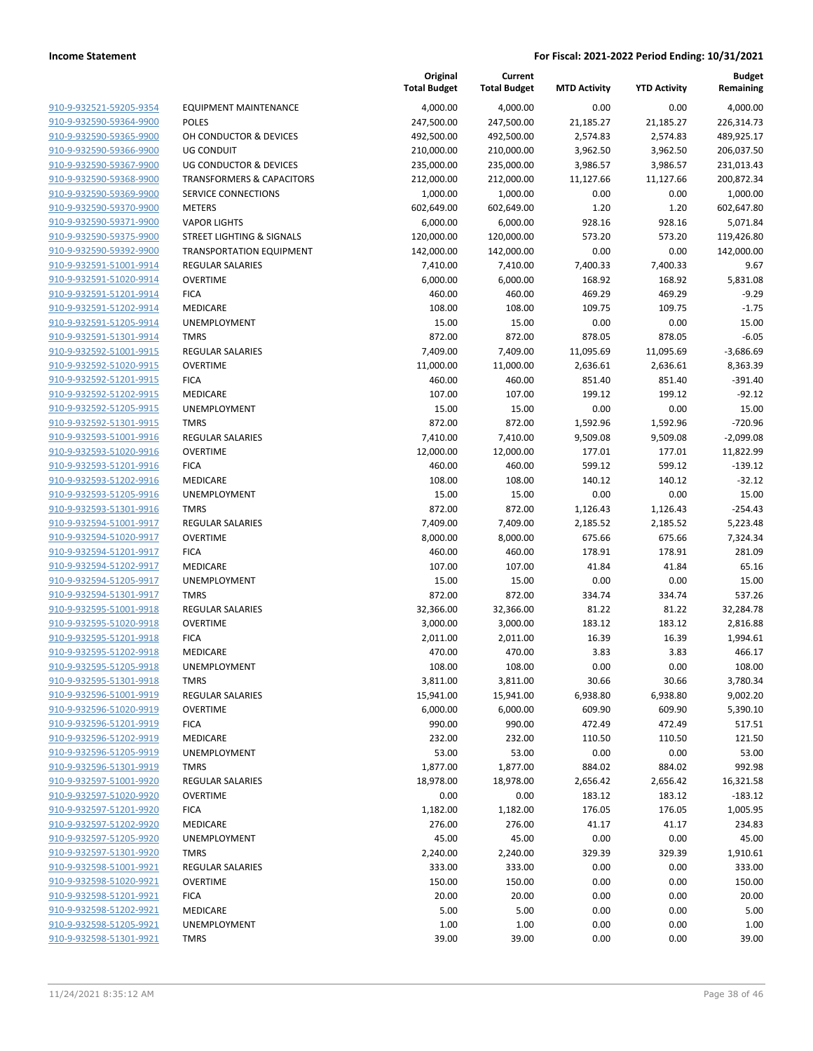|                         |                                      | Original<br><b>Total Budget</b> | Current<br><b>Total Budget</b> | <b>MTD Activity</b> | <b>YTD Activity</b> | <b>Budget</b><br>Remaining |
|-------------------------|--------------------------------------|---------------------------------|--------------------------------|---------------------|---------------------|----------------------------|
| 910-9-932521-59205-9354 | <b>EQUIPMENT MAINTENANCE</b>         | 4,000.00                        | 4,000.00                       | 0.00                | 0.00                | 4,000.00                   |
| 910-9-932590-59364-9900 | <b>POLES</b>                         | 247,500.00                      | 247,500.00                     | 21,185.27           | 21,185.27           | 226,314.73                 |
| 910-9-932590-59365-9900 | OH CONDUCTOR & DEVICES               | 492,500.00                      | 492,500.00                     | 2,574.83            | 2,574.83            | 489,925.17                 |
| 910-9-932590-59366-9900 | <b>UG CONDUIT</b>                    | 210,000.00                      | 210,000.00                     | 3,962.50            | 3,962.50            | 206,037.50                 |
| 910-9-932590-59367-9900 | UG CONDUCTOR & DEVICES               | 235,000.00                      | 235,000.00                     | 3,986.57            | 3,986.57            | 231,013.43                 |
| 910-9-932590-59368-9900 | <b>TRANSFORMERS &amp; CAPACITORS</b> | 212,000.00                      | 212,000.00                     | 11,127.66           | 11,127.66           | 200,872.34                 |
| 910-9-932590-59369-9900 | SERVICE CONNECTIONS                  | 1,000.00                        | 1,000.00                       | 0.00                | 0.00                | 1,000.00                   |
| 910-9-932590-59370-9900 | <b>METERS</b>                        | 602,649.00                      | 602,649.00                     | 1.20                | 1.20                | 602,647.80                 |
| 910-9-932590-59371-9900 | <b>VAPOR LIGHTS</b>                  | 6,000.00                        | 6,000.00                       | 928.16              | 928.16              | 5,071.84                   |
| 910-9-932590-59375-9900 | STREET LIGHTING & SIGNALS            | 120,000.00                      | 120,000.00                     | 573.20              | 573.20              | 119,426.80                 |
| 910-9-932590-59392-9900 | <b>TRANSPORTATION EQUIPMENT</b>      | 142,000.00                      | 142,000.00                     | 0.00                | 0.00                | 142,000.00                 |
| 910-9-932591-51001-9914 | REGULAR SALARIES                     | 7,410.00                        | 7,410.00                       | 7,400.33            | 7,400.33            | 9.67                       |
| 910-9-932591-51020-9914 | <b>OVERTIME</b>                      | 6,000.00                        | 6,000.00                       | 168.92              | 168.92              | 5,831.08                   |
| 910-9-932591-51201-9914 | <b>FICA</b>                          | 460.00                          | 460.00                         | 469.29              | 469.29              | $-9.29$                    |
| 910-9-932591-51202-9914 | MEDICARE                             | 108.00                          | 108.00                         | 109.75              | 109.75              | $-1.75$                    |
| 910-9-932591-51205-9914 | UNEMPLOYMENT                         | 15.00                           | 15.00                          | 0.00                | 0.00                | 15.00                      |
| 910-9-932591-51301-9914 | <b>TMRS</b>                          | 872.00                          | 872.00                         | 878.05              | 878.05              | $-6.05$                    |
| 910-9-932592-51001-9915 | <b>REGULAR SALARIES</b>              | 7,409.00                        | 7,409.00                       | 11,095.69           | 11,095.69           | $-3,686.69$                |
| 910-9-932592-51020-9915 | <b>OVERTIME</b>                      | 11,000.00                       | 11,000.00                      | 2,636.61            | 2,636.61            | 8,363.39                   |
| 910-9-932592-51201-9915 | <b>FICA</b>                          | 460.00                          | 460.00                         | 851.40              | 851.40              | $-391.40$                  |
| 910-9-932592-51202-9915 | MEDICARE                             | 107.00                          | 107.00                         | 199.12              | 199.12              | $-92.12$                   |
| 910-9-932592-51205-9915 | UNEMPLOYMENT                         | 15.00                           | 15.00                          | 0.00                | 0.00                | 15.00                      |
| 910-9-932592-51301-9915 | <b>TMRS</b>                          | 872.00                          | 872.00                         | 1,592.96            | 1,592.96            | $-720.96$                  |
| 910-9-932593-51001-9916 | <b>REGULAR SALARIES</b>              | 7,410.00                        | 7,410.00                       | 9,509.08            | 9,509.08            | $-2,099.08$                |
| 910-9-932593-51020-9916 | <b>OVERTIME</b>                      | 12,000.00                       | 12,000.00                      | 177.01              | 177.01              | 11,822.99                  |
| 910-9-932593-51201-9916 | <b>FICA</b>                          | 460.00                          | 460.00                         | 599.12              | 599.12              | $-139.12$                  |
| 910-9-932593-51202-9916 | MEDICARE                             | 108.00                          | 108.00                         | 140.12              | 140.12              | $-32.12$                   |
| 910-9-932593-51205-9916 | UNEMPLOYMENT                         | 15.00                           | 15.00                          | 0.00                | 0.00                | 15.00                      |
| 910-9-932593-51301-9916 | <b>TMRS</b>                          | 872.00                          | 872.00                         | 1,126.43            | 1,126.43            | $-254.43$                  |
| 910-9-932594-51001-9917 | <b>REGULAR SALARIES</b>              | 7,409.00                        | 7,409.00                       | 2,185.52            | 2,185.52            | 5,223.48                   |
| 910-9-932594-51020-9917 | <b>OVERTIME</b>                      | 8,000.00                        | 8,000.00                       | 675.66              | 675.66              | 7,324.34                   |
| 910-9-932594-51201-9917 | <b>FICA</b>                          | 460.00                          | 460.00                         | 178.91              | 178.91              | 281.09                     |
| 910-9-932594-51202-9917 | MEDICARE                             | 107.00                          | 107.00                         | 41.84               | 41.84               | 65.16                      |
| 910-9-932594-51205-9917 | UNEMPLOYMENT                         | 15.00                           | 15.00                          | 0.00                | 0.00                | 15.00                      |
| 910-9-932594-51301-9917 | <b>TMRS</b>                          | 872.00                          | 872.00                         | 334.74              | 334.74              | 537.26                     |
| 910-9-932595-51001-9918 | <b>REGULAR SALARIES</b>              | 32,366.00                       | 32,366.00                      | 81.22               | 81.22               | 32,284.78                  |
| 910-9-932595-51020-9918 | <b>OVERTIME</b>                      | 3,000.00                        | 3,000.00                       | 183.12              | 183.12              | 2,816.88                   |
| 910-9-932595-51201-9918 | <b>FICA</b>                          | 2,011.00                        | 2,011.00                       | 16.39               | 16.39               | 1,994.61                   |
| 910-9-932595-51202-9918 | MEDICARE                             | 470.00                          | 470.00                         | 3.83                | 3.83                | 466.17                     |
| 910-9-932595-51205-9918 | UNEMPLOYMENT                         | 108.00                          | 108.00                         | 0.00                | 0.00                | 108.00                     |
| 910-9-932595-51301-9918 | TMRS                                 | 3,811.00                        | 3,811.00                       | 30.66               | 30.66               | 3,780.34                   |
| 910-9-932596-51001-9919 | REGULAR SALARIES                     | 15,941.00                       | 15,941.00                      | 6,938.80            | 6,938.80            | 9,002.20                   |
| 910-9-932596-51020-9919 | <b>OVERTIME</b>                      | 6,000.00                        | 6,000.00                       | 609.90              | 609.90              | 5,390.10                   |
| 910-9-932596-51201-9919 | <b>FICA</b>                          | 990.00                          | 990.00                         | 472.49              | 472.49              | 517.51                     |
| 910-9-932596-51202-9919 | MEDICARE                             | 232.00                          | 232.00                         | 110.50              | 110.50              | 121.50                     |
| 910-9-932596-51205-9919 | UNEMPLOYMENT                         | 53.00                           | 53.00                          | 0.00                | 0.00                | 53.00                      |
| 910-9-932596-51301-9919 | <b>TMRS</b>                          | 1,877.00                        | 1,877.00                       | 884.02              | 884.02              | 992.98                     |
| 910-9-932597-51001-9920 | <b>REGULAR SALARIES</b>              | 18,978.00                       | 18,978.00                      | 2,656.42            | 2,656.42            | 16,321.58                  |
| 910-9-932597-51020-9920 | <b>OVERTIME</b>                      | 0.00                            | 0.00                           | 183.12              | 183.12              | $-183.12$                  |
| 910-9-932597-51201-9920 | <b>FICA</b>                          | 1,182.00                        | 1,182.00                       | 176.05              | 176.05              | 1,005.95                   |
| 910-9-932597-51202-9920 | MEDICARE                             | 276.00                          | 276.00                         | 41.17               | 41.17               | 234.83                     |
| 910-9-932597-51205-9920 | UNEMPLOYMENT                         | 45.00                           | 45.00                          | 0.00                | 0.00                | 45.00                      |
| 910-9-932597-51301-9920 | <b>TMRS</b>                          | 2,240.00                        | 2,240.00                       | 329.39              | 329.39              | 1,910.61                   |
| 910-9-932598-51001-9921 | <b>REGULAR SALARIES</b>              | 333.00                          | 333.00                         | 0.00                | 0.00                | 333.00                     |
| 910-9-932598-51020-9921 | <b>OVERTIME</b>                      | 150.00                          | 150.00                         | 0.00                | 0.00                | 150.00                     |
| 910-9-932598-51201-9921 | <b>FICA</b>                          | 20.00                           | 20.00                          | 0.00                | 0.00                | 20.00                      |
| 910-9-932598-51202-9921 | MEDICARE                             | 5.00                            | 5.00                           | 0.00                | 0.00                | 5.00                       |
| 910-9-932598-51205-9921 | UNEMPLOYMENT                         | 1.00                            | 1.00                           | 0.00                | 0.00                | 1.00                       |
| 910-9-932598-51301-9921 | <b>TMRS</b>                          | 39.00                           | 39.00                          | 0.00                | 0.00                | 39.00                      |
|                         |                                      |                                 |                                |                     |                     |                            |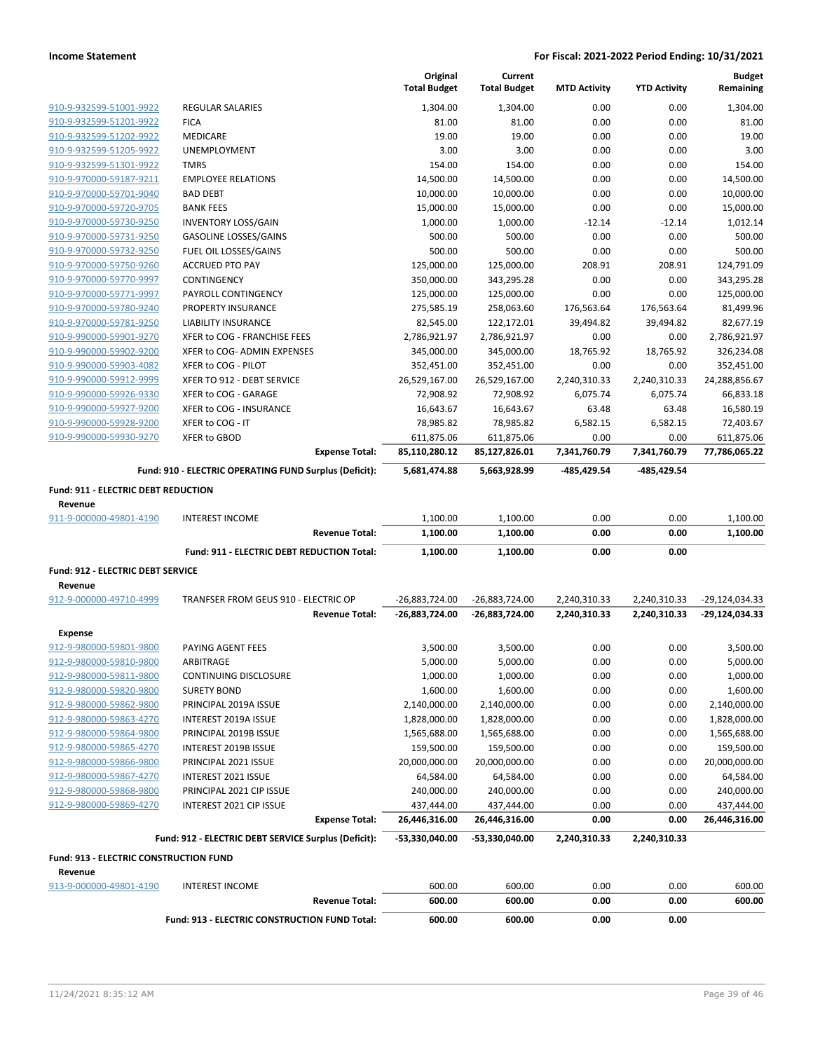|                                                |                                                        |                       | Original<br><b>Total Budget</b> | Current<br><b>Total Budget</b> | <b>MTD Activity</b> | <b>YTD Activity</b> | <b>Budget</b><br>Remaining |
|------------------------------------------------|--------------------------------------------------------|-----------------------|---------------------------------|--------------------------------|---------------------|---------------------|----------------------------|
| 910-9-932599-51001-9922                        | <b>REGULAR SALARIES</b>                                |                       | 1,304.00                        | 1,304.00                       | 0.00                | 0.00                | 1,304.00                   |
| 910-9-932599-51201-9922                        | <b>FICA</b>                                            |                       | 81.00                           | 81.00                          | 0.00                | 0.00                | 81.00                      |
| 910-9-932599-51202-9922                        | <b>MEDICARE</b>                                        |                       | 19.00                           | 19.00                          | 0.00                | 0.00                | 19.00                      |
| 910-9-932599-51205-9922                        | UNEMPLOYMENT                                           |                       | 3.00                            | 3.00                           | 0.00                | 0.00                | 3.00                       |
| 910-9-932599-51301-9922                        | <b>TMRS</b>                                            |                       | 154.00                          | 154.00                         | 0.00                | 0.00                | 154.00                     |
| 910-9-970000-59187-9211                        | <b>EMPLOYEE RELATIONS</b>                              |                       | 14,500.00                       | 14,500.00                      | 0.00                | 0.00                | 14,500.00                  |
| 910-9-970000-59701-9040                        | <b>BAD DEBT</b>                                        |                       | 10,000.00                       | 10,000.00                      | 0.00                | 0.00                | 10,000.00                  |
| 910-9-970000-59720-9705                        | <b>BANK FEES</b>                                       |                       | 15,000.00                       | 15,000.00                      | 0.00                | 0.00                | 15,000.00                  |
| 910-9-970000-59730-9250                        | <b>INVENTORY LOSS/GAIN</b>                             |                       | 1,000.00                        | 1,000.00                       | $-12.14$            | $-12.14$            | 1,012.14                   |
| 910-9-970000-59731-9250                        | <b>GASOLINE LOSSES/GAINS</b>                           |                       | 500.00                          | 500.00                         | 0.00                | 0.00                | 500.00                     |
| 910-9-970000-59732-9250                        | FUEL OIL LOSSES/GAINS                                  |                       | 500.00                          | 500.00                         | 0.00                | 0.00                | 500.00                     |
| 910-9-970000-59750-9260                        | <b>ACCRUED PTO PAY</b>                                 |                       | 125,000.00                      | 125,000.00                     | 208.91              | 208.91              | 124,791.09                 |
| 910-9-970000-59770-9997                        | CONTINGENCY                                            |                       | 350,000.00                      | 343,295.28                     | 0.00                | 0.00                | 343,295.28                 |
| 910-9-970000-59771-9997                        | PAYROLL CONTINGENCY                                    |                       | 125,000.00                      | 125,000.00                     | 0.00                | 0.00                | 125,000.00                 |
| 910-9-970000-59780-9240                        | PROPERTY INSURANCE                                     |                       | 275,585.19                      | 258,063.60                     | 176,563.64          | 176,563.64          | 81,499.96                  |
| 910-9-970000-59781-9250                        | LIABILITY INSURANCE                                    |                       | 82,545.00                       | 122,172.01                     | 39,494.82           | 39,494.82           | 82,677.19                  |
| 910-9-990000-59901-9270                        | XFER to COG - FRANCHISE FEES                           |                       | 2,786,921.97                    | 2,786,921.97                   | 0.00                | 0.00                | 2,786,921.97               |
| 910-9-990000-59902-9200                        | XFER to COG- ADMIN EXPENSES                            |                       | 345,000.00                      | 345,000.00                     | 18,765.92           | 18,765.92           | 326,234.08                 |
| 910-9-990000-59903-4082                        | XFER to COG - PILOT                                    |                       | 352,451.00                      | 352,451.00                     | 0.00                | 0.00                | 352,451.00                 |
| 910-9-990000-59912-9999                        | XFER TO 912 - DEBT SERVICE                             |                       | 26,529,167.00                   | 26,529,167.00                  | 2,240,310.33        | 2,240,310.33        | 24,288,856.67              |
| 910-9-990000-59926-9330                        | XFER to COG - GARAGE                                   |                       | 72,908.92                       | 72,908.92                      | 6,075.74            | 6,075.74            | 66,833.18                  |
| 910-9-990000-59927-9200                        | XFER to COG - INSURANCE                                |                       | 16,643.67                       | 16,643.67                      | 63.48               | 63.48               | 16,580.19                  |
| 910-9-990000-59928-9200                        | XFER to COG - IT                                       |                       | 78,985.82                       | 78,985.82                      | 6,582.15            | 6,582.15            | 72,403.67                  |
| 910-9-990000-59930-9270                        | XFER to GBOD                                           |                       | 611,875.06                      | 611,875.06                     | 0.00                | 0.00                | 611,875.06                 |
|                                                |                                                        | <b>Expense Total:</b> | 85,110,280.12                   | 85,127,826.01                  | 7,341,760.79        | 7,341,760.79        | 77,786,065.22              |
|                                                | Fund: 910 - ELECTRIC OPERATING FUND Surplus (Deficit): |                       | 5,681,474.88                    | 5,663,928.99                   | -485,429.54         | -485,429.54         |                            |
| Fund: 911 - ELECTRIC DEBT REDUCTION<br>Revenue |                                                        |                       |                                 |                                |                     |                     |                            |
| 911-9-000000-49801-4190                        | <b>INTEREST INCOME</b>                                 |                       | 1,100.00                        | 1,100.00                       | 0.00                | 0.00                | 1,100.00                   |
|                                                |                                                        | <b>Revenue Total:</b> | 1,100.00                        | 1,100.00                       | 0.00                | 0.00                | 1,100.00                   |
|                                                | Fund: 911 - ELECTRIC DEBT REDUCTION Total:             |                       | 1,100.00                        | 1,100.00                       | 0.00                | 0.00                |                            |
|                                                |                                                        |                       |                                 |                                |                     |                     |                            |
| Fund: 912 - ELECTRIC DEBT SERVICE              |                                                        |                       |                                 |                                |                     |                     |                            |
| Revenue                                        |                                                        |                       |                                 |                                |                     |                     |                            |
| 912-9-000000-49710-4999                        | TRANFSER FROM GEUS 910 - ELECTRIC OP                   |                       | -26,883,724.00                  | -26,883,724.00                 | 2,240,310.33        | 2,240,310.33        | -29,124,034.33             |
|                                                |                                                        | <b>Revenue Total:</b> | -26,883,724.00                  | -26,883,724.00                 | 2,240,310.33        | 2,240,310.33        | -29,124,034.33             |
| <b>Expense</b>                                 |                                                        |                       |                                 |                                |                     |                     |                            |
| 912-9-980000-59801-9800                        | PAYING AGENT FEES                                      |                       | 3,500.00                        | 3,500.00                       | 0.00                | 0.00                | 3,500.00                   |
| 912-9-980000-59810-9800                        | ARBITRAGE                                              |                       | 5,000.00                        | 5,000.00                       | 0.00                | 0.00                | 5,000.00                   |
| 912-9-980000-59811-9800                        | CONTINUING DISCLOSURE                                  |                       | 1,000.00                        | 1,000.00                       | 0.00                | 0.00                | 1,000.00                   |
| 912-9-980000-59820-9800                        | <b>SURETY BOND</b>                                     |                       | 1,600.00                        | 1,600.00                       | 0.00                | 0.00                | 1,600.00                   |
| 912-9-980000-59862-9800                        | PRINCIPAL 2019A ISSUE                                  |                       | 2,140,000.00                    | 2,140,000.00                   | 0.00                | 0.00                | 2,140,000.00               |
| 912-9-980000-59863-4270                        | INTEREST 2019A ISSUE                                   |                       | 1,828,000.00                    | 1,828,000.00                   | 0.00                | 0.00                | 1,828,000.00               |
| 912-9-980000-59864-9800                        | PRINCIPAL 2019B ISSUE                                  |                       | 1,565,688.00                    | 1,565,688.00                   | 0.00                | 0.00                | 1,565,688.00               |
| 912-9-980000-59865-4270                        | INTEREST 2019B ISSUE                                   |                       | 159,500.00                      | 159,500.00                     | 0.00                | 0.00                | 159,500.00                 |
| 912-9-980000-59866-9800                        | PRINCIPAL 2021 ISSUE                                   |                       | 20,000,000.00                   | 20,000,000.00                  | 0.00                | 0.00                | 20,000,000.00              |
| 912-9-980000-59867-4270                        | INTEREST 2021 ISSUE                                    |                       | 64,584.00                       | 64,584.00                      | 0.00                | 0.00                | 64,584.00                  |
| 912-9-980000-59868-9800                        | PRINCIPAL 2021 CIP ISSUE                               |                       | 240,000.00                      | 240,000.00                     | 0.00                | 0.00                | 240,000.00                 |
| 912-9-980000-59869-4270                        | INTEREST 2021 CIP ISSUE                                |                       | 437,444.00                      | 437,444.00                     | 0.00                | 0.00                | 437,444.00                 |
|                                                |                                                        | <b>Expense Total:</b> | 26,446,316.00                   | 26,446,316.00                  | 0.00                | 0.00                | 26,446,316.00              |
|                                                | Fund: 912 - ELECTRIC DEBT SERVICE Surplus (Deficit):   |                       | -53,330,040.00                  | -53,330,040.00                 | 2,240,310.33        | 2,240,310.33        |                            |
| Fund: 913 - ELECTRIC CONSTRUCTION FUND         |                                                        |                       |                                 |                                |                     |                     |                            |
| Revenue                                        |                                                        |                       |                                 |                                |                     |                     |                            |
| 913-9-000000-49801-4190                        | <b>INTEREST INCOME</b>                                 | <b>Revenue Total:</b> | 600.00<br>600.00                | 600.00<br>600.00               | 0.00<br>0.00        | 0.00<br>0.00        | 600.00<br>600.00           |
|                                                | Fund: 913 - ELECTRIC CONSTRUCTION FUND Total:          |                       | 600.00                          | 600.00                         | 0.00                | 0.00                |                            |
|                                                |                                                        |                       |                                 |                                |                     |                     |                            |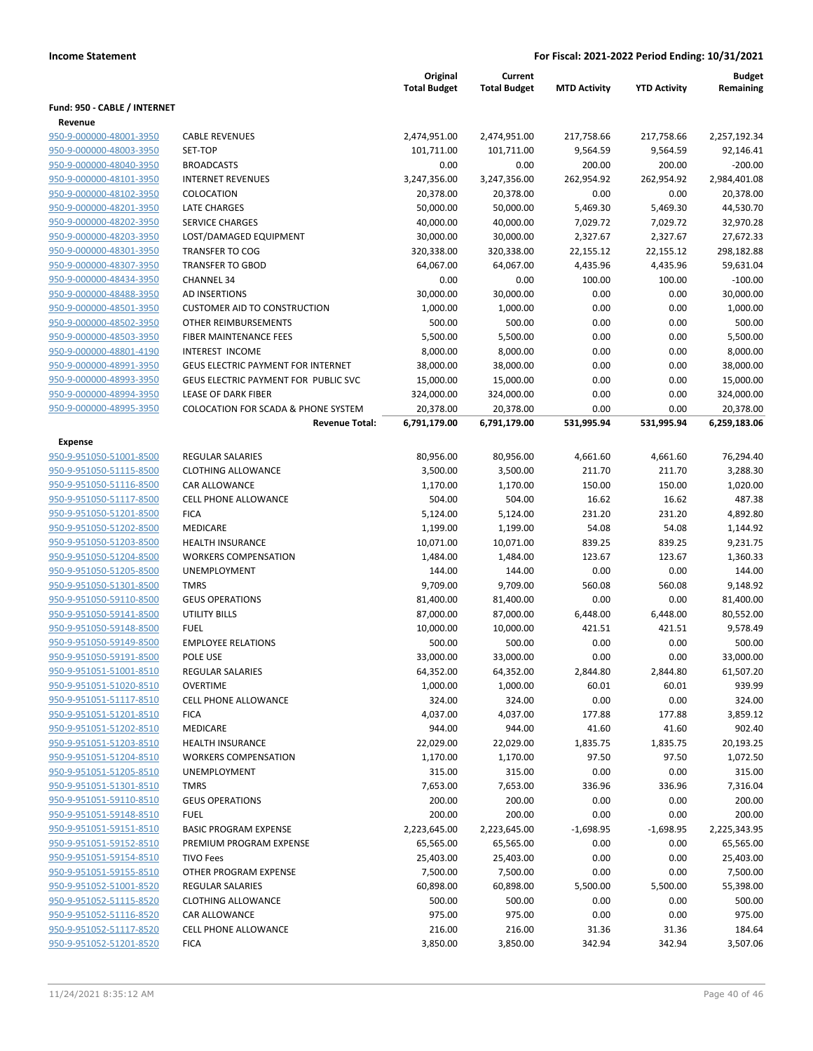|                                                    |                                                     | Original<br><b>Total Budget</b> | Current<br><b>Total Budget</b> | <b>MTD Activity</b> | <b>YTD Activity</b> | <b>Budget</b><br>Remaining |
|----------------------------------------------------|-----------------------------------------------------|---------------------------------|--------------------------------|---------------------|---------------------|----------------------------|
| Fund: 950 - CABLE / INTERNET                       |                                                     |                                 |                                |                     |                     |                            |
| Revenue                                            |                                                     |                                 |                                |                     |                     |                            |
| 950-9-000000-48001-3950                            | <b>CABLE REVENUES</b>                               | 2,474,951.00                    | 2,474,951.00                   | 217,758.66          | 217,758.66          | 2,257,192.34               |
| 950-9-000000-48003-3950                            | SET-TOP                                             | 101,711.00                      | 101,711.00                     | 9,564.59            | 9,564.59            | 92,146.41                  |
| 950-9-000000-48040-3950                            | <b>BROADCASTS</b>                                   | 0.00                            | 0.00                           | 200.00              | 200.00              | $-200.00$                  |
| 950-9-000000-48101-3950                            | <b>INTERNET REVENUES</b>                            | 3,247,356.00                    | 3,247,356.00                   | 262,954.92          | 262,954.92          | 2,984,401.08               |
| 950-9-000000-48102-3950                            | COLOCATION                                          | 20,378.00                       | 20,378.00                      | 0.00                | 0.00                | 20,378.00                  |
| 950-9-000000-48201-3950                            | <b>LATE CHARGES</b>                                 | 50,000.00                       | 50,000.00                      | 5,469.30            | 5,469.30            | 44,530.70                  |
| 950-9-000000-48202-3950                            | <b>SERVICE CHARGES</b>                              | 40,000.00                       | 40,000.00                      | 7,029.72            | 7,029.72            | 32,970.28                  |
| 950-9-000000-48203-3950                            | LOST/DAMAGED EQUIPMENT                              | 30,000.00                       | 30,000.00                      | 2,327.67            | 2,327.67            | 27,672.33                  |
| 950-9-000000-48301-3950                            | <b>TRANSFER TO COG</b>                              | 320,338.00                      | 320,338.00                     | 22,155.12           | 22,155.12           | 298,182.88                 |
| 950-9-000000-48307-3950                            | <b>TRANSFER TO GBOD</b>                             | 64,067.00                       | 64,067.00                      | 4,435.96            | 4,435.96            | 59,631.04                  |
| 950-9-000000-48434-3950                            | <b>CHANNEL 34</b>                                   | 0.00                            | 0.00                           | 100.00              | 100.00              | $-100.00$                  |
| 950-9-000000-48488-3950                            | <b>AD INSERTIONS</b>                                | 30,000.00                       | 30,000.00                      | 0.00                | 0.00                | 30,000.00                  |
| 950-9-000000-48501-3950                            | <b>CUSTOMER AID TO CONSTRUCTION</b>                 | 1,000.00                        | 1,000.00                       | 0.00                | 0.00                | 1,000.00                   |
| 950-9-000000-48502-3950                            | OTHER REIMBURSEMENTS                                | 500.00                          | 500.00                         | 0.00                | 0.00                | 500.00                     |
| 950-9-000000-48503-3950                            | FIBER MAINTENANCE FEES                              | 5,500.00                        | 5,500.00                       | 0.00                | 0.00                | 5,500.00                   |
| 950-9-000000-48801-4190                            | <b>INTEREST INCOME</b>                              | 8,000.00                        | 8,000.00                       | 0.00                | 0.00                | 8,000.00                   |
| 950-9-000000-48991-3950                            | <b>GEUS ELECTRIC PAYMENT FOR INTERNET</b>           | 38,000.00                       | 38,000.00                      | 0.00                | 0.00                | 38,000.00                  |
| 950-9-000000-48993-3950                            | GEUS ELECTRIC PAYMENT FOR PUBLIC SVC                | 15,000.00                       | 15,000.00                      | 0.00                | 0.00                | 15,000.00                  |
| 950-9-000000-48994-3950                            | <b>LEASE OF DARK FIBER</b>                          | 324,000.00                      | 324,000.00                     | 0.00                | 0.00                | 324,000.00                 |
| 950-9-000000-48995-3950                            | <b>COLOCATION FOR SCADA &amp; PHONE SYSTEM</b>      | 20,378.00                       | 20,378.00                      | 0.00                | 0.00                | 20,378.00                  |
|                                                    | <b>Revenue Total:</b>                               | 6,791,179.00                    | 6,791,179.00                   | 531,995.94          | 531,995.94          | 6,259,183.06               |
| Expense                                            |                                                     |                                 |                                |                     |                     |                            |
| 950-9-951050-51001-8500                            | <b>REGULAR SALARIES</b>                             | 80,956.00                       | 80,956.00                      | 4,661.60            | 4,661.60            | 76,294.40                  |
| 950-9-951050-51115-8500                            | <b>CLOTHING ALLOWANCE</b>                           | 3,500.00                        | 3,500.00                       | 211.70              | 211.70              | 3,288.30                   |
| 950-9-951050-51116-8500                            | <b>CAR ALLOWANCE</b>                                | 1,170.00                        | 1,170.00                       | 150.00              | 150.00              | 1,020.00                   |
| 950-9-951050-51117-8500                            | <b>CELL PHONE ALLOWANCE</b>                         | 504.00                          | 504.00                         | 16.62               | 16.62               | 487.38                     |
| 950-9-951050-51201-8500                            | <b>FICA</b>                                         | 5,124.00                        | 5,124.00                       | 231.20              | 231.20              | 4,892.80                   |
| 950-9-951050-51202-8500                            | <b>MEDICARE</b>                                     | 1,199.00                        | 1,199.00                       | 54.08               | 54.08               | 1,144.92                   |
| 950-9-951050-51203-8500                            | <b>HEALTH INSURANCE</b>                             | 10,071.00                       | 10,071.00                      | 839.25              | 839.25              | 9,231.75                   |
| 950-9-951050-51204-8500                            | <b>WORKERS COMPENSATION</b>                         | 1,484.00                        | 1,484.00                       | 123.67              | 123.67              | 1,360.33                   |
| 950-9-951050-51205-8500                            | UNEMPLOYMENT                                        | 144.00                          | 144.00                         | 0.00                | 0.00                | 144.00                     |
| 950-9-951050-51301-8500                            | <b>TMRS</b>                                         | 9,709.00                        | 9,709.00                       | 560.08              | 560.08              | 9,148.92                   |
| 950-9-951050-59110-8500                            | <b>GEUS OPERATIONS</b>                              | 81,400.00                       | 81,400.00                      | 0.00                | 0.00                | 81,400.00                  |
| 950-9-951050-59141-8500                            | <b>UTILITY BILLS</b>                                | 87,000.00                       | 87,000.00                      | 6,448.00            | 6,448.00            | 80,552.00                  |
| 950-9-951050-59148-8500                            | <b>FUEL</b>                                         | 10,000.00                       | 10,000.00                      | 421.51              | 421.51              | 9,578.49                   |
| 950-9-951050-59149-8500                            | <b>EMPLOYEE RELATIONS</b>                           | 500.00                          | 500.00                         | 0.00                | 0.00                | 500.00                     |
| 950-9-951050-59191-8500                            | POLE USE                                            | 33,000.00                       | 33,000.00                      | 0.00                | 0.00                | 33,000.00                  |
| 950-9-951051-51001-8510                            | <b>REGULAR SALARIES</b>                             | 64,352.00                       | 64,352.00                      | 2,844.80            | 2,844.80            | 61,507.20                  |
| 950-9-951051-51020-8510                            | <b>OVERTIME</b>                                     | 1,000.00                        | 1,000.00                       | 60.01               | 60.01               | 939.99                     |
| 950-9-951051-51117-8510                            | <b>CELL PHONE ALLOWANCE</b>                         | 324.00                          | 324.00                         | 0.00                | 0.00                | 324.00                     |
| 950-9-951051-51201-8510                            | <b>FICA</b>                                         | 4,037.00                        | 4,037.00                       | 177.88              | 177.88              | 3,859.12                   |
| 950-9-951051-51202-8510                            | MEDICARE                                            | 944.00                          | 944.00                         | 41.60               | 41.60               | 902.40                     |
| 950-9-951051-51203-8510                            | <b>HEALTH INSURANCE</b>                             | 22,029.00                       | 22,029.00                      | 1,835.75            | 1,835.75            | 20,193.25                  |
| 950-9-951051-51204-8510                            | <b>WORKERS COMPENSATION</b>                         | 1,170.00                        | 1,170.00                       | 97.50               | 97.50               | 1,072.50                   |
| 950-9-951051-51205-8510                            | UNEMPLOYMENT                                        | 315.00                          | 315.00                         | 0.00                | 0.00                | 315.00                     |
| 950-9-951051-51301-8510                            | TMRS                                                | 7,653.00                        | 7,653.00                       | 336.96              | 336.96              | 7,316.04                   |
| 950-9-951051-59110-8510                            | <b>GEUS OPERATIONS</b>                              | 200.00                          | 200.00                         | 0.00                | 0.00                | 200.00                     |
| 950-9-951051-59148-8510                            | <b>FUEL</b>                                         | 200.00                          | 200.00                         | 0.00                | 0.00                | 200.00                     |
| 950-9-951051-59151-8510                            | <b>BASIC PROGRAM EXPENSE</b>                        | 2,223,645.00                    | 2,223,645.00                   | $-1,698.95$         | $-1,698.95$         | 2,225,343.95               |
| 950-9-951051-59152-8510                            | PREMIUM PROGRAM EXPENSE                             | 65,565.00                       | 65,565.00                      | 0.00                | 0.00                | 65,565.00                  |
| 950-9-951051-59154-8510                            | <b>TIVO Fees</b>                                    | 25,403.00                       | 25,403.00                      | 0.00                | 0.00                | 25,403.00                  |
| 950-9-951051-59155-8510                            | OTHER PROGRAM EXPENSE                               | 7,500.00                        | 7,500.00                       | 0.00                | 0.00                | 7,500.00                   |
| 950-9-951052-51001-8520                            | REGULAR SALARIES                                    | 60,898.00                       | 60,898.00                      | 5,500.00            | 5,500.00            | 55,398.00                  |
| 950-9-951052-51115-8520                            | <b>CLOTHING ALLOWANCE</b>                           | 500.00                          | 500.00                         | 0.00                | 0.00                | 500.00                     |
| 950-9-951052-51116-8520                            | <b>CAR ALLOWANCE</b><br><b>CELL PHONE ALLOWANCE</b> | 975.00                          | 975.00                         | 0.00                | 0.00                | 975.00                     |
| 950-9-951052-51117-8520<br>950-9-951052-51201-8520 | <b>FICA</b>                                         | 216.00<br>3,850.00              | 216.00<br>3,850.00             | 31.36<br>342.94     | 31.36<br>342.94     | 184.64<br>3,507.06         |
|                                                    |                                                     |                                 |                                |                     |                     |                            |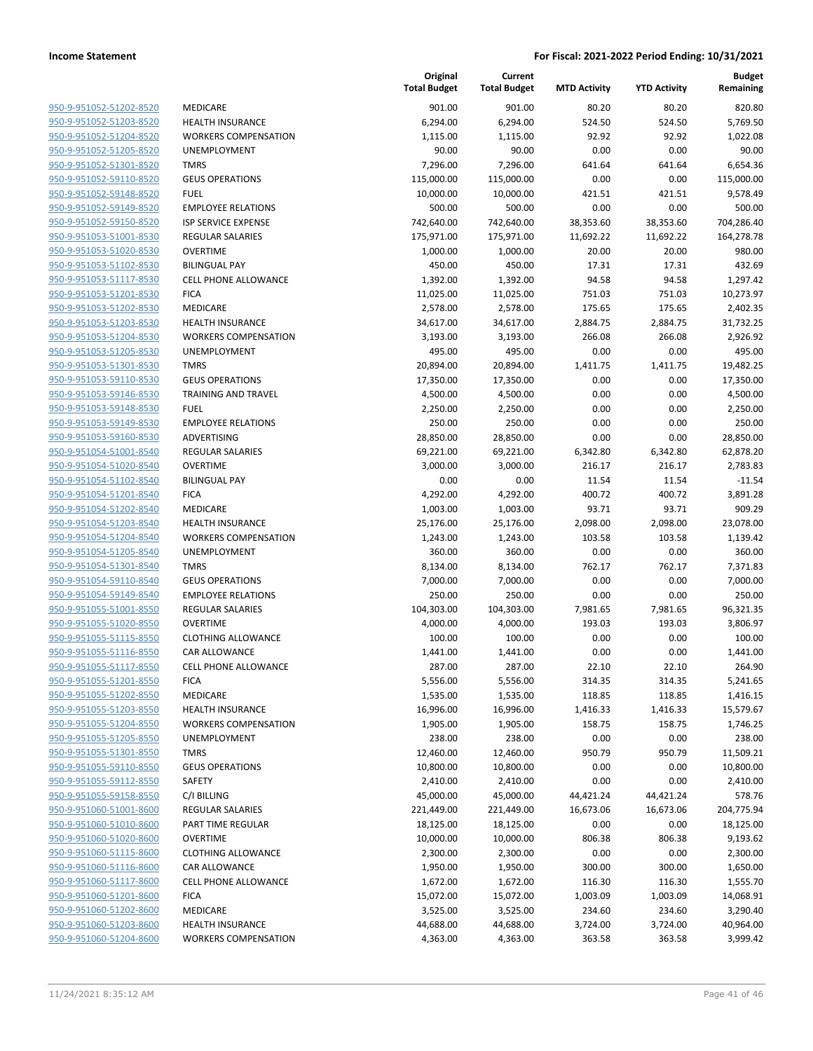| 950-9-951052-51202-8520        |
|--------------------------------|
| 950-9-951052-51203-8520        |
| 950-9-951052-51204-8520        |
| 950-9-951052-51205-8520        |
| 950-9-951052-51301-8520        |
| 950-9-951052-59110-8520        |
| 950-9-951052-59148-8520        |
| <u>950-9-951052-59149-8520</u> |
| 950-9-951052-59150-8520        |
| 950-9-951053-51001-8530        |
| 950-9-951053-51020-8530        |
| 950-9-951053-51102-8530        |
| 950-9-951053-51117-8530        |
| 950-9-951053-51201-8530        |
| 950-9-951053-51202-8530        |
| 950-9-951053-51203-8530        |
| 950-9-951053-51204-8530        |
| 950-9-951053-51205-8530        |
| 950-9-951053-51301-8530        |
| 950-9-951053-59110-8530        |
| 950-9-951053-59146-8530        |
| 950-9-951053-59148-8530        |
| 950-9-951053-59149-8530        |
| 950-9-951053-59160-8530        |
| 950-9-951054-51001-8540        |
| 950-9-951054-51020-8540        |
| 950-9-951054-51102-8540        |
| 950-9-951054-51201-8540        |
| 950-9-951054-51202-8540        |
| 950-9-951054-51203-8540        |
| 950-9-951054-51204-8540        |
| 950-9-951054-51205-8540        |
| 950-9-951054-51301-8540        |
| 950-9-951054-59110-8540        |
| 950-9-951054-59149-8540        |
| 950-9-951055-51001-8550        |
| 950-9-951055-51020-8550        |
| 950-9-951055-51115-8550        |
| 950-9-951055-51116-8550        |
|                                |
| 950-9-951055-51117-8550        |
| <u>950-9-951055-51201-8550</u> |
| 950-9-951055-51202-8550        |
| <u>950-9-951055-51203-8550</u> |
| 950-9-951055-51204-8550        |
| 950-9-951055-51205-8550        |
| <u>950-9-951055-51301-8550</u> |
| <u>950-9-951055-59110-8550</u> |
| <u>950-9-951055-59112-8550</u> |
| 950-9-951055-59158-8550        |
| 950-9-951060-51001-8600        |
| 950-9-951060-51010-8600        |
| <u>950-9-951060-51020-8600</u> |
| <u>950-9-951060-51115-8600</u> |
| 950-9-951060-51116-8600        |
| 950-9-951060-51117-8600        |
| 950-9-951060-51201-8600        |
| <u>950-9-951060-51202-8600</u> |
| <u>950-9-951060-51203-8600</u> |
| 950-9-951060-51204-8600        |
|                                |

| MEDICARE                                          |
|---------------------------------------------------|
| <b>HEALTH INSURANCE</b>                           |
| <b>WORKERS COMPENSATION</b>                       |
| <b>UNEMPLOYMENT</b>                               |
| <b>TMRS</b>                                       |
| <b>GEUS OPERATIONS</b>                            |
| FUEL                                              |
| <b>EMPLOYEE RELATIONS</b>                         |
| <b>ISP SERVICE EXPENSE</b>                        |
| <b>REGULAR SALARIES</b>                           |
| <b>OVERTIME</b>                                   |
| <b>BILINGUAL PAY</b>                              |
| <b>CELL PHONE ALLOWANCE</b>                       |
| <b>FICA</b>                                       |
| <b>MEDICARE</b>                                   |
| <b>HEALTH INSURANCE</b>                           |
| <b>WORKERS COMPENSATION</b>                       |
| <b>UNEMPLOYMENT</b>                               |
| <b>TMRS</b>                                       |
| <b>GEUS OPERATIONS</b>                            |
| <b>TRAINING AND TRAVEL</b>                        |
| <b>FUEL</b>                                       |
| <b>EMPLOYEE RELATIONS</b>                         |
| <b>ADVERTISING</b>                                |
| <b>REGULAR SALARIES</b>                           |
| OVERTIME                                          |
| <b>BILINGUAL PAY</b>                              |
| <b>FICA</b>                                       |
| <b>MEDICARE</b>                                   |
| <b>HEALTH INSURANCE</b>                           |
| <b>WORKERS COMPENSATION</b>                       |
| <b>UNEMPLOYMENT</b>                               |
| <b>TMRS</b>                                       |
| <b>GEUS OPERATIONS</b>                            |
| <b>EMPLOYEE RELATIONS</b>                         |
| <b>REGULAR SALARIES</b>                           |
| OVERTIME                                          |
| <b>CLOTHING ALLOWANCE</b><br><b>CAR ALLOWANCE</b> |
| <b>CELL PHONE ALLOWANCE</b>                       |
| <b>FICA</b>                                       |
| MEDICARE                                          |
| <b>HEALTH INSURANCE</b>                           |
| <b>WORKERS COMPENSATION</b>                       |
| <b>UNEMPLOYMENT</b>                               |
| <b>TMRS</b>                                       |
| <b>GEUS OPERATIONS</b>                            |
| SAFETY                                            |
| C/I BILLING                                       |
| <b>REGULAR SALARIES</b>                           |
| PART TIME REGULAR                                 |
| <b>OVERTIME</b>                                   |
| <b>CLOTHING ALLOWANCE</b>                         |
| CAR ALLOWANCE                                     |
| <b>CELL PHONE ALLOWANCE</b>                       |
| <b>FICA</b>                                       |
| <b>MEDICARE</b>                                   |
| <b>HEALTH INSURANCE</b>                           |
| <b>WORKERS COMPENSATION</b>                       |

|                                                    |                                                      | Original<br><b>Total Budget</b> | Current<br><b>Total Budget</b> | <b>MTD Activity</b> | <b>YTD Activity</b> | <b>Budget</b><br>Remaining |
|----------------------------------------------------|------------------------------------------------------|---------------------------------|--------------------------------|---------------------|---------------------|----------------------------|
| 950-9-951052-51202-8520                            | MEDICARE                                             | 901.00                          | 901.00                         | 80.20               | 80.20               | 820.80                     |
| 950-9-951052-51203-8520                            | <b>HEALTH INSURANCE</b>                              | 6,294.00                        | 6,294.00                       | 524.50              | 524.50              | 5,769.50                   |
| 950-9-951052-51204-8520                            | <b>WORKERS COMPENSATION</b>                          | 1,115.00                        | 1,115.00                       | 92.92               | 92.92               | 1,022.08                   |
| 950-9-951052-51205-8520                            | UNEMPLOYMENT                                         | 90.00                           | 90.00                          | 0.00                | 0.00                | 90.00                      |
| 950-9-951052-51301-8520                            | <b>TMRS</b>                                          | 7,296.00                        | 7,296.00                       | 641.64              | 641.64              | 6,654.36                   |
| 950-9-951052-59110-8520                            | <b>GEUS OPERATIONS</b>                               | 115,000.00                      | 115,000.00                     | 0.00                | 0.00                | 115,000.00                 |
| 950-9-951052-59148-8520                            | <b>FUEL</b>                                          | 10,000.00                       | 10,000.00                      | 421.51              | 421.51              | 9,578.49                   |
| 950-9-951052-59149-8520                            | <b>EMPLOYEE RELATIONS</b>                            | 500.00                          | 500.00                         | 0.00                | 0.00                | 500.00                     |
| 950-9-951052-59150-8520                            | <b>ISP SERVICE EXPENSE</b>                           | 742,640.00                      | 742,640.00                     | 38,353.60           | 38,353.60           | 704,286.40                 |
| 950-9-951053-51001-8530                            | <b>REGULAR SALARIES</b>                              | 175,971.00                      | 175,971.00                     | 11,692.22           | 11,692.22           | 164,278.78                 |
| 950-9-951053-51020-8530                            | <b>OVERTIME</b>                                      | 1,000.00                        | 1,000.00                       | 20.00               | 20.00               | 980.00                     |
| 950-9-951053-51102-8530                            | <b>BILINGUAL PAY</b>                                 | 450.00                          | 450.00                         | 17.31               | 17.31               | 432.69                     |
| 950-9-951053-51117-8530                            | <b>CELL PHONE ALLOWANCE</b>                          | 1,392.00                        | 1,392.00                       | 94.58               | 94.58               | 1,297.42                   |
| 950-9-951053-51201-8530                            | <b>FICA</b>                                          | 11,025.00                       | 11,025.00                      | 751.03              | 751.03              | 10,273.97                  |
| 950-9-951053-51202-8530                            | MEDICARE                                             | 2,578.00                        | 2,578.00                       | 175.65              | 175.65              | 2,402.35                   |
| 950-9-951053-51203-8530                            | <b>HEALTH INSURANCE</b>                              | 34,617.00                       | 34,617.00                      | 2,884.75            | 2,884.75            | 31,732.25                  |
| 950-9-951053-51204-8530                            | <b>WORKERS COMPENSATION</b>                          | 3,193.00                        | 3,193.00                       | 266.08              | 266.08              | 2,926.92                   |
| 950-9-951053-51205-8530                            | UNEMPLOYMENT                                         | 495.00                          | 495.00                         | 0.00                | 0.00                | 495.00                     |
| 950-9-951053-51301-8530<br>950-9-951053-59110-8530 | <b>TMRS</b>                                          | 20,894.00                       | 20,894.00                      | 1,411.75            | 1,411.75            | 19,482.25                  |
|                                                    | <b>GEUS OPERATIONS</b><br><b>TRAINING AND TRAVEL</b> | 17,350.00                       | 17,350.00                      | 0.00                | 0.00                | 17,350.00<br>4,500.00      |
| 950-9-951053-59146-8530<br>950-9-951053-59148-8530 |                                                      | 4,500.00                        | 4,500.00                       | 0.00                | 0.00                |                            |
| 950-9-951053-59149-8530                            | <b>FUEL</b>                                          | 2,250.00                        | 2,250.00                       | 0.00                | 0.00                | 2,250.00                   |
| 950-9-951053-59160-8530                            | <b>EMPLOYEE RELATIONS</b><br>ADVERTISING             | 250.00<br>28,850.00             | 250.00                         | 0.00<br>0.00        | 0.00                | 250.00<br>28,850.00        |
| 950-9-951054-51001-8540                            | <b>REGULAR SALARIES</b>                              | 69,221.00                       | 28,850.00<br>69,221.00         | 6,342.80            | 0.00<br>6,342.80    | 62,878.20                  |
| 950-9-951054-51020-8540                            | <b>OVERTIME</b>                                      | 3,000.00                        | 3,000.00                       | 216.17              | 216.17              | 2,783.83                   |
| 950-9-951054-51102-8540                            | <b>BILINGUAL PAY</b>                                 | 0.00                            | 0.00                           | 11.54               | 11.54               | $-11.54$                   |
| 950-9-951054-51201-8540                            | <b>FICA</b>                                          | 4,292.00                        | 4,292.00                       | 400.72              | 400.72              | 3,891.28                   |
| 950-9-951054-51202-8540                            | MEDICARE                                             | 1,003.00                        | 1,003.00                       | 93.71               | 93.71               | 909.29                     |
| 950-9-951054-51203-8540                            | <b>HEALTH INSURANCE</b>                              | 25,176.00                       | 25,176.00                      | 2,098.00            | 2,098.00            | 23,078.00                  |
| 950-9-951054-51204-8540                            | <b>WORKERS COMPENSATION</b>                          | 1,243.00                        | 1,243.00                       | 103.58              | 103.58              | 1,139.42                   |
| 950-9-951054-51205-8540                            | UNEMPLOYMENT                                         | 360.00                          | 360.00                         | 0.00                | 0.00                | 360.00                     |
| 950-9-951054-51301-8540                            | <b>TMRS</b>                                          | 8,134.00                        | 8,134.00                       | 762.17              | 762.17              | 7,371.83                   |
| 950-9-951054-59110-8540                            | <b>GEUS OPERATIONS</b>                               | 7,000.00                        | 7,000.00                       | 0.00                | 0.00                | 7,000.00                   |
| 950-9-951054-59149-8540                            | <b>EMPLOYEE RELATIONS</b>                            | 250.00                          | 250.00                         | 0.00                | 0.00                | 250.00                     |
| 950-9-951055-51001-8550                            | <b>REGULAR SALARIES</b>                              | 104,303.00                      | 104,303.00                     | 7,981.65            | 7,981.65            | 96,321.35                  |
| 950-9-951055-51020-8550                            | <b>OVERTIME</b>                                      | 4,000.00                        | 4,000.00                       | 193.03              | 193.03              | 3,806.97                   |
| 950-9-951055-51115-8550                            | <b>CLOTHING ALLOWANCE</b>                            | 100.00                          | 100.00                         | 0.00                | 0.00                | 100.00                     |
| 950-9-951055-51116-8550                            | <b>CAR ALLOWANCE</b>                                 | 1,441.00                        | 1,441.00                       | 0.00                | 0.00                | 1,441.00                   |
| 950-9-951055-51117-8550                            | CELL PHONE ALLOWANCE                                 | 287.00                          | 287.00                         | 22.10               | 22.10               | 264.90                     |
| 950-9-951055-51201-8550                            | <b>FICA</b>                                          | 5,556.00                        | 5,556.00                       | 314.35              | 314.35              | 5,241.65                   |
| 950-9-951055-51202-8550                            | MEDICARE                                             | 1,535.00                        | 1,535.00                       | 118.85              | 118.85              | 1,416.15                   |
| 950-9-951055-51203-8550                            | <b>HEALTH INSURANCE</b>                              | 16,996.00                       | 16,996.00                      | 1,416.33            | 1,416.33            | 15,579.67                  |
| 950-9-951055-51204-8550                            | <b>WORKERS COMPENSATION</b>                          | 1,905.00                        | 1,905.00                       | 158.75              | 158.75              | 1,746.25                   |
| 950-9-951055-51205-8550                            | UNEMPLOYMENT                                         | 238.00                          | 238.00                         | 0.00                | 0.00                | 238.00                     |
| 950-9-951055-51301-8550                            | <b>TMRS</b>                                          | 12,460.00                       | 12,460.00                      | 950.79              | 950.79              | 11,509.21                  |
| 950-9-951055-59110-8550                            | <b>GEUS OPERATIONS</b>                               | 10,800.00                       | 10,800.00                      | 0.00                | 0.00                | 10,800.00                  |
| 950-9-951055-59112-8550                            | SAFETY                                               | 2,410.00                        | 2,410.00                       | 0.00                | 0.00                | 2,410.00                   |
| 950-9-951055-59158-8550                            | C/I BILLING                                          | 45,000.00                       | 45,000.00                      | 44,421.24           | 44,421.24           | 578.76                     |
| 950-9-951060-51001-8600                            | REGULAR SALARIES                                     | 221,449.00                      | 221,449.00                     | 16,673.06           | 16,673.06           | 204,775.94                 |
| 950-9-951060-51010-8600                            | PART TIME REGULAR                                    | 18,125.00                       | 18,125.00                      | 0.00                | 0.00                | 18,125.00                  |
| 950-9-951060-51020-8600                            | <b>OVERTIME</b>                                      | 10,000.00                       | 10,000.00                      | 806.38              | 806.38              | 9,193.62                   |
| 950-9-951060-51115-8600                            | <b>CLOTHING ALLOWANCE</b>                            | 2,300.00                        | 2,300.00                       | 0.00                | 0.00                | 2,300.00                   |
| 950-9-951060-51116-8600                            | CAR ALLOWANCE                                        | 1,950.00                        | 1,950.00                       | 300.00              | 300.00              | 1,650.00                   |
| 950-9-951060-51117-8600                            | CELL PHONE ALLOWANCE                                 | 1,672.00                        | 1,672.00                       | 116.30              | 116.30              | 1,555.70                   |
| 950-9-951060-51201-8600                            | <b>FICA</b>                                          | 15,072.00                       | 15,072.00                      | 1,003.09            | 1,003.09            | 14,068.91                  |
| 950-9-951060-51202-8600                            | MEDICARE                                             | 3,525.00                        | 3,525.00                       | 234.60              | 234.60              | 3,290.40                   |
| 950-9-951060-51203-8600                            | <b>HEALTH INSURANCE</b>                              | 44,688.00                       | 44,688.00                      | 3,724.00            | 3,724.00            | 40,964.00                  |
| 950-9-951060-51204-8600                            | <b>WORKERS COMPENSATION</b>                          | 4,363.00                        | 4,363.00                       | 363.58              | 363.58              | 3,999.42                   |
|                                                    |                                                      |                                 |                                |                     |                     |                            |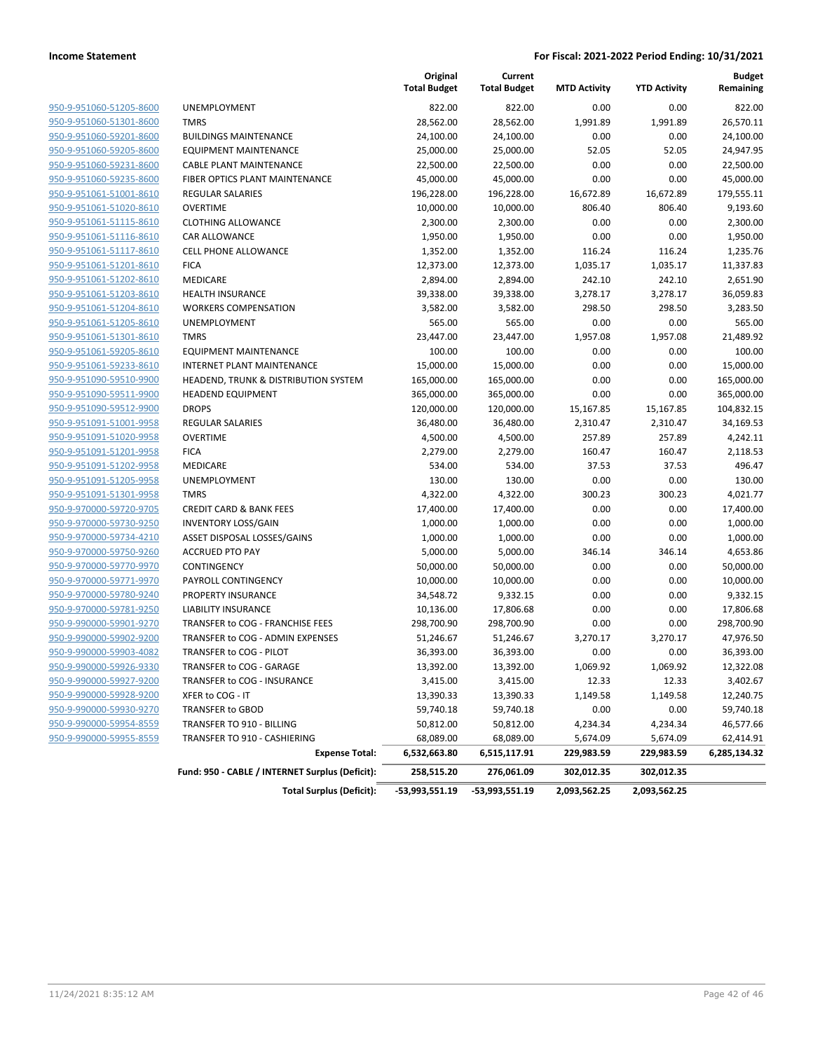|                         |                                                       | Original<br><b>Total Budget</b> | Current<br><b>Total Budget</b> | <b>MTD Activity</b>    | <b>YTD Activity</b>    | <b>Budget</b><br>Remaining |
|-------------------------|-------------------------------------------------------|---------------------------------|--------------------------------|------------------------|------------------------|----------------------------|
| 950-9-951060-51205-8600 | <b>UNEMPLOYMENT</b>                                   | 822.00                          | 822.00                         | 0.00                   | 0.00                   | 822.00                     |
| 950-9-951060-51301-8600 | <b>TMRS</b>                                           | 28,562.00                       | 28,562.00                      | 1,991.89               | 1,991.89               | 26,570.11                  |
| 950-9-951060-59201-8600 | <b>BUILDINGS MAINTENANCE</b>                          | 24,100.00                       | 24,100.00                      | 0.00                   | 0.00                   | 24,100.00                  |
| 950-9-951060-59205-8600 | <b>EQUIPMENT MAINTENANCE</b>                          | 25,000.00                       | 25,000.00                      | 52.05                  | 52.05                  | 24,947.95                  |
| 950-9-951060-59231-8600 | <b>CABLE PLANT MAINTENANCE</b>                        | 22,500.00                       | 22,500.00                      | 0.00                   | 0.00                   | 22,500.00                  |
| 950-9-951060-59235-8600 | FIBER OPTICS PLANT MAINTENANCE                        | 45,000.00                       | 45,000.00                      | 0.00                   | 0.00                   | 45,000.00                  |
| 950-9-951061-51001-8610 | <b>REGULAR SALARIES</b>                               | 196,228.00                      | 196,228.00                     | 16,672.89              | 16,672.89              | 179,555.11                 |
| 950-9-951061-51020-8610 | <b>OVERTIME</b>                                       | 10,000.00                       | 10,000.00                      | 806.40                 | 806.40                 | 9,193.60                   |
| 950-9-951061-51115-8610 | <b>CLOTHING ALLOWANCE</b>                             | 2,300.00                        | 2,300.00                       | 0.00                   | 0.00                   | 2,300.00                   |
| 950-9-951061-51116-8610 | CAR ALLOWANCE                                         | 1,950.00                        | 1,950.00                       | 0.00                   | 0.00                   | 1,950.00                   |
| 950-9-951061-51117-8610 | CELL PHONE ALLOWANCE                                  | 1,352.00                        | 1,352.00                       | 116.24                 | 116.24                 | 1,235.76                   |
| 950-9-951061-51201-8610 | <b>FICA</b>                                           | 12,373.00                       | 12,373.00                      | 1,035.17               | 1,035.17               | 11,337.83                  |
| 950-9-951061-51202-8610 | MEDICARE                                              | 2,894.00                        | 2,894.00                       | 242.10                 | 242.10                 | 2,651.90                   |
| 950-9-951061-51203-8610 | <b>HEALTH INSURANCE</b>                               | 39,338.00                       | 39,338.00                      | 3,278.17               | 3,278.17               | 36,059.83                  |
| 950-9-951061-51204-8610 | <b>WORKERS COMPENSATION</b>                           | 3,582.00                        | 3,582.00                       | 298.50                 | 298.50                 | 3,283.50                   |
| 950-9-951061-51205-8610 | UNEMPLOYMENT                                          | 565.00                          | 565.00                         | 0.00                   | 0.00                   | 565.00                     |
| 950-9-951061-51301-8610 | <b>TMRS</b>                                           | 23,447.00                       | 23,447.00                      | 1,957.08               | 1,957.08               | 21,489.92                  |
| 950-9-951061-59205-8610 | <b>EQUIPMENT MAINTENANCE</b>                          | 100.00                          | 100.00                         | 0.00                   | 0.00                   | 100.00                     |
| 950-9-951061-59233-8610 | INTERNET PLANT MAINTENANCE                            | 15,000.00                       | 15,000.00                      | 0.00                   | 0.00                   | 15,000.00                  |
| 950-9-951090-59510-9900 | HEADEND, TRUNK & DISTRIBUTION SYSTEM                  | 165,000.00                      | 165,000.00                     | 0.00                   | 0.00                   | 165,000.00                 |
| 950-9-951090-59511-9900 | <b>HEADEND EQUIPMENT</b>                              | 365,000.00                      | 365,000.00                     | 0.00                   | 0.00                   | 365,000.00                 |
| 950-9-951090-59512-9900 | <b>DROPS</b>                                          | 120,000.00                      | 120,000.00                     | 15,167.85              | 15,167.85              | 104,832.15                 |
| 950-9-951091-51001-9958 | <b>REGULAR SALARIES</b>                               | 36,480.00                       | 36,480.00                      | 2,310.47               | 2,310.47               | 34,169.53                  |
| 950-9-951091-51020-9958 | <b>OVERTIME</b>                                       | 4,500.00                        | 4,500.00                       | 257.89                 | 257.89                 | 4,242.11                   |
| 950-9-951091-51201-9958 | <b>FICA</b>                                           | 2,279.00                        | 2,279.00                       | 160.47                 | 160.47                 | 2,118.53                   |
| 950-9-951091-51202-9958 | MEDICARE                                              | 534.00                          | 534.00                         | 37.53                  | 37.53                  | 496.47                     |
| 950-9-951091-51205-9958 | UNEMPLOYMENT                                          | 130.00                          | 130.00                         | 0.00                   | 0.00                   | 130.00                     |
| 950-9-951091-51301-9958 | <b>TMRS</b>                                           | 4,322.00                        | 4,322.00                       | 300.23                 | 300.23                 | 4,021.77                   |
| 950-9-970000-59720-9705 | <b>CREDIT CARD &amp; BANK FEES</b>                    | 17,400.00                       | 17,400.00                      | 0.00                   | 0.00                   | 17,400.00                  |
| 950-9-970000-59730-9250 | <b>INVENTORY LOSS/GAIN</b>                            | 1,000.00                        | 1,000.00                       | 0.00                   | 0.00                   | 1,000.00                   |
| 950-9-970000-59734-4210 | ASSET DISPOSAL LOSSES/GAINS                           | 1,000.00                        | 1,000.00                       | 0.00                   | 0.00                   | 1,000.00                   |
| 950-9-970000-59750-9260 | <b>ACCRUED PTO PAY</b>                                | 5,000.00                        | 5,000.00                       | 346.14                 | 346.14                 | 4,653.86                   |
| 950-9-970000-59770-9970 | CONTINGENCY                                           | 50,000.00                       | 50,000.00                      | 0.00                   | 0.00                   | 50,000.00                  |
| 950-9-970000-59771-9970 | PAYROLL CONTINGENCY                                   | 10,000.00                       | 10,000.00                      | 0.00                   | 0.00                   | 10,000.00                  |
| 950-9-970000-59780-9240 | PROPERTY INSURANCE                                    | 34,548.72                       | 9,332.15                       | 0.00                   | 0.00                   | 9,332.15                   |
| 950-9-970000-59781-9250 | <b>LIABILITY INSURANCE</b>                            | 10,136.00                       | 17,806.68                      | 0.00                   | 0.00                   | 17,806.68                  |
| 950-9-990000-59901-9270 | TRANSFER to COG - FRANCHISE FEES                      | 298,700.90                      | 298,700.90                     | 0.00                   | 0.00                   | 298,700.90                 |
| 950-9-990000-59902-9200 | TRANSFER to COG - ADMIN EXPENSES                      | 51,246.67                       | 51,246.67                      | 3,270.17               | 3,270.17               | 47,976.50                  |
| 950-9-990000-59903-4082 | TRANSFER to COG - PILOT                               | 36,393.00                       | 36,393.00                      | 0.00                   | 0.00                   | 36,393.00                  |
| 950-9-990000-59926-9330 |                                                       | 13,392.00                       | 13,392.00                      | 1,069.92               | 1,069.92               | 12,322.08                  |
|                         | TRANSFER to COG - GARAGE                              |                                 |                                |                        |                        |                            |
| 950-9-990000-59927-9200 | TRANSFER to COG - INSURANCE                           | 3,415.00                        | 3,415.00                       | 12.33                  | 12.33                  | 3,402.67                   |
| 950-9-990000-59928-9200 | XFER to COG - IT                                      | 13,390.33                       | 13,390.33                      | 1,149.58               | 1,149.58               | 12,240.75                  |
| 950-9-990000-59930-9270 | TRANSFER to GBOD                                      | 59,740.18                       | 59,740.18                      | 0.00                   | 0.00                   | 59,740.18                  |
| 950-9-990000-59954-8559 | TRANSFER TO 910 - BILLING                             | 50,812.00                       | 50,812.00                      | 4,234.34               | 4,234.34               | 46,577.66                  |
| 950-9-990000-59955-8559 | TRANSFER TO 910 - CASHIERING<br><b>Expense Total:</b> | 68,089.00<br>6,532,663.80       | 68,089.00<br>6,515,117.91      | 5,674.09<br>229,983.59 | 5,674.09<br>229,983.59 | 62,414.91<br>6,285,134.32  |
|                         | Fund: 950 - CABLE / INTERNET Surplus (Deficit):       | 258,515.20                      | 276,061.09                     | 302,012.35             | 302,012.35             |                            |
|                         | <b>Total Surplus (Deficit):</b>                       | -53,993,551.19                  | -53,993,551.19                 | 2,093,562.25           | 2,093,562.25           |                            |
|                         |                                                       |                                 |                                |                        |                        |                            |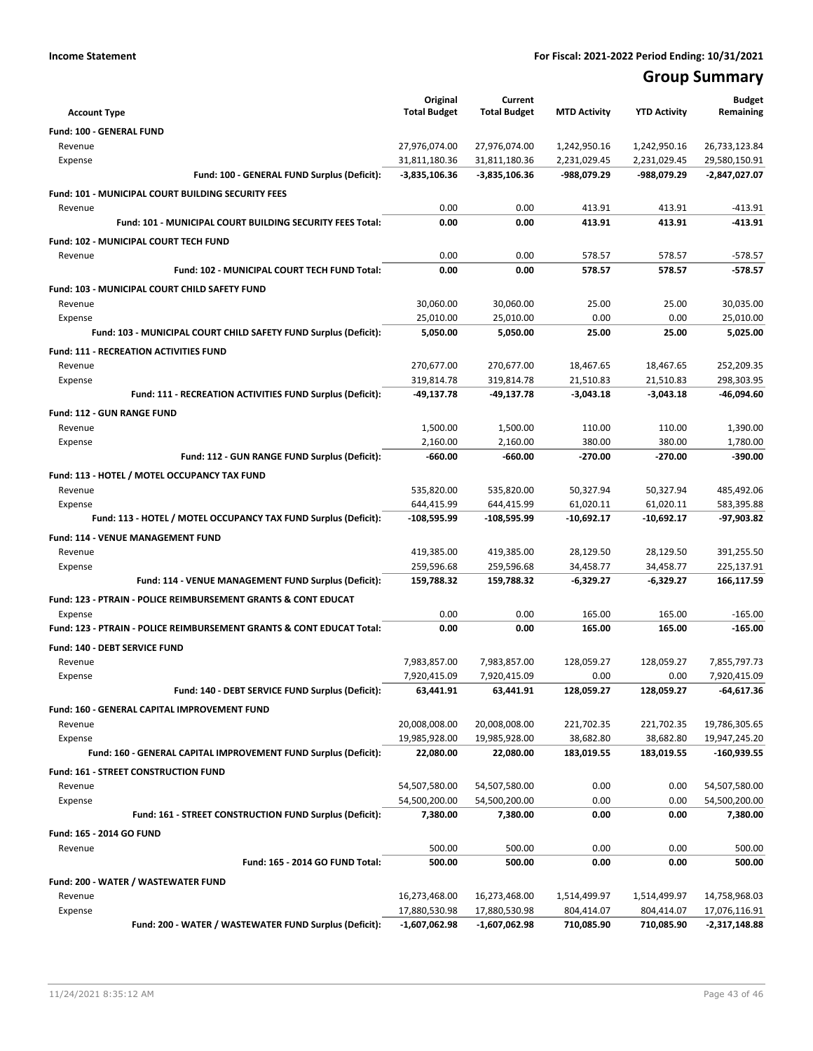# **Group Summary**

| <b>Account Type</b>                                                       | Original<br><b>Total Budget</b> | Current<br><b>Total Budget</b> | <b>MTD Activity</b>        | <b>YTD Activity</b>        | <b>Budget</b><br>Remaining     |
|---------------------------------------------------------------------------|---------------------------------|--------------------------------|----------------------------|----------------------------|--------------------------------|
| Fund: 100 - GENERAL FUND                                                  |                                 |                                |                            |                            |                                |
| Revenue                                                                   | 27,976,074.00                   | 27,976,074.00                  | 1,242,950.16               | 1,242,950.16               | 26,733,123.84                  |
| Expense                                                                   | 31,811,180.36                   | 31,811,180.36                  | 2,231,029.45               | 2,231,029.45               | 29,580,150.91                  |
| Fund: 100 - GENERAL FUND Surplus (Deficit):                               | $-3,835,106.36$                 | $-3,835,106.36$                | -988,079.29                | -988,079.29                | -2,847,027.07                  |
| Fund: 101 - MUNICIPAL COURT BUILDING SECURITY FEES                        |                                 |                                |                            |                            |                                |
| Revenue                                                                   | 0.00                            | 0.00                           | 413.91                     | 413.91                     | -413.91                        |
| Fund: 101 - MUNICIPAL COURT BUILDING SECURITY FEES Total:                 | 0.00                            | 0.00                           | 413.91                     | 413.91                     | $-413.91$                      |
| <b>Fund: 102 - MUNICIPAL COURT TECH FUND</b>                              |                                 |                                |                            |                            |                                |
| Revenue                                                                   | 0.00                            | 0.00                           | 578.57                     | 578.57                     | $-578.57$                      |
| Fund: 102 - MUNICIPAL COURT TECH FUND Total:                              | 0.00                            | 0.00                           | 578.57                     | 578.57                     | $-578.57$                      |
| Fund: 103 - MUNICIPAL COURT CHILD SAFETY FUND                             |                                 |                                |                            |                            |                                |
| Revenue                                                                   | 30,060.00                       | 30,060.00                      | 25.00                      | 25.00                      | 30,035.00                      |
| Expense                                                                   | 25,010.00                       | 25,010.00                      | 0.00                       | 0.00                       | 25,010.00                      |
| Fund: 103 - MUNICIPAL COURT CHILD SAFETY FUND Surplus (Deficit):          | 5,050.00                        | 5,050.00                       | 25.00                      | 25.00                      | 5,025.00                       |
| <b>Fund: 111 - RECREATION ACTIVITIES FUND</b>                             |                                 |                                |                            |                            |                                |
| Revenue                                                                   | 270,677.00                      | 270,677.00                     | 18,467.65                  | 18,467.65                  | 252,209.35                     |
| Expense                                                                   | 319,814.78                      | 319,814.78                     | 21,510.83                  | 21,510.83                  | 298,303.95                     |
| Fund: 111 - RECREATION ACTIVITIES FUND Surplus (Deficit):                 | -49,137.78                      | -49,137.78                     | $-3,043.18$                | $-3,043.18$                | $-46,094.60$                   |
| Fund: 112 - GUN RANGE FUND                                                |                                 |                                |                            |                            |                                |
| Revenue                                                                   | 1,500.00                        | 1,500.00                       | 110.00                     | 110.00                     | 1,390.00                       |
| Expense                                                                   | 2,160.00                        | 2,160.00                       | 380.00                     | 380.00                     | 1,780.00                       |
| Fund: 112 - GUN RANGE FUND Surplus (Deficit):                             | $-660.00$                       | $-660.00$                      | $-270.00$                  | -270.00                    | $-390.00$                      |
| Fund: 113 - HOTEL / MOTEL OCCUPANCY TAX FUND                              |                                 |                                |                            |                            |                                |
| Revenue                                                                   | 535,820.00                      | 535,820.00                     | 50,327.94                  | 50,327.94                  | 485,492.06                     |
| Expense                                                                   | 644,415.99                      | 644,415.99                     | 61,020.11                  | 61,020.11                  | 583,395.88                     |
| Fund: 113 - HOTEL / MOTEL OCCUPANCY TAX FUND Surplus (Deficit):           | -108,595.99                     | -108,595.99                    | -10,692.17                 | -10,692.17                 | -97,903.82                     |
| <b>Fund: 114 - VENUE MANAGEMENT FUND</b>                                  |                                 |                                |                            |                            |                                |
| Revenue                                                                   | 419,385.00                      | 419,385.00                     | 28,129.50                  | 28,129.50                  | 391,255.50                     |
| Expense                                                                   | 259,596.68                      | 259,596.68                     | 34,458.77                  | 34,458.77                  | 225,137.91                     |
| Fund: 114 - VENUE MANAGEMENT FUND Surplus (Deficit):                      | 159,788.32                      | 159,788.32                     | $-6,329.27$                | -6,329.27                  | 166,117.59                     |
| <b>Fund: 123 - PTRAIN - POLICE REIMBURSEMENT GRANTS &amp; CONT EDUCAT</b> |                                 |                                |                            |                            |                                |
| Expense                                                                   | 0.00                            | 0.00                           | 165.00                     | 165.00                     | $-165.00$                      |
| Fund: 123 - PTRAIN - POLICE REIMBURSEMENT GRANTS & CONT EDUCAT Total:     | 0.00                            | 0.00                           | 165.00                     | 165.00                     | $-165.00$                      |
| Fund: 140 - DEBT SERVICE FUND                                             |                                 |                                |                            |                            |                                |
| Revenue                                                                   | 7,983,857.00                    | 7,983,857.00                   | 128,059.27                 | 128,059.27                 | 7,855,797.73                   |
| Expense                                                                   | 7,920,415.09                    | 7,920,415.09                   | 0.00                       | 0.00                       | 7,920,415.09                   |
| Fund: 140 - DEBT SERVICE FUND Surplus (Deficit):                          | 63,441.91                       | 63,441.91                      | 128,059.27                 | 128,059.27                 | $-64,617.36$                   |
| Fund: 160 - GENERAL CAPITAL IMPROVEMENT FUND                              |                                 |                                |                            |                            |                                |
| Revenue                                                                   | 20,008,008.00                   | 20,008,008.00                  | 221,702.35                 | 221,702.35                 | 19,786,305.65                  |
| Expense                                                                   | 19,985,928.00                   | 19,985,928.00                  | 38,682.80                  | 38,682.80                  | 19,947,245.20                  |
| Fund: 160 - GENERAL CAPITAL IMPROVEMENT FUND Surplus (Deficit):           | 22,080.00                       | 22,080.00                      | 183,019.55                 | 183,019.55                 | $-160,939.55$                  |
| Fund: 161 - STREET CONSTRUCTION FUND                                      |                                 |                                |                            |                            |                                |
| Revenue                                                                   | 54,507,580.00                   | 54,507,580.00                  | 0.00                       | 0.00                       | 54,507,580.00                  |
| Expense                                                                   | 54,500,200.00                   | 54,500,200.00                  | 0.00                       | 0.00                       | 54,500,200.00                  |
| Fund: 161 - STREET CONSTRUCTION FUND Surplus (Deficit):                   | 7,380.00                        | 7,380.00                       | 0.00                       | 0.00                       | 7,380.00                       |
| Fund: 165 - 2014 GO FUND                                                  |                                 |                                |                            |                            |                                |
| Revenue                                                                   | 500.00                          | 500.00                         | 0.00                       | 0.00                       | 500.00                         |
| Fund: 165 - 2014 GO FUND Total:                                           | 500.00                          | 500.00                         | 0.00                       | 0.00                       | 500.00                         |
|                                                                           |                                 |                                |                            |                            |                                |
| Fund: 200 - WATER / WASTEWATER FUND                                       |                                 |                                |                            |                            |                                |
| Revenue<br>Expense                                                        | 16,273,468.00<br>17,880,530.98  | 16,273,468.00<br>17,880,530.98 | 1,514,499.97<br>804,414.07 | 1,514,499.97<br>804,414.07 | 14,758,968.03<br>17,076,116.91 |
| Fund: 200 - WATER / WASTEWATER FUND Surplus (Deficit):                    | -1,607,062.98                   | -1,607,062.98                  | 710,085.90                 | 710,085.90                 | -2,317,148.88                  |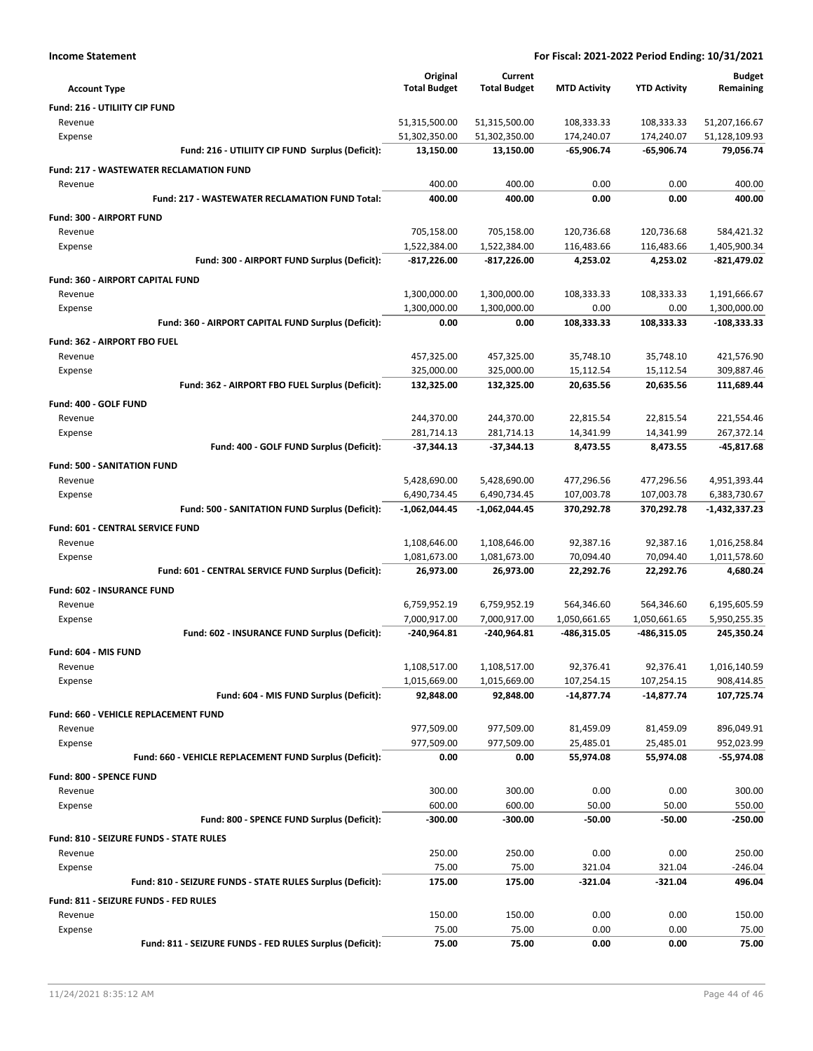| <b>Income Statement</b>                                    |                     |                     | For Fiscal: 2021-2022 Period Ending: 10/31/2021 |                     |               |
|------------------------------------------------------------|---------------------|---------------------|-------------------------------------------------|---------------------|---------------|
|                                                            | Original            | Current             |                                                 |                     | <b>Budget</b> |
| <b>Account Type</b>                                        | <b>Total Budget</b> | <b>Total Budget</b> | <b>MTD Activity</b>                             | <b>YTD Activity</b> | Remaining     |
| Fund: 216 - UTILIITY CIP FUND                              |                     |                     |                                                 |                     |               |
| Revenue                                                    | 51,315,500.00       | 51,315,500.00       | 108,333.33                                      | 108,333.33          | 51,207,166.67 |
| Expense                                                    | 51,302,350.00       | 51,302,350.00       | 174,240.07                                      | 174,240.07          | 51,128,109.93 |
| Fund: 216 - UTILIITY CIP FUND Surplus (Deficit):           | 13,150.00           | 13,150.00           | -65,906.74                                      | -65,906.74          | 79,056.74     |
| <b>Fund: 217 - WASTEWATER RECLAMATION FUND</b>             |                     |                     |                                                 |                     |               |
| Revenue                                                    | 400.00              | 400.00              | 0.00                                            | 0.00                | 400.00        |
| Fund: 217 - WASTEWATER RECLAMATION FUND Total:             | 400.00              | 400.00              | 0.00                                            | 0.00                | 400.00        |
| Fund: 300 - AIRPORT FUND                                   |                     |                     |                                                 |                     |               |
| Revenue                                                    | 705,158.00          | 705,158.00          | 120,736.68                                      | 120,736.68          | 584,421.32    |
| Expense                                                    | 1,522,384.00        | 1,522,384.00        | 116,483.66                                      | 116,483.66          | 1,405,900.34  |
| Fund: 300 - AIRPORT FUND Surplus (Deficit):                | -817,226.00         | $-817,226.00$       | 4,253.02                                        | 4,253.02            | -821,479.02   |
| Fund: 360 - AIRPORT CAPITAL FUND                           |                     |                     |                                                 |                     |               |
| Revenue                                                    | 1,300,000.00        | 1,300,000.00        | 108,333.33                                      | 108,333.33          | 1,191,666.67  |
| Expense                                                    | 1,300,000.00        | 1,300,000.00        | 0.00                                            | 0.00                | 1,300,000.00  |
| Fund: 360 - AIRPORT CAPITAL FUND Surplus (Deficit):        | 0.00                | 0.00                | 108,333.33                                      | 108,333.33          | -108,333.33   |
| Fund: 362 - AIRPORT FBO FUEL                               |                     |                     |                                                 |                     |               |
| Revenue                                                    | 457,325.00          | 457,325.00          | 35,748.10                                       | 35,748.10           | 421,576.90    |
| Expense                                                    | 325,000.00          | 325,000.00          | 15,112.54                                       | 15,112.54           | 309,887.46    |
| Fund: 362 - AIRPORT FBO FUEL Surplus (Deficit):            | 132,325.00          | 132,325.00          | 20,635.56                                       | 20,635.56           | 111,689.44    |
| Fund: 400 - GOLF FUND                                      |                     |                     |                                                 |                     |               |
| Revenue                                                    | 244,370.00          | 244,370.00          | 22,815.54                                       | 22,815.54           | 221,554.46    |
| Expense                                                    | 281,714.13          | 281,714.13          | 14,341.99                                       | 14,341.99           | 267,372.14    |
| Fund: 400 - GOLF FUND Surplus (Deficit):                   | $-37,344.13$        | $-37,344.13$        | 8,473.55                                        | 8,473.55            | $-45,817.68$  |
| <b>Fund: 500 - SANITATION FUND</b>                         |                     |                     |                                                 |                     |               |
| Revenue                                                    | 5,428,690.00        | 5,428,690.00        | 477,296.56                                      | 477,296.56          | 4,951,393.44  |
| Expense                                                    | 6,490,734.45        | 6,490,734.45        | 107,003.78                                      | 107,003.78          | 6,383,730.67  |
| Fund: 500 - SANITATION FUND Surplus (Deficit):             | $-1,062,044.45$     | $-1,062,044.45$     | 370,292.78                                      | 370,292.78          | -1,432,337.23 |
| Fund: 601 - CENTRAL SERVICE FUND                           |                     |                     |                                                 |                     |               |
| Revenue                                                    | 1,108,646.00        | 1,108,646.00        | 92,387.16                                       | 92,387.16           | 1,016,258.84  |
| Expense                                                    | 1,081,673.00        | 1,081,673.00        | 70,094.40                                       | 70,094.40           | 1,011,578.60  |
| Fund: 601 - CENTRAL SERVICE FUND Surplus (Deficit):        | 26,973.00           | 26,973.00           | 22,292.76                                       | 22,292.76           | 4,680.24      |
| Fund: 602 - INSURANCE FUND                                 |                     |                     |                                                 |                     |               |
| Revenue                                                    | 6,759,952.19        | 6,759,952.19        | 564,346.60                                      | 564,346.60          | 6,195,605.59  |
| Expense                                                    | 7,000,917.00        | 7,000,917.00        | 1,050,661.65                                    | 1,050,661.65        | 5,950,255.35  |
| Fund: 602 - INSURANCE FUND Surplus (Deficit):              | -240,964.81         | -240,964.81         | -486,315.05                                     | -486,315.05         | 245,350.24    |
| Fund: 604 - MIS FUND                                       |                     |                     |                                                 |                     |               |
| Revenue                                                    | 1,108,517.00        | 1,108,517.00        | 92,376.41                                       | 92,376.41           | 1,016,140.59  |
| Expense                                                    | 1,015,669.00        | 1,015,669.00        | 107,254.15                                      | 107,254.15          | 908,414.85    |
| Fund: 604 - MIS FUND Surplus (Deficit):                    | 92,848.00           | 92,848.00           | $-14,877.74$                                    | $-14,877.74$        | 107,725.74    |
| Fund: 660 - VEHICLE REPLACEMENT FUND                       |                     |                     |                                                 |                     |               |
| Revenue                                                    | 977,509.00          | 977,509.00          | 81,459.09                                       | 81,459.09           | 896,049.91    |
| Expense                                                    | 977,509.00          | 977,509.00          | 25,485.01                                       | 25,485.01           | 952,023.99    |
| Fund: 660 - VEHICLE REPLACEMENT FUND Surplus (Deficit):    | 0.00                | 0.00                | 55,974.08                                       | 55,974.08           | -55,974.08    |
| Fund: 800 - SPENCE FUND                                    |                     |                     |                                                 |                     |               |
| Revenue                                                    | 300.00              | 300.00              | 0.00                                            | 0.00                | 300.00        |
| Expense                                                    | 600.00              | 600.00              | 50.00                                           | 50.00               | 550.00        |
| Fund: 800 - SPENCE FUND Surplus (Deficit):                 | $-300.00$           | $-300.00$           | $-50.00$                                        | -50.00              | -250.00       |
| Fund: 810 - SEIZURE FUNDS - STATE RULES                    |                     |                     |                                                 |                     |               |
| Revenue                                                    | 250.00              | 250.00              | 0.00                                            | 0.00                | 250.00        |
| Expense                                                    | 75.00               | 75.00               | 321.04                                          | 321.04              | $-246.04$     |
| Fund: 810 - SEIZURE FUNDS - STATE RULES Surplus (Deficit): | 175.00              | 175.00              | -321.04                                         | $-321.04$           | 496.04        |
| Fund: 811 - SEIZURE FUNDS - FED RULES                      |                     |                     |                                                 |                     |               |
| Revenue                                                    | 150.00              | 150.00              | 0.00                                            | 0.00                | 150.00        |
| Expense                                                    | 75.00               | 75.00               | 0.00                                            | 0.00                | 75.00         |
| Fund: 811 - SEIZURE FUNDS - FED RULES Surplus (Deficit):   | 75.00               | 75.00               | 0.00                                            | 0.00                | 75.00         |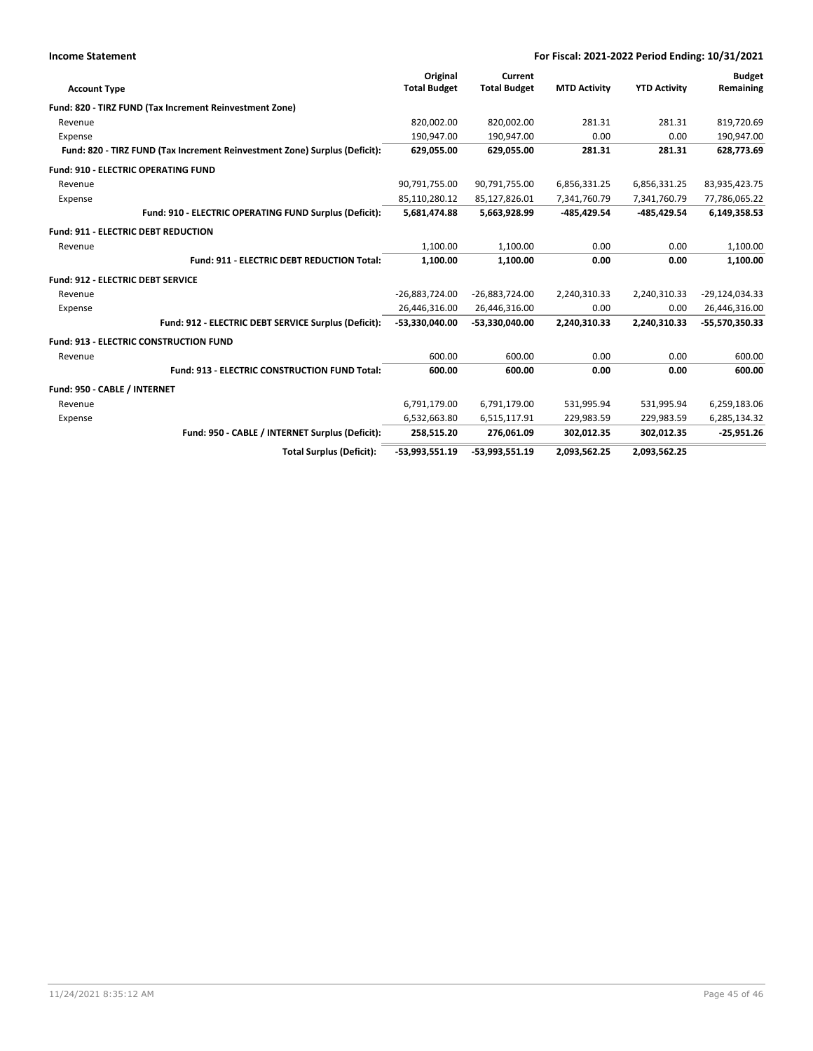|                                          | For Fiscal: 2021-2022 Period Ending: 10/31/2021<br><b>Income Statement</b> |                     |                     |                     |                     |                |
|------------------------------------------|----------------------------------------------------------------------------|---------------------|---------------------|---------------------|---------------------|----------------|
|                                          |                                                                            | Original            | Current             |                     |                     | <b>Budget</b>  |
| <b>Account Type</b>                      |                                                                            | <b>Total Budget</b> | <b>Total Budget</b> | <b>MTD Activity</b> | <b>YTD Activity</b> | Remaining      |
|                                          | Fund: 820 - TIRZ FUND (Tax Increment Reinvestment Zone)                    |                     |                     |                     |                     |                |
| Revenue                                  |                                                                            | 820,002.00          | 820,002.00          | 281.31              | 281.31              | 819,720.69     |
| Expense                                  |                                                                            | 190,947.00          | 190,947.00          | 0.00                | 0.00                | 190,947.00     |
|                                          | Fund: 820 - TIRZ FUND (Tax Increment Reinvestment Zone) Surplus (Deficit): | 629,055.00          | 629,055.00          | 281.31              | 281.31              | 628,773.69     |
|                                          | <b>Fund: 910 - ELECTRIC OPERATING FUND</b>                                 |                     |                     |                     |                     |                |
| Revenue                                  |                                                                            | 90,791,755.00       | 90,791,755.00       | 6,856,331.25        | 6,856,331.25        | 83,935,423.75  |
| Expense                                  |                                                                            | 85,110,280.12       | 85,127,826.01       | 7,341,760.79        | 7,341,760.79        | 77,786,065.22  |
|                                          | Fund: 910 - ELECTRIC OPERATING FUND Surplus (Deficit):                     | 5,681,474.88        | 5,663,928.99        | -485,429.54         | -485,429.54         | 6,149,358.53   |
|                                          | Fund: 911 - ELECTRIC DEBT REDUCTION                                        |                     |                     |                     |                     |                |
| Revenue                                  |                                                                            | 1,100.00            | 1,100.00            | 0.00                | 0.00                | 1,100.00       |
|                                          | Fund: 911 - ELECTRIC DEBT REDUCTION Total:                                 | 1,100.00            | 1,100.00            | 0.00                | 0.00                | 1,100.00       |
| <b>Fund: 912 - ELECTRIC DEBT SERVICE</b> |                                                                            |                     |                     |                     |                     |                |
| Revenue                                  |                                                                            | $-26,883,724.00$    | $-26,883,724.00$    | 2,240,310.33        | 2,240,310.33        | -29,124,034.33 |
| Expense                                  |                                                                            | 26,446,316.00       | 26,446,316.00       | 0.00                | 0.00                | 26,446,316.00  |
|                                          | Fund: 912 - ELECTRIC DEBT SERVICE Surplus (Deficit):                       | -53,330,040.00      | -53,330,040.00      | 2,240,310.33        | 2,240,310.33        | -55,570,350.33 |
|                                          | <b>Fund: 913 - ELECTRIC CONSTRUCTION FUND</b>                              |                     |                     |                     |                     |                |
| Revenue                                  |                                                                            | 600.00              | 600.00              | 0.00                | 0.00                | 600.00         |
|                                          | Fund: 913 - ELECTRIC CONSTRUCTION FUND Total:                              | 600.00              | 600.00              | 0.00                | 0.00                | 600.00         |
| Fund: 950 - CABLE / INTERNET             |                                                                            |                     |                     |                     |                     |                |
| Revenue                                  |                                                                            | 6,791,179.00        | 6,791,179.00        | 531,995.94          | 531,995.94          | 6,259,183.06   |
| Expense                                  |                                                                            | 6,532,663.80        | 6,515,117.91        | 229,983.59          | 229,983.59          | 6,285,134.32   |
|                                          | Fund: 950 - CABLE / INTERNET Surplus (Deficit):                            | 258,515.20          | 276,061.09          | 302,012.35          | 302,012.35          | $-25,951.26$   |
|                                          | <b>Total Surplus (Deficit):</b>                                            | -53,993,551.19      | $-53,993,551.19$    | 2,093,562.25        | 2,093,562.25        |                |